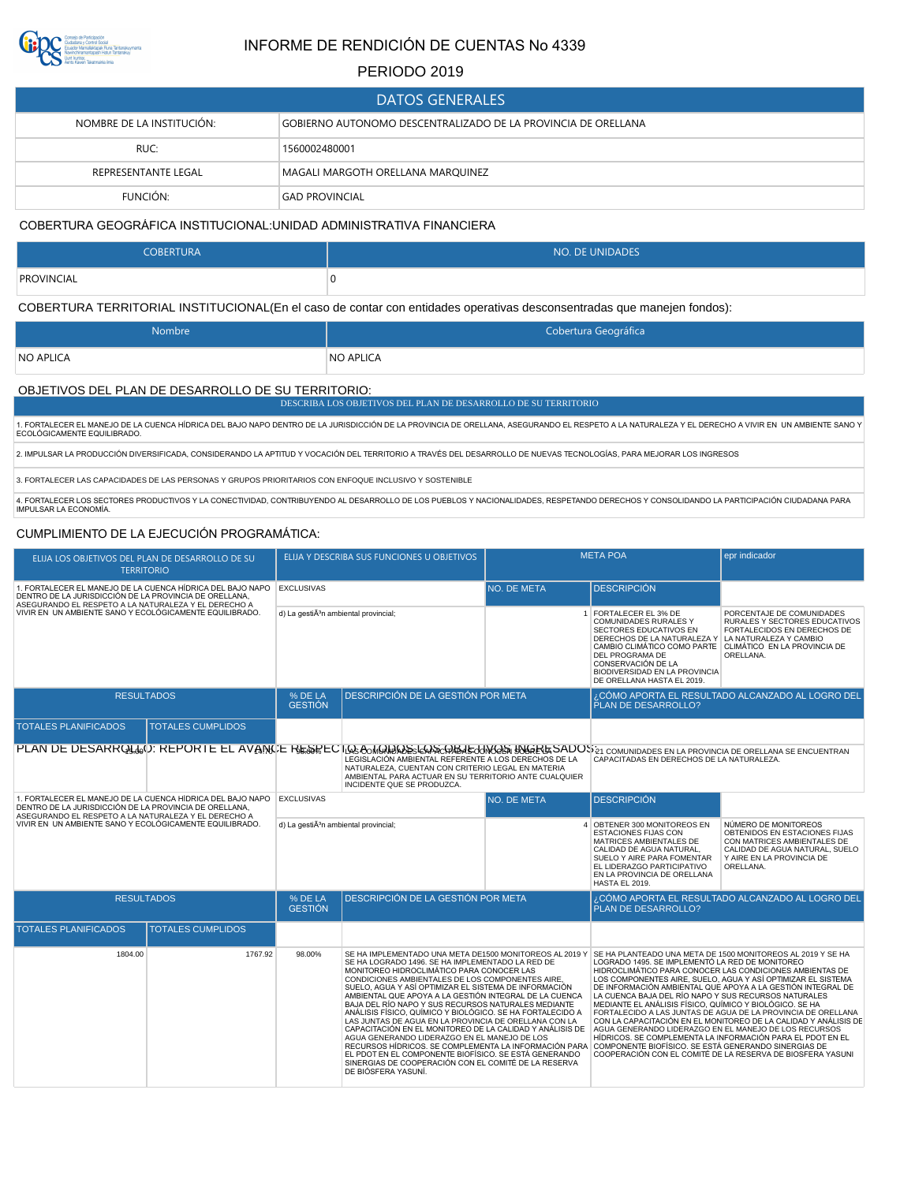

# INFORME DE RENDICIÓN DE CUENTAS No 4339

### PERIODO 2019

| DATOS GENERALES'          |                                                               |  |  |  |  |  |  |
|---------------------------|---------------------------------------------------------------|--|--|--|--|--|--|
| NOMBRE DE LA INSTITUCIÓN: | GOBIERNO AUTONOMO DESCENTRALIZADO DE LA PROVINCIA DE ORELLANA |  |  |  |  |  |  |
| RUC:                      | 1560002480001                                                 |  |  |  |  |  |  |
| REPRESENTANTE LEGAL       | MAGALI MARGOTH ORELLANA MARQUINEZ                             |  |  |  |  |  |  |
| FUNCIÓN:                  | <b>GAD PROVINCIAL</b>                                         |  |  |  |  |  |  |

#### COBERTURA GEOGRÁFICA INSTITUCIONAL:UNIDAD ADMINISTRATIVA FINANCIERA

| <b>COBERTURA</b> | <b>NO. DE UNIDADES</b> |  |  |  |
|------------------|------------------------|--|--|--|
| PROVINCIAL       | u                      |  |  |  |

COBERTURA TERRITORIAL INSTITUCIONAL(En el caso de contar con entidades operativas desconsentradas que manejen fondos):

| Nombre    | Cobertura Geográfica |
|-----------|----------------------|
| NO APLICA | <b>NO APLICA</b>     |

### OBJETIVOS DEL PLAN DE DESARROLLO DE SU TERRITORIO:

DESCRIBA LOS OBJETIVOS DEL PLAN DE DESARROLLO DE SU TERRITORIO

1. FORTALECER EL MANEJO DE LA CUENCA HÍDRICA DEL BAJO NAPO DENTRO DE LA JURISDICCIÓN DE LA PROVINCIA DE ORELLANA, ASEGURANDO EL RESPETO A LA NATURALEZA Y EL DERECHO A VIVIR EN UN AMBIENTE SANO Y<br>ECOLÓGICAMENTE EQUILIBRADO

2. IMPULSAR LA PRODUCCIÓN DIVERSIFICADA, CONSIDERANDO LA APTITUD Y VOCACIÓN DEL TERRITORIO A TRAVÉS DEL DESARROLLO DE NUEVAS TECNOLOGÍAS, PARA MEJORAR LOS INGRESOS

3. FORTALECER LAS CAPACIDADES DE LAS PERSONAS Y GRUPOS PRIORITARIOS CON ENFOQUE INCLUSIVO Y SOSTENIBLE

4. FORTALECER LOS SECTORES PRODUCTIVOS Y LA CONECTIVIDAD, CONTRIBUYENDO AL DESARROLLO DE LOS PUEBLOS Y NACIONALIDADES, RESPETANDO DERECHOS Y CONSOLIDANDO LA PARTICIPACIÓN CIUDADANA PARA<br>IMPULSAR LA ECONOMÍA.

### CUMPLIMIENTO DE LA EJECUCIÓN PROGRAMÁTICA:

| ELIJA LOS OBJETIVOS DEL PLAN DE DESARROLLO DE SU<br><b>TERRITORIO</b>                                                |                          |                                                     | ELIJA Y DESCRIBA SUS FUNCIONES U OBJETIVOS                                                                                                                                                                                                                                                                                                                                                                                                                                                                                                                                                                                                                                                                                                                                                                                | <b>META POA</b> |                                                                                                                                                                                                                                                                                                                                                    | epr indicador                                                                                                                                                                                                                                                                                                                                                                                                                                          |
|----------------------------------------------------------------------------------------------------------------------|--------------------------|-----------------------------------------------------|---------------------------------------------------------------------------------------------------------------------------------------------------------------------------------------------------------------------------------------------------------------------------------------------------------------------------------------------------------------------------------------------------------------------------------------------------------------------------------------------------------------------------------------------------------------------------------------------------------------------------------------------------------------------------------------------------------------------------------------------------------------------------------------------------------------------------|-----------------|----------------------------------------------------------------------------------------------------------------------------------------------------------------------------------------------------------------------------------------------------------------------------------------------------------------------------------------------------|--------------------------------------------------------------------------------------------------------------------------------------------------------------------------------------------------------------------------------------------------------------------------------------------------------------------------------------------------------------------------------------------------------------------------------------------------------|
| 1. FORTALECER EL MANEJO DE LA CUENCA HÍDRICA DEL BAJO NAPO<br>DENTRO DE LA JURISDICCIÓN DE LA PROVINCIA DE ORELLANA, |                          | <b>EXCLUSIVAS</b>                                   |                                                                                                                                                                                                                                                                                                                                                                                                                                                                                                                                                                                                                                                                                                                                                                                                                           | NO. DE META     | <b>DESCRIPCIÓN</b>                                                                                                                                                                                                                                                                                                                                 |                                                                                                                                                                                                                                                                                                                                                                                                                                                        |
| ASEGURANDO EL RESPETO A LA NATURALEZA Y EL DERECHO A<br>VIVIR EN UN AMBIENTE SANO Y ECOLÓGICAMENTE EQUILIBRADO.      |                          | d) La gesti $\tilde{A}^3$ n ambiental provincial;   |                                                                                                                                                                                                                                                                                                                                                                                                                                                                                                                                                                                                                                                                                                                                                                                                                           |                 | 1 FORTALECER EL 3% DE<br>COMUNIDADES RURALES Y<br>SECTORES EDUCATIVOS EN<br>DERECHOS DE LA NATURALEZA Y LA NATURALEZA Y CAMBIO<br>CAMBIO CLIMÁTICO COMO PARTE CLIMÁTICO EN LA PROVINCIA DE<br>DEL PROGRAMA DE<br>CONSERVACIÓN DE LA<br><b>BIODIVERSIDAD EN LA PROVINCIA</b><br>DE ORELLANA HASTA EL 2019.                                          | PORCENTAJE DE COMUNIDADES<br>RURALES Y SECTORES EDUCATIVOS<br>FORTALECIDOS EN DERECHOS DE<br>ORELLANA.                                                                                                                                                                                                                                                                                                                                                 |
| <b>RESULTADOS</b>                                                                                                    |                          | % DE LA<br><b>GESTIÓN</b>                           | DESCRIPCIÓN DE LA GESTIÓN POR META                                                                                                                                                                                                                                                                                                                                                                                                                                                                                                                                                                                                                                                                                                                                                                                        |                 | <b>PLAN DE DESARROLLO?</b>                                                                                                                                                                                                                                                                                                                         | ¿CÓMO APORTA EL RESULTADO ALCANZADO AL LOGRO DEL                                                                                                                                                                                                                                                                                                                                                                                                       |
| <b>TOTALES PLANIFICADOS</b>                                                                                          | <b>TOTALES CUMPLIDOS</b> |                                                     |                                                                                                                                                                                                                                                                                                                                                                                                                                                                                                                                                                                                                                                                                                                                                                                                                           |                 |                                                                                                                                                                                                                                                                                                                                                    |                                                                                                                                                                                                                                                                                                                                                                                                                                                        |
|                                                                                                                      |                          |                                                     | PLAN DE DESARROLOGIO: REPORTE EL AVANCE RESEECTOS AOMORDOS LORS CORRECTOROS DO GRESADOS 21 COMUNIDADES EN LA PROVINCIA DE ORELLANA SE ENCUENTRAN<br>LEGISLACIÓN AMBIENTAL REFERENTE A LOS DERECHOS DE LA<br>NATURALEZA, CUENTAN CON CRITERIO LEGAL EN MATERIA<br>AMBIENTAL PARA ACTUAR EN SU TERRITORIO ANTE CUALQUIER<br>INCIDENTE QUE SE PRODUZCA.                                                                                                                                                                                                                                                                                                                                                                                                                                                                      |                 | CAPACITADAS EN DERECHOS DE LA NATURALEZA.                                                                                                                                                                                                                                                                                                          |                                                                                                                                                                                                                                                                                                                                                                                                                                                        |
| 1. FORTALECER EL MANEJO DE LA CUENCA HÍDRICA DEL BAJO NAPO<br>DENTRO DE LA JURISDICCIÓN DE LA PROVINCIA DE ORELLANA, |                          | <b>EXCLUSIVAS</b>                                   |                                                                                                                                                                                                                                                                                                                                                                                                                                                                                                                                                                                                                                                                                                                                                                                                                           | NO. DE META     | <b>DESCRIPCIÓN</b>                                                                                                                                                                                                                                                                                                                                 |                                                                                                                                                                                                                                                                                                                                                                                                                                                        |
| ASEGURANDO EL RESPETO A LA NATURALEZA Y EL DERECHO A<br>VIVIR EN UN AMBIENTE SANO Y ECOLÓGICAMENTE EQUILIBRADO.      |                          | d) La gesti $\tilde{A}^{3}$ n ambiental provincial; |                                                                                                                                                                                                                                                                                                                                                                                                                                                                                                                                                                                                                                                                                                                                                                                                                           |                 | 4 OBTENER 300 MONITOREOS EN<br><b>ESTACIONES FIJAS CON</b><br>MATRICES AMBIENTALES DE<br>CALIDAD DE AGUA NATURAL.<br>SUELO Y AIRE PARA FOMENTAR<br>EL LIDERAZGO PARTICIPATIVO<br>EN LA PROVINCIA DE ORELLANA<br><b>HASTA EL 2019.</b>                                                                                                              | NÚMERO DE MONITOREOS<br>OBTENIDOS EN ESTACIONES FIJAS<br>CON MATRICES AMBIENTALES DE<br>CALIDAD DE AGUA NATURAL. SUELO<br>Y AIRE EN LA PROVINCIA DE<br>ORELLANA.                                                                                                                                                                                                                                                                                       |
| <b>RESULTADOS</b>                                                                                                    |                          | % DE LA<br><b>GESTIÓN</b>                           | DESCRIPCIÓN DE LA GESTIÓN POR META                                                                                                                                                                                                                                                                                                                                                                                                                                                                                                                                                                                                                                                                                                                                                                                        |                 | ¿CÓMO APORTA EL RESULTADO ALCANZADO AL LOGRO DEL<br>PLAN DE DESARROLLO?                                                                                                                                                                                                                                                                            |                                                                                                                                                                                                                                                                                                                                                                                                                                                        |
| <b>TOTALES PLANIFICADOS</b>                                                                                          | <b>TOTALES CUMPLIDOS</b> |                                                     |                                                                                                                                                                                                                                                                                                                                                                                                                                                                                                                                                                                                                                                                                                                                                                                                                           |                 |                                                                                                                                                                                                                                                                                                                                                    |                                                                                                                                                                                                                                                                                                                                                                                                                                                        |
| 1804.00                                                                                                              | 1767.92                  | 98.00%                                              | SE HA IMPLEMENTADO UNA META DE1500 MONITOREOS AL 2019 Y<br>SE HA LOGRADO 1496. SE HA IMPLEMENTADO LA RED DE<br>MONITOREO HIDROCLIMÁTICO PARA CONOCER LAS<br>CONDICIONES AMBIENTALES DE LOS COMPONENTES AIRE,<br>SUELO, AGUA Y ASÍ OPTIMIZAR EL SISTEMA DE INFORMACIÓN<br>AMBIENTAL QUE APOYA A LA GESTIÓN INTEGRAL DE LA CUENCA<br>BAJA DEL RÍO NAPO Y SUS RECURSOS NATURALES MEDIANTE<br>ANÁLISIS FÍSICO, QUÍMICO Y BIOLÓGICO. SE HA FORTALECIDO A<br>LAS JUNTAS DE AGUA EN LA PROVINCIA DE ORELLANA CON LA<br>CAPACITACIÓN EN EL MONITOREO DE LA CALIDAD Y ANÁLISIS DE<br>AGUA GENERANDO LIDERAZGO EN EL MANEJO DE LOS<br>RECURSOS HÍDRICOS. SE COMPLEMENTA LA INFORMACIÓN PARA<br>EL PDOT EN EL COMPONENTE BIOFÍSICO. SE ESTÁ GENERANDO<br>SINERGIAS DE COOPERACIÓN CON EL COMITÉ DE LA RESERVA<br>DE BIÓSFERA YASUNÍ. |                 | SE HA PLANTEADO UNA META DE 1500 MONITOREOS AL 2019 Y SE HA<br>LOGRADO 1495, SE IMPLEMENTÓ LA RED DE MONITOREO<br>LA CUENCA BAJA DEL RÍO NAPO Y SUS RECURSOS NATURALES<br>MEDIANTE EL ANÁLISIS FÍSICO, QUÍMICO Y BIOLÓGICO. SE HA<br>AGUA GENERANDO LIDERAZGO EN EL MANEJO DE LOS RECURSOS<br>COMPONENTE BIOFÍSICO. SE ESTÁ GENERANDO SINERGIAS DE | HIDROCLIMÁTICO PARA CONOCER LAS CONDICIONES AMBIENTAS DE<br>LOS COMPONENTES AIRE, SUELO, AGUA Y ASÍ OPTIMIZAR EL SISTEMA<br>DE INFORMACIÓN AMBIENTAL QUE APOYA A LA GESTIÓN INTEGRAL DE<br>FORTALECIDO A LAS JUNTAS DE AGUA DE LA PROVINCIA DE ORELLANA<br>CON LA CAPACITACIÓN EN EL MONITOREO DE LA CALIDAD Y ANÁLISIS DE<br>HÍDRICOS. SE COMPLEMENTA LA INFORMACIÓN PARA EL PDOT EN EL<br>COOPERACIÓN CON EL COMITÉ DE LA RESERVA DE BIOSFERA YASUNI |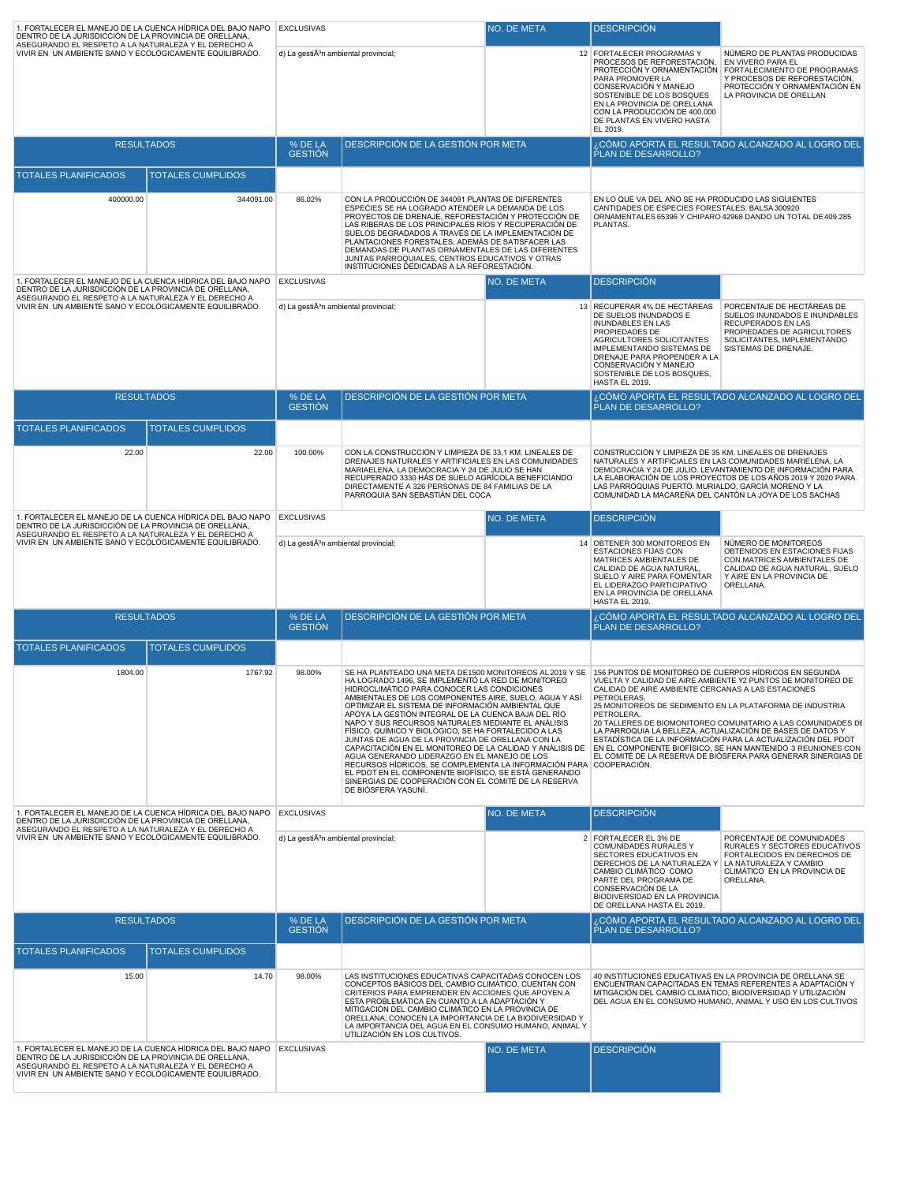| 1. FORTALECER EL MANEJO DE LA CUENCA HÍDRICA DEL BAJO NAPO   EXCLUSIVAS<br>DENTRO DE LA JURISDICCIÓN DE LA PROVINCIA DE ORELLANA,                                                                                                                  |                          |                                                   |                                                                                                                                                                                                                                                                                                                                                                                                                                                                                                                                                                                                                                                                                                                                                                                                                                 | NO. DE META                                                                                                                                                                                                                     | <b>DESCRIPCION</b>                                                                                                                                                                                                                                                           |                                                                                                                                                                                                                                                                                                                              |
|----------------------------------------------------------------------------------------------------------------------------------------------------------------------------------------------------------------------------------------------------|--------------------------|---------------------------------------------------|---------------------------------------------------------------------------------------------------------------------------------------------------------------------------------------------------------------------------------------------------------------------------------------------------------------------------------------------------------------------------------------------------------------------------------------------------------------------------------------------------------------------------------------------------------------------------------------------------------------------------------------------------------------------------------------------------------------------------------------------------------------------------------------------------------------------------------|---------------------------------------------------------------------------------------------------------------------------------------------------------------------------------------------------------------------------------|------------------------------------------------------------------------------------------------------------------------------------------------------------------------------------------------------------------------------------------------------------------------------|------------------------------------------------------------------------------------------------------------------------------------------------------------------------------------------------------------------------------------------------------------------------------------------------------------------------------|
| ASEGURANDO EL RESPETO A LA NATURALEZA Y EL DERECHO A<br>VIVIR EN UN AMBIENTE SANO Y ECOLÓGICAMENTE EQUILIBRADO.                                                                                                                                    |                          | d) La gestiÃ <sup>3</sup> n ambiental provincial; |                                                                                                                                                                                                                                                                                                                                                                                                                                                                                                                                                                                                                                                                                                                                                                                                                                 |                                                                                                                                                                                                                                 | 12 FORTALECER PROGRAMAS Y<br>PROCESOS DE REFORESTACIÓN,<br>PARA PROMOVER LA<br>CONSERVACIÓN Y MANEJO<br>SOSTENIBLE DE LOS BOSQUES<br>EN LA PROVINCIA DE ORELLANA<br>CON LA PRODUCCIÓN DE 400.000<br>DE PLANTAS EN VIVERO HASTA<br>EL 2019.                                   | NÚMERO DE PLANTAS PRODUCIDAS<br><b>EN VIVERO PARA EL</b><br>PROTECCIÓN Y ORNAMENTACIÓN FORTALECIMIENTO DE PROGRAMAS<br>Y PROCESOS DE REFORESTACIÓN,<br>PROTECCIÓN Y ORNAMENTACIÓN EN<br>LA PROVINCIA DE ORELLAN                                                                                                              |
| <b>RESULTADOS</b>                                                                                                                                                                                                                                  |                          | % DE LA<br><b>GESTION</b>                         | <b>DESCRIPCIÓN DE LA GESTIÓN POR META</b>                                                                                                                                                                                                                                                                                                                                                                                                                                                                                                                                                                                                                                                                                                                                                                                       |                                                                                                                                                                                                                                 | PLAN DE DESARROLLO?                                                                                                                                                                                                                                                          | . CÓMO APORTA EL RESULTADO ALCANZADO AL LOGRO DEL                                                                                                                                                                                                                                                                            |
| <b>TOTALES PLANIFICADOS</b>                                                                                                                                                                                                                        | <b>TOTALES CUMPLIDOS</b> |                                                   |                                                                                                                                                                                                                                                                                                                                                                                                                                                                                                                                                                                                                                                                                                                                                                                                                                 |                                                                                                                                                                                                                                 |                                                                                                                                                                                                                                                                              |                                                                                                                                                                                                                                                                                                                              |
| 400000.00                                                                                                                                                                                                                                          | 344091.00                | 86.02%                                            | CON LA PRODUCCIÓN DE 344091 PLANTAS DE DIFERENTES<br>ESPECIES SE HA LOGRADO ATENDER LA DEMANDA DE LOS<br>PROYECTOS DE DRENAJE. REFORESTACIÓN Y PROTECCIÓN DE<br>LAS RIBERAS DE LOS PRINCIPALES RÍOS Y RECUPERACIÓN DE<br>SUELOS DEGRADADOS A TRAVÉS DE LA IMPLEMENTACIÓN DE<br>PLANTACIONES FORESTALES, ADEMÁS DE SATISFACER LAS<br>DEMANDAS DE PLANTAS ORNAMENTALES DE LAS DIFERENTES<br>JUNTAS PARROQUIALES, CENTROS EDUCATIVOS Y OTRAS<br>INSTITUCIONES DEDICADAS A LA REFORESTACIÓN.                                                                                                                                                                                                                                                                                                                                        |                                                                                                                                                                                                                                 | EN LO QUE VA DEL AÑO SE HA PRODUCIDO LAS SIGUIENTES<br>CANTIDADES DE ESPECIES FORESTALES: BALSA 300920<br>PLANTAS.                                                                                                                                                           | ORNAMENTALES 65396 Y CHIPARO 42968 DANDO UN TOTAL DE 409.285                                                                                                                                                                                                                                                                 |
| 1. FORTALECER EL MANEJO DE LA CUENCA HÍDRICA DEL BAJO NAPO   EXCLUSIVAS<br>DENTRO DE LA JURISDICCIÓN DE LA PROVINCIA DE ORELLANA,<br>ASEGURANDO EL RESPETO A LA NATURALEZA Y EL DERECHO A                                                          |                          |                                                   |                                                                                                                                                                                                                                                                                                                                                                                                                                                                                                                                                                                                                                                                                                                                                                                                                                 | NO. DE META                                                                                                                                                                                                                     | <b>DESCRIPCIÓN</b>                                                                                                                                                                                                                                                           |                                                                                                                                                                                                                                                                                                                              |
| VIVIR EN UN AMBIENTE SANO Y ECOLÓGICAMENTE EQUILIBRADO.                                                                                                                                                                                            |                          | d) La gestiÃ <sup>3</sup> n ambiental provincial; |                                                                                                                                                                                                                                                                                                                                                                                                                                                                                                                                                                                                                                                                                                                                                                                                                                 |                                                                                                                                                                                                                                 | 13 RECUPERAR 4% DE HECTÁREAS<br>DE SUELOS INUNDADOS E<br>INUNDABLES EN LAS<br>PROPIEDADES DE<br><b>AGRICULTORES SOLICITANTES</b><br>IMPLEMENTANDO SISTEMAS DE<br>DRENAJE PARA PROPENDER A LA<br>CONSERVACIÓN Y MANEJO<br>SOSTENIBLE DE LOS BOSQUES,<br><b>HASTA EL 2019.</b> | PORCENTAJE DE HECTÁREAS DE<br>SUELOS INUNDADOS E INUNDABLES<br>RECUPERADOS EN LAS<br>PROPIEDADES DE AGRICULTORES<br>SOLICITANTES, IMPLEMENTANDO<br>SISTEMAS DE DRENAJE.                                                                                                                                                      |
| <b>RESULTADOS</b>                                                                                                                                                                                                                                  |                          | $%$ DE LA<br><b>GESTION</b>                       | DESCRIPCIÓN DE LA GESTIÓN POR META                                                                                                                                                                                                                                                                                                                                                                                                                                                                                                                                                                                                                                                                                                                                                                                              |                                                                                                                                                                                                                                 | <b>PLAN DE DESARROLLO?</b>                                                                                                                                                                                                                                                   | ¿CÓMO APORTA EL RESULTADO ALCANZADO AL LOGRO DEL                                                                                                                                                                                                                                                                             |
| <b>TOTALES PLANIFICADOS</b>                                                                                                                                                                                                                        | <b>TOTALES CUMPLIDOS</b> |                                                   |                                                                                                                                                                                                                                                                                                                                                                                                                                                                                                                                                                                                                                                                                                                                                                                                                                 |                                                                                                                                                                                                                                 |                                                                                                                                                                                                                                                                              |                                                                                                                                                                                                                                                                                                                              |
| 22.00                                                                                                                                                                                                                                              | 22.00                    | 100.00%                                           | CON LA CONSTRUCCIÓN Y LIMPIEZA DE 33,1 KM. LINEALES DE<br>DRENAJES NATURALES Y ARTIFICIALES EN LAS COMUNIDADES<br>MARIAELENA, LA DEMOCRACIA Y 24 DE JULIO SE HAN<br>RECUPERADO 3330 HÁS DE SUELO AGRÍCOLA BENEFICIANDO<br>DIRECTAMENTE A 326 PERSONAS DE 84 FAMILIAS DE LA<br>PARROQUIA SAN SEBASTIÁN DEL COCA                                                                                                                                                                                                                                                                                                                                                                                                                                                                                                                  |                                                                                                                                                                                                                                 | CONSTRUCCIÓN Y LIMPIEZA DE 35 KM. LINEALES DE DRENAJES<br>NATURALES Y ARTIFICIALES EN LAS COMUNIDADES MARIELENA, LA<br>LAS PARROQUIAS PUERTO. MURIALDO, GARCÍA MORENO Y LA<br>COMUNIDAD LA MACAREÑA DEL CANTÓN LA JOYA DE LOS SACHAS                                         | DEMOCRACIA Y 24 DE JULIO. LEVANTAMIENTO DE INFORMACIÓN PARA<br>LA ELABORACIÓN DE LOS PROYECTOS DE LOS AÑOS 2019 Y 2020 PARA                                                                                                                                                                                                  |
| 1. FORTALECER EL MANEJO DE LA CUENCA HÍDRICA DEL BAJO NAPO EXCLUSIVAS<br>DENTRO DE LA JURISDICCIÓN DE LA PROVINCIA DE ORELLANA,                                                                                                                    |                          |                                                   |                                                                                                                                                                                                                                                                                                                                                                                                                                                                                                                                                                                                                                                                                                                                                                                                                                 | NO. DE META                                                                                                                                                                                                                     | <b>DESCRIPCIÓN</b>                                                                                                                                                                                                                                                           |                                                                                                                                                                                                                                                                                                                              |
| ASEGURANDO EL RESPETO A LA NATURALEZA Y EL DERECHO A<br>VIVIR EN UN AMBIENTE SANO Y ECOLÓGICAMENTE EQUILIBRADO.                                                                                                                                    |                          | d) La gestiÄ <sup>3</sup> n ambiental provincial; |                                                                                                                                                                                                                                                                                                                                                                                                                                                                                                                                                                                                                                                                                                                                                                                                                                 | 14 OBTENER 300 MONITOREOS EN<br>ESTACIONES FIJAS CON<br>MATRICES AMBIENTALES DE<br>CALIDAD DE AGUA NATURAL,<br>SUELO Y AIRE PARA FOMENTAR<br>EL LIDERAZGO PARTICIPATIVO<br>EN LA PROVINCIA DE ORELLANA<br><b>HASTA EL 2019.</b> | NÚMERO DE MONITOREOS<br>OBTENIDOS EN ESTACIONES FIJAS<br>CON MATRICES AMBIENTALES DE<br>CALIDAD DE AGUA NATURAL, SUELO<br>Y AIRE EN LA PROVINCIA DE<br>ORELLANA.                                                                                                             |                                                                                                                                                                                                                                                                                                                              |
| <b>RESULTADOS</b>                                                                                                                                                                                                                                  |                          | % DE LA<br><b>GESTIÓN</b>                         | DESCRIPCIÓN DE LA GESTIÓN POR META                                                                                                                                                                                                                                                                                                                                                                                                                                                                                                                                                                                                                                                                                                                                                                                              |                                                                                                                                                                                                                                 | PLAN DE DESARROLLO?                                                                                                                                                                                                                                                          | ¿CÓMO APORTA EL RESULTADO ALCANZADO AL LOGRO DEL                                                                                                                                                                                                                                                                             |
| <b>TOTALES PLANIFICADOS</b>                                                                                                                                                                                                                        | <b>TOTALES CUMPLIDOS</b> |                                                   |                                                                                                                                                                                                                                                                                                                                                                                                                                                                                                                                                                                                                                                                                                                                                                                                                                 |                                                                                                                                                                                                                                 |                                                                                                                                                                                                                                                                              |                                                                                                                                                                                                                                                                                                                              |
| 1804.00                                                                                                                                                                                                                                            | 1767.92                  | 98.00%                                            | SE HA PLANTEADO UNA META DE1500 MONITOREOS AL 2019 Y SE<br>HA LOGRADO 1496, SE IMPLEMENTÓ LA RED DE MONITOREO<br>HIDROCLIMÁTICO PARA CONOCER LAS CONDICIONES<br>AMBIENTALES DE LOS COMPONENTES AIRE, SUELO, AGUA Y ASÍ<br>OPTIMIZAR EL SISTEMA DE INFORMACIÓN AMBIENTAL QUE<br>APOYA LA GESTIÓN INTEGRAL DE LA CUENCA BAJA DEL RÍO<br>NAPO Y SUS RECURSOS NATURALES MEDIANTE EL ANÁLISIS<br>FÍSICO, QUÍMICO Y BIOLÓGICO, SE HA FORTALECIDO A LAS<br>JUNTAS DE AGUA DE LA PROVINCIA DE ORELLANA CON LA<br>CAPACITACIÓN EN EL MONITOREO DE LA CALIDAD Y ANÁLISIS DE<br>AGUA GENERANDO LIDERAZGO EN EL MANEJO DE LOS<br>RECURSOS HÍDRICOS, SE COMPLEMENTA LA INFORMACIÓN PARA COOPERACIÓN.<br>EL PDOT EN EL COMPONENTE BIOFÍSICO, SE ESTÁ GENERANDO<br>SINERGIAS DE COOPERACIÓN CON EL COMITÉ DE LA RESERVA<br>DE BIÓSFERA YASUNÍ. |                                                                                                                                                                                                                                 | 156 PUNTOS DE MONITOREO DE CUERPOS HÍDRICOS EN SEGUNDA<br>CALIDAD DE AIRE AMBIENTE CERCANAS A LAS ESTACIONES<br>PETROLERAS.<br>25 MONITOREOS DE SEDIMENTO EN LA PLATAFORMA DE INDUSTRIA<br>PETROLERA.<br>LA PARROQUIA LA BELLEZA, ACTUALIZACIÓN DE BASES DE DATOS Y          | VUELTA Y CALIDAD DE AIRE AMBIENTE Y2 PUNTOS DE MONITOREO DE<br>20 TALLERES DE BIOMONITOREO COMUNITARIO A LAS COMUNIDADES DE<br>ESTADÍSTICA DE LA INFORMACIÓN PARA LA ACTUALIZACIÓN DEL PDOT<br>EN EL COMPONENTE BIOFÍSICO, SE HAN MANTENIDO 3 REUNIONES CON<br>EL COMITÉ DE LA RESERVA DE BIÓSFERA PARA GENERAR SINERGIAS DE |
| 1. FORTALECER EL MANEJO DE LA CUENCA HÍDRICA DEL BAJO NAPO EXCLUSIVAS<br>DENTRO DE LA JURISDICCIÓN DE LA PROVINCIA DE ORELLANA,                                                                                                                    |                          |                                                   |                                                                                                                                                                                                                                                                                                                                                                                                                                                                                                                                                                                                                                                                                                                                                                                                                                 | NO. DE META                                                                                                                                                                                                                     | <b>DESCRIPCIÓN</b>                                                                                                                                                                                                                                                           |                                                                                                                                                                                                                                                                                                                              |
| ASEGURANDO EL RESPETO A LA NATURALEZA Y EL DERECHO A<br>VIVIR EN UN AMBIENTE SANO Y ECOLÓGICAMENTE EQUILIBRADO.                                                                                                                                    |                          | d) La gestiÃ <sup>3</sup> n ambiental provincial; |                                                                                                                                                                                                                                                                                                                                                                                                                                                                                                                                                                                                                                                                                                                                                                                                                                 |                                                                                                                                                                                                                                 | 2 FORTALECER EL 3% DE<br>COMUNIDADES RURALES Y<br>SECTORES EDUCATIVOS EN<br>DERECHOS DE LA NATURALEZA Y<br>CAMBIO CLIMÁTICO COMO<br>PARTE DEL PROGRAMA DE<br>CONSERVACIÓN DE LA<br>BIODIVERSIDAD EN LA PROVINCIA<br>DE ORELLANA HASTA EL 2019.                               | PORCENTAJE DE COMUNIDADES<br>RURALES Y SECTORES EDUCATIVOS<br>FORTALECIDOS EN DERECHOS DE<br>LA NATURALEZA Y CAMBIO<br>CLIMÁTICO EN LA PROVINCIA DE<br>ORELLANA.                                                                                                                                                             |
| <b>RESULTADOS</b>                                                                                                                                                                                                                                  |                          | % DE LA<br><b>GESTIÓN</b>                         | DESCRIPCIÓN DE LA GESTIÓN POR META                                                                                                                                                                                                                                                                                                                                                                                                                                                                                                                                                                                                                                                                                                                                                                                              |                                                                                                                                                                                                                                 | PLAN DE DESARROLLO?                                                                                                                                                                                                                                                          | . CÓMO APORTA EL RESULTADO ALCANZADO AL LOGRO DEL                                                                                                                                                                                                                                                                            |
| <b>TOTALES PLANIFICADOS</b>                                                                                                                                                                                                                        | <b>TOTALES CUMPLIDOS</b> |                                                   |                                                                                                                                                                                                                                                                                                                                                                                                                                                                                                                                                                                                                                                                                                                                                                                                                                 |                                                                                                                                                                                                                                 |                                                                                                                                                                                                                                                                              |                                                                                                                                                                                                                                                                                                                              |
| 15.00                                                                                                                                                                                                                                              | 14.70                    | 98.00%                                            | LAS INSTITUCIONES EDUCATIVAS CAPACITADAS CONOCEN LOS<br>CONCEPTOS BÁSICOS DEL CAMBIO CLIMÁTICO, CUENTAN CON<br>CRITERIOS PARA EMPRENDER EN ACCIONES QUE APOYEN A<br>ESTA PROBLEMÁTICA EN CUANTO A LA ADAPTACIÓN Y<br>MITIGACIÓN DEL CAMBIO CLIMÁTICO EN LA PROVINCIA DE<br>ORELLANA, CONOCEN LA IMPORTANCIA DE LA BIODIVERSIDAD Y<br>LA IMPORTANCIA DEL AGUA EN EL CONSUMO HUMANO, ANIMAL Y<br>UTILIZACIÓN EN LOS CULTIVOS.                                                                                                                                                                                                                                                                                                                                                                                                     |                                                                                                                                                                                                                                 | 40 INSTITUCIONES EDUCATIVAS EN LA PROVINCIA DE ORELLANA SE<br>MITIGACIÓN DEL CAMBIO CLIMÁTICO, BIODIVERSIDAD Y UTILIZACIÓN                                                                                                                                                   | ENCUENTRAN CAPACITADAS EN TEMAS REFERENTES A ADAPTACIÓN Y<br>DEL AGUA EN EL CONSUMO HUMANO, ANIMAL Y USO EN LOS CULTIVOS                                                                                                                                                                                                     |
| 1. FORTALECER EL MANEJO DE LA CUENCA HÍDRICA DEL BAJO NAPO EXCLUSIVAS<br>DENTRO DE LA JURISDICCIÓN DE LA PROVINCIA DE ORELLANA,<br>ASEGURANDO EL RESPETO A LA NATURALEZA Y EL DERECHO A<br>VIVIR EN UN AMBIENTE SANO Y ECOLÓGICAMENTE EQUILIBRADO. |                          |                                                   |                                                                                                                                                                                                                                                                                                                                                                                                                                                                                                                                                                                                                                                                                                                                                                                                                                 | NO. DE META                                                                                                                                                                                                                     | <b>DESCRIPCIÓN</b>                                                                                                                                                                                                                                                           |                                                                                                                                                                                                                                                                                                                              |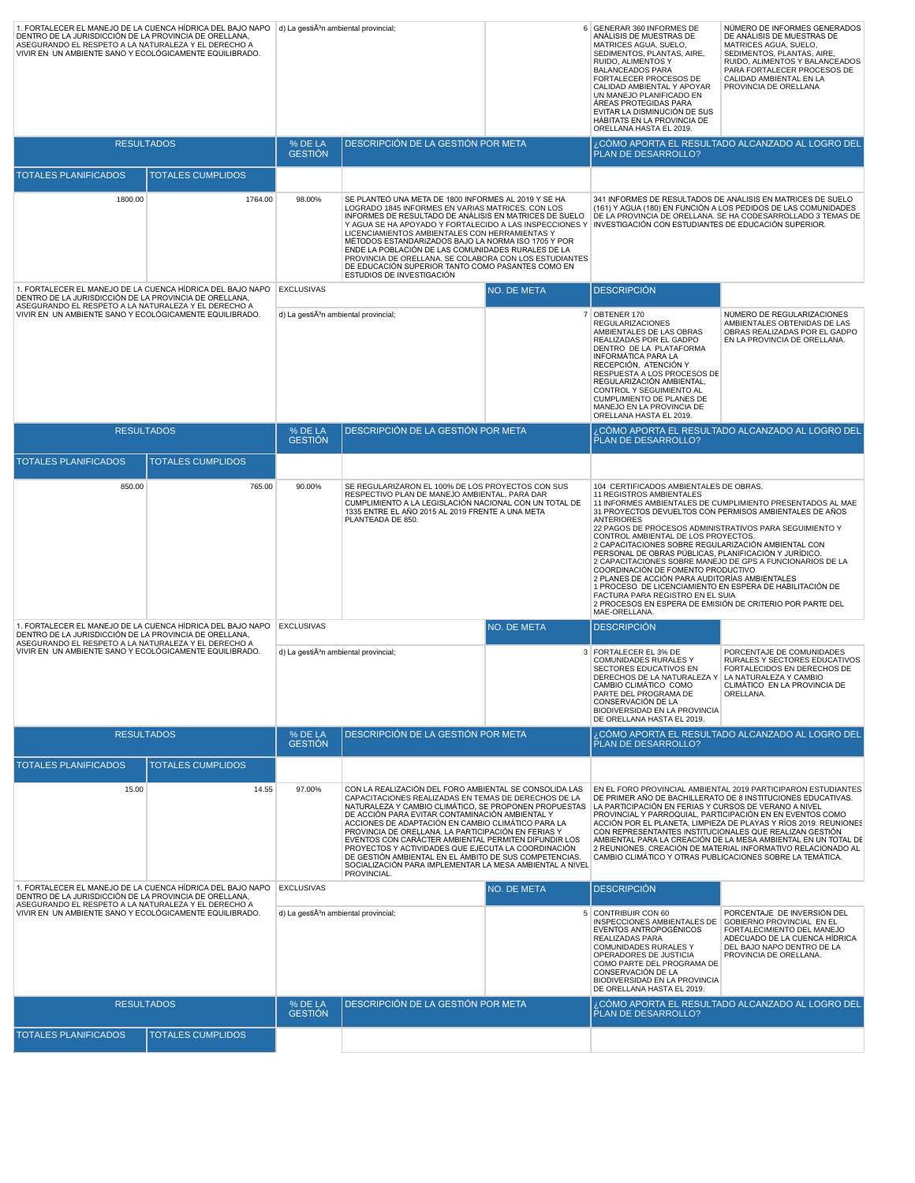| 1. FORTALECER EL MANEJO DE LA CUENCA HÍDRICA DEL BAJO NAPO   d) La gestiên ambiental provincial;<br>DENTRO DE LA JURISDICCIÓN DE LA PROVINCIA DE ORELLANA,<br>ASEGURANDO EL RESPETO A LA NATURALEZA Y EL DERECHO A<br>VIVIR EN UN AMBIENTE SANO Y ECOLÓGICAMENTE EQUILIBRADO. |                          |                                                                                                                                                                                                                                                                      |                                                                                                                                                                                                                                                                                                                                                                                                                                                                                                                                                                                             |             | 6 GENERAR 360 INFORMES DE<br>ANÁLISIS DE MUESTRAS DE<br>MATRICES AGUA, SUELO,<br>SEDIMENTOS, PLANTAS, AIRE,<br>RUIDO, ALIMENTOS Y<br><b>BALANCEADOS PARA</b><br>FORTALECER PROCESOS DE<br>CALIDAD AMBIENTAL Y APOYAR<br>UN MANEJO PLANIFICADO EN<br>ÁREAS PROTEGIDAS PARA<br>EVITAR LA DISMINUCIÓN DE SUS<br>HÁBITATS EN LA PROVINCIA DE<br>ORELLANA HASTA EL 2019. | NÚMERO DE INFORMES GENERADOS<br>DE ANÁLISIS DE MUESTRAS DE<br>MATRICES AGUA, SUELO,<br>SEDIMENTOS, PLANTAS, AIRE,<br>RUIDO, ALIMENTOS Y BALANCEADOS<br>PARA FORTALECER PROCESOS DE<br>CALIDAD AMBIENTAL EN LA<br>PROVINCIA DE ORELLANA                                                                                                                                                                                                                                                                                                   |  |
|-------------------------------------------------------------------------------------------------------------------------------------------------------------------------------------------------------------------------------------------------------------------------------|--------------------------|----------------------------------------------------------------------------------------------------------------------------------------------------------------------------------------------------------------------------------------------------------------------|---------------------------------------------------------------------------------------------------------------------------------------------------------------------------------------------------------------------------------------------------------------------------------------------------------------------------------------------------------------------------------------------------------------------------------------------------------------------------------------------------------------------------------------------------------------------------------------------|-------------|---------------------------------------------------------------------------------------------------------------------------------------------------------------------------------------------------------------------------------------------------------------------------------------------------------------------------------------------------------------------|------------------------------------------------------------------------------------------------------------------------------------------------------------------------------------------------------------------------------------------------------------------------------------------------------------------------------------------------------------------------------------------------------------------------------------------------------------------------------------------------------------------------------------------|--|
|                                                                                                                                                                                                                                                                               | <b>RESULTADOS</b>        | % DE LA<br><b>GESTIÓN</b>                                                                                                                                                                                                                                            | DESCRIPCIÓN DE LA GESTIÓN POR META                                                                                                                                                                                                                                                                                                                                                                                                                                                                                                                                                          |             | PLAN DE DESARROLLO?                                                                                                                                                                                                                                                                                                                                                 | ¿CÓMO APORTA EL RESULTADO ALCANZADO AL LOGRO DEL                                                                                                                                                                                                                                                                                                                                                                                                                                                                                         |  |
| <b>TOTALES PLANIFICADOS</b>                                                                                                                                                                                                                                                   | <b>TOTALES CUMPLIDOS</b> |                                                                                                                                                                                                                                                                      |                                                                                                                                                                                                                                                                                                                                                                                                                                                                                                                                                                                             |             |                                                                                                                                                                                                                                                                                                                                                                     |                                                                                                                                                                                                                                                                                                                                                                                                                                                                                                                                          |  |
| 1800.00                                                                                                                                                                                                                                                                       | 1764.00                  | 98.00%                                                                                                                                                                                                                                                               | SE PLANTEÓ UNA META DE 1800 INFORMES AL 2019 Y SE HA<br>LOGRADO 1845 INFORMES EN VARIAS MATRICES. CON LOS<br>INFORMES DE RESULTADO DE ANÁLISIS EN MATRICES DE SUELO<br>Y AGUA SE HA APOYADO Y FORTALECIDO A LAS INSPECCIONES Y<br>LICENCIAMIENTOS AMBIENTALES CON HERRAMIENTAS Y<br>MÉTODOS ESTANDARIZADOS BAJO LA NORMA ISO 1705 Y POR<br>ENDE LA POBLACIÓN DE LAS COMUNIDADES RURALES DE LA<br>PROVINCIA DE ORELLANA. SE COLABORA CON LOS ESTUDIANTES<br>DE EDUCACIÓN SUPERIOR TANTO COMO PASANTES COMO EN<br>ESTUDIOS DE INVESTIGACIÓN                                                   |             | INVESTIGACIÓN CON ESTUDIANTES DE EDUCACIÓN SUPERIOR.                                                                                                                                                                                                                                                                                                                | 341 INFORMES DE RESULTADOS DE ANÁLISIS EN MATRICES DE SUELO<br>(161) Y AGUA (180) EN FUNCIÓN A LOS PEDIDOS DE LAS COMUNIDADES<br>DE LA PROVINCIA DE ORELLANA. SE HA CODESARROLLADO 3 TEMAS DE                                                                                                                                                                                                                                                                                                                                            |  |
| 1. FORTALECER EL MANEJO DE LA CUENCA HÍDRICA DEL BAJO NAPO EXCLUSIVAS<br>DENTRO DE LA JURISDICCIÓN DE LA PROVINCIA DE ORELLANA,                                                                                                                                               |                          |                                                                                                                                                                                                                                                                      |                                                                                                                                                                                                                                                                                                                                                                                                                                                                                                                                                                                             | NO. DE META | <b>DESCRIPCIÓN</b>                                                                                                                                                                                                                                                                                                                                                  |                                                                                                                                                                                                                                                                                                                                                                                                                                                                                                                                          |  |
| ASEGURANDO EL RESPETO A LA NATURALEZA Y EL DERECHO A<br>VIVIR EN UN AMBIENTE SANO Y ECOLÓGICAMENTE EQUILIBRADO.                                                                                                                                                               |                          |                                                                                                                                                                                                                                                                      | d) La gestiÃ <sup>3</sup> n ambiental provincial;                                                                                                                                                                                                                                                                                                                                                                                                                                                                                                                                           |             | 7 OBTENER 170<br><b>REGULARIZACIONES</b><br>AMBIENTALES DE LAS OBRAS<br>REALIZADAS POR EL GADPO<br>DENTRO DE LA PLATAFORMA<br>INFORMÁTICA PARA LA<br>RECEPCIÓN, ATENCIÓN Y<br>RESPUESTA A LOS PROCESOS DE<br>REGULARIZACIÓN AMBIENTAL,<br>CONTROL Y SEGUIMIENTO AL<br><b>CUMPLIMIENTO DE PLANES DE</b><br>MANEJO EN LA PROVINCIA DE<br>ORELLANA HASTA EL 2019.      | NÚMERO DE REGULARIZACIONES<br>AMBIENTALES OBTENIDAS DE LAS<br>OBRAS REALIZADAS POR EL GADPO<br>EN LA PROVINCIA DE ORELLANA.                                                                                                                                                                                                                                                                                                                                                                                                              |  |
|                                                                                                                                                                                                                                                                               | <b>RESULTADOS</b>        | % DE LA<br><b>GESTIÓN</b>                                                                                                                                                                                                                                            | DESCRIPCIÓN DE LA GESTIÓN POR META                                                                                                                                                                                                                                                                                                                                                                                                                                                                                                                                                          |             | PLAN DE DESARROLLO?                                                                                                                                                                                                                                                                                                                                                 | ¿CÓMO APORTA EL RESULTADO ALCANZADO <u>AL LOGRO DEL</u>                                                                                                                                                                                                                                                                                                                                                                                                                                                                                  |  |
| <b>TOTALES PLANIFICADOS</b>                                                                                                                                                                                                                                                   | <b>TOTALES CUMPLIDOS</b> |                                                                                                                                                                                                                                                                      |                                                                                                                                                                                                                                                                                                                                                                                                                                                                                                                                                                                             |             |                                                                                                                                                                                                                                                                                                                                                                     |                                                                                                                                                                                                                                                                                                                                                                                                                                                                                                                                          |  |
| 850.00                                                                                                                                                                                                                                                                        | 765.00                   | 90.00%<br>SE REGULARIZARON EL 100% DE LOS PROYECTOS CON SUS<br>RESPECTIVO PLAN DE MANEJO AMBIENTAL, PARA DAR<br>CUMPLIMIENTO A LA LEGISLACIÓN NACIONAL CON UN TOTAL DE<br>1335 ENTRE EL AÑO 2015 AL 2019 FRENTE A UNA META<br>PLANTEADA DE 850.<br><b>ANTERIORES</b> |                                                                                                                                                                                                                                                                                                                                                                                                                                                                                                                                                                                             |             | 104 CERTIFICADOS AMBIENTALES DE OBRAS.<br>11 REGISTROS AMBIENTALES<br>CONTROL AMBIENTAL DE LOS PROYECTOS.<br>COORDINACIÓN DE FOMENTO PRODUCTIVO<br>FACTURA PARA REGISTRO EN EL SUIA<br>MAE-ORELLANA.                                                                                                                                                                | 11 INFORMES AMBIENTALES DE CUMPLIMIENTO PRESENTADOS AL MAE<br>31 PROYECTOS DEVUELTOS CON PERMISOS AMBIENTALES DE AÑOS<br>22 PAGOS DE PROCESOS ADMINISTRATIVOS PARA SEGUIMIENTO Y<br>2 CAPACITACIONES SOBRE REGULARIZACIÓN AMBIENTAL CON<br>PERSONAL DE OBRAS PÚBLICAS, PLANIFICACIÓN Y JURÍDICO.<br>2 CAPACITACIONES SOBRE MANEJO DE GPS A FUNCIONARIOS DE LA<br>2 PLANES DE ACCIÓN PARA AUDITORÍAS AMBIENTALES<br>1 PROCESO DE LICENCIAMIENTO EN ESPERA DE HABILITACIÓN DE<br>2 PROCESOS EN ESPERA DE EMISIÓN DE CRITERIO POR PARTE DEL |  |
| 1. FORTALECER EL MANEJO DE LA CUENCA HÍDRICA DEL BAJO NAPO EXCLUSIVAS<br>DENTRO DE LA JURISDICCIÓN DE LA PROVINCIA DE ORELLANA,<br>ASEGURANDO EL RESPETO A LA NATURALEZA Y EL DERECHO A                                                                                       |                          | NO. DE META                                                                                                                                                                                                                                                          |                                                                                                                                                                                                                                                                                                                                                                                                                                                                                                                                                                                             |             | <b>DESCRIPCIÓN</b>                                                                                                                                                                                                                                                                                                                                                  |                                                                                                                                                                                                                                                                                                                                                                                                                                                                                                                                          |  |
| VIVIR EN UN AMBIENTE SANO Y ECOLÓGICAMENTE EQUILIBRADO.                                                                                                                                                                                                                       |                          | d) La gesti $\tilde{A}^{3}$ n ambiental provincial;                                                                                                                                                                                                                  |                                                                                                                                                                                                                                                                                                                                                                                                                                                                                                                                                                                             |             | 3 FORTALECER EL 3% DE<br>COMUNIDADES RURALES Y<br>SECTORES EDUCATIVOS EN<br>DERECHOS DE LA NATURALEZA Y<br>CAMBIO CLIMÁTICO COMO<br>PARTE DEL PROGRAMA DE<br>CONSERVACIÓN DE LA<br><b>BIODIVERSIDAD EN LA PROVINCIA</b><br>DE ORELLANA HASTA EL 2019.                                                                                                               | PORCENTAJE DE COMUNIDADES<br>RURALES Y SECTORES EDUCATIVOS<br>FORTALECIDOS EN DERECHOS DE<br>LA NATURALEZA Y CAMBIO<br>CLIMÁTICO EN LA PROVINCIA DE<br>ORELLANA.                                                                                                                                                                                                                                                                                                                                                                         |  |
|                                                                                                                                                                                                                                                                               | <b>RESULTADOS</b>        | % DE LA<br><b>GESTIÓN</b>                                                                                                                                                                                                                                            | DESCRIPCIÓN DE LA GESTIÓN POR META                                                                                                                                                                                                                                                                                                                                                                                                                                                                                                                                                          |             | PLAN DE DESARROLLO?                                                                                                                                                                                                                                                                                                                                                 | ¿CÓMO APORTA EL RESULTADO ALCANZADO AL LOGRO DEL                                                                                                                                                                                                                                                                                                                                                                                                                                                                                         |  |
| <b>TOTALES PLANIFICADOS</b>                                                                                                                                                                                                                                                   | <b>TOTALES CUMPLIDOS</b> |                                                                                                                                                                                                                                                                      |                                                                                                                                                                                                                                                                                                                                                                                                                                                                                                                                                                                             |             |                                                                                                                                                                                                                                                                                                                                                                     |                                                                                                                                                                                                                                                                                                                                                                                                                                                                                                                                          |  |
| 15.00                                                                                                                                                                                                                                                                         | 14.55                    | 97.00%                                                                                                                                                                                                                                                               | CON LA REALIZACIÓN DEL FORO AMBIENTAL SE CONSOLIDA LAS<br>CAPACITACIONES REALIZADAS EN TEMAS DE DERECHOS DE LA<br>NATURALEZA Y CAMBIO CLIMÁTICO. SE PROPONEN PROPUESTAS<br>DE ACCIÓN PARA EVITAR CONTAMINACIÓN AMBIENTAL Y<br>ACCIONES DE ADAPTACIÓN EN CAMBIO CLIMÁTICO PARA LA<br>PROVINCIA DE ORELLANA. LA PARTICIPACIÓN EN FERIAS Y<br>EVENTOS CON CARÁCTER AMBIENTAL PERMITEN DIFUNDIR LOS<br>PROYECTOS Y ACTIVIDADES QUE EJECUTA LA COORDINACIÓN<br>DE GESTIÓN AMBIENTAL EN EL ÁMBITO DE SUS COMPETENCIAS.<br>SOCIALIZACIÓN PARA IMPLEMENTAR LA MESA AMBIENTAL A NIVEL<br>PROVINCIAL. |             | LA PARTICIPACIÓN EN FERIAS Y CURSOS DE VERANO A NIVEL<br>PROVINCIAL Y PARROQUIAL, PARTICIPACIÓN EN EN EVENTOS COMO<br>CON REPRESENTANTES INSTITUCIONALES QUE REALIZAN GESTIÓN<br>CAMBIO CLIMÁTICO Y OTRAS PUBLICACIONES SOBRE LA TEMÁTICA.                                                                                                                          | EN EL FORO PROVINCIAL AMBIENTAL 2019 PARTICIPARON ESTUDIANTES<br>DE PRIMER AÑO DE BACHILLERATO DE 8 INSTITUCIONES EDUCATIVAS.<br>ACCIÓN POR EL PLANETA, LIMPIEZA DE PLAYAS Y RÍOS 2019. REUNIONES<br>AMBIENTAL PARA LA CREACIÓN DE LA MESA AMBIENTAL EN UN TOTAL DE<br>2 REUNIONES. CREACIÓN DE MATERIAL INFORMATIVO RELACIONADO AL                                                                                                                                                                                                      |  |
| 1. FORTALECER EL MANEJO DE LA CUENCA HÍDRICA DEL BAJO NAPO EXCLUSIVAS                                                                                                                                                                                                         |                          |                                                                                                                                                                                                                                                                      |                                                                                                                                                                                                                                                                                                                                                                                                                                                                                                                                                                                             | NO. DE META | <b>DESCRIPCIÓN</b>                                                                                                                                                                                                                                                                                                                                                  |                                                                                                                                                                                                                                                                                                                                                                                                                                                                                                                                          |  |
| DENTRO DE LA JURISDICCIÓN DE LA PROVINCIA DE ORELLANA,<br>ASEGURANDO EL RESPETO A LA NATURALEZA Y EL DERECHO A<br>VIVIR EN UN AMBIENTE SANO Y ECOLÓGICAMENTE EQUILIBRADO.                                                                                                     |                          | d) La gestiÃ <sup>3</sup> n ambiental provincial;                                                                                                                                                                                                                    |                                                                                                                                                                                                                                                                                                                                                                                                                                                                                                                                                                                             |             | 5 CONTRIBUIR CON 60<br>INSPECCIONES AMBIENTALES DE<br>EVENTOS ANTROPOGÉNICOS<br>REALIZADAS PARA<br>COMUNIDADES RURALES Y<br>OPERADORES DE JUSTICIA<br>COMO PARTE DEL PROGRAMA DE<br>CONSERVACIÓN DE LA<br><b>BIODIVERSIDAD EN LA PROVINCIA</b><br>DE ORELLANA HASTA EL 2019.                                                                                        | PORCENTAJE DE INVERSIÓN DEL<br>GOBIERNO PROVINCIAL EN EL<br>FORTALECIMIENTO DEL MANEJO<br>ADECUADO DE LA CUENCA HÍDRICA<br>DEL BAJO NAPO DENTRO DE LA<br>PROVINCIA DE ORELLANA.                                                                                                                                                                                                                                                                                                                                                          |  |
|                                                                                                                                                                                                                                                                               | <b>RESULTADOS</b>        | % DE LA<br><b>GESTIÓN</b>                                                                                                                                                                                                                                            | DESCRIPCIÓN DE LA GESTIÓN POR META                                                                                                                                                                                                                                                                                                                                                                                                                                                                                                                                                          |             | PLAN DE DESARROLLO?                                                                                                                                                                                                                                                                                                                                                 | ¿CÓMO APORTA EL RESULTADO ALCANZADO AL LOGRO DEL                                                                                                                                                                                                                                                                                                                                                                                                                                                                                         |  |
| <b>TOTALES PLANIFICADOS</b>                                                                                                                                                                                                                                                   | <b>TOTALES CUMPLIDOS</b> |                                                                                                                                                                                                                                                                      |                                                                                                                                                                                                                                                                                                                                                                                                                                                                                                                                                                                             |             |                                                                                                                                                                                                                                                                                                                                                                     |                                                                                                                                                                                                                                                                                                                                                                                                                                                                                                                                          |  |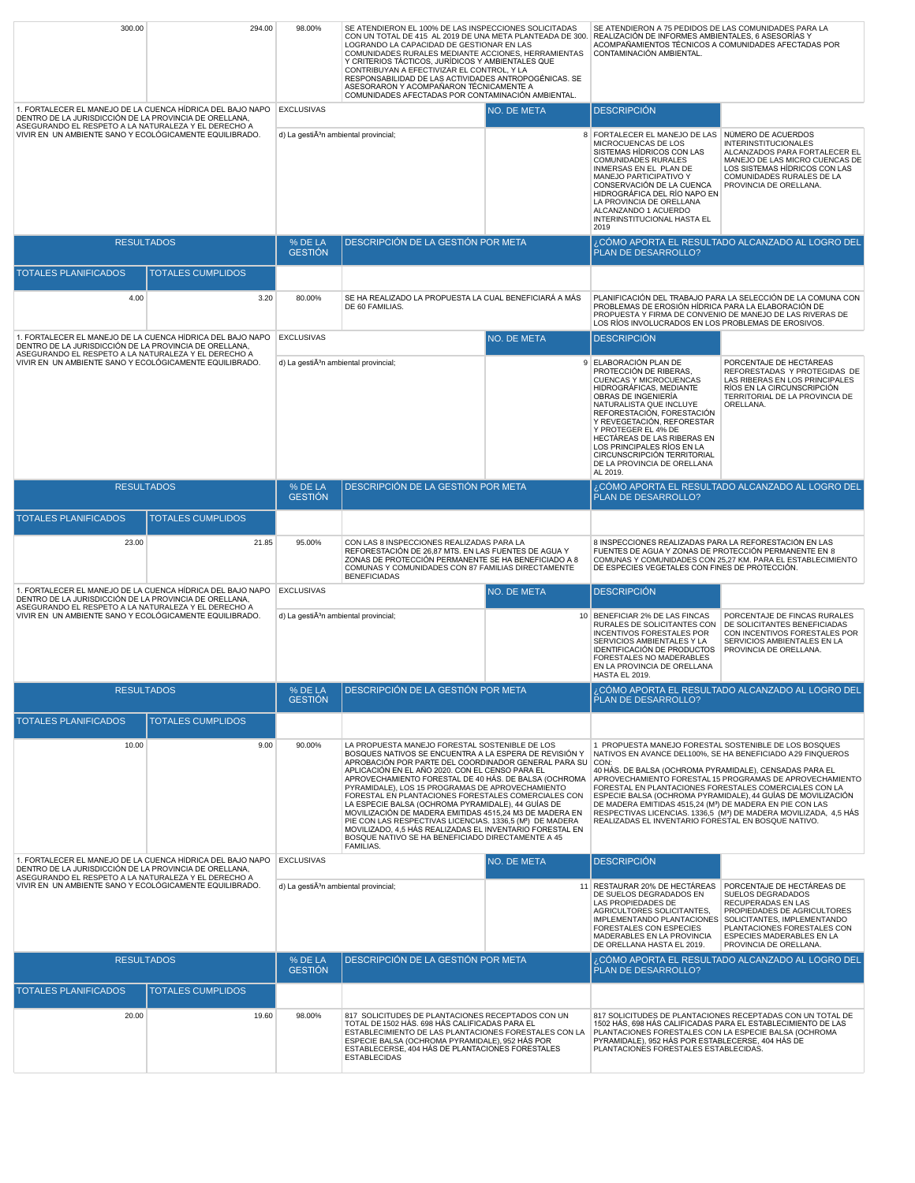| 300.00                                                                                                                                                                       | 294.00                                                                                                          | 98.00%                                              | SE ATENDIERON EL 100% DE LAS INSPECCIONES SOLICITADAS<br>CON UN TOTAL DE 415 AL 2019 DE UNA META PLANTEADA DE 300. REALIZACIÓN DE INFORMES AMBIENTALES, 6 ASESORÍAS Y<br>LOGRANDO LA CAPACIDAD DE GESTIONAR EN LAS<br>COMUNIDADES RURALES MEDIANTE ACCIONES, HERRAMIENTAS<br>Y CRITERIOS TÁCTICOS, JURÍDICOS Y AMBIENTALES QUE<br>CONTRIBUYAN A EFECTIVIZAR EL CONTROL, Y LA<br>RESPONSABILIDAD DE LAS ACTIVIDADES ANTROPOGÉNICAS. SE<br>ASESORARON Y ACOMPAÑARON TÉCNICAMENTE A<br>COMUNIDADES AFECTADAS POR CONTAMINACIÓN AMBIENTAL.                                                                                                                                                                          |                                                                                                                                                                                                                                                                                                                                                                                                       | SE ATENDIERON A 75 PEDIDOS DE LAS COMUNIDADES PARA LA<br>ACOMPAÑAMIENTOS TÉCNICOS A COMUNIDADES AFECTADAS POR<br>CONTAMINACIÓN AMBIENTAL.                                                                                                                                                                                                                                               |                                                                                                                                                                                                           |
|------------------------------------------------------------------------------------------------------------------------------------------------------------------------------|-----------------------------------------------------------------------------------------------------------------|-----------------------------------------------------|-----------------------------------------------------------------------------------------------------------------------------------------------------------------------------------------------------------------------------------------------------------------------------------------------------------------------------------------------------------------------------------------------------------------------------------------------------------------------------------------------------------------------------------------------------------------------------------------------------------------------------------------------------------------------------------------------------------------|-------------------------------------------------------------------------------------------------------------------------------------------------------------------------------------------------------------------------------------------------------------------------------------------------------------------------------------------------------------------------------------------------------|-----------------------------------------------------------------------------------------------------------------------------------------------------------------------------------------------------------------------------------------------------------------------------------------------------------------------------------------------------------------------------------------|-----------------------------------------------------------------------------------------------------------------------------------------------------------------------------------------------------------|
| 1. FORTALECER EL MANEJO DE LA CUENCA HÍDRICA DEL BAJO NAPO EXCLUSIVAS<br>DENTRO DE LA JURISDICCIÓN DE LA PROVINCIA DE ORELLANA,                                              |                                                                                                                 |                                                     |                                                                                                                                                                                                                                                                                                                                                                                                                                                                                                                                                                                                                                                                                                                 | NO. DE META                                                                                                                                                                                                                                                                                                                                                                                           | <b>DESCRIPCIÓN</b>                                                                                                                                                                                                                                                                                                                                                                      |                                                                                                                                                                                                           |
| ASEGURANDO EL RESPETO A LA NATURALEZA Y EL DERECHO A<br>VIVIR EN UN AMBIENTE SANO Y ECOLÓGICAMENTE EQUILIBRADO.                                                              |                                                                                                                 | d) La gestiÃ <sup>3</sup> n ambiental provincial;   |                                                                                                                                                                                                                                                                                                                                                                                                                                                                                                                                                                                                                                                                                                                 |                                                                                                                                                                                                                                                                                                                                                                                                       | 8 FORTALECER EL MANEJO DE LAS NÚMERO DE ACUERDOS<br>MICROCUENCAS DE LOS<br>SISTEMAS HÍDRICOS CON LAS<br>COMUNIDADES RURALES<br>INMERSAS EN EL PLAN DE<br>MANEJO PARTICIPATIVO Y<br>CONSERVACIÓN DE LA CUENCA<br>HIDROGRÁFICA DEL RÍO NAPO EN<br>LA PROVINCIA DE ORELLANA<br>ALCANZANDO 1 ACUERDO<br>INTERINSTITUCIONAL HASTA EL<br>2019                                                 | <b>INTERINSTITUCIONALES</b><br>ALCANZADOS PARA FORTALECER EL<br>MANEJO DE LAS MICRO CUENCAS DE<br>LOS SISTEMAS HÍDRICOS CON LAS<br>COMUNIDADES RURALES DE LA<br>PROVINCIA DE ORELLANA.                    |
| <b>RESULTADOS</b>                                                                                                                                                            |                                                                                                                 | % DE LA<br><b>GESTIÓN</b>                           | DESCRIPCIÓN DE LA GESTIÓN POR META                                                                                                                                                                                                                                                                                                                                                                                                                                                                                                                                                                                                                                                                              |                                                                                                                                                                                                                                                                                                                                                                                                       | PLAN DE DESARROLLO?                                                                                                                                                                                                                                                                                                                                                                     | , CÓMO APORTA EL RESULTADO ALCANZADO AL LOGRO DEL                                                                                                                                                         |
| TOTALES PLANIFICADOS                                                                                                                                                         | <b>TOTALES CUMPLIDOS</b>                                                                                        |                                                     |                                                                                                                                                                                                                                                                                                                                                                                                                                                                                                                                                                                                                                                                                                                 |                                                                                                                                                                                                                                                                                                                                                                                                       |                                                                                                                                                                                                                                                                                                                                                                                         |                                                                                                                                                                                                           |
| 4.00                                                                                                                                                                         | 3.20                                                                                                            | 80.00%                                              | SE HA REALIZADO LA PROPUESTA LA CUAL BENEFICIARÁ A MÁS                                                                                                                                                                                                                                                                                                                                                                                                                                                                                                                                                                                                                                                          |                                                                                                                                                                                                                                                                                                                                                                                                       |                                                                                                                                                                                                                                                                                                                                                                                         | PLANIFICACIÓN DEL TRABAJO PARA LA SELECCIÓN DE LA COMUNA CON                                                                                                                                              |
|                                                                                                                                                                              |                                                                                                                 |                                                     | DE 60 FAMILIAS.                                                                                                                                                                                                                                                                                                                                                                                                                                                                                                                                                                                                                                                                                                 |                                                                                                                                                                                                                                                                                                                                                                                                       | PROBLEMAS DE EROSIÓN HÍDRICA PARA LA ELABORACIÓN DE<br>PROPUESTA Y FIRMA DE CONVENIO DE MANEJO DE LAS RIVERAS DE<br>LOS RÍOS INVOLUCRADOS EN LOS PROBLEMAS DE EROSIVOS.                                                                                                                                                                                                                 |                                                                                                                                                                                                           |
| 1. FORTALECER EL MANEJO DE LA CUENCA HÍDRICA DEL BAJO NAPO<br>DENTRO DE LA JURISDICCIÓN DE LA PROVINCIA DE ORELLANA,<br>ASEGURANDO EL RESPETO A LA NATURALEZA Y EL DERECHO A |                                                                                                                 | <b>EXCLUSIVAS</b>                                   |                                                                                                                                                                                                                                                                                                                                                                                                                                                                                                                                                                                                                                                                                                                 | NO. DE META                                                                                                                                                                                                                                                                                                                                                                                           | <b>DESCRIPCIÓN</b>                                                                                                                                                                                                                                                                                                                                                                      |                                                                                                                                                                                                           |
| VIVIR EN UN AMBIENTE SANO Y ECOLÓGICAMENTE EQUILIBRADO.                                                                                                                      |                                                                                                                 | d) La gesti $\tilde{A}^{3}$ n ambiental provincial; |                                                                                                                                                                                                                                                                                                                                                                                                                                                                                                                                                                                                                                                                                                                 |                                                                                                                                                                                                                                                                                                                                                                                                       | 9 ELABORACIÓN PLAN DE<br>PROTECCIÓN DE RIBERAS,<br><b>CUENCAS Y MICROCUENCAS</b><br>HIDROGRÁFICAS, MEDIANTE<br>OBRAS DE INGENIERÍA<br>NATURALISTA QUE INCLUYE<br>REFORESTACIÓN, FORESTACIÓN<br>Y REVEGETACIÓN, REFORESTAR<br>Y PROTEGER EL 4% DE<br>HECTÁREAS DE LAS RIBERAS EN<br>LOS PRINCIPALES RÍOS EN LA<br>CIRCUNSCRIPCIÓN TERRITORIAL<br>DE LA PROVINCIA DE ORELLANA<br>AL 2019. | PORCENTAJE DE HECTÁREAS<br>REFORESTADAS Y PROTEGIDAS DE<br>LAS RIBERAS EN LOS PRINCIPALES<br>RÍOS EN LA CIRCUNSCRIPCIÓN<br>TERRITORIAL DE LA PROVINCIA DE<br>ORELLANA.                                    |
| <b>RESULTADOS</b>                                                                                                                                                            |                                                                                                                 | % DE LA<br><b>GESTION</b>                           | DESCRIPCIÓN DE LA GESTIÓN POR META                                                                                                                                                                                                                                                                                                                                                                                                                                                                                                                                                                                                                                                                              |                                                                                                                                                                                                                                                                                                                                                                                                       | PLAN DE DESARROLLO?                                                                                                                                                                                                                                                                                                                                                                     | CÓMO APORTA EL RESULTADO ALCANZADO AL LOGRO DEL.                                                                                                                                                          |
| <b>TOTALES PLANIFICADOS</b>                                                                                                                                                  | <b>TOTALES CUMPLIDOS</b>                                                                                        |                                                     |                                                                                                                                                                                                                                                                                                                                                                                                                                                                                                                                                                                                                                                                                                                 |                                                                                                                                                                                                                                                                                                                                                                                                       |                                                                                                                                                                                                                                                                                                                                                                                         |                                                                                                                                                                                                           |
| 23.00                                                                                                                                                                        | 21.85                                                                                                           | 95.00%                                              | CON LAS 8 INSPECCIONES REALIZADAS PARA LA<br>REFORESTACIÓN DE 26,87 MTS. EN LAS FUENTES DE AGUA Y<br>ZONAS DE PROTECCIÓN PERMANENTE SE HA BENEFICIADO A 8<br>COMUNAS Y COMUNIDADES CON 87 FAMILIAS DIRECTAMENTE<br><b>BENEFICIADAS</b>                                                                                                                                                                                                                                                                                                                                                                                                                                                                          |                                                                                                                                                                                                                                                                                                                                                                                                       | 8 INSPECCIONES REALIZADAS PARA LA REFORESTACIÓN EN LAS<br>FUENTES DE AGUA Y ZONAS DE PROTECCIÓN PERMANENTE EN 8<br>DE ESPECIES VEGETALES CON FINES DE PROTECCIÓN.                                                                                                                                                                                                                       | COMUNAS Y COMUNIDADES CON 25,27 KM. PARA EL ESTABLECIMIENTO                                                                                                                                               |
| 1. FORTALECER EL MANEJO DE LA CUENCA HÍDRICA DEL BAJO NAPO   EXCLUSIVAS<br>DENTRO DE LA JURISDICCIÓN DE LA PROVINCIA DE ORELLANA,                                            |                                                                                                                 |                                                     |                                                                                                                                                                                                                                                                                                                                                                                                                                                                                                                                                                                                                                                                                                                 | NO. DE META                                                                                                                                                                                                                                                                                                                                                                                           | <b>DESCRIPCIÓN</b>                                                                                                                                                                                                                                                                                                                                                                      |                                                                                                                                                                                                           |
| ASEGURANDO EL RESPETO A LA NATURALEZA Y EL DERECHO A<br>VIVIR EN UN AMBIENTE SANO Y ECOLÓGICAMENTE EQUILIBRADO.                                                              |                                                                                                                 | d) La gesti $\tilde{A}^{3}$ n ambiental provincial; |                                                                                                                                                                                                                                                                                                                                                                                                                                                                                                                                                                                                                                                                                                                 | 10 BENEFICIAR 2% DE LAS FINCAS<br>PORCENTAJE DE FINCAS RURALES<br>DE SOLICITANTES BENEFICIADAS<br>RURALES DE SOLICITANTES CON<br>INCENTIVOS FORESTALES POR<br>CON INCENTIVOS FORESTALES POR<br>SERVICIOS AMBIENTALES EN LA<br>SERVICIOS AMBIENTALES Y LA<br>IDENTIFICACIÓN DE PRODUCTOS<br>PROVINCIA DE ORELLANA.<br>FORESTALES NO MADERABLES<br>EN LA PROVINCIA DE ORELLANA<br><b>HASTA EL 2019.</b> |                                                                                                                                                                                                                                                                                                                                                                                         |                                                                                                                                                                                                           |
| <b>RESULTADOS</b>                                                                                                                                                            |                                                                                                                 | % DE LA<br><b>GESTION</b>                           | <b>DESCRIPCIÓN DE LA GESTIÓN POR META</b>                                                                                                                                                                                                                                                                                                                                                                                                                                                                                                                                                                                                                                                                       |                                                                                                                                                                                                                                                                                                                                                                                                       | PLAN DE DESARROLLO?                                                                                                                                                                                                                                                                                                                                                                     | CÓMO APORTA EL RESULTADO ALCANZADO AL LOGRO DEL، ن                                                                                                                                                        |
| <b>TOTALES PLANIFICADOS</b>                                                                                                                                                  | <b>TOTALES CUMPLIDOS</b>                                                                                        |                                                     |                                                                                                                                                                                                                                                                                                                                                                                                                                                                                                                                                                                                                                                                                                                 |                                                                                                                                                                                                                                                                                                                                                                                                       |                                                                                                                                                                                                                                                                                                                                                                                         |                                                                                                                                                                                                           |
| 10.00                                                                                                                                                                        | 9.00                                                                                                            | 90.00%                                              | LA PROPUESTA MANEJO FORESTAL SOSTENIBLE DE LOS<br>BOSQUES NATIVOS SE ENCUENTRA A LA ESPERA DE REVISIÓN Y<br>APROBACIÓN POR PARTE DEL COORDINADOR GENERAL PARA SU<br>APLICACIÓN EN EL AÑO 2020. CON EL CENSO PARA EL<br>APROVECHAMIENTO FORESTAL DE 40 HÁS. DE BALSA (OCHROMA<br>PYRAMIDALE), LOS 15 PROGRAMAS DE APROVECHAMIENTO<br>FORESTAL EN PLANTACIONES FORESTALES COMERCIALES CON<br>LA ESPECIE BALSA (OCHROMA PYRAMIDALE), 44 GUÍAS DE<br>MOVILIZACIÓN DE MADERA EMITIDAS 4515,24 M3 DE MADERA EN<br>PIE CON LAS RESPECTIVAS LICENCIAS. 1336,5 (M <sup>3</sup> ) DE MADERA<br>MOVILIZADO, 4,5 HÁS REALIZADAS EL INVENTARIO FORESTAL EN<br>BOSQUE NATIVO SE HA BENEFICIADO DIRECTAMENTE A 45<br>FAMILIAS. |                                                                                                                                                                                                                                                                                                                                                                                                       | 1 PROPUESTA MANEJO FORESTAL SOSTENIBLE DE LOS BOSQUES<br>NATIVOS EN AVANCE DEL100%, SE HA BENEFICIADO A29 FINQUEROS<br>CON:<br>40 HÁS. DE BALSA (OCHROMA PYRAMIDALE), CENSADAS PARA EL<br>FORESTAL EN PLANTACIONES FORESTALES COMERCIALES CON LA<br>DE MADERA EMITIDAS 4515,24 (M <sup>3</sup> ) DE MADERA EN PIE CON LAS<br>REALIZADAS EL INVENTARIO FORESTAL EN BOSQUE NATIVO.        | APROVECHAMIENTO FORESTAL 15 PROGRAMAS DE APROVECHAMIENTO<br>ESPECIE BALSA (OCHROMA PYRAMIDALE), 44 GUÍAS DE MOVILIZACIÓN<br>RESPECTIVAS LICENCIAS. 1336,5 (M <sup>3</sup> ) DE MADERA MOVILIZADA, 4,5 HÁS |
| 1. FORTALECER EL MANEJO DE LA CUENCA HÍDRICA DEL BAJO NAPO<br>DENTRO DE LA JURISDICCIÓN DE LA PROVINCIA DE ORELLANA,                                                         |                                                                                                                 | <b>EXCLUSIVAS</b>                                   |                                                                                                                                                                                                                                                                                                                                                                                                                                                                                                                                                                                                                                                                                                                 | NO. DE META                                                                                                                                                                                                                                                                                                                                                                                           | <b>DESCRIPCIÓN</b>                                                                                                                                                                                                                                                                                                                                                                      |                                                                                                                                                                                                           |
|                                                                                                                                                                              | ASEGURANDO EL RESPETO A LA NATURALEZA Y EL DERECHO A<br>VIVIR EN UN AMBIENTE SANO Y ECOLÓGICAMENTE EQUILIBRADO. |                                                     | d) La gestiÃ <sup>3</sup> n ambiental provincial;                                                                                                                                                                                                                                                                                                                                                                                                                                                                                                                                                                                                                                                               |                                                                                                                                                                                                                                                                                                                                                                                                       | 11 RESTAURAR 20% DE HECTÁREAS<br>DE SUELOS DEGRADADOS EN<br>LAS PROPIEDADES DE<br>AGRICULTORES SOLICITANTES,<br>IMPLEMENTANDO PLANTACIONES SOLICITANTES, IMPLEMENTANDO<br>FORESTALES CON ESPECIES<br>MADERABLES EN LA PROVINCIA<br>DE ORELLANA HASTA EL 2019.                                                                                                                           | PORCENTAJE DE HECTÁREAS DE<br>SUELOS DEGRADADOS<br>RECUPERADAS EN LAS<br>PROPIEDADES DE AGRICULTORES<br>PLANTACIONES FORESTALES CON<br>ESPECIES MADERABLES EN LA<br>PROVINCIA DE ORELLANA.                |
| <b>RESULTADOS</b>                                                                                                                                                            |                                                                                                                 | % DE LA<br><b>GESTION</b>                           | DESCRIPCIÓN DE LA GESTIÓN POR META                                                                                                                                                                                                                                                                                                                                                                                                                                                                                                                                                                                                                                                                              |                                                                                                                                                                                                                                                                                                                                                                                                       | <b>PLAN DE DESARROLLO?</b>                                                                                                                                                                                                                                                                                                                                                              | CÓMO APORTA EL RESULTADO ALCANZADO AL LOGRO DEL.                                                                                                                                                          |
| TOTALES PLANIFICADOS                                                                                                                                                         | <b>TOTALES CUMPLIDOS</b>                                                                                        |                                                     |                                                                                                                                                                                                                                                                                                                                                                                                                                                                                                                                                                                                                                                                                                                 |                                                                                                                                                                                                                                                                                                                                                                                                       |                                                                                                                                                                                                                                                                                                                                                                                         |                                                                                                                                                                                                           |
| 20.00                                                                                                                                                                        | 19.60                                                                                                           | 98.00%                                              | 817 SOLICITUDES DE PLANTACIONES RECEPTADOS CON UN<br>TOTAL DE 1502 HÁS. 698 HÁS CALIFICADAS PARA EL<br>ESTABLECIMIENTO DE LAS PLANTACIONES FORESTALES CON LA<br>ESPECIE BALSA (OCHROMA PYRAMIDALE), 952 HÁS POR<br>ESTABLECERSE, 404 HÁS DE PLANTACIONES FORESTALES<br><b>ESTABLECIDAS</b>                                                                                                                                                                                                                                                                                                                                                                                                                      |                                                                                                                                                                                                                                                                                                                                                                                                       | 1502 HÁS, 698 HÁS CALIFICADAS PARA EL ESTABLECIMIENTO DE LAS<br>PLANTACIONES FORESTALES CON LA ESPECIE BALSA (OCHROMA<br>PYRAMIDALE), 952 HÁS POR ESTABLECERSE, 404 HÁS DE<br>PLANTACIONES FORESTALES ESTABLECIDAS.                                                                                                                                                                     | 817 SOLICITUDES DE PLANTACIONES RECEPTADAS CON UN TOTAL DE                                                                                                                                                |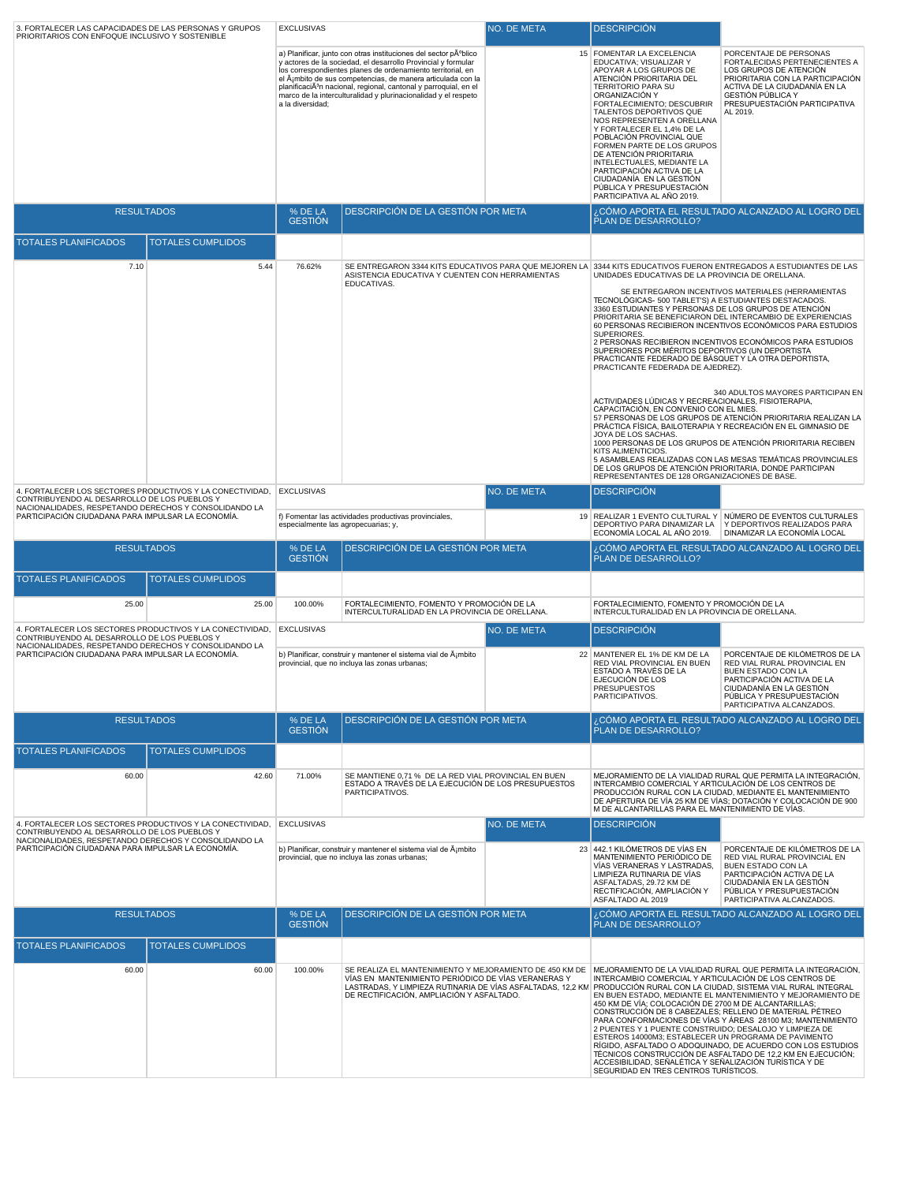| 3. FORTALECER LAS CAPACIDADES DE LAS PERSONAS Y GRUPOS<br>PRIORITARIOS CON ENFOQUE INCLUSIVO Y SOSTENIBLE                                                          |       | <b>EXCLUSIVAS</b><br>NO. DE META                                                                                                                                                                                                                                                                                                                                                                                                    |                                                                                                                                                                                                                                                                                            | <b>DESCRIPCION</b> |                                                                                                                                                                                                                                                                                                                                                                                                                                                                                                                        |                                                                                                                                                                                                                                                                                                                         |
|--------------------------------------------------------------------------------------------------------------------------------------------------------------------|-------|-------------------------------------------------------------------------------------------------------------------------------------------------------------------------------------------------------------------------------------------------------------------------------------------------------------------------------------------------------------------------------------------------------------------------------------|--------------------------------------------------------------------------------------------------------------------------------------------------------------------------------------------------------------------------------------------------------------------------------------------|--------------------|------------------------------------------------------------------------------------------------------------------------------------------------------------------------------------------------------------------------------------------------------------------------------------------------------------------------------------------------------------------------------------------------------------------------------------------------------------------------------------------------------------------------|-------------------------------------------------------------------------------------------------------------------------------------------------------------------------------------------------------------------------------------------------------------------------------------------------------------------------|
|                                                                                                                                                                    |       | a) Planificar, junto con otras instituciones del sector público<br>y actores de la sociedad, el desarrollo Provincial y formular<br>los correspondientes planes de ordenamiento territorial, en<br>el ámbito de sus competencias, de manera articulada con la<br>planificaciÃ <sup>3</sup> n nacional, regional, cantonal y parroquial, en el<br>marco de la interculturalidad y plurinacionalidad y el respeto<br>a la diversidad; |                                                                                                                                                                                                                                                                                            |                    | 15 FOMENTAR LA EXCELENCIA<br>EDUCATIVA; VISUALIZAR Y<br>APOYAR A LOS GRUPOS DE<br>ATENCIÓN PRIORITARIA DEL<br><b>TERRITORIO PARA SU</b><br>ORGANIZACIÓN Y<br>FORTALECIMIENTO; DESCUBRIR<br>TALENTOS DEPORTIVOS QUE<br>NOS REPRESENTEN A ORELLANA<br>Y FORTALECER EL 1,4% DE LA<br>POBLACIÓN PROVINCIAL QUE<br>FORMEN PARTE DE LOS GRUPOS<br>DE ATENCIÓN PRIORITARIA<br>INTELECTUALES, MEDIANTE LA<br>PARTICIPACIÓN ACTIVA DE LA<br>CIUDADANÍA EN LA GESTIÓN<br>PÚBLICA Y PRESUPUESTACIÓN<br>PARTICIPATIVA AL AÑO 2019. | PORCENTAJE DE PERSONAS<br>FORTALECIDAS PERTENECIENTES A<br>LOS GRUPOS DE ATENCIÓN<br>PRIORITARIA CON LA PARTICIPACIÓN<br>ACTIVA DE LA CIUDADANÍA EN LA<br>GESTIÓN PÚBLICA Y<br>PRESUPUESTACIÓN PARTICIPATIVA<br>AL 2019.                                                                                                |
| <b>RESULTADOS</b>                                                                                                                                                  |       | % DE LA<br><b>GESTIÓN</b>                                                                                                                                                                                                                                                                                                                                                                                                           | DESCRIPCIÓN DE LA GESTIÓN POR META                                                                                                                                                                                                                                                         |                    | PLAN DE DESARROLLO?                                                                                                                                                                                                                                                                                                                                                                                                                                                                                                    | CÓMO APORTA EL RESULTADO ALCANZADO AL LOGRO DEL.                                                                                                                                                                                                                                                                        |
| <b>TOTALES PLANIFICADOS</b><br><b>TOTALES CUMPLIDOS</b>                                                                                                            |       |                                                                                                                                                                                                                                                                                                                                                                                                                                     |                                                                                                                                                                                                                                                                                            |                    |                                                                                                                                                                                                                                                                                                                                                                                                                                                                                                                        |                                                                                                                                                                                                                                                                                                                         |
| 7.10                                                                                                                                                               | 5.44  | 76.62%                                                                                                                                                                                                                                                                                                                                                                                                                              |                                                                                                                                                                                                                                                                                            |                    |                                                                                                                                                                                                                                                                                                                                                                                                                                                                                                                        |                                                                                                                                                                                                                                                                                                                         |
|                                                                                                                                                                    |       | SE ENTREGARON 3344 KITS EDUCATIVOS PARA QUE MEJOREN LA 3344 KITS EDUCATIVOS FUERON ENTREGADOS A ESTUDIANTES DE LAS<br>ASISTENCIA EDUCATIVA Y CUENTEN CON HERRAMIENTAS<br>EDUCATIVAS.                                                                                                                                                                                                                                                |                                                                                                                                                                                                                                                                                            |                    | UNIDADES EDUCATIVAS DE LA PROVINCIA DE ORELLANA.<br>TECNOLÓGICAS- 500 TABLET'S) A ESTUDIANTES DESTACADOS.<br>3360 ESTUDIANTES Y PERSONAS DE LOS GRUPOS DE ATENCIÓN<br>SUPERIORES.<br>SUPERIORES POR MÉRITOS DEPORTIVOS (UN DEPORTISTA<br>PRACTICANTE FEDERADO DE BÁSQUET Y LA OTRA DEPORTISTA,<br>PRACTICANTE FEDERADA DE AJEDREZ).                                                                                                                                                                                    | SE ENTREGARON INCENTIVOS MATERIALES (HERRAMIENTAS<br>PRIORITARIA SE BENEFICIARON DEL INTERCAMBIO DE EXPERIENCIAS<br>60 PERSONAS RECIBIERON INCENTIVOS ECONÓMICOS PARA ESTUDIOS<br>2 PERSONAS RECIBIERON INCENTIVOS ECONÓMICOS PARA ESTUDIOS                                                                             |
|                                                                                                                                                                    |       |                                                                                                                                                                                                                                                                                                                                                                                                                                     |                                                                                                                                                                                                                                                                                            |                    | ACTIVIDADES LÚDICAS Y RECREACIONALES, FISIOTERAPIA,<br>CAPACITACIÓN, EN CONVENIO CON EL MIES.<br>JOYA DE LOS SACHAS.<br>KITS ALIMENTICIOS.<br>DE LOS GRUPOS DE ATENCIÓN PRIORITARIA, DONDE PARTICIPAN<br>REPRESENTANTES DE 128 ORGANIZACIONES DE BASE.                                                                                                                                                                                                                                                                 | 340 ADULTOS MAYORES PARTICIPAN EN<br>57 PERSONAS DE LOS GRUPOS DE ATENCIÓN PRIORITARIA REALIZAN LA<br>PRÁCTICA FÍSICA, BAILOTERAPIA Y RECREACIÓN EN EL GIMNASIO DE<br>1000 PERSONAS DE LOS GRUPOS DE ATENCIÓN PRIORITARIA RECIBEN<br>5 ASAMBLEAS REALIZADAS CON LAS MESAS TEMÁTICAS PROVINCIALES                        |
| 4. FORTALECER LOS SECTORES PRODUCTIVOS Y LA CONECTIVIDAD,<br>CONTRIBUYENDO AL DESARROLLO DE LOS PUEBLOS Y<br>NACIONALIDADES, RESPETANDO DERECHOS Y CONSOLIDANDO LA |       | NO. DE META<br><b>EXCLUSIVAS</b>                                                                                                                                                                                                                                                                                                                                                                                                    |                                                                                                                                                                                                                                                                                            |                    | <b>DESCRIPCIÓN</b>                                                                                                                                                                                                                                                                                                                                                                                                                                                                                                     |                                                                                                                                                                                                                                                                                                                         |
| PARTICIPACIÓN CIUDADANA PARA IMPULSAR LA ECONOMÍA.                                                                                                                 |       | especialmente las agropecuarias; y,                                                                                                                                                                                                                                                                                                                                                                                                 | f) Fomentar las actividades productivas provinciales,                                                                                                                                                                                                                                      |                    | ECONOMÍA LOCAL AL AÑO 2019.                                                                                                                                                                                                                                                                                                                                                                                                                                                                                            | 19 REALIZAR 1 EVENTO CULTURAL Y NÚMERO DE EVENTOS CULTURALES<br>DEPORTIVO PARA DINAMIZAR LA Y DEPORTIVOS REALIZADOS PARA<br>DINAMIZAR LA ECONOMÍA LOCAL                                                                                                                                                                 |
| <b>RESULTADOS</b>                                                                                                                                                  |       | % DE LA<br><b>GESTIÓN</b>                                                                                                                                                                                                                                                                                                                                                                                                           | DESCRIPCIÓN DE LA GESTIÓN POR META                                                                                                                                                                                                                                                         |                    | PLAN DE DESARROLLO?                                                                                                                                                                                                                                                                                                                                                                                                                                                                                                    | CÓMO APORTA EL RESULTADO ALCANZADO AL LOGRO DEL.                                                                                                                                                                                                                                                                        |
| <b>TOTALES PLANIFICADOS</b><br><b>TOTALES CUMPLIDOS</b>                                                                                                            |       |                                                                                                                                                                                                                                                                                                                                                                                                                                     |                                                                                                                                                                                                                                                                                            |                    |                                                                                                                                                                                                                                                                                                                                                                                                                                                                                                                        |                                                                                                                                                                                                                                                                                                                         |
| 25.00                                                                                                                                                              | 25.00 | 100.00%                                                                                                                                                                                                                                                                                                                                                                                                                             | FORTALECIMIENTO. FOMENTO Y PROMOCIÓN DE LA<br>INTERCULTURALIDAD EN LA PROVINCIA DE ORELLANA.                                                                                                                                                                                               |                    | FORTALECIMIENTO, FOMENTO Y PROMOCIÓN DE LA<br>INTERCULTURALIDAD EN LA PROVINCIA DE ORELLANA.                                                                                                                                                                                                                                                                                                                                                                                                                           |                                                                                                                                                                                                                                                                                                                         |
| 4. FORTALECER LOS SECTORES PRODUCTIVOS Y LA CONECTIVIDAD,<br>CONTRIBUYENDO AL DESARROLLO DE LOS PUEBLOS Y                                                          |       | <b>EXCLUSIVAS</b>                                                                                                                                                                                                                                                                                                                                                                                                                   |                                                                                                                                                                                                                                                                                            | NO. DE META        | <b>DESCRIPCIÓN</b>                                                                                                                                                                                                                                                                                                                                                                                                                                                                                                     |                                                                                                                                                                                                                                                                                                                         |
| NACIONALIDADES, RESPETANDO DERECHOS Y CONSOLIDANDO LA<br>PARTICIPACIÓN CIUDADANA PARA IMPULSAR LA ECONOMÍA.                                                        |       |                                                                                                                                                                                                                                                                                                                                                                                                                                     | b) Planificar, construir y mantener el sistema vial de ġmbito<br>provincial, que no incluya las zonas urbanas;                                                                                                                                                                             |                    | 22 MANTENER EL 1% DE KM DE LA<br>RED VIAL PROVINCIAL EN BUEN<br>ESTADO A TRAVÉS DE LA<br>EJECUCIÓN DE LOS<br><b>PRESUPUESTOS</b><br>PARTICIPATIVOS                                                                                                                                                                                                                                                                                                                                                                     | PORCENTAJE DE KILÓMETROS DE LA<br>RED VIAL RURAL PROVINCIAL EN<br><b>BUEN ESTADO CON LA</b><br>PARTICIPACIÓN ACTIVA DE LA<br>CIUDADANÍA EN LA GESTIÓN<br>PUBLICA Y PRESUPUESTACION<br>PARTICIPATIVA ALCANZADOS.                                                                                                         |
| <b>RESULTADOS</b>                                                                                                                                                  |       | % DE LA<br><b>GESTIÓN</b>                                                                                                                                                                                                                                                                                                                                                                                                           | DESCRIPCIÓN DE LA GESTIÓN POR META                                                                                                                                                                                                                                                         |                    | PLAN DE DESARROLLO?                                                                                                                                                                                                                                                                                                                                                                                                                                                                                                    | ¿CÓMO APORTA EL RESULTADO ALCANZADO AL LOGRO DEL                                                                                                                                                                                                                                                                        |
| <b>TOTALES PLANIFICADOS</b><br><b>TOTALES CUMPLIDOS</b>                                                                                                            |       |                                                                                                                                                                                                                                                                                                                                                                                                                                     |                                                                                                                                                                                                                                                                                            |                    |                                                                                                                                                                                                                                                                                                                                                                                                                                                                                                                        |                                                                                                                                                                                                                                                                                                                         |
| 60.00                                                                                                                                                              | 42.60 | 71.00%                                                                                                                                                                                                                                                                                                                                                                                                                              | SE MANTIENE 0,71 % DE LA RED VIAL PROVINCIAL EN BUEN<br>ESTADO A TRAVÉS DE LA EJECUCIÓN DE LOS PRESUPUESTOS<br>PARTICIPATIVOS.                                                                                                                                                             |                    | INTERCAMBIO COMERCIAL Y ARTICULACIÓN DE LOS CENTROS DE<br>M DE ALCANTARILLAS PARA EL MANTENIMIENTO DE VÍAS.                                                                                                                                                                                                                                                                                                                                                                                                            | MEJORAMIENTO DE LA VIALIDAD RURAL QUE PERMITA LA INTEGRACIÓN,<br>PRODUCCIÓN RURAL CON LA CIUDAD, MEDIANTE EL MANTENIMIENTO<br>DE APERTURA DE VÍA 25 KM DE VÍAS; DOTACIÓN Y COLOCACIÓN DE 900                                                                                                                            |
| 4. FORTALECER LOS SECTORES PRODUCTIVOS Y LA CONECTIVIDAD.<br>CONTRIBUYENDO AL DESARROLLO DE LOS PUEBLOS Y                                                          |       | <b>EXCLUSIVAS</b>                                                                                                                                                                                                                                                                                                                                                                                                                   |                                                                                                                                                                                                                                                                                            | NO. DE META        | <b>DESCRIPCIÓN</b>                                                                                                                                                                                                                                                                                                                                                                                                                                                                                                     |                                                                                                                                                                                                                                                                                                                         |
| NACIONALIDADES, RESPETANDO DERECHOS Y CONSOLIDANDO LA<br>PARTICIPACIÓN CIUDADANA PARA IMPULSAR LA ECONOMÍA.                                                        |       |                                                                                                                                                                                                                                                                                                                                                                                                                                     | b) Planificar, construir y mantener el sistema vial de ġmbito<br>provincial, que no incluya las zonas urbanas;                                                                                                                                                                             |                    | 23 442.1 KILÓMETROS DE VÍAS EN<br>MANTENIMIENTO PERIÓDICO DE<br>VÍAS VERANERAS Y LASTRADAS.<br>LIMPIEZA RUTINARIA DE VÍAS<br>ASFALTADAS, 29.72 KM DE<br>RECTIFICACIÓN, AMPLIACIÓN Y<br>ASFALTADO AL 2019                                                                                                                                                                                                                                                                                                               | PORCENTAJE DE KILÓMETROS DE LA<br>RED VIAL RURAL PROVINCIAL EN<br><b>BUEN ESTADO CON LA</b><br>PARTICIPACIÓN ACTIVA DE LA<br>CIUDADANÍA EN LA GESTIÓN<br>PÚBLICA Y PRESUPUESTACIÓN<br>PARTICIPATIVA ALCANZADOS.                                                                                                         |
| <b>RESULTADOS</b>                                                                                                                                                  |       | % DE LA<br><b>GESTIÓN</b>                                                                                                                                                                                                                                                                                                                                                                                                           | DESCRIPCIÓN DE LA GESTIÓN POR META                                                                                                                                                                                                                                                         |                    | PLAN DE DESARROLLO?                                                                                                                                                                                                                                                                                                                                                                                                                                                                                                    | CÓMO APORTA EL RESULTADO ALCANZADO AL LOGRO DEL.                                                                                                                                                                                                                                                                        |
| <b>TOTALES PLANIFICADOS</b><br><b>TOTALES CUMPLIDOS</b>                                                                                                            |       |                                                                                                                                                                                                                                                                                                                                                                                                                                     |                                                                                                                                                                                                                                                                                            |                    |                                                                                                                                                                                                                                                                                                                                                                                                                                                                                                                        |                                                                                                                                                                                                                                                                                                                         |
| 60.00                                                                                                                                                              | 60.00 | 100.00%                                                                                                                                                                                                                                                                                                                                                                                                                             | SE REALIZA EL MANTENIMIENTO Y MEJORAMIENTO DE 450 KM DE   MEJORAMIENTO DE LA VIALIDAD RURAL QUE PERMITA LA INTEGRACIÓN,<br>VÍAS EN MANTENIMIENTO PERIÓDICO DE VÍAS VERANERAS Y<br>LASTRADAS, Y LIMPIEZA RUTINARIA DE VÍAS ASFALTADAS, 12,2 KN<br>DE RECTIFICACIÓN, AMPLIACIÓN Y ASFALTADO. |                    | INTERCAMBIO COMERCIAL Y ARTICULACIÓN DE LOS CENTROS DE<br>450 KM DE VÍA; COLOCACIÓN DE 2700 M DE ALCANTARILLAS;<br>CONSTRUCCIÓN DE 8 CABEZALES; RELLENO DE MATERIAL PÉTREO<br>2 PUENTES Y 1 PUENTE CONSTRUIDO; DESALOJO Y LIMPIEZA DE<br>ESTEROS 14000M3; ESTABLECER UN PROGRAMA DE PAVIMENTO<br>ACCESIBILIDAD, SEÑALÉTICA Y SEÑALIZACIÓN TURÍSTICA Y DE<br>SEGURIDAD EN TRES CENTROS TURÍSTICOS.                                                                                                                      | PRODUCCIÓN RURAL CON LA CIUDAD, SISTEMA VIAL RURAL INTEGRAL<br>EN BUEN ESTADO, MEDIANTE EL MANTENIMIENTO Y MEJORAMIENTO DE<br>PARA CONFORMACIONES DE VÍAS Y ÁREAS 28100 M3; MANTENIMIENTO<br>RÍGIDO, ASFALTADO O ADOQUINADO, DE ACUERDO CON LOS ESTUDIOS<br>TÉCNICOS CONSTRUCCIÓN DE ASFALTADO DE 12,2 KM EN EJECUCIÓN; |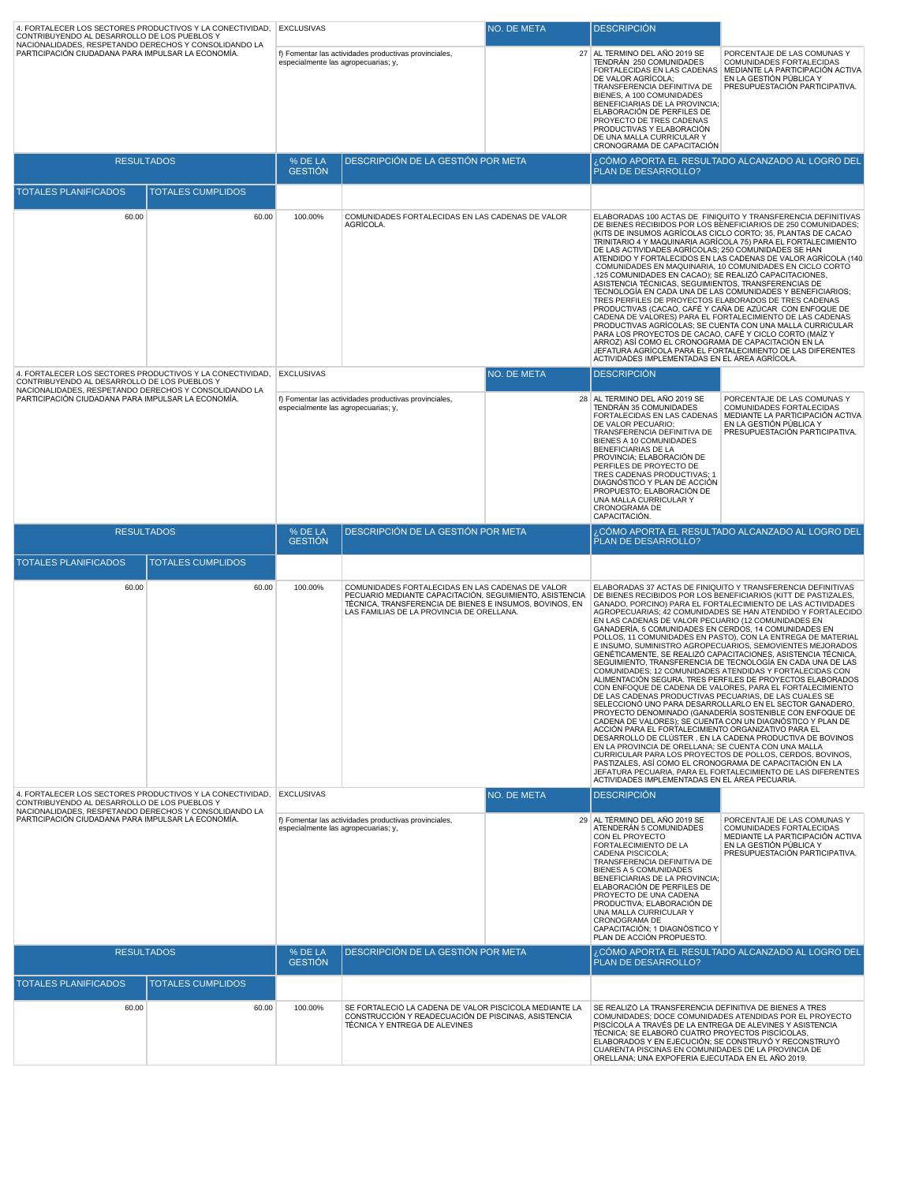| 4. FORTALECER LOS SECTORES PRODUCTIVOS Y LA CONECTIVIDAD,<br>CONTRIBUYENDO AL DESARROLLO DE LOS PUEBLOS Y                                                                     |                          | <b>EXCLUSIVAS</b>                                                                            |                                                                                                                                                                                                                     | NO. DE META | <b>DESCRIPCIÓN</b>                                                                                                                                                                                                                                                                                                                                                                                                  |                                                                                                                                                                                                                                                                                                                                                                                                                                                                                                                                                                                                                                                                                                                                                                                                                                                                                                                                                                                                                                                                                                  |
|-------------------------------------------------------------------------------------------------------------------------------------------------------------------------------|--------------------------|----------------------------------------------------------------------------------------------|---------------------------------------------------------------------------------------------------------------------------------------------------------------------------------------------------------------------|-------------|---------------------------------------------------------------------------------------------------------------------------------------------------------------------------------------------------------------------------------------------------------------------------------------------------------------------------------------------------------------------------------------------------------------------|--------------------------------------------------------------------------------------------------------------------------------------------------------------------------------------------------------------------------------------------------------------------------------------------------------------------------------------------------------------------------------------------------------------------------------------------------------------------------------------------------------------------------------------------------------------------------------------------------------------------------------------------------------------------------------------------------------------------------------------------------------------------------------------------------------------------------------------------------------------------------------------------------------------------------------------------------------------------------------------------------------------------------------------------------------------------------------------------------|
| NACIONALIDADES, RESPETANDO DERECHOS Y CONSOLIDANDO LA<br>PARTICIPACIÓN CIUDADANA PARA IMPULSAR LA ECONOMÍA.                                                                   |                          | f) Fomentar las actividades productivas provinciales,<br>especialmente las agropecuarias; y, |                                                                                                                                                                                                                     |             | 27 AL TERMINO DEL AÑO 2019 SE<br>TENDRÁN 250 COMUNIDADES<br>DE VALOR AGRÍCOLA;<br>TRANSFERENCIA DEFINITIVA DE<br>BIENES, A 100 COMUNIDADES<br>BENEFICIARIAS DE LA PROVINCIA:<br>ELABORACIÓN DE PERFILES DE<br>PROYECTO DE TRES CADENAS<br>PRODUCTIVAS Y ELABORACIÓN<br>DE UNA MALLA CURRICULAR Y<br>CRONOGRAMA DE CAPACITACIÓN                                                                                      | PORCENTAJE DE LAS COMUNAS Y<br>COMUNIDADES FORTALECIDAS<br>FORTALECIDAS EN LAS CADENAS MEDIANTE LA PARTICIPACIÓN ACTIVA<br>EN LA GESTIÓN PÚBLICA Y<br>PRESUPUESTACIÓN PARTICIPATIVA.                                                                                                                                                                                                                                                                                                                                                                                                                                                                                                                                                                                                                                                                                                                                                                                                                                                                                                             |
| <b>RESULTADOS</b>                                                                                                                                                             |                          | % DE LA<br><b>GESTIÓN</b>                                                                    | DESCRIPCIÓN DE LA GESTIÓN POR META                                                                                                                                                                                  |             | PLAN DE DESARROLLO?                                                                                                                                                                                                                                                                                                                                                                                                 | ¿CÓMO APORTA EL RESULTADO ALCANZADO AL LOGRO DEL                                                                                                                                                                                                                                                                                                                                                                                                                                                                                                                                                                                                                                                                                                                                                                                                                                                                                                                                                                                                                                                 |
| <b>TOTALES PLANIFICADOS</b>                                                                                                                                                   | <b>TOTALES CUMPLIDOS</b> |                                                                                              |                                                                                                                                                                                                                     |             |                                                                                                                                                                                                                                                                                                                                                                                                                     |                                                                                                                                                                                                                                                                                                                                                                                                                                                                                                                                                                                                                                                                                                                                                                                                                                                                                                                                                                                                                                                                                                  |
| 60.00                                                                                                                                                                         | 60.00                    | 100.00%                                                                                      | COMUNIDADES FORTALECIDAS EN LAS CADENAS DE VALOR<br>AGRÍCOLA.                                                                                                                                                       |             | DE LAS ACTIVIDADES AGRÍCOLAS; 250 COMUNIDADES SE HAN<br>,125 COMUNIDADES EN CACAO); SE REALIZÓ CAPACITACIONES,<br>ASISTENCIA TÉCNICAS, SEGUIMIENTOS, TRANSFERENCIAS DE<br>TRES PERFILES DE PROYECTOS ELABORADOS DE TRES CADENAS<br>PARA LOS PROYECTOS DE CACAO, CAFÉ Y CICLO CORTO (MAÍZ Y<br>ARROZ) ASÍ COMO EL CRONOGRAMA DE CAPACITACIÓN EN LA<br>ACTIVIDADES IMPLEMENTADAS EN EL ÁREA AGRÍCOLA.                 | ELABORADAS 100 ACTAS DE FINIQUITO Y TRANSFERENCIA DEFINITIVAS<br>DE BIENES RECIBIDOS POR LOS BENEFICIARIOS DE 250 COMUNIDADES:<br>(KITS DE INSUMOS AGRÍCOLAS CICLO CORTO; 35, PLANTAS DE CACAO<br>TRINITARIO 4 Y MAQUINARIA AGRÍCOLA 75) PARA EL FORTALECIMIENTO<br>ATENDIDO Y FORTALECIDOS EN LAS CADENAS DE VALOR AGRÍCOLA (140)<br>COMUNIDADES EN MAQUINARIA, 10 COMUNIDADES EN CICLO CORTO<br>TECNOLOGÍA EN CADA UNA DE LAS COMUNIDADES Y BENEFICIARIOS;<br>PRODUCTIVAS (CACAO, CAFÉ Y CAÑA DE AZÚCAR CON ENFOQUE DE<br>CADENA DE VALORES) PARA EL FORTALECIMIENTO DE LAS CADENAS<br>PRODUCTIVAS AGRÍCOLAS; SE CUENTA CON UNA MALLA CURRICULAR<br>JEFATURA AGRÍCOLA PARA EL FORTALECIMIENTO DE LAS DIFERENTES                                                                                                                                                                                                                                                                                                                                                                                |
| 4. FORTALECER LOS SECTORES PRODUCTIVOS Y LA CONECTIVIDAD.<br>CONTRIBUYENDO AL DESARROLLO DE LOS PUEBLOS Y                                                                     |                          | <b>EXCLUSIVAS</b>                                                                            |                                                                                                                                                                                                                     | NO. DE META | <b>DESCRIPCIÓN</b>                                                                                                                                                                                                                                                                                                                                                                                                  |                                                                                                                                                                                                                                                                                                                                                                                                                                                                                                                                                                                                                                                                                                                                                                                                                                                                                                                                                                                                                                                                                                  |
| NACIONALIDADES, RESPETANDO DERECHOS Y CONSOLIDANDO LA<br>PARTICIPACIÓN CIUDADANA PARA IMPULSAR LA ECONOMÍA.                                                                   |                          |                                                                                              | f) Fomentar las actividades productivas provinciales,<br>especialmente las agropecuarias; y,                                                                                                                        |             | 28 AL TERMINO DEL AÑO 2019 SE<br>TENDRÁN 35 COMUNIDADES<br>FORTALECIDAS EN LAS CADENAS<br>DE VALOR PECUARIO;<br>TRANSFERENCIA DEFINITIVA DE<br>BIENES A 10 COMUNIDADES<br>BENEFICIARIAS DE LA<br>PROVINCIA; ELABORACIÓN DE<br>PERFILES DE PROYECTO DE<br>TRES CADENAS PRODUCTIVAS; 1<br>DIAGNÓSTICO Y PLAN DE ACCIÓN<br>PROPUESTO; ELABORACIÓN DE<br>UNA MALLA CURRICULAR Y<br>CRONOGRAMA DE<br>CAPACITACIÓN.       | PORCENTAJE DE LAS COMUNAS Y<br>COMUNIDADES FORTALECIDAS<br>MEDIANTE LA PARTICIPACIÓN ACTIVA<br>EN LA GESTIÓN PÚBLICA Y<br>PRESUPUESTACIÓN PARTICIPATIVA.                                                                                                                                                                                                                                                                                                                                                                                                                                                                                                                                                                                                                                                                                                                                                                                                                                                                                                                                         |
| <b>RESULTADOS</b>                                                                                                                                                             |                          | % DE LA<br><b>GESTIÓN</b>                                                                    | DESCRIPCIÓN DE LA GESTIÓN POR META                                                                                                                                                                                  |             | PLAN DE DESARROLLO?                                                                                                                                                                                                                                                                                                                                                                                                 | ¿CÓMO APORTA EL RESULTADO ALCANZADO AL LOGRO DEL                                                                                                                                                                                                                                                                                                                                                                                                                                                                                                                                                                                                                                                                                                                                                                                                                                                                                                                                                                                                                                                 |
| <b>TOTALES PLANIFICADOS</b>                                                                                                                                                   | <b>TOTALES CUMPLIDOS</b> |                                                                                              |                                                                                                                                                                                                                     |             |                                                                                                                                                                                                                                                                                                                                                                                                                     |                                                                                                                                                                                                                                                                                                                                                                                                                                                                                                                                                                                                                                                                                                                                                                                                                                                                                                                                                                                                                                                                                                  |
| 60.00                                                                                                                                                                         | 60.00                    | 100.00%                                                                                      | COMUNIDADES FORTALECIDAS EN LAS CADENAS DE VALOR<br>PECUARIO MEDIANTE CAPACITACIÓN, SEGUIMIENTO, ASISTENCIA<br>TÉCNICA, TRANSFERENCIA DE BIENES E INSUMOS, BOVINOS, EN<br>LAS FAMILIAS DE LA PROVINCIA DE ORELLANA. |             | EN LAS CADENAS DE VALOR PECUARIO (12 COMUNIDADES EN<br>GANADERÍA, 5 COMUNIDADES EN CERDOS, 14 COMUNIDADES EN<br>DE LAS CADENAS PRODUCTIVAS PECUARIAS, DE LAS CUALES SE<br>ACCIÓN PARA EL FORTALECIMIENTO ORGANIZATIVO PARA EL<br>EN LA PROVINCIA DE ORELLANA; SE CUENTA CON UNA MALLA<br>PASTIZALES, ASÍ COMO EL CRONOGRAMA DE CAPACITACIÓN EN LA<br>ACTIVIDADES IMPLEMENTADAS EN EL ÁREA PECUARIA.                 | ELABORADAS 37 ACTAS DE FINIQUITO Y TRANSFERENCIA DEFINITIVAS<br>DE BIENES RECIBIDOS POR LOS BENEFICIARIOS (KITT DE PASTIZALES,<br>GANADO, PORCINO) PARA EL FORTALECIMIENTO DE LAS ACTIVIDADES<br>AGROPECUARIAS; 42 COMUNIDADES SE HAN ATENDIDO Y FORTALECIDO<br>POLLOS, 11 COMUNIDADES EN PASTO), CON LA ENTREGA DE MATERIAL<br>E INSUMO, SUMINISTRO AGROPECUARIOS, SEMOVIENTES MEJORADOS<br>GENÉTICAMENTE, SE REALIZÓ CAPACITACIONES, ASISTENCIA TÉCNICA,<br>SEGUIMIENTO, TRANSFERENCIA DE TECNOLOGÍA EN CADA UNA DE LAS<br>COMUNIDADES: 12 COMUNIDADES ATENDIDAS Y FORTALECIDAS CON<br>ALIMENTACIÓN SEGURA. TRES PERFILES DE PROYECTOS ELABORADOS<br>CON ENFOQUE DE CADENA DE VALORES, PARA EL FORTALECIMIENTO<br>SELECCIONÓ UNO PARA DESARROLLARLO EN EL SECTOR GANADERO,<br>PROYECTO DENOMINADO (GANADERÍA SOSTENIBLE CON ENFOQUE DE<br>CADENA DE VALORES); SE CUENTA CON UN DIAGNÓSTICO Y PLAN DE<br>DESARROLLO DE CLÚSTER, EN LA CADENA PRODUCTIVA DE BOVINOS<br>CURRICULAR PARA LOS PROYECTOS DE POLLOS, CERDOS, BOVINOS,<br>JEFATURA PECUARIA, PARA EL FORTALECIMIENTO DE LAS DIFERENTES |
| 4. FORTALECER LOS SECTORES PRODUCTIVOS Y LA CONECTIVIDAD, EXCLUSIVAS<br>CONTRIBUYENDO AL DESARROLLO DE LOS PUEBLOS Y<br>NACIONALIDADES, RESPETANDO DERECHOS Y CONSOLIDANDO LA |                          |                                                                                              |                                                                                                                                                                                                                     | NO. DE META | <b>DESCRIPCIÓN</b>                                                                                                                                                                                                                                                                                                                                                                                                  |                                                                                                                                                                                                                                                                                                                                                                                                                                                                                                                                                                                                                                                                                                                                                                                                                                                                                                                                                                                                                                                                                                  |
| PARTICIPACIÓN CIUDADANA PARA IMPULSAR LA ECONOMÍA.                                                                                                                            |                          | f) Fomentar las actividades productivas provinciales,<br>especialmente las agropecuarias; y, |                                                                                                                                                                                                                     |             | 29 AL TÉRMINO DEL AÑO 2019 SE<br>ATENDERÁN 5 COMUNIDADES<br>CON EL PROYECTO<br>FORTALECIMIENTO DE LA<br>CADENA PISCICOLA;<br>TRANSFERENCIA DEFINITIVA DE<br>BIENES A 5 COMUNIDADES<br>BENEFICIARIAS DE LA PROVINCIA:<br>ELABORACIÓN DE PERFILES DE<br>PROYECTO DE UNA CADENA<br>PRODUCTIVA; ELABORACIÓN DE<br>UNA MALLA CURRICULAR Y<br>CRONOGRAMA DE<br>CAPACITACIÓN; 1 DIAGNÓSTICO Y<br>PLAN DE ACCIÓN PROPUESTO. | PORCENTAJE DE LAS COMUNAS Y<br>COMUNIDADES FORTALECIDAS<br>MEDIANTE LA PARTICIPACIÓN ACTIVA<br>EN LA GESTIÓN PÚBLICA Y<br>PRESUPUESTACIÓN PARTICIPATIVA.                                                                                                                                                                                                                                                                                                                                                                                                                                                                                                                                                                                                                                                                                                                                                                                                                                                                                                                                         |
| <b>RESULTADOS</b>                                                                                                                                                             |                          | % DE LA<br><b>GESTION</b>                                                                    | DESCRIPCIÓN DE LA GESTIÓN POR META                                                                                                                                                                                  |             | PLAN DE DESARROLLO?                                                                                                                                                                                                                                                                                                                                                                                                 | CÓMO APORTA EL RESULTADO ALCANZADO AL LOGRO DEL.                                                                                                                                                                                                                                                                                                                                                                                                                                                                                                                                                                                                                                                                                                                                                                                                                                                                                                                                                                                                                                                 |
| <b>TOTALES PLANIFICADOS</b>                                                                                                                                                   | <b>TOTALES CUMPLIDOS</b> |                                                                                              |                                                                                                                                                                                                                     |             |                                                                                                                                                                                                                                                                                                                                                                                                                     |                                                                                                                                                                                                                                                                                                                                                                                                                                                                                                                                                                                                                                                                                                                                                                                                                                                                                                                                                                                                                                                                                                  |
| 60.00                                                                                                                                                                         | 60.00                    | 100.00%                                                                                      | SE FORTALECIÓ LA CADENA DE VALOR PISCÍCOLA MEDIANTE LA<br>CONSTRUCCIÓN Y READECUACIÓN DE PISCINAS, ASISTENCIA<br>TÉCNICA Y ENTREGA DE ALEVINES                                                                      |             | SE REALIZÓ LA TRANSFERENCIA DEFINITIVA DE BIENES A TRES<br>PISCÍCOLA A TRAVÉS DE LA ENTREGA DE ALEVINES Y ASISTENCIA<br>TÉCNICA; SE ELABORÓ CUATRO PROYECTOS PISCÍCOLAS,<br>ELABORADOS Y EN EJECUCIÓN; SE CONSTRUYÓ Y RECONSTRUYÓ<br>CUARENTA PISCINAS EN COMUNIDADES DE LA PROVINCIA DE<br>ORELLANA; UNA EXPOFERIA EJECUTADA EN EL AÑO 2019.                                                                       | COMUNIDADES; DOCE COMUNIDADES ATENDIDAS POR EL PROYECTO                                                                                                                                                                                                                                                                                                                                                                                                                                                                                                                                                                                                                                                                                                                                                                                                                                                                                                                                                                                                                                          |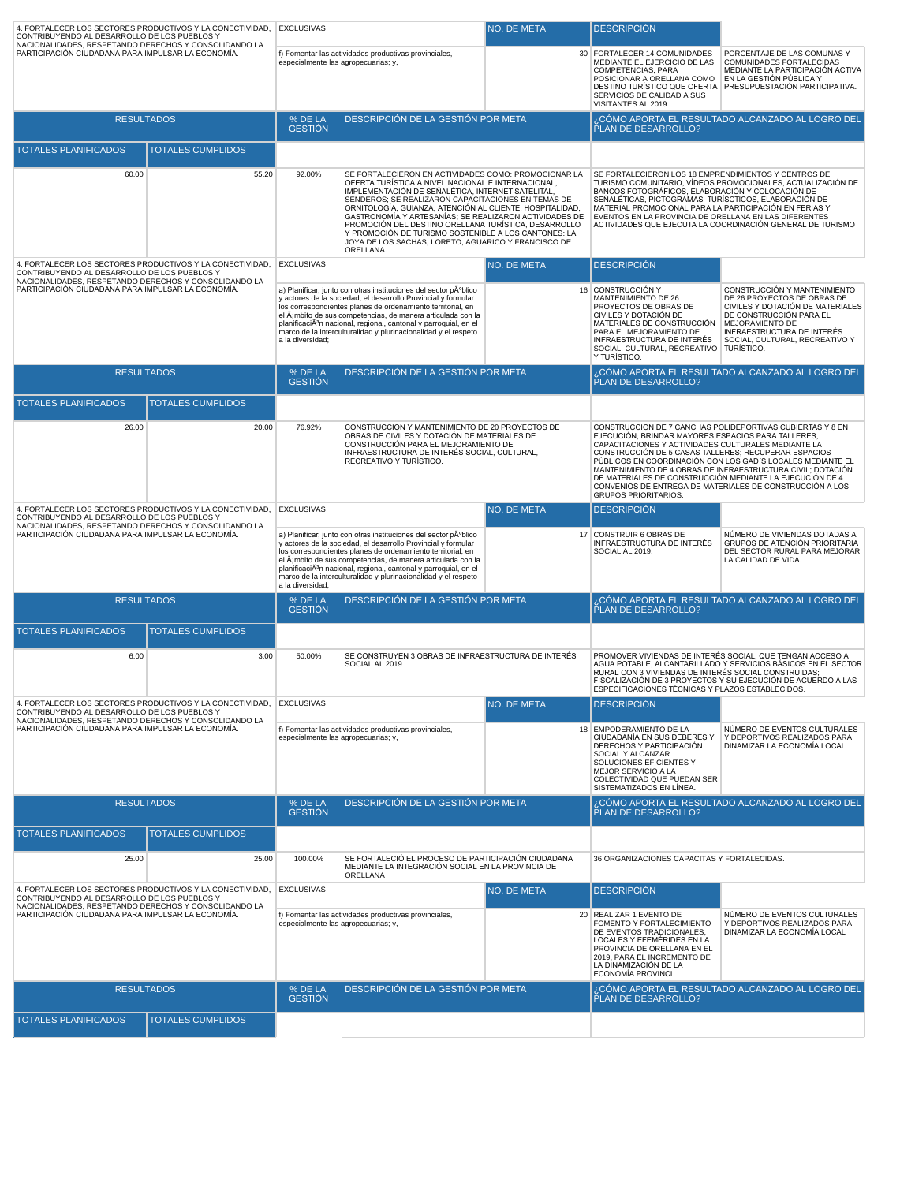| 4. FORTALECER LOS SECTORES PRODUCTIVOS Y LA CONECTIVIDAD,<br>CONTRIBUYENDO AL DESARROLLO DE LOS PUEBLOS Y                                                                     |                          | <b>EXCLUSIVAS</b>                                                                                                                                                                                                                                                                                                                                                                                                                   |                                                                                                                                                                                                                                                                                                                                                                                                                   | NO. DE META                                                              | <b>DESCRIPCIÓN</b>                                                                                                                                                                                                                                           |                                                                                                                                                                                                                                                    |
|-------------------------------------------------------------------------------------------------------------------------------------------------------------------------------|--------------------------|-------------------------------------------------------------------------------------------------------------------------------------------------------------------------------------------------------------------------------------------------------------------------------------------------------------------------------------------------------------------------------------------------------------------------------------|-------------------------------------------------------------------------------------------------------------------------------------------------------------------------------------------------------------------------------------------------------------------------------------------------------------------------------------------------------------------------------------------------------------------|--------------------------------------------------------------------------|--------------------------------------------------------------------------------------------------------------------------------------------------------------------------------------------------------------------------------------------------------------|----------------------------------------------------------------------------------------------------------------------------------------------------------------------------------------------------------------------------------------------------|
| NACIONALIDADES, RESPETANDO DERECHOS Y CONSOLIDANDO LA<br>PARTICIPACIÓN CIUDADANA PARA IMPULSAR LA ECONOMÍA.                                                                   |                          | especialmente las agropecuarias; y,                                                                                                                                                                                                                                                                                                                                                                                                 | f) Fomentar las actividades productivas provinciales,                                                                                                                                                                                                                                                                                                                                                             |                                                                          | 30 FORTALECER 14 COMUNIDADES<br>MEDIANTE EL EJERCICIO DE LAS<br>COMPETENCIAS, PARA<br>POSICIONAR A ORELLANA COMO<br>SERVICIOS DE CALIDAD A SUS<br>VISITANTES AL 2019.                                                                                        | PORCENTAJE DE LAS COMUNAS Y<br>COMUNIDADES FORTALECIDAS<br>MEDIANTE LA PARTICIPACIÓN ACTIVA<br>EN LA GESTIÓN PÚBLICA Y<br>DESTINO TURÍSTICO QUE OFERTA PRESUPUESTACIÓN PARTICIPATIVA.                                                              |
| <b>RESULTADOS</b>                                                                                                                                                             |                          | % DE LA<br><b>GESTIÓN</b>                                                                                                                                                                                                                                                                                                                                                                                                           | DESCRIPCIÓN DE LA GESTIÓN POR META                                                                                                                                                                                                                                                                                                                                                                                |                                                                          | PLAN DE DESARROLLO?                                                                                                                                                                                                                                          | ¿CÓMO APORTA EL RESULTADO ALCANZADO AL LOGRO DEL                                                                                                                                                                                                   |
| <b>TOTALES PLANIFICADOS</b>                                                                                                                                                   | <b>TOTALES CUMPLIDOS</b> |                                                                                                                                                                                                                                                                                                                                                                                                                                     |                                                                                                                                                                                                                                                                                                                                                                                                                   |                                                                          |                                                                                                                                                                                                                                                              |                                                                                                                                                                                                                                                    |
| 60.00                                                                                                                                                                         | 55.20                    | 92.00%                                                                                                                                                                                                                                                                                                                                                                                                                              | SE FORTALECIERON EN ACTIVIDADES COMO: PROMOCIONAR LA<br>OFERTA TURÍSTICA A NIVEL NACIONAL E INTERNACIONAL,                                                                                                                                                                                                                                                                                                        |                                                                          | SE FORTALECIERON LOS 18 EMPRENDIMIENTOS Y CENTROS DE                                                                                                                                                                                                         | TURISMO COMUNITARIO, VÍDEOS PROMOCIONALES, ACTUALIZACIÓN DE                                                                                                                                                                                        |
|                                                                                                                                                                               |                          |                                                                                                                                                                                                                                                                                                                                                                                                                                     | IMPLEMENTACIÓN DE SEÑALÉTICA, INTERNET SATELITAL,<br>SENDEROS: SE REALIZARON CAPACITACIONES EN TEMAS DE<br>ORNITOLOGÍA, GUIANZA, ATENCIÓN AL CLIENTE, HOSPITALIDAD,<br>GASTRONOMÍA Y ARTESANÍAS; SE REALIZARON ACTIVIDADES DE<br>PROMOCIÓN DEL DESTINO ORELLANA TURÍSTICA, DESARROLLO<br>Y PROMOCIÓN DE TURISMO SOSTENIBLE A LOS CANTONES: LA<br>JOYA DE LOS SACHAS, LORETO, AGUARICO Y FRANCISCO DE<br>ORELLANA. |                                                                          | BANCOS FOTOGRÁFICOS, ELABORACIÓN Y COLOCACIÓN DE<br>SEÑALÉTICAS, PICTOGRAMAS TURÍSCTICOS, ELABORACIÓN DE<br>MATERIAL PROMOCIONAL PARA LA PARTICIPACIÓN EN FERIAS Y<br>EVENTOS EN LA PROVINCIA DE ORELLANA EN LAS DIFERENTES                                  | ACTIVIDADES QUE EJECUTA LA COORDINACIÓN GENERAL DE TURISMO                                                                                                                                                                                         |
| 4. FORTALECER LOS SECTORES PRODUCTIVOS Y LA CONECTIVIDAD,<br>CONTRIBUYENDO AL DESARROLLO DE LOS PUEBLOS Y<br>NACIONALIDADES, RESPETANDO DERECHOS Y CONSOLIDANDO LA            |                          | <b>EXCLUSIVAS</b>                                                                                                                                                                                                                                                                                                                                                                                                                   |                                                                                                                                                                                                                                                                                                                                                                                                                   | NO. DE META                                                              | <b>DESCRIPCIÓN</b>                                                                                                                                                                                                                                           |                                                                                                                                                                                                                                                    |
| PARTICIPACIÓN CIUDADANA PARA IMPULSAR LA ECONOMÍA.                                                                                                                            |                          | a) Planificar, junto con otras instituciones del sector pºblico<br>y actores de la sociedad, el desarrollo Provincial y formular<br>los correspondientes planes de ordenamiento territorial, en<br>el ámbito de sus competencias, de manera articulada con la<br>planificaciÃ <sup>3</sup> n nacional, regional, cantonal y parroquial, en el<br>marco de la interculturalidad y plurinacionalidad y el respeto<br>a la diversidad; |                                                                                                                                                                                                                                                                                                                                                                                                                   |                                                                          | 16 CONSTRUCCIÓN Y<br>MANTENIMIENTO DE 26<br>PROYECTOS DE OBRAS DE<br>CIVILES Y DOTACIÓN DE<br>MATERIALES DE CONSTRUCCIÓN<br>PARA EL MEJORAMIENTO DE<br>INFRAESTRUCTURA DE INTERÉS<br>SOCIAL, CULTURAL, RECREATIVO   TURÍSTICO.<br>Y TURÍSTICO.               | CONSTRUCCIÓN Y MANTENIMIENTO<br>DE 26 PROYECTOS DE OBRAS DE<br>CIVILES Y DOTACIÓN DE MATERIALES<br>DE CONSTRUCCIÓN PARA EL<br>MEJORAMIENTO DE<br>INFRAESTRUCTURA DE INTERÉS<br>SOCIAL, CULTURAL, RECREATIVO Y                                      |
| <b>RESULTADOS</b>                                                                                                                                                             |                          | % DE LA<br><b>GESTIÓN</b>                                                                                                                                                                                                                                                                                                                                                                                                           | DESCRIPCIÓN DE LA GESTIÓN POR META                                                                                                                                                                                                                                                                                                                                                                                |                                                                          | PLAN DE DESARROLLO?                                                                                                                                                                                                                                          | CÓMO APORTA EL RESULTADO ALCANZADO AL LOGRO DEL.                                                                                                                                                                                                   |
| <b>TOTALES PLANIFICADOS</b>                                                                                                                                                   | <b>TOTALES CUMPLIDOS</b> |                                                                                                                                                                                                                                                                                                                                                                                                                                     |                                                                                                                                                                                                                                                                                                                                                                                                                   |                                                                          |                                                                                                                                                                                                                                                              |                                                                                                                                                                                                                                                    |
| 26.00                                                                                                                                                                         | 20.00                    | 76.92%                                                                                                                                                                                                                                                                                                                                                                                                                              | CONSTRUCCIÓN Y MANTENIMIENTO DE 20 PROYECTOS DE<br>OBRAS DE CIVILES Y DOTACIÓN DE MATERIALES DE<br>CONSTRUCCIÓN PARA EL MEJORAMIENTO DE<br>INFRAESTRUCTURA DE INTERÉS SOCIAL, CULTURAL,<br>RECREATIVO Y TURÍSTICO.                                                                                                                                                                                                |                                                                          | EJECUCIÓN; BRINDAR MAYORES ESPACIOS PARA TALLERES,<br>CAPACITACIONES Y ACTIVIDADES CULTURALES MEDIANTE LA<br>CONSTRUCCIÓN DE 5 CASAS TALLERES; RECUPERAR ESPACIOS<br>DE MATERIALES DE CONSTRUCCIÓN MEDIANTE LA EJECUCIÓN DE 4<br><b>GRUPOS PRIORITARIOS.</b> | CONSTRUCCIÓN DE 7 CANCHAS POLIDEPORTIVAS CUBIERTAS Y 8 EN<br>PÚBLICOS EN COORDINACIÓN CON LOS GAD'S LOCALES MEDIANTE EL<br>MANTENIMIENTO DE 4 OBRAS DE INFRAESTRUCTURA CIVIL; DOTACIÓN<br>CONVENIOS DE ENTREGA DE MATERIALES DE CONSTRUCCIÓN A LOS |
| 4. FORTALECER LOS SECTORES PRODUCTIVOS Y LA CONECTIVIDAD,<br>CONTRIBUYENDO AL DESARROLLO DE LOS PUEBLOS Y                                                                     |                          | <b>EXCLUSIVAS</b>                                                                                                                                                                                                                                                                                                                                                                                                                   |                                                                                                                                                                                                                                                                                                                                                                                                                   | NO. DE META                                                              | <b>DESCRIPCIÓN</b>                                                                                                                                                                                                                                           |                                                                                                                                                                                                                                                    |
| NACIONALIDADES, RESPETANDO DERECHOS Y CONSOLIDANDO LA<br>PARTICIPACIÓN CIUDADANA PARA IMPULSAR LA ECONOMÍA.                                                                   |                          | a) Planificar, junto con otras instituciones del sector pºblico<br>y actores de la sociedad, el desarrollo Provincial y formular<br>los correspondientes planes de ordenamiento territorial, en<br>el ámbito de sus competencias, de manera articulada con la<br>planificaciÃ <sup>3</sup> n nacional, regional, cantonal y parroquial, en el<br>marco de la interculturalidad y plurinacionalidad y el respeto<br>a la diversidad; |                                                                                                                                                                                                                                                                                                                                                                                                                   | 17 CONSTRUIR 6 OBRAS DE<br>INFRAESTRUCTURA DE INTERÉS<br>SOCIAL AL 2019. | NÚMERO DE VIVIENDAS DOTADAS A<br>GRUPOS DE ATENCIÓN PRIORITARIA<br>DEL SECTOR RURAL PARA MEJORAR<br>LA CALIDAD DE VIDA.                                                                                                                                      |                                                                                                                                                                                                                                                    |
| <b>RESULTADOS</b>                                                                                                                                                             |                          | % DE LA<br><b>GESTIÓN</b>                                                                                                                                                                                                                                                                                                                                                                                                           | DESCRIPCIÓN DE LA GESTIÓN POR META                                                                                                                                                                                                                                                                                                                                                                                |                                                                          | PLAN DE DESARROLLO?                                                                                                                                                                                                                                          | CÓMO APORTA EL RESULTADO ALCANZADO AL LOGRO DEL                                                                                                                                                                                                    |
| <b>TOTALES PLANIFICADOS</b>                                                                                                                                                   | <b>TOTALES CUMPLIDOS</b> |                                                                                                                                                                                                                                                                                                                                                                                                                                     |                                                                                                                                                                                                                                                                                                                                                                                                                   |                                                                          |                                                                                                                                                                                                                                                              |                                                                                                                                                                                                                                                    |
| 6.00                                                                                                                                                                          | 3.00                     | 50.00%                                                                                                                                                                                                                                                                                                                                                                                                                              | SE CONSTRUYEN 3 OBRAS DE INFRAESTRUCTURA DE INTERÉS<br>SOCIAL AL 2019                                                                                                                                                                                                                                                                                                                                             |                                                                          | RURAL CON 3 VIVIENDAS DE INTERÉS SOCIAL CONSTRUIDAS:<br>ESPECIFICACIONES TÉCNICAS Y PLAZOS ESTABLECIDOS.                                                                                                                                                     | PROMOVER VIVIENDAS DE INTERÉS SOCIAL, QUE TENGAN ACCESO A<br>AGUA POTABLE, ALCANTARILLADO Y SERVICIOS BÁSICOS EN EL SECTOR<br>FISCALIZACIÓN DE 3 PROYECTOS Y SU EJECUCIÓN DE ACUERDO A LAS                                                         |
| 4. FORTALECER LOS SECTORES PRODUCTIVOS Y LA CONECTIVIDAD. EXCLUSIVAS<br>CONTRIBUYENDO AL DESARROLLO DE LOS PUEBLOS Y<br>NACIONALIDADES, RESPETANDO DERECHOS Y CONSOLIDANDO LA |                          |                                                                                                                                                                                                                                                                                                                                                                                                                                     |                                                                                                                                                                                                                                                                                                                                                                                                                   | <b>NO. DE META</b>                                                       | <b>DESCRIPCIÓN</b>                                                                                                                                                                                                                                           |                                                                                                                                                                                                                                                    |
| PARTICIPACIÓN CIUDADANA PARA IMPULSAR LA ECONOMÍA.                                                                                                                            |                          | f) Fomentar las actividades productivas provinciales,<br>especialmente las agropecuarias; y,                                                                                                                                                                                                                                                                                                                                        |                                                                                                                                                                                                                                                                                                                                                                                                                   |                                                                          | 18 EMPODERAMIENTO DE LA<br>CIUDADANÍA EN SUS DEBERES Y<br>DERECHOS Y PARTICIPACIÓN<br>SOCIAL Y ALCANZAR<br>SOLUCIONES EFICIENTES Y<br>MEJOR SERVICIO A LA<br>COLECTIVIDAD QUE PUEDAN SER<br>SISTEMATIZADOS EN LÍNEA.                                         | NÚMERO DE EVENTOS CULTURALES<br>Y DEPORTIVOS REALIZADOS PARA<br>DINAMIZAR LA ECONOMÍA LOCAL                                                                                                                                                        |
| <b>RESULTADOS</b>                                                                                                                                                             |                          | % DE LA<br><b>GESTIÓN</b>                                                                                                                                                                                                                                                                                                                                                                                                           | DESCRIPCIÓN DE LA GESTIÓN POR META                                                                                                                                                                                                                                                                                                                                                                                |                                                                          | PLAN DE DESARROLLO?                                                                                                                                                                                                                                          | ¿CÓMO APORTA EL RESULTADO ALCANZADO AL LOGRO DEL                                                                                                                                                                                                   |
| <b>TOTALES PLANIFICADOS</b>                                                                                                                                                   | <b>TOTALES CUMPLIDOS</b> |                                                                                                                                                                                                                                                                                                                                                                                                                                     |                                                                                                                                                                                                                                                                                                                                                                                                                   |                                                                          |                                                                                                                                                                                                                                                              |                                                                                                                                                                                                                                                    |
| 25.00                                                                                                                                                                         | 25.00                    | 100.00%                                                                                                                                                                                                                                                                                                                                                                                                                             | SE FORTALECIÓ EL PROCESO DE PARTICIPACIÓN CIUDADANA<br>MEDIANTE LA INTEGRACIÓN SOCIAL EN LA PROVINCIA DE<br>ORELLANA                                                                                                                                                                                                                                                                                              |                                                                          | 36 ORGANIZACIONES CAPACITAS Y FORTALECIDAS.                                                                                                                                                                                                                  |                                                                                                                                                                                                                                                    |
| 4. FORTALECER LOS SECTORES PRODUCTIVOS Y LA CONECTIVIDAD,<br>CONTRIBUYENDO AL DESARROLLO DE LOS PUEBLOS Y                                                                     |                          | <b>EXCLUSIVAS</b>                                                                                                                                                                                                                                                                                                                                                                                                                   |                                                                                                                                                                                                                                                                                                                                                                                                                   | NO. DE META                                                              | <b>DESCRIPCIÓN</b>                                                                                                                                                                                                                                           |                                                                                                                                                                                                                                                    |
| NACIONALIDADES, RESPETANDO DERECHOS Y CONSOLIDANDO LA<br>PARTICIPACIÓN CIUDADANA PARA IMPULSAR LA ECONOMÍA.                                                                   |                          | especialmente las agropecuarias; y,                                                                                                                                                                                                                                                                                                                                                                                                 | f) Fomentar las actividades productivas provinciales,                                                                                                                                                                                                                                                                                                                                                             |                                                                          | 20 REALIZAR 1 EVENTO DE<br>FOMENTO Y FORTALECIMIENTO<br>DE EVENTOS TRADICIONALES,<br>LOCALES Y EFEMÉRIDES EN LA<br>PROVINCIA DE ORELLANA EN EL<br>2019, PARA EL INCREMENTO DE<br>LA DINAMIZACIÓN DE LA<br><b>ECONOMÍA PROVINCI</b>                           | NÚMERO DE EVENTOS CULTURALES<br>Y DEPORTIVOS REALIZADOS PARA<br>DINAMIZAR LA ECONOMÍA LOCAL                                                                                                                                                        |
| <b>RESULTADOS</b>                                                                                                                                                             |                          | % DE LA<br><b>GESTION</b>                                                                                                                                                                                                                                                                                                                                                                                                           | DESCRIPCIÓN DE LA GESTIÓN POR META                                                                                                                                                                                                                                                                                                                                                                                |                                                                          | PLAN DE DESARROLLO?                                                                                                                                                                                                                                          | CÓMO APORTA EL RESULTADO ALCANZADO AL LOGRO DEL.                                                                                                                                                                                                   |
| <b>TOTALES PLANIFICADOS</b>                                                                                                                                                   | <b>TOTALES CUMPLIDOS</b> |                                                                                                                                                                                                                                                                                                                                                                                                                                     |                                                                                                                                                                                                                                                                                                                                                                                                                   |                                                                          |                                                                                                                                                                                                                                                              |                                                                                                                                                                                                                                                    |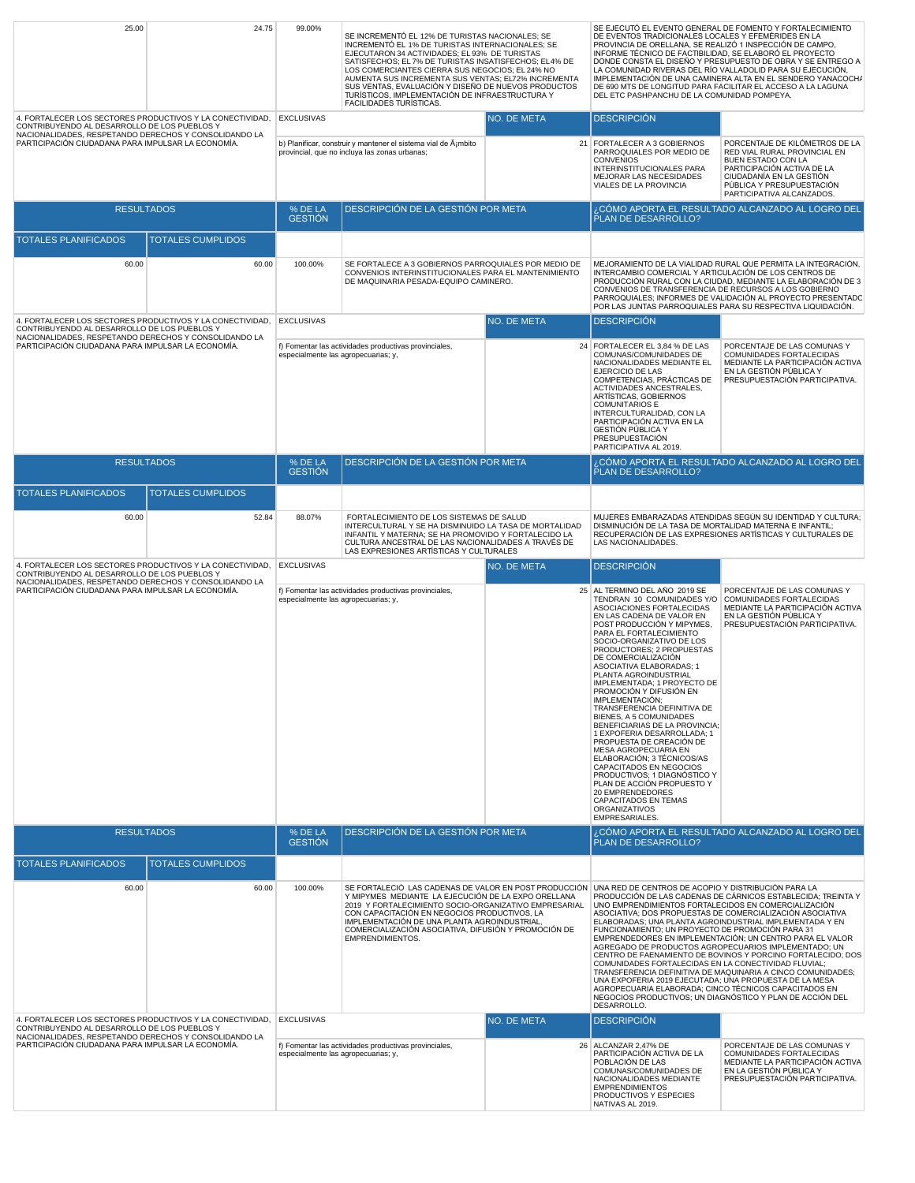| 25.00                                                                                                                                                                                                                    | 24.75                    | 99.00%<br>SE INCREMENTÓ EL 12% DE TURISTAS NACIONALES; SE<br>INCREMENTÓ EL 1% DE TURISTAS INTERNACIONALES; SE<br>EJECUTARON 34 ACTIVIDADES; EL 93% DE TURISTAS<br>SATISFECHOS; EL 7% DE TURISTAS INSATISFECHOS; EL4% DE<br>LOS COMERCIANTES CIERRA SUS NEGOCIOS; EL 24% NO<br>AUMENTA SUS INCREMENTA SUS VENTAS; EL72% INCREMENTA<br>SUS VENTAS, EVALUACIÓN Y DISEÑO DE NUEVOS PRODUCTOS<br>TURÍSTICOS, IMPLEMENTACIÓN DE INFRAESTRUCTURA Y<br><b>FACILIDADES TURÍSTICAS.</b> |                                                                                                                                                                                                                                                                                                                                                                                                                                                                                                                                                                                                                                                                                                                                                                                                                                                                                                                                                                                                                                                                                                                                                                                                                      |             | DE EVENTOS TRADICIONALES LOCALES Y EFEMÉRIDES EN LA<br>PROVINCIA DE ORELLANA, SE REALIZÓ 1 INSPECCIÓN DE CAMPO,<br>INFORME TÉCNICO DE FACTIBILIDAD, SE ELABORÓ EL PROYECTO<br>DEL ETC PASHPANCHU DE LA COMUNIDAD POMPEYA.                                                                                                                                                                                                                                                                                                                                                                                                                                                                                                                                                                                                     | SE EJECUTÓ EL EVENTO GENERAL DE FOMENTO Y FORTALECIMIENTO<br>DONDE CONSTA EL DISEÑO Y PRESUPUESTO DE OBRA Y SE ENTREGO A<br>LA COMUNIDAD RIVERAS DEL RÍO VALLADOLID PARA SU EJECUCIÓN,<br>IMPLEMENTACIÓN DE UNA CAMINERA ALTA EN EL SENDERO YANACOCH/<br>DE 690 MTS DE LONGITUD PARA FACILITAR EL ACCESO A LA LAGUNA |
|--------------------------------------------------------------------------------------------------------------------------------------------------------------------------------------------------------------------------|--------------------------|-------------------------------------------------------------------------------------------------------------------------------------------------------------------------------------------------------------------------------------------------------------------------------------------------------------------------------------------------------------------------------------------------------------------------------------------------------------------------------|----------------------------------------------------------------------------------------------------------------------------------------------------------------------------------------------------------------------------------------------------------------------------------------------------------------------------------------------------------------------------------------------------------------------------------------------------------------------------------------------------------------------------------------------------------------------------------------------------------------------------------------------------------------------------------------------------------------------------------------------------------------------------------------------------------------------------------------------------------------------------------------------------------------------------------------------------------------------------------------------------------------------------------------------------------------------------------------------------------------------------------------------------------------------------------------------------------------------|-------------|-------------------------------------------------------------------------------------------------------------------------------------------------------------------------------------------------------------------------------------------------------------------------------------------------------------------------------------------------------------------------------------------------------------------------------------------------------------------------------------------------------------------------------------------------------------------------------------------------------------------------------------------------------------------------------------------------------------------------------------------------------------------------------------------------------------------------------|----------------------------------------------------------------------------------------------------------------------------------------------------------------------------------------------------------------------------------------------------------------------------------------------------------------------|
| 4. FORTALECER LOS SECTORES PRODUCTIVOS Y LA CONECTIVIDAD,<br>CONTRIBUYENDO AL DESARROLLO DE LOS PUEBLOS Y<br>NACIONALIDADES, RESPETANDO DERECHOS Y CONSOLIDANDO LA<br>PARTICIPACIÓN CIUDADANA PARA IMPULSAR LA ECONOMÍA. |                          | <b>EXCLUSIVAS</b>                                                                                                                                                                                                                                                                                                                                                                                                                                                             | b) Planificar, construir y mantener el sistema vial de ġmbito<br>provincial, que no incluya las zonas urbanas;                                                                                                                                                                                                                                                                                                                                                                                                                                                                                                                                                                                                                                                                                                                                                                                                                                                                                                                                                                                                                                                                                                       | NO. DE META | <b>DESCRIPCIÓN</b><br>21 FORTALECER A 3 GOBIERNOS<br>PARROQUIALES POR MEDIO DE<br><b>CONVENIOS</b><br>INTERINSTITUCIONALES PARA<br>MEJORAR LAS NECESIDADES                                                                                                                                                                                                                                                                                                                                                                                                                                                                                                                                                                                                                                                                    | PORCENTAJE DE KILÓMETROS DE LA<br>RED VIAL RURAL PROVINCIAL EN<br><b>BUEN ESTADO CON LA</b><br>PARTICIPACIÓN ACTIVA DE LA<br>CIUDADANÍA EN LA GESTIÓN                                                                                                                                                                |
|                                                                                                                                                                                                                          |                          |                                                                                                                                                                                                                                                                                                                                                                                                                                                                               |                                                                                                                                                                                                                                                                                                                                                                                                                                                                                                                                                                                                                                                                                                                                                                                                                                                                                                                                                                                                                                                                                                                                                                                                                      |             | VIALES DE LA PROVINCIA                                                                                                                                                                                                                                                                                                                                                                                                                                                                                                                                                                                                                                                                                                                                                                                                        | PÚBLICA Y PRESUPUESTACIÓN<br>PARTICIPATIVA ALCANZADOS.                                                                                                                                                                                                                                                               |
| <b>RESULTADOS</b>                                                                                                                                                                                                        |                          | % DE LA<br><b>GESTIÓN</b>                                                                                                                                                                                                                                                                                                                                                                                                                                                     | DESCRIPCIÓN DE LA GESTIÓN POR META                                                                                                                                                                                                                                                                                                                                                                                                                                                                                                                                                                                                                                                                                                                                                                                                                                                                                                                                                                                                                                                                                                                                                                                   |             | PLAN DE DESARROLLO?                                                                                                                                                                                                                                                                                                                                                                                                                                                                                                                                                                                                                                                                                                                                                                                                           | ¿CÓMO APORTA EL RESULTADO ALCANZADO AL LOGRO DEL                                                                                                                                                                                                                                                                     |
| <b>TOTALES PLANIFICADOS</b>                                                                                                                                                                                              | <b>TOTALES CUMPLIDOS</b> |                                                                                                                                                                                                                                                                                                                                                                                                                                                                               |                                                                                                                                                                                                                                                                                                                                                                                                                                                                                                                                                                                                                                                                                                                                                                                                                                                                                                                                                                                                                                                                                                                                                                                                                      |             |                                                                                                                                                                                                                                                                                                                                                                                                                                                                                                                                                                                                                                                                                                                                                                                                                               |                                                                                                                                                                                                                                                                                                                      |
| 60.00                                                                                                                                                                                                                    | 60.00                    | 100.00%                                                                                                                                                                                                                                                                                                                                                                                                                                                                       | SE FORTALECE A 3 GOBIERNOS PARROQUIALES POR MEDIO DE<br>CONVENIOS INTERINSTITUCIONALES PARA EL MANTENIMIENTO<br>DE MAQUINARIA PESADA-EQUIPO CAMINERO.                                                                                                                                                                                                                                                                                                                                                                                                                                                                                                                                                                                                                                                                                                                                                                                                                                                                                                                                                                                                                                                                |             | INTERCAMBIO COMERCIAL Y ARTICULACIÓN DE LOS CENTROS DE<br>CONVENIOS DE TRANSFERENCIA DE RECURSOS A LOS GOBIERNO                                                                                                                                                                                                                                                                                                                                                                                                                                                                                                                                                                                                                                                                                                               | MEJORAMIENTO DE LA VIALIDAD RURAL QUE PERMITA LA INTEGRACIÓN,<br>PRODUCCIÓN RURAL CON LA CIUDAD, MEDIANTE LA ELABORACIÓN DE 3<br>PARROQUIALES; INFORMES DE VALIDACIÓN AL PROYECTO PRESENTADO<br>POR LAS JUNTAS PARROQUIALES PARA SU RESPECTIVA LIQUIDACIÓN.                                                          |
| 4. FORTALECER LOS SECTORES PRODUCTIVOS Y LA CONECTIVIDAD,<br>CONTRIBUYENDO AL DESARROLLO DE LOS PUEBLOS Y<br>NACIONALIDADES, RESPETANDO DERECHOS Y CONSOLIDANDO LA                                                       |                          | <b>EXCLUSIVAS</b>                                                                                                                                                                                                                                                                                                                                                                                                                                                             |                                                                                                                                                                                                                                                                                                                                                                                                                                                                                                                                                                                                                                                                                                                                                                                                                                                                                                                                                                                                                                                                                                                                                                                                                      | NO. DE META | <b>DESCRIPCIÓN</b>                                                                                                                                                                                                                                                                                                                                                                                                                                                                                                                                                                                                                                                                                                                                                                                                            |                                                                                                                                                                                                                                                                                                                      |
| PARTICIPACIÓN CIUDADANA PARA IMPULSAR LA ECONOMÍA.                                                                                                                                                                       |                          | especialmente las agropecuarias; y,                                                                                                                                                                                                                                                                                                                                                                                                                                           | f) Fomentar las actividades productivas provinciales,                                                                                                                                                                                                                                                                                                                                                                                                                                                                                                                                                                                                                                                                                                                                                                                                                                                                                                                                                                                                                                                                                                                                                                |             | 24 FORTALECER EL 3,84 % DE LAS<br>COMUNAS/COMUNIDADES DE<br>NACIONALIDADES MEDIANTE EL<br>EJERCICIO DE LAS<br>COMPETENCIAS, PRÁCTICAS DE<br><b>ACTIVIDADES ANCESTRALES.</b><br>ARTÍSTICAS, GOBIERNOS<br>COMUNITARIOS E<br>INTERCULTURALIDAD, CON LA<br>PARTICIPACIÓN ACTIVA EN LA<br><b>GESTIÓN PÚBLICA Y</b><br>PRESUPUESTACIÓN<br>PARTICIPATIVA AL 2019.                                                                                                                                                                                                                                                                                                                                                                                                                                                                    | PORCENTAJE DE LAS COMUNAS Y<br>COMUNIDADES FORTALECIDAS<br>MEDIANTE LA PARTICIPACIÓN ACTIVA<br>EN LA GESTIÓN PÚBLICA Y<br>PRESUPUESTACIÓN PARTICIPATIVA.                                                                                                                                                             |
| <b>RESULTADOS</b>                                                                                                                                                                                                        |                          | % DE LA<br><b>GESTIÓN</b>                                                                                                                                                                                                                                                                                                                                                                                                                                                     | DESCRIPCIÓN DE LA GESTIÓN POR META                                                                                                                                                                                                                                                                                                                                                                                                                                                                                                                                                                                                                                                                                                                                                                                                                                                                                                                                                                                                                                                                                                                                                                                   |             | PLAN DE DESARROLLO?                                                                                                                                                                                                                                                                                                                                                                                                                                                                                                                                                                                                                                                                                                                                                                                                           | CÓMO APORTA EL RESULTADO ALCANZADO AL LOGRO DEL اِ                                                                                                                                                                                                                                                                   |
| <b>TOTALES PLANIFICADOS</b>                                                                                                                                                                                              | <b>TOTALES CUMPLIDOS</b> |                                                                                                                                                                                                                                                                                                                                                                                                                                                                               |                                                                                                                                                                                                                                                                                                                                                                                                                                                                                                                                                                                                                                                                                                                                                                                                                                                                                                                                                                                                                                                                                                                                                                                                                      |             |                                                                                                                                                                                                                                                                                                                                                                                                                                                                                                                                                                                                                                                                                                                                                                                                                               |                                                                                                                                                                                                                                                                                                                      |
| 60.00                                                                                                                                                                                                                    | 52.84                    | 88.07%                                                                                                                                                                                                                                                                                                                                                                                                                                                                        | FORTALECIMIENTO DE LOS SISTEMAS DE SALUD<br>INTERCULTURAL Y SE HA DISMINUIDO LA TASA DE MORTALIDAD<br>INFANTIL Y MATERNA; SE HA PROMOVIDO Y FORTALECIDO LA<br>CULTURA ANCESTRAL DE LAS NACIONALIDADES A TRAVÉS DE<br>LAS EXPRESIONES ARTÍSTICAS Y CULTURALES                                                                                                                                                                                                                                                                                                                                                                                                                                                                                                                                                                                                                                                                                                                                                                                                                                                                                                                                                         |             | DISMINUCIÓN DE LA TASA DE MORTALIDAD MATERNA E INFANTIL;<br>LAS NACIONALIDADES.                                                                                                                                                                                                                                                                                                                                                                                                                                                                                                                                                                                                                                                                                                                                               | MUJERES EMBARAZADAS ATENDIDAS SEGÚN SU IDENTIDAD Y CULTURA;<br>RECUPERACIÓN DE LAS EXPRESIONES ARTÍSTICAS Y CULTURALES DE                                                                                                                                                                                            |
| 4. FORTALECER LOS SECTORES PRODUCTIVOS Y LA CONECTIVIDAD,<br>CONTRIBUYENDO AL DESARROLLO DE LOS PUEBLOS Y                                                                                                                |                          | <b>EXCLUSIVAS</b>                                                                                                                                                                                                                                                                                                                                                                                                                                                             |                                                                                                                                                                                                                                                                                                                                                                                                                                                                                                                                                                                                                                                                                                                                                                                                                                                                                                                                                                                                                                                                                                                                                                                                                      | NO. DE META | <b>DESCRIPCIÓN</b>                                                                                                                                                                                                                                                                                                                                                                                                                                                                                                                                                                                                                                                                                                                                                                                                            |                                                                                                                                                                                                                                                                                                                      |
| NACIONALIDADES, RESPETANDO DERECHOS Y CONSOLIDANDO LA<br>PARTICIPACIÓN CIUDADANA PARA IMPULSAR LA ECONOMÍA.<br><b>RESULTADOS</b>                                                                                         |                          | especialmente las agropecuarias; y,<br>% DE LA                                                                                                                                                                                                                                                                                                                                                                                                                                | f) Fomentar las actividades productivas provinciales,<br>DESCRIPCIÓN DE LA GESTIÓN POR META                                                                                                                                                                                                                                                                                                                                                                                                                                                                                                                                                                                                                                                                                                                                                                                                                                                                                                                                                                                                                                                                                                                          |             | 25 AL TERMINO DEL AÑO 2019 SE<br>TENDRAN 10 COMUNIDADES Y/O COMUNIDADES FORTALECIDAS<br>ASOCIACIONES FORTALECIDAS<br>EN LAS CADENA DE VALOR EN<br>POST PRODUCCIÓN Y MIPYMES,<br>PARA EL FORTALECIMIENTO<br>SOCIO-ORGANIZATIVO DE LOS<br>PRODUCTORES; 2 PROPUESTAS<br>DE COMERCIALIZACIÓN<br>ASOCIATIVA ELABORADAS; 1<br>PLANTA AGROINDUSTRIAL<br>IMPLEMENTADA: 1 PROYECTO DE<br>PROMOCIÓN Y DIFUSIÓN EN<br>IMPLEMENTACIÓN:<br>TRANSFERENCIA DEFINITIVA DE<br>BIENES, A 5 COMUNIDADES<br>BENEFICIARIAS DE LA PROVINCIA:<br>1 EXPOFERIA DESARROLLADA; 1<br>PROPUESTA DE CREACIÓN DE<br>MESA AGROPECUARIA EN<br>ELABORACIÓN; 3 TÉCNICOS/AS<br>CAPACITADOS EN NEGOCIOS<br>PRODUCTIVOS: 1 DIAGNÓSTICO Y<br>PLAN DE ACCIÓN PROPUESTO Y<br>20 EMPRENDEDORES<br><b>CAPACITADOS EN TEMAS</b><br><b>ORGANIZATIVOS</b><br>EMPRESARIALES. | PORCENTAJE DE LAS COMUNAS Y<br>MEDIANTE LA PARTICIPACIÓN ACTIVA<br>EN LA GESTIÓN PÚBLICA Y<br>PRESUPUESTACIÓN PARTICIPATIVA.<br>  CÓMO APORTA EL RESULTADO ALCANZADO AL LOGRO DEL اِ                                                                                                                                 |
|                                                                                                                                                                                                                          |                          | <b>GESTIÓN</b>                                                                                                                                                                                                                                                                                                                                                                                                                                                                |                                                                                                                                                                                                                                                                                                                                                                                                                                                                                                                                                                                                                                                                                                                                                                                                                                                                                                                                                                                                                                                                                                                                                                                                                      |             | PLAN DE DESARROLLO?                                                                                                                                                                                                                                                                                                                                                                                                                                                                                                                                                                                                                                                                                                                                                                                                           |                                                                                                                                                                                                                                                                                                                      |
| <b>TOTALES PLANIFICADOS</b>                                                                                                                                                                                              | <b>TOTALES CUMPLIDOS</b> |                                                                                                                                                                                                                                                                                                                                                                                                                                                                               |                                                                                                                                                                                                                                                                                                                                                                                                                                                                                                                                                                                                                                                                                                                                                                                                                                                                                                                                                                                                                                                                                                                                                                                                                      |             |                                                                                                                                                                                                                                                                                                                                                                                                                                                                                                                                                                                                                                                                                                                                                                                                                               |                                                                                                                                                                                                                                                                                                                      |
| 60.00                                                                                                                                                                                                                    | 60.00                    | 100.00%                                                                                                                                                                                                                                                                                                                                                                                                                                                                       | SE FORTALECIÓ LAS CADENAS DE VALOR EN POST PRODUCCIÓN<br>UNA RED DE CENTROS DE ACOPIO Y DISTRIBUCIÓN PARA LA<br>Y MIPYMES MEDIANTE LA EJECUCIÓN DE LA EXPO ORELLANA<br>PRODUCCIÓN DE LAS CADENAS DE CÁRNICOS ESTABLECIDA; TREINTA Y<br>2019 Y FORTALECIMIENTO SOCIO-ORGANIZATIVO EMPRESARIAL<br>UNO EMPRENDIMIENTOS FORTALECIDOS EN COMERCIALIZACIÓN<br>CON CAPACITACIÓN EN NEGOCIOS PRODUCTIVOS, LA<br>ASOCIATIVA; DOS PROPUESTAS DE COMERCIALIZACIÓN ASOCIATIVA<br>IMPLEMENTACIÓN DE UNA PLANTA AGROINDUSTRIAL,<br>ELABORADAS; UNA PLANTA AGROINDUSTRIAL IMPLEMENTADA Y EN<br>FUNCIONAMIENTO; UN PROYECTO DE PROMOCIÓN PARA 31<br>COMERCIALIZACIÓN ASOCIATIVA, DIFUSIÓN Y PROMOCIÓN DE<br>EMPRENDEDORES EN IMPLEMENTACIÓN; UN CENTRO PARA EL VALOR<br>EMPRENDIMIENTOS.<br>AGREGADO DE PRODUCTOS AGROPECUARIOS IMPLEMENTADO; UN<br>CENTRO DE FAENAMIENTO DE BOVINOS Y PORCINO FORTALECIDO; DOS<br>COMUNIDADES FORTALECIDAS EN LA CONECTIVIDAD FLUVIAL<br>TRANSFERENCIA DEFINITIVA DE MAQUINARIA A CINCO COMUNIDADES;<br>UNA EXPOFERIA 2019 EJECUTADA; UNA PROPUESTA DE LA MESA<br>AGROPECUARIA ELABORADA; CINCO TÉCNICOS CAPACITADOS EN<br>NEGOCIOS PRODUCTIVOS; UN DIAGNÓSTICO Y PLAN DE ACCIÓN DEL<br>DESARROLLO. |             |                                                                                                                                                                                                                                                                                                                                                                                                                                                                                                                                                                                                                                                                                                                                                                                                                               |                                                                                                                                                                                                                                                                                                                      |
| 4. FORTALECER LOS SECTORES PRODUCTIVOS Y LA CONECTIVIDAD,<br>CONTRIBUYENDO AL DESARROLLO DE LOS PUEBLOS Y<br>NACIONALIDADES, RESPETANDO DERECHOS Y CONSOLIDANDO LA                                                       |                          | <b>EXCLUSIVAS</b>                                                                                                                                                                                                                                                                                                                                                                                                                                                             |                                                                                                                                                                                                                                                                                                                                                                                                                                                                                                                                                                                                                                                                                                                                                                                                                                                                                                                                                                                                                                                                                                                                                                                                                      | NO. DE META | <b>DESCRIPCIÓN</b>                                                                                                                                                                                                                                                                                                                                                                                                                                                                                                                                                                                                                                                                                                                                                                                                            |                                                                                                                                                                                                                                                                                                                      |
| PARTICIPACIÓN CIUDADANA PARA IMPULSAR LA ECONOMÍA.                                                                                                                                                                       |                          | especialmente las agropecuarias; y,                                                                                                                                                                                                                                                                                                                                                                                                                                           | f) Fomentar las actividades productivas provinciales,                                                                                                                                                                                                                                                                                                                                                                                                                                                                                                                                                                                                                                                                                                                                                                                                                                                                                                                                                                                                                                                                                                                                                                |             | 26 ALCANZAR 2.47% DE<br>PARTICIPACIÓN ACTIVA DE LA<br>POBLACIÓN DE LAS<br>COMUNAS/COMUNIDADES DE<br>NACIONALIDADES MEDIANTE<br><b>EMPRENDIMIENTOS</b><br>PRODUCTIVOS Y ESPECIES<br>NATIVAS AL 2019.                                                                                                                                                                                                                                                                                                                                                                                                                                                                                                                                                                                                                           | PORCENTAJE DE LAS COMUNAS Y<br>COMUNIDADES FORTALECIDAS<br>MEDIANTE LA PARTICIPACIÓN ACTIVA<br>EN LA GESTIÓN PÚBLICA Y<br>PRESUPUESTACIÓN PARTICIPATIVA.                                                                                                                                                             |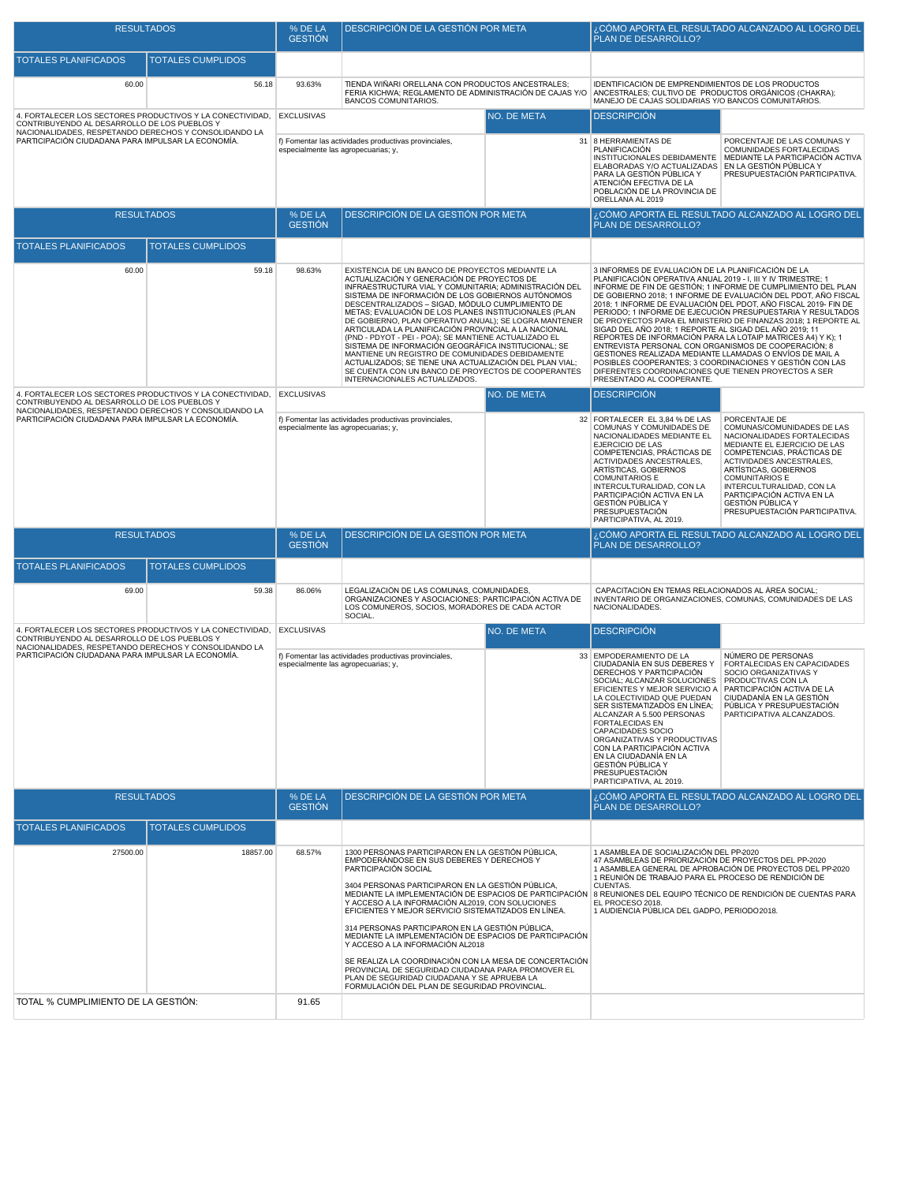| <b>RESULTADOS</b>                                                                                                    |                          | % DE LA<br><b>GESTIÓN</b>                                                                    | DESCRIPCIÓN DE LA GESTIÓN POR META                                                                                                                                                                                                                                                                                                                                                                                                                                                                                                                                                                                                                                                                                                                              |                                                                                                                                                                                                                                                                                                                                                                                                                                                                                                              | ¿CÓMO APORTA EL RESULTADO ALCANZADO AL LOGRO DEL<br>PLAN DE DESARROLLO?                                                                                                                                                                                                                                                                                                                                                                                                                                                                                                                                                                                                                                                                                                                                                                                   |                                                                                                                                                                                        |
|----------------------------------------------------------------------------------------------------------------------|--------------------------|----------------------------------------------------------------------------------------------|-----------------------------------------------------------------------------------------------------------------------------------------------------------------------------------------------------------------------------------------------------------------------------------------------------------------------------------------------------------------------------------------------------------------------------------------------------------------------------------------------------------------------------------------------------------------------------------------------------------------------------------------------------------------------------------------------------------------------------------------------------------------|--------------------------------------------------------------------------------------------------------------------------------------------------------------------------------------------------------------------------------------------------------------------------------------------------------------------------------------------------------------------------------------------------------------------------------------------------------------------------------------------------------------|-----------------------------------------------------------------------------------------------------------------------------------------------------------------------------------------------------------------------------------------------------------------------------------------------------------------------------------------------------------------------------------------------------------------------------------------------------------------------------------------------------------------------------------------------------------------------------------------------------------------------------------------------------------------------------------------------------------------------------------------------------------------------------------------------------------------------------------------------------------|----------------------------------------------------------------------------------------------------------------------------------------------------------------------------------------|
| TOTALES PLANIFICADOS                                                                                                 | <b>TOTALES CUMPLIDOS</b> |                                                                                              |                                                                                                                                                                                                                                                                                                                                                                                                                                                                                                                                                                                                                                                                                                                                                                 |                                                                                                                                                                                                                                                                                                                                                                                                                                                                                                              |                                                                                                                                                                                                                                                                                                                                                                                                                                                                                                                                                                                                                                                                                                                                                                                                                                                           |                                                                                                                                                                                        |
| 60.00                                                                                                                | 56.18                    | 93.63%                                                                                       | TIENDA WIÑARI ORELLANA CON PRODUCTOS ANCESTRALES;<br>FERIA KICHWA; REGLAMENTO DE ADMINISTRACIÓN DE CAJAS Y/O<br><b>BANCOS COMUNITARIOS.</b>                                                                                                                                                                                                                                                                                                                                                                                                                                                                                                                                                                                                                     |                                                                                                                                                                                                                                                                                                                                                                                                                                                                                                              | IDENTIFICACIÓN DE EMPRENDIMIENTOS DE LOS PRODUCTOS<br>ANCESTRALES; CULTIVO DE PRODUCTOS ORGÁNICOS (CHAKRA);<br>MANEJO DE CAJAS SOLIDARIAS Y/O BANCOS COMUNITARIOS.                                                                                                                                                                                                                                                                                                                                                                                                                                                                                                                                                                                                                                                                                        |                                                                                                                                                                                        |
| 4. FORTALECER LOS SECTORES PRODUCTIVOS Y LA CONECTIVIDAD,<br>CONTRIBUYENDO AL DESARROLLO DE LOS PUEBLOS Y            |                          | <b>EXCLUSIVAS</b>                                                                            | NO. DE META                                                                                                                                                                                                                                                                                                                                                                                                                                                                                                                                                                                                                                                                                                                                                     |                                                                                                                                                                                                                                                                                                                                                                                                                                                                                                              | <b>DESCRIPCIÓN</b>                                                                                                                                                                                                                                                                                                                                                                                                                                                                                                                                                                                                                                                                                                                                                                                                                                        |                                                                                                                                                                                        |
| NACIONALIDADES, RESPETANDO DERECHOS Y CONSOLIDANDO LA<br>PARTICIPACIÓN CIUDADANA PARA IMPULSAR LA ECONOMÍA.          |                          | especialmente las agropecuarias; y,                                                          | f) Fomentar las actividades productivas provinciales,                                                                                                                                                                                                                                                                                                                                                                                                                                                                                                                                                                                                                                                                                                           |                                                                                                                                                                                                                                                                                                                                                                                                                                                                                                              | 31 8 HERRAMIENTAS DE<br>PLANIFICACIÓN<br>ELABORADAS Y/O ACTUALIZADAS<br>PARA LA GESTIÓN PÚBLICA Y<br>ATENCIÓN EFECTIVA DE LA<br>POBLACIÓN DE LA PROVINCIA DE<br>ORELLANA AL 2019                                                                                                                                                                                                                                                                                                                                                                                                                                                                                                                                                                                                                                                                          | PORCENTAJE DE LAS COMUNAS Y<br>COMUNIDADES FORTALECIDAS<br>INSTITUCIONALES DEBIDAMENTE   MEDIANTE LA PARTICIPACIÓN ACTIVA<br>EN LA GESTIÓN PÚBLICA Y<br>PRESUPUESTACIÓN PARTICIPATIVA. |
| <b>RESULTADOS</b>                                                                                                    |                          | % DE LA<br><b>GESTIÓN</b>                                                                    | DESCRIPCIÓN DE LA GESTIÓN POR META                                                                                                                                                                                                                                                                                                                                                                                                                                                                                                                                                                                                                                                                                                                              |                                                                                                                                                                                                                                                                                                                                                                                                                                                                                                              | PLAN DE DESARROLLO?                                                                                                                                                                                                                                                                                                                                                                                                                                                                                                                                                                                                                                                                                                                                                                                                                                       | ¿CÓMO APORTA EL RESULTADO ALCANZADO AL LOGRO DEL                                                                                                                                       |
| <b>TOTALES PLANIFICADOS</b>                                                                                          | <b>TOTALES CUMPLIDOS</b> |                                                                                              |                                                                                                                                                                                                                                                                                                                                                                                                                                                                                                                                                                                                                                                                                                                                                                 |                                                                                                                                                                                                                                                                                                                                                                                                                                                                                                              |                                                                                                                                                                                                                                                                                                                                                                                                                                                                                                                                                                                                                                                                                                                                                                                                                                                           |                                                                                                                                                                                        |
| 60.00                                                                                                                | 59.18                    | 98.63%                                                                                       | EXISTENCIA DE UN BANCO DE PROYECTOS MEDIANTE LA<br>ACTUALIZACIÓN Y GENERACIÓN DE PROYECTOS DE<br>INFRAESTRUCTURA VIAL Y COMUNITARIA; ADMINISTRACIÓN DEL<br>SISTEMA DE INFORMACIÓN DE LOS GOBIERNOS AUTÓNOMOS<br>DESCENTRALIZADOS - SIGAD, MÓDULO CUMPLIMIENTO DE<br>METAS; EVALUACIÓN DE LOS PLANES INSTITUCIONALES (PLAN<br>DE GOBIERNO, PLAN OPERATIVO ANUAL); SE LOGRA MANTENER<br>ARTICULADA LA PLANIFICACIÓN PROVINCIAL A LA NACIONAL<br>(PND - PDYOT - PEI - POA); SE MANTIENE ACTUALIZADO EL<br>SISTEMA DE INFORMACIÓN GEOGRÁFICA INSTITUCIONAL; SE<br>MANTIENE UN REGISTRO DE COMUNIDADES DEBIDAMENTE<br>ACTUALIZADOS: SE TIENE UNA ACTUALIZACIÓN DEL PLAN VIAL:<br>SE CUENTA CON UN BANCO DE PROYECTOS DE COOPERANTES<br>INTERNACIONALES ACTUALIZADOS. |                                                                                                                                                                                                                                                                                                                                                                                                                                                                                                              | 3 INFORMES DE EVALUACIÓN DE LA PLANIFICACIÓN DE LA<br>PLANIFICACIÓN OPERATIVA ANUAL 2019 - I, III Y IV TRIMESTRE; 1<br>INFORME DE FIN DE GESTIÓN; 1 INFORME DE CUMPLIMIENTO DEL PLAN<br>DE GOBIERNO 2018; 1 INFORME DE EVALUACIÓN DEL PDOT, AÑO FISCAL<br>2018; 1 INFORME DE EVALUACIÓN DEL PDOT, AÑO FISCAL 2019- FIN DE<br>PERIODO; 1 INFORME DE EJECUCIÓN PRESUPUESTARIA Y RESULTADOS<br>DE PROYECTOS PARA EL MINISTERIO DE FINANZAS 2018; 1 REPORTE AL<br>SIGAD DEL AÑO 2018; 1 REPORTE AL SIGAD DEL AÑO 2019; 11<br>REPORTES DE INFORMACIÓN PARA LA LOTAIP MATRICES A4) Y K); 1<br>ENTREVISTA PERSONAL CON ORGANISMOS DE COOPERACIÓN; 8<br>GESTIONES REALIZADA MEDIANTE LLAMADAS O ENVÍOS DE MAIL A<br>POSIBLES COOPERANTES; 3 COORDINACIONES Y GESTIÓN CON LAS<br>DIFERENTES COORDINACIONES QUE TIENEN PROYECTOS A SER<br>PRESENTADO AL COOPERANTE. |                                                                                                                                                                                        |
| 4. FORTALECER LOS SECTORES PRODUCTIVOS Y LA CONECTIVIDAD, EXCLUSIVAS<br>CONTRIBUYENDO AL DESARROLLO DE LOS PUEBLOS Y |                          |                                                                                              | NO. DE META                                                                                                                                                                                                                                                                                                                                                                                                                                                                                                                                                                                                                                                                                                                                                     |                                                                                                                                                                                                                                                                                                                                                                                                                                                                                                              | <b>DESCRIPCIÓN</b>                                                                                                                                                                                                                                                                                                                                                                                                                                                                                                                                                                                                                                                                                                                                                                                                                                        |                                                                                                                                                                                        |
| NACIONALIDADES, RESPETANDO DERECHOS Y CONSOLIDANDO LA<br>PARTICIPACIÓN CIUDADANA PARA IMPULSAR LA ECONOMÍA.          |                          | f) Fomentar las actividades productivas provinciales,<br>especialmente las agropecuarias; y, |                                                                                                                                                                                                                                                                                                                                                                                                                                                                                                                                                                                                                                                                                                                                                                 | 32 FORTALECER EL 3,84 % DE LAS<br>COMUNAS Y COMUNIDADES DE<br>NACIONALIDADES MEDIANTE EL<br>EJERCICIO DE LAS<br>COMPETENCIAS, PRÁCTICAS DE<br>ACTIVIDADES ANCESTRALES,<br>ARTÍSTICAS, GOBIERNOS<br><b>COMUNITARIOS E</b><br>INTERCULTURALIDAD, CON LA<br>PARTICIPACIÓN ACTIVA EN LA<br><b>GESTIÓN PÚBLICA Y</b><br>PRESUPUESTACIÓN<br>PARTICIPATIVA, AL 2019.                                                                                                                                                | PORCENTAJE DE<br>COMUNAS/COMUNIDADES DE LAS<br>NACIONALIDADES FORTALECIDAS<br>MEDIANTE EL EJERCICIO DE LAS<br>COMPETENCIAS, PRÁCTICAS DE<br>ACTIVIDADES ANCESTRALES,<br>ARTÍSTICAS, GOBIERNOS<br><b>COMUNITARIOS E</b><br>INTERCULTURALIDAD, CON LA<br>PARTICIPACIÓN ACTIVA EN LA<br>GESTIÓN PÚBLICA Y<br>PRESUPUESTACIÓN PARTICIPATIVA.                                                                                                                                                                                                                                                                                                                                                                                                                                                                                                                  |                                                                                                                                                                                        |
| <b>RESULTADOS</b>                                                                                                    |                          | % DE LA<br><b>GESTIÓN</b>                                                                    | DESCRIPCIÓN DE LA GESTIÓN POR META                                                                                                                                                                                                                                                                                                                                                                                                                                                                                                                                                                                                                                                                                                                              |                                                                                                                                                                                                                                                                                                                                                                                                                                                                                                              | PLAN DE DESARROLLO?                                                                                                                                                                                                                                                                                                                                                                                                                                                                                                                                                                                                                                                                                                                                                                                                                                       | ¿CÓMO APORTA EL RESULTADO ALCANZADO AL LOGRO DEL                                                                                                                                       |
| <b>TOTALES PLANIFICADOS</b>                                                                                          | <b>TOTALES CUMPLIDOS</b> |                                                                                              |                                                                                                                                                                                                                                                                                                                                                                                                                                                                                                                                                                                                                                                                                                                                                                 |                                                                                                                                                                                                                                                                                                                                                                                                                                                                                                              |                                                                                                                                                                                                                                                                                                                                                                                                                                                                                                                                                                                                                                                                                                                                                                                                                                                           |                                                                                                                                                                                        |
| 69.00                                                                                                                | 59.38                    | 86.06%                                                                                       | LEGALIZACIÓN DE LAS COMUNAS, COMUNIDADES<br>ORGANIZACIONES Y ASOCIACIONES; PARTICIPACIÓN ACTIVA DE<br>LOS COMUNEROS, SOCIOS, MORADORES DE CADA ACTOR<br>SOCIAL.                                                                                                                                                                                                                                                                                                                                                                                                                                                                                                                                                                                                 |                                                                                                                                                                                                                                                                                                                                                                                                                                                                                                              | CAPACITACIÓN EN TEMAS RELACIONADOS AL ÁREA SOCIAL;<br>NACIONALIDADES.                                                                                                                                                                                                                                                                                                                                                                                                                                                                                                                                                                                                                                                                                                                                                                                     | INVENTARIO DE ORGANIZACIONES, COMUNAS, COMUNIDADES DE LAS                                                                                                                              |
| 4. FORTALECER LOS SECTORES PRODUCTIVOS Y LA CONECTIVIDAD,<br>CONTRIBUYENDO AL DESARROLLO DE LOS PUEBLOS Y            |                          | <b>EXCLUSIVAS</b>                                                                            | NO. DE META                                                                                                                                                                                                                                                                                                                                                                                                                                                                                                                                                                                                                                                                                                                                                     |                                                                                                                                                                                                                                                                                                                                                                                                                                                                                                              | <b>DESCRIPCIÓN</b>                                                                                                                                                                                                                                                                                                                                                                                                                                                                                                                                                                                                                                                                                                                                                                                                                                        |                                                                                                                                                                                        |
| NACIONALIDADES, RESPETANDO DERECHOS Y CONSOLIDANDO LA<br>PARTICIPACIÓN CIUDADANA PARA IMPULSAR LA ECONOMÍA.          |                          | f) Fomentar las actividades productivas provinciales,<br>especialmente las agropecuarias; y, |                                                                                                                                                                                                                                                                                                                                                                                                                                                                                                                                                                                                                                                                                                                                                                 | 33 EMPODERAMIENTO DE LA<br>CIUDADANÍA EN SUS DEBERES Y<br>DERECHOS Y PARTICIPACIÓN<br>SOCIAL; ALCANZAR SOLUCIONES PRODUCTIVAS CON LA<br>EFICIENTES Y MEJOR SERVICIO A PARTICIPACIÓN ACTIVA DE LA<br>LA COLECTIVIDAD QUE PUEDAN<br>SER SISTEMATIZADOS EN LÍNEA;<br>ALCANZAR A 5.500 PERSONAS<br><b>FORTALECIDAS EN</b><br>CAPACIDADES SOCIO<br>ORGANIZATIVAS Y PRODUCTIVAS<br>CON LA PARTICIPACIÓN ACTIVA<br>EN LA CIUDADANÍA EN LA<br><b>GESTIÓN PÚBLICA Y</b><br>PRESUPUESTACIÓN<br>PARTICIPATIVA, AL 2019. | NÚMERO DE PERSONAS<br>FORTALECIDAS EN CAPACIDADES<br>SOCIO ORGANIZATIVAS Y<br>CIUDADANÍA EN LA GESTIÓN<br>PÚBLICA Y PRESUPUESTACIÓN<br>PARTICIPATIVA ALCANZADOS.                                                                                                                                                                                                                                                                                                                                                                                                                                                                                                                                                                                                                                                                                          |                                                                                                                                                                                        |
| <b>RESULTADOS</b>                                                                                                    |                          | % DE LA<br><b>GESTION</b>                                                                    | DESCRIPCIÓN DE LA GESTIÓN POR META                                                                                                                                                                                                                                                                                                                                                                                                                                                                                                                                                                                                                                                                                                                              |                                                                                                                                                                                                                                                                                                                                                                                                                                                                                                              | PLAN DE DESARROLLO?                                                                                                                                                                                                                                                                                                                                                                                                                                                                                                                                                                                                                                                                                                                                                                                                                                       | ¿CÓMO APORTA EL RESULTADO ALCANZADO AL LOGRO DEL                                                                                                                                       |
| <b>TOTALES PLANIFICADOS</b>                                                                                          | <b>TOTALES CUMPLIDOS</b> |                                                                                              |                                                                                                                                                                                                                                                                                                                                                                                                                                                                                                                                                                                                                                                                                                                                                                 |                                                                                                                                                                                                                                                                                                                                                                                                                                                                                                              |                                                                                                                                                                                                                                                                                                                                                                                                                                                                                                                                                                                                                                                                                                                                                                                                                                                           |                                                                                                                                                                                        |
| 27500.00                                                                                                             | 18857.00                 | 68.57%                                                                                       | 1300 PERSONAS PARTICIPARON EN LA GESTIÓN PÚBLICA.<br>EMPODERÁNDOSE EN SUS DEBERES Y DERECHOS Y<br>PARTICIPACIÓN SOCIAL<br>3404 PERSONAS PARTICIPARON EN LA GESTIÓN PÚBLICA,<br>MEDIANTE LA IMPLEMENTACIÓN DE ESPACIOS DE PARTICIPACIÓN<br>Y ACCESO A LA INFORMACIÓN AL2019, CON SOLUCIONES<br>EFICIENTES Y MEJOR SERVICIO SISTEMATIZADOS EN LÍNEA.<br>314 PERSONAS PARTICIPARON EN LA GESTIÓN PÚBLICA.<br>MEDIANTE LA IMPLEMENTACIÓN DE ESPACIOS DE PARTICIPACIÓN<br>Y ACCESO A LA INFORMACIÓN AL2018<br>SE REALIZA LA COORDINACIÓN CON LA MESA DE CONCERTACIÓN<br>PROVINCIAL DE SEGURIDAD CIUDADANA PARA PROMOVER EL<br>PLAN DE SEGURIDAD CIUDADANA Y SE APRUEBA LA                                                                                            |                                                                                                                                                                                                                                                                                                                                                                                                                                                                                                              | 1 ASAMBLEA DE SOCIALIZACIÓN DEL PP-2020<br>47 ASAMBLEAS DE PRIORIZACIÓN DE PROYECTOS DEL PP-2020<br>1 REUNIÓN DE TRABAJO PARA EL PROCESO DE RENDICIÓN DE<br>CUENTAS.<br>EL PROCESO 2018.<br>1 AUDIENCIA PÚBLICA DEL GADPO, PERIODO 2018.                                                                                                                                                                                                                                                                                                                                                                                                                                                                                                                                                                                                                  | 1 ASAMBLEA GENERAL DE APROBACIÓN DE PROYECTOS DEL PP-2020<br>8 REUNIONES DEL EQUIPO TÉCNICO DE RENDICIÓN DE CUENTAS PARA                                                               |
| TOTAL % CUMPLIMIENTO DE LA GESTIÓN:                                                                                  |                          | 91.65                                                                                        | FORMULACIÓN DEL PLAN DE SEGURIDAD PROVINCIAL.                                                                                                                                                                                                                                                                                                                                                                                                                                                                                                                                                                                                                                                                                                                   |                                                                                                                                                                                                                                                                                                                                                                                                                                                                                                              |                                                                                                                                                                                                                                                                                                                                                                                                                                                                                                                                                                                                                                                                                                                                                                                                                                                           |                                                                                                                                                                                        |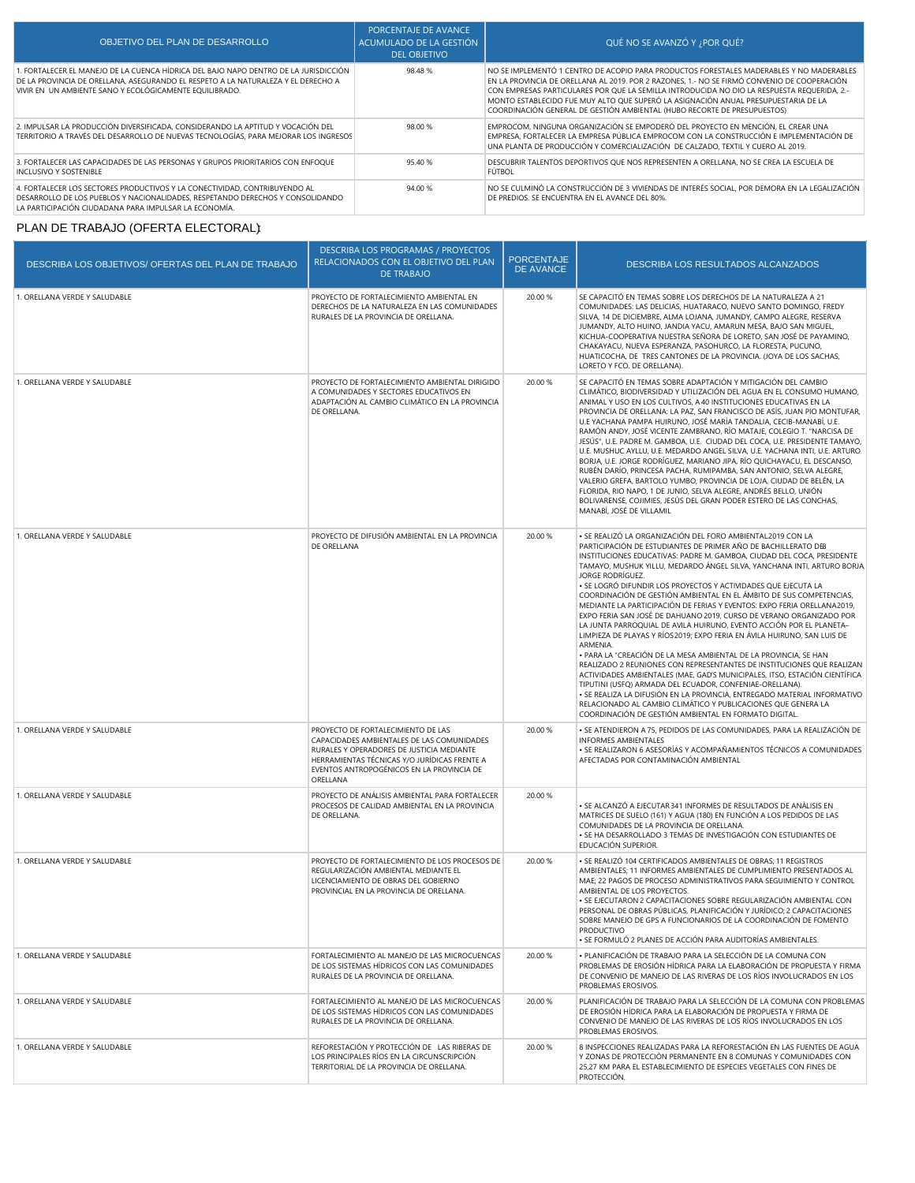| OBJETIVO DEL PLAN DE DESARROLLO                                                                                                                                                                                                      | PORCENTAJE DE AVANCE<br>ACUMULADO DE LA GESTIÓN<br><b>DEL OBJETIVO</b> | QUÉ NO SE AVANZÓ Y ; POR QUÉ?                                                                                                                                                                                                                                                                                                                                                                                                                            |
|--------------------------------------------------------------------------------------------------------------------------------------------------------------------------------------------------------------------------------------|------------------------------------------------------------------------|----------------------------------------------------------------------------------------------------------------------------------------------------------------------------------------------------------------------------------------------------------------------------------------------------------------------------------------------------------------------------------------------------------------------------------------------------------|
| 1. FORTALECER EL MANEJO DE LA CUENCA HÍDRICA DEL BAJO NAPO DENTRO DE LA JURISDICCIÓN<br>DE LA PROVINCIA DE ORELLANA, ASEGURANDO EL RESPETO A LA NATURALEZA Y EL DERECHO A<br>VIVIR EN UN AMBIENTE SANO Y ECOLÓGICAMENTE EQUILIBRADO. | 98.48%                                                                 | NO SE IMPLEMENTÓ 1 CENTRO DE ACOPIO PARA PRODUCTOS FORESTALES MADERABLES Y NO MADERABLES<br>EN LA PROVINCIA DE ORELLANA AL 2019, POR 2 RAZONES, 1.- NO SE FIRMÓ CONVENIO DE COOPERACIÓN<br>CON EMPRESAS PARTICULARES POR OUE LA SEMILLA INTRODUCIDA NO DIO LA RESPUESTA REQUERIDA. 2.-<br>MONTO ESTABLECIDO FUE MUY ALTO QUE SUPERÓ LA ASIGNACIÓN ANUAL PRESUPUESTARIA DE LA<br>COORDINACIÓN GENERAL DE GESTIÓN AMBIENTAL (HUBO RECORTE DE PRESUPUESTOS) |
| 2. IMPULSAR LA PRODUCCIÓN DIVERSIFICADA, CONSIDERANDO LA APTITUD Y VOCACIÓN DEL<br>TERRITORIO A TRAVÉS DEL DESARROLLO DE NUEVAS TECNOLOGÍAS, PARA MEJORAR LOS INGRESOS                                                               | 98.00 %                                                                | EMPROCOM, NINGUNA ORGANIZACIÓN SE EMPODERÓ DEL PROYECTO EN MENCIÓN, EL CREAR UNA<br>EMPRESA, FORTALECER LA EMPRESA PÚBLICA EMPROCOM CON LA CONSTRUCCIÓN E IMPLEMENTACIÓN DE<br>UNA PLANTA DE PRODUCCIÓN Y COMERCIALIZACIÓN DE CALZADO. TEXTIL Y CUERO AL 2019.                                                                                                                                                                                           |
| 3. FORTALECER LAS CAPACIDADES DE LAS PERSONAS Y GRUPOS PRIORITARIOS CON ENFOOUE<br><b>INCLUSIVO Y SOSTENIBLE</b>                                                                                                                     | 95.40%                                                                 | DESCUBRIR TALENTOS DEPORTIVOS QUE NOS REPRESENTEN A ORELLANA. NO SE CREA LA ESCUELA DE<br>FÚTBOL                                                                                                                                                                                                                                                                                                                                                         |
| 4. FORTALECER LOS SECTORES PRODUCTIVOS Y LA CONECTIVIDAD. CONTRIBUYENDO AL<br>DESARROLLO DE LOS PUEBLOS Y NACIONALIDADES, RESPETANDO DERECHOS Y CONSOLIDANDO<br>LA PARTICIPACIÓN CIUDADANA PARA IMPULSAR LA ECONOMÍA.                | 94.00 %                                                                | NO SE CULMINÓ LA CONSTRUCCIÓN DE 3 VIVIENDAS DE INTERÉS SOCIAL, POR DEMORA EN LA LEGALIZACIÓN<br>DE PREDIOS. SE ENCUENTRA EN EL AVANCE DEL 80%.                                                                                                                                                                                                                                                                                                          |

# PLAN DE TRABAJO (OFERTA ELECTORAL):

| DESCRIBA LOS OBJETIVOS/ OFERTAS DEL PLAN DE TRABAJO | <b>DESCRIBA LOS PROGRAMAS / PROYECTOS</b><br>RELACIONADOS CON EL OBJETIVO DEL PLAN<br><b>DE TRABAJO</b>                                                                                                                                | <b>PORCENTAJE</b><br><b>DE AVANCE</b> | DESCRIBA LOS RESULTADOS ALCANZADOS                                                                                                                                                                                                                                                                                                                                                                                                                                                                                                                                                                                                                                                                                                                                                                                                                                                                                                                                                                                                                                                                                                                                                                                                                           |
|-----------------------------------------------------|----------------------------------------------------------------------------------------------------------------------------------------------------------------------------------------------------------------------------------------|---------------------------------------|--------------------------------------------------------------------------------------------------------------------------------------------------------------------------------------------------------------------------------------------------------------------------------------------------------------------------------------------------------------------------------------------------------------------------------------------------------------------------------------------------------------------------------------------------------------------------------------------------------------------------------------------------------------------------------------------------------------------------------------------------------------------------------------------------------------------------------------------------------------------------------------------------------------------------------------------------------------------------------------------------------------------------------------------------------------------------------------------------------------------------------------------------------------------------------------------------------------------------------------------------------------|
| 1. ORELLANA VERDE Y SALUDABLE                       | PROYECTO DE FORTALECIMIENTO AMBIENTAL EN<br>DERECHOS DE LA NATURALEZA EN LAS COMUNIDADES<br>RURALES DE LA PROVINCIA DE ORELLANA.                                                                                                       | 20.00 %                               | SE CAPACITÓ EN TEMAS SOBRE LOS DERECHOS DE LA NATURALEZA A 21<br>COMUNIDADES: LAS DELICIAS, HUATARACO, NUEVO SANTO DOMINGO, FREDY<br>SILVA, 14 DE DICIEMBRE, ALMA LOJANA, JUMANDY, CAMPO ALEGRE, RESERVA<br>JUMANDY, ALTO HUINO, JANDIA YACU, AMARUN MESA, BAJO SAN MIGUEL,<br>KICHUA-COOPERATIVA NUESTRA SEÑORA DE LORETO, SAN JOSÉ DE PAYAMINO,<br>CHAKAYACU, NUEVA ESPERANZA, PASOHURCO, LA FLORESTA, PUCUNO,<br>HUATICOCHA, DE TRES CANTONES DE LA PROVINCIA. (JOYA DE LOS SACHAS,<br>LORETO Y FCO. DE ORELLANA).                                                                                                                                                                                                                                                                                                                                                                                                                                                                                                                                                                                                                                                                                                                                        |
| 1. ORELLANA VERDE Y SALUDABLE                       | PROYECTO DE FORTALECIMIENTO AMBIENTAL DIRIGIDO<br>A COMUNIDADES Y SECTORES EDUCATIVOS EN<br>ADAPTACIÓN AL CAMBIO CLIMÁTICO EN LA PROVINCIA<br>DE ORELLANA.                                                                             | 20.00 %                               | SE CAPACITÓ EN TEMAS SOBRE ADAPTACIÓN Y MITIGACIÓN DEL CAMBIO<br>CLIMÁTICO, BIODIVERSIDAD Y UTILIZACIÓN DEL AGUA EN EL CONSUMO HUMANO,<br>ANIMAL Y USO EN LOS CULTIVOS, A 40 INSTITUCIONES EDUCATIVAS EN LA<br>PROVINCIA DE ORELLANA: LA PAZ, SAN FRANCISCO DE ASÍS, JUAN PIO MONTUFAR,<br>U.E YACHANA PAMPA HUIRUNO, JOSÉ MARÍA TANDALIA, CECIB-MANABÍ, U.E.<br>RAMÓN ANDY, JOSÉ VICENTE ZAMBRANO, RÌO MATAJE, COLEGIO T. "NARCISA DE<br>JESÚS", U.E. PADRE M. GAMBOA, U.E. CIUDAD DEL COCA, U.E. PRESIDENTE TAMAYO,<br>U.E. MUSHUC AYLLU, U.E. MEDARDO ANGEL SILVA, U.E. YACHANA INTI, U.E. ARTURO<br>BORJA, U.E. JORGE RODRÍGUEZ, MARIANO JIPA, RÍO QUICHAYACU, EL DESCANSO,<br>RUBÉN DARÍO, PRINCESA PACHA, RUMIPAMBA, SAN ANTONIO, SELVA ALEGRE,<br>VALERIO GREFA, BARTOLO YUMBO, PROVINCIA DE LOJA, CIUDAD DE BELÉN, LA<br>FLORIDA, RIO NAPO, 1 DE JUNIO, SELVA ALEGRE, ANDRÉS BELLO, UNIÓN<br>BOLIVARENSE, COJIMIES, JESÚS DEL GRAN PODER ESTERO DE LAS CONCHAS,<br>MANABÍ, JOSÉ DE VILLAMIL                                                                                                                                                                                                                                                          |
| 1. ORELLANA VERDE Y SALUDABLE                       | PROYECTO DE DIFUSIÓN AMBIENTAL EN LA PROVINCIA<br>DE ORELLANA                                                                                                                                                                          | 20.00 %                               | · SE REALIZÓ LA ORGANIZACIÓN DEL FORO AMBIENTAL2019 CON LA<br>PARTICIPACIÓN DE ESTUDIANTES DE PRIMER AÑO DE BACHILLERATO DE8<br>INSTITUCIONES EDUCATIVAS: PADRE M. GAMBOA, CIUDAD DEL COCA, PRESIDENTE<br>TAMAYO, MUSHUK YILLU, MEDARDO ÁNGEL SILVA, YANCHANA INTI, ARTURO BORJA<br>JORGE RODRÍGUEZ.<br>· SE LOGRÓ DIFUNDIR LOS PROYECTOS Y ACTIVIDADES QUE EJECUTA LA<br>COORDINACIÓN DE GESTIÓN AMBIENTAL EN EL ÁMBITO DE SUS COMPETENCIAS,<br>MEDIANTE LA PARTICIPACIÓN DE FERIAS Y EVENTOS: EXPO FERIA ORELLANA2019,<br>EXPO FERIA SAN JOSÉ DE DAHUANO 2019, CURSO DE VERANO ORGANIZADO POR<br>LA JUNTA PARROQUIAL DE AVILA HUIRUNO, EVENTO ACCIÓN POR EL PLANETA-<br>LIMPIEZA DE PLAYAS Y RÍOS 2019; EXPO FERIA EN ÁVILA HUIRUNO, SAN LUIS DE<br>ARMENIA.<br>· PARA LA "CREACIÓN DE LA MESA AMBIENTAL DE LA PROVINCIA, SE HAN<br>REALIZADO 2 REUNIONES CON REPRESENTANTES DE INSTITUCIONES QUE REALIZAN<br>ACTIVIDADES AMBIENTALES (MAE, GAD'S MUNICIPALES, ITSO, ESTACIÓN CIENTÍFICA<br>TIPUTINI (USFQ) ARMADA DEL ECUADOR, CONFENIAE-ORELLANA).<br>· SE REALIZA LA DIFUSIÓN EN LA PROVINCIA, ENTREGADO MATERIAL INFORMATIVO<br>RELACIONADO AL CAMBIO CLIMÁTICO Y PUBLICACIONES QUE GENERA LA<br>COORDINACIÓN DE GESTIÓN AMBIENTAL EN FORMATO DIGITAL. |
| 1. ORELLANA VERDE Y SALUDABLE                       | PROYECTO DE FORTALECIMIENTO DE LAS<br>CAPACIDADES AMBIENTALES DE LAS COMUNIDADES<br>RURALES Y OPERADORES DE JUSTICIA MEDIANTE<br>HERRAMIENTAS TÉCNICAS Y/O JURÍDICAS FRENTE A<br>EVENTOS ANTROPOGÉNICOS EN LA PROVINCIA DE<br>ORELLANA | 20.00 %                               | · SE ATENDIERON A 75, PEDIDOS DE LAS COMUNIDADES, PARA LA REALIZACIÓN DE<br><b>INFORMES AMBIENTALES</b><br>• SE REALIZARON 6 ASESORÍAS Y ACOMPAÑAMIENTOS TÉCNICOS A COMUNIDADES<br>AFECTADAS POR CONTAMINACIÓN AMBIENTAL                                                                                                                                                                                                                                                                                                                                                                                                                                                                                                                                                                                                                                                                                                                                                                                                                                                                                                                                                                                                                                     |
| 1. ORELLANA VERDE Y SALUDABLE                       | PROYECTO DE ANÁLISIS AMBIENTAL PARA FORTALECER<br>PROCESOS DE CALIDAD AMBIENTAL EN LA PROVINCIA<br>DE ORELLANA.                                                                                                                        | 20.00 %                               | · SE ALCANZÓ A EJECUTAR 341 INFORMES DE RESULTADOS DE ANÁLISIS EN<br>MATRICES DE SUELO (161) Y AGUA (180) EN FUNCIÓN A LOS PEDIDOS DE LAS<br>COMUNIDADES DE LA PROVINCIA DE ORELLANA.<br>· SE HA DESARROLLADO 3 TEMAS DE INVESTIGACIÓN CON ESTUDIANTES DE<br>EDUCACIÓN SUPERIOR.                                                                                                                                                                                                                                                                                                                                                                                                                                                                                                                                                                                                                                                                                                                                                                                                                                                                                                                                                                             |
| 1. ORELLANA VERDE Y SALUDABLE                       | PROYECTO DE FORTALECIMIENTO DE LOS PROCESOS DE<br>REGULARIZACIÓN AMBIENTAL MEDIANTE EL<br>LICENCIAMIENTO DE OBRAS DEL GOBIERNO<br>PROVINCIAL EN LA PROVINCIA DE ORELLANA.                                                              | 20.00 %                               | · SE REALIZÓ 104 CERTIFICADOS AMBIENTALES DE OBRAS; 11 REGISTROS<br>AMBIENTALES; 11 INFORMES AMBIENTALES DE CUMPLIMIENTO PRESENTADOS AL<br>MAE; 22 PAGOS DE PROCESO ADMINISTRATIVOS PARA SEGUIMIENTO Y CONTROL<br>AMBIENTAL DE LOS PROYECTOS.<br>· SE EJECUTARON 2 CAPACITACIONES SOBRE REGULARIZACIÓN AMBIENTAL CON<br>PERSONAL DE OBRAS PÚBLICAS, PLANIFICACIÓN Y JURÍDICO; 2 CAPACITACIONES<br>SOBRE MANEJO DE GPS A FUNCIONARIOS DE LA COORDINACIÓN DE FOMENTO<br><b>PRODUCTIVO</b><br>· SE FORMULÓ 2 PLANES DE ACCIÓN PARA AUDITORÍAS AMBIENTALES.                                                                                                                                                                                                                                                                                                                                                                                                                                                                                                                                                                                                                                                                                                      |
| 1. ORELLANA VERDE Y SALUDABLE                       | FORTALECIMIENTO AL MANEJO DE LAS MICROCUENCAS<br>DE LOS SISTEMAS HÍDRICOS CON LAS COMUNIDADES<br>RURALES DE LA PROVINCIA DE ORELLANA.                                                                                                  | 20.00 %                               | · PLANIFICACIÓN DE TRABAJO PARA LA SELECCIÓN DE LA COMUNA CON<br>PROBLEMAS DE EROSIÓN HÍDRICA PARA LA ELABORACIÓN DE PROPUESTA Y FIRMA<br>DE CONVENIO DE MANEJO DE LAS RIVERAS DE LOS RÍOS INVOLUCRADOS EN LOS<br>PROBLEMAS EROSIVOS.                                                                                                                                                                                                                                                                                                                                                                                                                                                                                                                                                                                                                                                                                                                                                                                                                                                                                                                                                                                                                        |
| 1. ORELLANA VERDE Y SALUDABLE                       | FORTALECIMIENTO AL MANEJO DE LAS MICROCUENCAS<br>DE LOS SISTEMAS HÍDRICOS CON LAS COMUNIDADES<br>RURALES DE LA PROVINCIA DE ORELLANA.                                                                                                  | 20.00 %                               | PLANIFICACIÓN DE TRABAJO PARA LA SELECCIÓN DE LA COMUNA CON PROBLEMAS<br>DE EROSIÓN HÍDRICA PARA LA ELABORACIÓN DE PROPUESTA Y FIRMA DE<br>CONVENIO DE MANEJO DE LAS RIVERAS DE LOS RÍOS INVOLUCRADOS EN LOS<br>PROBLEMAS EROSIVOS.                                                                                                                                                                                                                                                                                                                                                                                                                                                                                                                                                                                                                                                                                                                                                                                                                                                                                                                                                                                                                          |
| 1. ORELLANA VERDE Y SALUDABLE                       | REFORESTACIÓN Y PROTECCIÓN DE LAS RIBERAS DE<br>LOS PRINCIPALES RÍOS EN LA CIRCUNSCRIPCIÓN<br>TERRITORIAL DE LA PROVINCIA DE ORELLANA.                                                                                                 | 20.00 %                               | 8 INSPECCIONES REALIZADAS PARA LA REFORESTACIÓN EN LAS FUENTES DE AGUA<br>Y ZONAS DE PROTECCIÓN PERMANENTE EN 8 COMUNAS Y COMUNIDADES CON<br>25,27 KM PARA EL ESTABLECIMIENTO DE ESPECIES VEGETALES CON FINES DE<br>PROTECCIÓN.                                                                                                                                                                                                                                                                                                                                                                                                                                                                                                                                                                                                                                                                                                                                                                                                                                                                                                                                                                                                                              |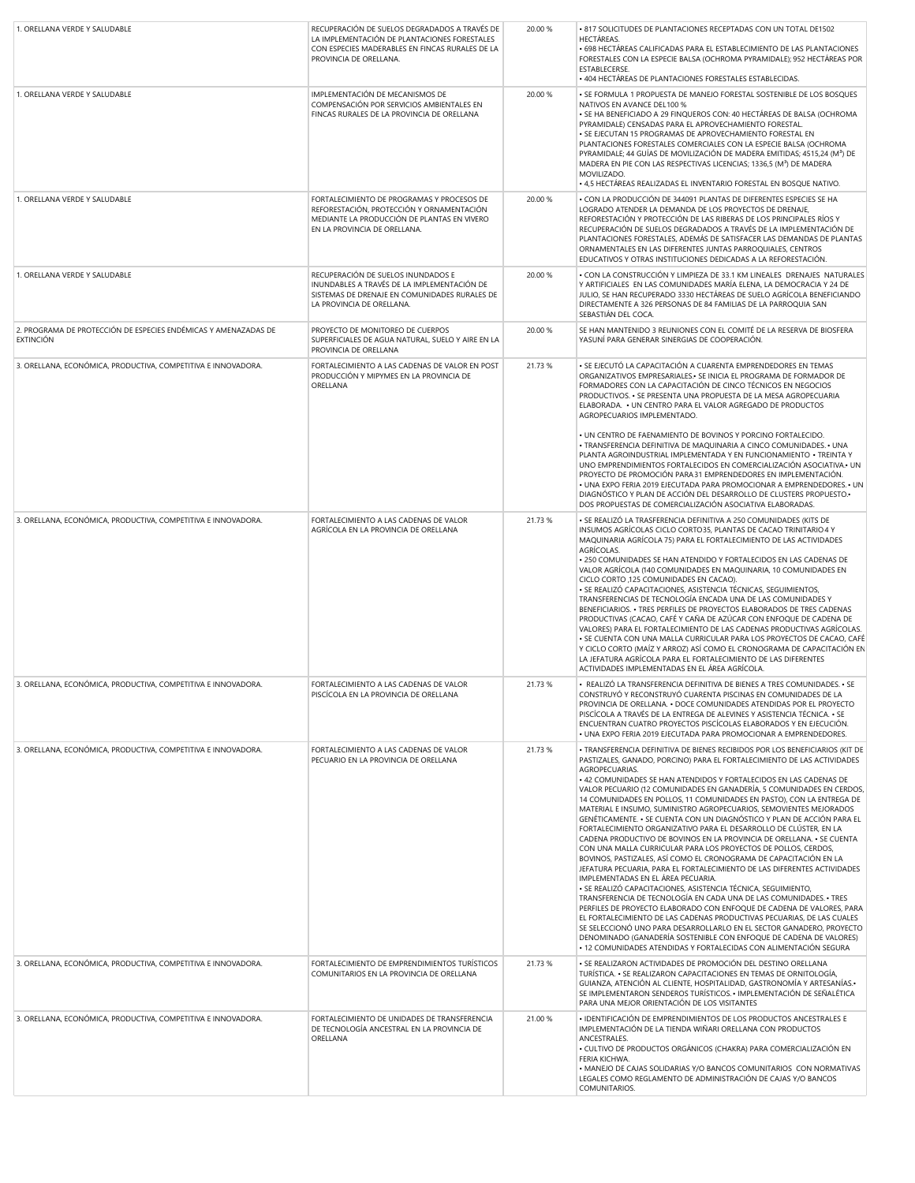| 1. ORELLANA VERDE Y SALUDABLE                                                       | RECUPERACIÓN DE SUELOS DEGRADADOS A TRAVÉS DE<br>LA IMPLEMENTACIÓN DE PLANTACIONES FORESTALES<br>CON ESPECIES MADERABLES EN FINCAS RURALES DE LA<br>PROVINCIA DE ORELLANA. | 20.00 % | . 817 SOLICITUDES DE PLANTACIONES RECEPTADAS CON UN TOTAL DE1502<br><b>HECTAREAS.</b><br>. 698 HECTÁREAS CALIFICADAS PARA EL ESTABLECIMIENTO DE LAS PLANTACIONES<br>FORESTALES CON LA ESPECIE BALSA (OCHROMA PYRAMIDALE); 952 HECTÁREAS POR<br><b>ESTABLECERSE.</b><br>· 404 HECTÁREAS DE PLANTACIONES FORESTALES ESTABLECIDAS.                                                                                                                                                                                                                                                                                                                                                                                                                                                                                                                                                                                                                                                                                                                                                                                                                                                                                                                                                                                                                                                                                                                                       |
|-------------------------------------------------------------------------------------|----------------------------------------------------------------------------------------------------------------------------------------------------------------------------|---------|-----------------------------------------------------------------------------------------------------------------------------------------------------------------------------------------------------------------------------------------------------------------------------------------------------------------------------------------------------------------------------------------------------------------------------------------------------------------------------------------------------------------------------------------------------------------------------------------------------------------------------------------------------------------------------------------------------------------------------------------------------------------------------------------------------------------------------------------------------------------------------------------------------------------------------------------------------------------------------------------------------------------------------------------------------------------------------------------------------------------------------------------------------------------------------------------------------------------------------------------------------------------------------------------------------------------------------------------------------------------------------------------------------------------------------------------------------------------------|
| 1. ORELLANA VERDE Y SALUDABLE                                                       | IMPLEMENTACIÓN DE MECANISMOS DE<br>COMPENSACIÓN POR SERVICIOS AMBIENTALES EN<br>FINCAS RURALES DE LA PROVINCIA DE ORELLANA                                                 | 20.00 % | . SE FORMULA 1 PROPUESTA DE MANEJO FORESTAL SOSTENIBLE DE LOS BOSQUES<br>NATIVOS EN AVANCE DEL100 %<br>· SE HA BENEFICIADO A 29 FINQUEROS CON: 40 HECTÁREAS DE BALSA (OCHROMA<br>PYRAMIDALE) CENSADAS PARA EL APROVECHAMIENTO FORESTAL.<br>· SE EJECUTAN 15 PROGRAMAS DE APROVECHAMIENTO FORESTAL EN<br>PLANTACIONES FORESTALES COMERCIALES CON LA ESPECIE BALSA (OCHROMA<br>PYRAMIDALE; 44 GUÍAS DE MOVILIZACIÓN DE MADERA EMITIDAS; 4515,24 (M <sup>3</sup> ) DE<br>MADERA EN PIE CON LAS RESPECTIVAS LICENCIAS; 1336,5 (M <sup>3</sup> ) DE MADERA<br>MOVILIZADO.<br>· 4,5 HECTÁREAS REALIZADAS EL INVENTARIO FORESTAL EN BOSQUE NATIVO.                                                                                                                                                                                                                                                                                                                                                                                                                                                                                                                                                                                                                                                                                                                                                                                                                           |
| 1. ORELLANA VERDE Y SALUDABLE                                                       | FORTALECIMIENTO DE PROGRAMAS Y PROCESOS DE<br>REFORESTACIÓN, PROTECCIÓN Y ORNAMENTACIÓN<br>MEDIANTE LA PRODUCCIÓN DE PLANTAS EN VIVERO<br>EN LA PROVINCIA DE ORELLANA.     | 20.00 % | · CON LA PRODUCCIÓN DE 344091 PLANTAS DE DIFERENTES ESPECIES SE HA<br>LOGRADO ATENDER LA DEMANDA DE LOS PROYECTOS DE DRENAJE.<br>REFORESTACIÓN Y PROTECCIÓN DE LAS RIBERAS DE LOS PRINCIPALES RÍOS Y<br>RECUPERACIÓN DE SUELOS DEGRADADOS A TRAVÉS DE LA IMPLEMENTACIÓN DE<br>PLANTACIONES FORESTALES, ADEMÁS DE SATISFACER LAS DEMANDAS DE PLANTAS<br>ORNAMENTALES EN LAS DIFERENTES JUNTAS PARROQUIALES, CENTROS<br>EDUCATIVOS Y OTRAS INSTITUCIONES DEDICADAS A LA REFORESTACIÓN.                                                                                                                                                                                                                                                                                                                                                                                                                                                                                                                                                                                                                                                                                                                                                                                                                                                                                                                                                                                  |
| 1. ORELLANA VERDE Y SALUDABLE                                                       | RECUPERACIÓN DE SUELOS INUNDADOS E<br>INUNDABLES A TRAVÉS DE LA IMPLEMENTACIÓN DE<br>SISTEMAS DE DRENAJE EN COMUNIDADES RURALES DE<br>LA PROVINCIA DE ORELLANA.            | 20.00 % | . CON LA CONSTRUCCIÓN Y LIMPIEZA DE 33.1 KM LINEALES DRENAJES NATURALES<br>Y ARTIFICIALES EN LAS COMUNIDADES MARÍA ELENA, LA DEMOCRACIA Y 24 DE<br>JULIO, SE HAN RECUPERADO 3330 HECTÁREAS DE SUELO AGRÍCOLA BENEFICIANDO<br>DIRECTAMENTE A 326 PERSONAS DE 84 FAMILIAS DE LA PARROQUIA SAN<br>SEBASTIÁN DEL COCA.                                                                                                                                                                                                                                                                                                                                                                                                                                                                                                                                                                                                                                                                                                                                                                                                                                                                                                                                                                                                                                                                                                                                                    |
| 2. PROGRAMA DE PROTECCIÓN DE ESPECIES ENDÉMICAS Y AMENAZADAS DE<br><b>EXTINCIÓN</b> | PROYECTO DE MONITOREO DE CUERPOS<br>SUPERFICIALES DE AGUA NATURAL. SUELO Y AIRE EN LA<br>PROVINCIA DE ORELLANA                                                             | 20.00 % | SE HAN MANTENIDO 3 REUNIONES CON EL COMITÉ DE LA RESERVA DE BIOSFERA<br>YASUNÍ PARA GENERAR SINERGIAS DE COOPERACIÓN.                                                                                                                                                                                                                                                                                                                                                                                                                                                                                                                                                                                                                                                                                                                                                                                                                                                                                                                                                                                                                                                                                                                                                                                                                                                                                                                                                 |
| 3. ORELLANA, ECONÓMICA, PRODUCTIVA, COMPETITIVA E INNOVADORA.                       | FORTALECIMIENTO A LAS CADENAS DE VALOR EN POST<br>PRODUCCIÓN Y MIPYMES EN LA PROVINCIA DE<br>ORELLANA                                                                      | 21.73 % | · SE EJECUTÓ LA CAPACITACIÓN A CUARENTA EMPRENDEDORES EN TEMAS<br>ORGANIZATIVOS EMPRESARIALES. SE INICIA EL PROGRAMA DE FORMADOR DE<br>FORMADORES CON LA CAPACITACIÓN DE CINCO TÉCNICOS EN NEGOCIOS<br>PRODUCTIVOS. • SE PRESENTA UNA PROPUESTA DE LA MESA AGROPECUARIA<br>ELABORADA. • UN CENTRO PARA EL VALOR AGREGADO DE PRODUCTOS<br>AGROPECUARIOS IMPLEMENTADO.                                                                                                                                                                                                                                                                                                                                                                                                                                                                                                                                                                                                                                                                                                                                                                                                                                                                                                                                                                                                                                                                                                  |
|                                                                                     |                                                                                                                                                                            |         | . UN CENTRO DE FAENAMIENTO DE BOVINOS Y PORCINO FORTALECIDO.<br>· TRANSFERENCIA DEFINITIVA DE MAQUINARIA A CINCO COMUNIDADES. • UNA<br>PLANTA AGROINDUSTRIAL IMPLEMENTADA Y EN FUNCIONAMIENTO · TREINTA Y<br>UNO EMPRENDIMIENTOS FORTALECIDOS EN COMERCIALIZACIÓN ASOCIATIVA. UN<br>PROYECTO DE PROMOCIÓN PARA 31 EMPRENDEDORES EN IMPLEMENTACIÓN.<br>. UNA EXPO FERIA 2019 EJECUTADA PARA PROMOCIONAR A EMPRENDEDORES. · UN<br>DIAGNÓSTICO Y PLAN DE ACCIÓN DEL DESARROLLO DE CLUSTERS PROPUESTO.<br>DOS PROPUESTAS DE COMERCIALIZACIÓN ASOCIATIVA ELABORADAS.                                                                                                                                                                                                                                                                                                                                                                                                                                                                                                                                                                                                                                                                                                                                                                                                                                                                                                       |
| 3. ORELLANA, ECONÓMICA, PRODUCTIVA, COMPETITIVA E INNOVADORA.                       | FORTALECIMIENTO A LAS CADENAS DE VALOR<br>AGRÍCOLA EN LA PROVINCIA DE ORELLANA                                                                                             | 21.73 % | · SE REALIZÓ LA TRASFERENCIA DEFINITIVA A 250 COMUNIDADES (KITS DE<br>INSUMOS AGRÍCOLAS CICLO CORTO35, PLANTAS DE CACAO TRINITARIO 4 Y<br>MAQUINARIA AGRÍCOLA 75) PARA EL FORTALECIMIENTO DE LAS ACTIVIDADES<br>AGRÍCOLAS.<br>. 250 COMUNIDADES SE HAN ATENDIDO Y FORTALECIDOS EN LAS CADENAS DE<br>VALOR AGRÍCOLA (140 COMUNIDADES EN MAQUINARIA, 10 COMUNIDADES EN<br>CICLO CORTO ,125 COMUNIDADES EN CACAO).<br>· SE REALIZÓ CAPACITACIONES, ASISTENCIA TÉCNICAS, SEGUIMIENTOS,<br>TRANSFERENCIAS DE TECNOLOGÍA ENCADA UNA DE LAS COMUNIDADES Y<br>BENEFICIARIOS. • TRES PERFILES DE PROYECTOS ELABORADOS DE TRES CADENAS<br>PRODUCTIVAS (CACAO, CAFÉ Y CAÑA DE AZÚCAR CON ENFOQUE DE CADENA DE<br>VALORES) PARA EL FORTALECIMIENTO DE LAS CADENAS PRODUCTIVAS AGRÍCOLAS.<br>· SE CUENTA CON UNA MALLA CURRICULAR PARA LOS PROYECTOS DE CACAO, CAFÉ<br>Y CICLO CORTO (MAÍZ Y ARROZ) ASÍ COMO EL CRONOGRAMA DE CAPACITACIÓN EN<br>LA JEFATURA AGRÍCOLA PARA EL FORTALECIMIENTO DE LAS DIFERENTES<br>ACTIVIDADES IMPLEMENTADAS EN EL ÁREA AGRÍCOLA.                                                                                                                                                                                                                                                                                                                                                                                                                  |
| 3. ORELLANA, ECONÓMICA, PRODUCTIVA, COMPETITIVA E INNOVADORA.                       | FORTALECIMIENTO A LAS CADENAS DE VALOR<br>PISCICOLA EN LA PROVINCIA DE ORELLANA                                                                                            | 21.73 % | · REALIZÓ LA TRANSFERENCIA DEFINITIVA DE BIENES A TRES COMUNIDADES. • SE<br>CONSTRUYO Y RECONSTRUYO CUARENTA PISCINAS EN COMUNIDADES DE LA<br>PROVINCIA DE ORELLANA. • DOCE COMUNIDADES ATENDIDAS POR EL PROYECTO<br>PISCÍCOLA A TRAVÉS DE LA ENTREGA DE ALEVINES Y ASISTENCIA TÉCNICA. • SE<br>ENCUENTRAN CUATRO PROYECTOS PISCÍCOLAS ELABORADOS Y EN EJECUCIÓN.<br>. UNA EXPO FERIA 2019 EJECUTADA PARA PROMOCIONAR A EMPRENDEDORES.                                                                                                                                                                                                                                                                                                                                                                                                                                                                                                                                                                                                                                                                                                                                                                                                                                                                                                                                                                                                                                |
| 3. ORELLANA, ECONÓMICA, PRODUCTIVA, COMPETITIVA E INNOVADORA.                       | FORTALECIMIENTO A LAS CADENAS DE VALOR<br>PECUARIO EN LA PROVINCIA DE ORELLANA                                                                                             | 21.73%  | . TRANSFERENCIA DEFINITIVA DE BIENES RECIBIDOS POR LOS BENEFICIARIOS (KIT DE<br>PASTIZALES, GANADO, PORCINO) PARA EL FORTALECIMIENTO DE LAS ACTIVIDADES<br>AGROPECUARIAS.<br>. 42 COMUNIDADES SE HAN ATENDIDOS Y FORTALECIDOS EN LAS CADENAS DE<br>VALOR PECUARIO (12 COMUNIDADES EN GANADERÍA, 5 COMUNIDADES EN CERDOS,<br>14 COMUNIDADES EN POLLOS, 11 COMUNIDADES EN PASTO), CON LA ENTREGA DE<br>MATERIAL E INSUMO, SUMINISTRO AGROPECUARIOS, SEMOVIENTES MEJORADOS<br>GENÉTICAMENTE. • SE CUENTA CON UN DIAGNÓSTICO Y PLAN DE ACCIÓN PARA EL<br>FORTALECIMIENTO ORGANIZATIVO PARA EL DESARROLLO DE CLÚSTER, EN LA<br>CADENA PRODUCTIVO DE BOVINOS EN LA PROVINCIA DE ORELLANA. • SE CUENTA<br>CON UNA MALLA CURRICULAR PARA LOS PROYECTOS DE POLLOS, CERDOS,<br>BOVINOS, PASTIZALES, ASÍ COMO EL CRONOGRAMA DE CAPACITACIÓN EN LA<br>JEFATURA PECUARIA, PARA EL FORTALECIMIENTO DE LAS DIFERENTES ACTIVIDADES<br>IMPLEMENTADAS EN EL ÁREA PECUARIA.<br>· SE REALIZÓ CAPACITACIONES, ASISTENCIA TÉCNICA, SEGUIMIENTO,<br>TRANSFERENCIA DE TECNOLOGÍA EN CADA UNA DE LAS COMUNIDADES. • TRES<br>PERFILES DE PROYECTO ELABORADO CON ENFOQUE DE CADENA DE VALORES, PARA<br>EL FORTALECIMIENTO DE LAS CADENAS PRODUCTIVAS PECUARIAS, DE LAS CUALES<br>SE SELECCIONÓ UNO PARA DESARROLLARLO EN EL SECTOR GANADERO, PROYECTO<br>DENOMINADO (GANADERÍA SOSTENIBLE CON ENFOQUE DE CADENA DE VALORES)<br>· 12 COMUNIDADES ATENDIDAS Y FORTALECIDAS CON ALIMENTACIÓN SEGURA |
| 3. ORELLANA, ECONÓMICA, PRODUCTIVA, COMPETITIVA E INNOVADORA.                       | FORTALECIMIENTO DE EMPRENDIMIENTOS TURÍSTICOS<br>COMUNITARIOS EN LA PROVINCIA DE ORELLANA                                                                                  | 21.73 % | · SE REALIZARON ACTIVIDADES DE PROMOCIÓN DEL DESTINO ORELLANA<br>TURÍSTICA. • SE REALIZARON CAPACITACIONES EN TEMAS DE ORNITOLOGÍA,<br>GUIANZA, ATENCIÓN AL CLIENTE, HOSPITALIDAD, GASTRONOMÍA Y ARTESANÍAS.<br>SE IMPLEMENTARON SENDEROS TURÍSTICOS. • IMPLEMENTACIÓN DE SEÑALÉTICA<br>PARA UNA MEJOR ORIENTACIÓN DE LOS VISITANTES                                                                                                                                                                                                                                                                                                                                                                                                                                                                                                                                                                                                                                                                                                                                                                                                                                                                                                                                                                                                                                                                                                                                  |
| 3. ORELLANA, ECONÓMICA, PRODUCTIVA, COMPETITIVA E INNOVADORA.                       | FORTALECIMIENTO DE UNIDADES DE TRANSFERENCIA<br>DE TECNOLOGÍA ANCESTRAL EN LA PROVINCIA DE<br>ORELLANA                                                                     | 21.00 % | · IDENTIFICACIÓN DE EMPRENDIMIENTOS DE LOS PRODUCTOS ANCESTRALES E<br>IMPLEMENTACIÓN DE LA TIENDA WIÑARI ORELLANA CON PRODUCTOS<br>ANCESTRALES.<br>· CULTIVO DE PRODUCTOS ORGÁNICOS (CHAKRA) PARA COMERCIALIZACIÓN EN<br>FERIA KICHWA.<br>. MANEJO DE CAJAS SOLIDARIAS Y/O BANCOS COMUNITARIOS CON NORMATIVAS<br>LEGALES COMO REGLAMENTO DE ADMINISTRACIÓN DE CAJAS Y/O BANCOS<br>COMUNITARIOS.                                                                                                                                                                                                                                                                                                                                                                                                                                                                                                                                                                                                                                                                                                                                                                                                                                                                                                                                                                                                                                                                       |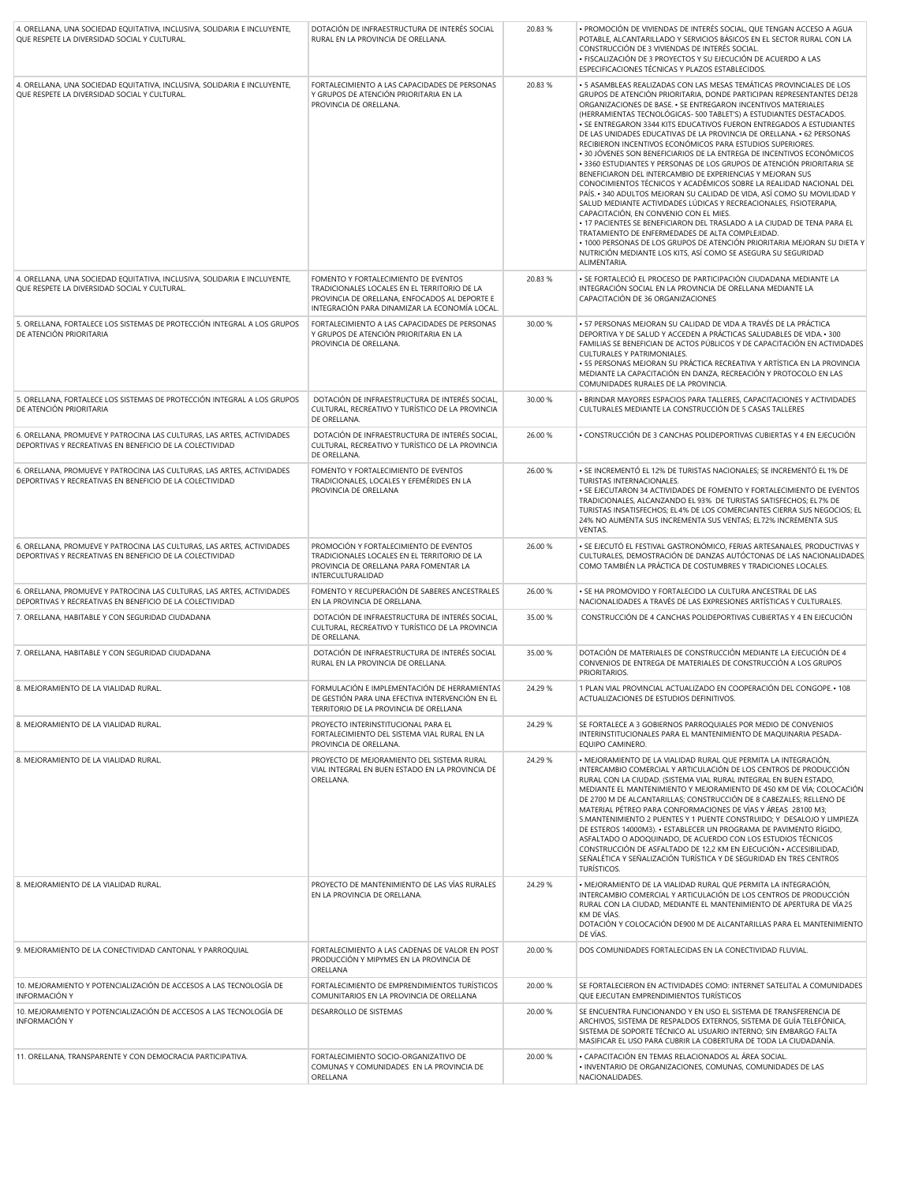| 4. ORELLANA, UNA SOCIEDAD EQUITATIVA, INCLUSIVA, SOLIDARIA E INCLUYENTE,<br>QUE RESPETE LA DIVERSIDAD SOCIAL Y CULTURAL.           | DOTACIÓN DE INFRAESTRUCTURA DE INTERÉS SOCIAL<br>RURAL EN LA PROVINCIA DE ORELLANA.                                                                                                    | 20.83 % | • PROMOCIÓN DE VIVIENDAS DE INTERÉS SOCIAL, QUE TENGAN ACCESO A AGUA<br>POTABLE, ALCANTARILLADO Y SERVICIOS BÁSICOS EN EL SECTOR RURAL CON LA<br>CONSTRUCCIÓN DE 3 VIVIENDAS DE INTERÉS SOCIAL.<br>· FISCALIZACIÓN DE 3 PROYECTOS Y SU EJECUCIÓN DE ACUERDO A LAS<br>ESPECIFICACIONES TÉCNICAS Y PLAZOS ESTABLECIDOS.                                                                                                                                                                                                                                                                                                                                                                                                                                                                                                                                                                                                                                                                                                                                                                                                                                                                                                                                                             |
|------------------------------------------------------------------------------------------------------------------------------------|----------------------------------------------------------------------------------------------------------------------------------------------------------------------------------------|---------|-----------------------------------------------------------------------------------------------------------------------------------------------------------------------------------------------------------------------------------------------------------------------------------------------------------------------------------------------------------------------------------------------------------------------------------------------------------------------------------------------------------------------------------------------------------------------------------------------------------------------------------------------------------------------------------------------------------------------------------------------------------------------------------------------------------------------------------------------------------------------------------------------------------------------------------------------------------------------------------------------------------------------------------------------------------------------------------------------------------------------------------------------------------------------------------------------------------------------------------------------------------------------------------|
| 4. ORELLANA, UNA SOCIEDAD EQUITATIVA, INCLUSIVA, SOLIDARIA E INCLUYENTE,<br>QUE RESPETE LA DIVERSIDAD SOCIAL Y CULTURAL.           | FORTALECIMIENTO A LAS CAPACIDADES DE PERSONAS<br>Y GRUPOS DE ATENCIÓN PRIORITARIA EN LA<br>PROVINCIA DE ORELLANA.                                                                      | 20.83 % | • 5 ASAMBLEAS REALIZADAS CON LAS MESAS TEMÁTICAS PROVINCIALES DE LOS<br>GRUPOS DE ATENCIÓN PRIORITARIA, DONDE PARTICIPAN REPRESENTANTES DE128<br>ORGANIZACIONES DE BASE. • SE ENTREGARON INCENTIVOS MATERIALES<br>(HERRAMIENTAS TECNOLÓGICAS-500 TABLET'S) A ESTUDIANTES DESTACADOS.<br>. SE ENTREGARON 3344 KITS EDUCATIVOS FUERON ENTREGADOS A ESTUDIANTES<br>DE LAS UNIDADES EDUCATIVAS DE LA PROVINCIA DE ORELLANA. • 62 PERSONAS<br>RECIBIERON INCENTIVOS ECONÓMICOS PARA ESTUDIOS SUPERIORES.<br>• 30 JÓVENES SON BENEFICIARIOS DE LA ENTREGA DE INCENTIVOS ECONÓMICOS<br>· 3360 ESTUDIANTES Y PERSONAS DE LOS GRUPOS DE ATENCIÓN PRIORITARIA SE<br>BENEFICIARON DEL INTERCAMBIO DE EXPERIENCIAS Y MEJORAN SUS<br>CONOCIMIENTOS TÉCNICOS Y ACADÉMICOS SOBRE LA REALIDAD NACIONAL DEL<br>PAÍS. • 340 ADULTOS MEJORAN SU CALIDAD DE VIDA. ASÍ COMO SU MOVILIDAD Y<br>SALUD MEDIANTE ACTIVIDADES LÚDICAS Y RECREACIONALES, FISIOTERAPIA,<br>CAPACITACIÓN, EN CONVENIO CON EL MIES.<br>. 17 PACIENTES SE BENEFICIARON DEL TRASLADO A LA CIUDAD DE TENA PARA EL<br>TRATAMIENTO DE ENFERMEDADES DE ALTA COMPLEJIDAD.<br>. 1000 PERSONAS DE LOS GRUPOS DE ATENCIÓN PRIORITARIA MEJORAN SU DIETA Y<br>NUTRICIÓN MEDIANTE LOS KITS, ASÍ COMO SE ASEGURA SU SEGURIDAD<br>ALIMENTARIA. |
| 4. ORELLANA, UNA SOCIEDAD EQUITATIVA, INCLUSIVA, SOLIDARIA E INCLUYENTE,<br>QUE RESPETE LA DIVERSIDAD SOCIAL Y CULTURAL.           | FOMENTO Y FORTALECIMIENTO DE EVENTOS<br>TRADICIONALES LOCALES EN EL TERRITORIO DE LA<br>PROVINCIA DE ORELLANA, ENFOCADOS AL DEPORTE E<br>INTEGRACIÓN PARA DINAMIZAR LA ECONOMÍA LOCAL. | 20.83 % | • SE FORTALECIÓ EL PROCESO DE PARTICIPACIÓN CIUDADANA MEDIANTE LA<br>INTEGRACIÓN SOCIAL EN LA PROVINCIA DE ORELLANA MEDIANTE LA<br>CAPACITACIÓN DE 36 ORGANIZACIONES                                                                                                                                                                                                                                                                                                                                                                                                                                                                                                                                                                                                                                                                                                                                                                                                                                                                                                                                                                                                                                                                                                              |
| 5. ORELLANA, FORTALECE LOS SISTEMAS DE PROTECCIÓN INTEGRAL A LOS GRUPOS<br>DE ATENCIÓN PRIORITARIA                                 | FORTALECIMIENTO A LAS CAPACIDADES DE PERSONAS<br>Y GRUPOS DE ATENCIÓN PRIORITARIA EN LA<br>PROVINCIA DE ORELLANA.                                                                      | 30.00 % | · 57 PERSONAS MEJORAN SU CALIDAD DE VIDA A TRAVÉS DE LA PRÁCTICA<br>DEPORTIVA Y DE SALUD Y ACCEDEN A PRÁCTICAS SALUDABLES DE VIDA. • 300<br>FAMILIAS SE BENEFICIAN DE ACTOS PÚBLICOS Y DE CAPACITACIÓN EN ACTIVIDADES<br>CULTURALES Y PATRIMONIALES.<br>· 55 PERSONAS MEJORAN SU PRÁCTICA RECREATIVA Y ARTÍSTICA EN LA PROVINCIA<br>MEDIANTE LA CAPACITACIÓN EN DANZA, RECREACIÓN Y PROTOCOLO EN LAS<br>COMUNIDADES RURALES DE LA PROVINCIA.                                                                                                                                                                                                                                                                                                                                                                                                                                                                                                                                                                                                                                                                                                                                                                                                                                      |
| 5. ORELLANA, FORTALECE LOS SISTEMAS DE PROTECCIÓN INTEGRAL A LOS GRUPOS<br>DE ATENCIÓN PRIORITARIA                                 | DOTACIÓN DE INFRAESTRUCTURA DE INTERÉS SOCIAL,<br>CULTURAL, RECREATIVO Y TURÍSTICO DE LA PROVINCIA<br>DE ORELLANA.                                                                     | 30.00 % | . BRINDAR MAYORES ESPACIOS PARA TALLERES, CAPACITACIONES Y ACTIVIDADES<br>CULTURALES MEDIANTE LA CONSTRUCCIÓN DE 5 CASAS TALLERES                                                                                                                                                                                                                                                                                                                                                                                                                                                                                                                                                                                                                                                                                                                                                                                                                                                                                                                                                                                                                                                                                                                                                 |
| 6. ORELLANA, PROMUEVE Y PATROCINA LAS CULTURAS, LAS ARTES, ACTIVIDADES<br>DEPORTIVAS Y RECREATIVAS EN BENEFICIO DE LA COLECTIVIDAD | DOTACIÓN DE INFRAESTRUCTURA DE INTERÉS SOCIAL,<br>CULTURAL, RECREATIVO Y TURÍSTICO DE LA PROVINCIA<br>DE ORELLANA.                                                                     | 26.00 % | • CONSTRUCCIÓN DE 3 CANCHAS POLIDEPORTIVAS CUBIERTAS Y 4 EN EJECUCIÓN                                                                                                                                                                                                                                                                                                                                                                                                                                                                                                                                                                                                                                                                                                                                                                                                                                                                                                                                                                                                                                                                                                                                                                                                             |
| 6. ORELLANA, PROMUEVE Y PATROCINA LAS CULTURAS, LAS ARTES, ACTIVIDADES<br>DEPORTIVAS Y RECREATIVAS EN BENEFICIO DE LA COLECTIVIDAD | FOMENTO Y FORTALECIMIENTO DE EVENTOS<br>TRADICIONALES, LOCALES Y EFEMÉRIDES EN LA<br>PROVINCIA DE ORELLANA                                                                             | 26.00 % | • SE INCREMENTÓ EL 12% DE TURISTAS NACIONALES; SE INCREMENTÓ EL 1% DE<br>TURISTAS INTERNACIONALES.<br>· SE EJECUTARON 34 ACTIVIDADES DE FOMENTO Y FORTALECIMIENTO DE EVENTOS<br>TRADICIONALES, ALCANZANDO EL 93% DE TURISTAS SATISFECHOS; EL 7% DE<br>TURISTAS INSATISFECHOS; EL 4% DE LOS COMERCIANTES CIERRA SUS NEGOCIOS; EL<br>24% NO AUMENTA SUS INCREMENTA SUS VENTAS; EL72% INCREMENTA SUS<br>VENTAS.                                                                                                                                                                                                                                                                                                                                                                                                                                                                                                                                                                                                                                                                                                                                                                                                                                                                      |
| 6. ORELLANA, PROMUEVE Y PATROCINA LAS CULTURAS, LAS ARTES, ACTIVIDADES<br>DEPORTIVAS Y RECREATIVAS EN BENEFICIO DE LA COLECTIVIDAD | PROMOCIÓN Y FORTALECIMIENTO DE EVENTOS<br>TRADICIONALES LOCALES EN EL TERRITORIO DE LA<br>PROVINCIA DE ORELLANA PARA FOMENTAR LA<br>INTERCULTURALIDAD                                  | 26.00 % | · SE EJECUTÓ EL FESTIVAL GASTRONÓMICO, FERIAS ARTESANALES, PRODUCTIVAS Y<br>CULTURALES, DEMOSTRACIÓN DE DANZAS AUTÓCTONAS DE LAS NACIONALIDADES<br>COMO TAMBIÉN LA PRÁCTICA DE COSTUMBRES Y TRADICIONES LOCALES.                                                                                                                                                                                                                                                                                                                                                                                                                                                                                                                                                                                                                                                                                                                                                                                                                                                                                                                                                                                                                                                                  |
| 6. ORELLANA, PROMUEVE Y PATROCINA LAS CULTURAS, LAS ARTES, ACTIVIDADES<br>DEPORTIVAS Y RECREATIVAS EN BENEFICIO DE LA COLECTIVIDAD | FOMENTO Y RECUPERACIÓN DE SABERES ANCESTRALES<br>EN LA PROVINCIA DE ORELLANA.                                                                                                          | 26.00 % | · SE HA PROMOVIDO Y FORTALECIDO LA CULTURA ANCESTRAL DE LAS<br>NACIONALIDADES A TRAVÉS DE LAS EXPRESIONES ARTÍSTICAS Y CULTURALES.                                                                                                                                                                                                                                                                                                                                                                                                                                                                                                                                                                                                                                                                                                                                                                                                                                                                                                                                                                                                                                                                                                                                                |
| 7. ORELLANA, HABITABLE Y CON SEGURIDAD CIUDADANA                                                                                   | DOTACIÓN DE INFRAESTRUCTURA DE INTERÉS SOCIAL.<br>CULTURAL, RECREATIVO Y TURÍSTICO DE LA PROVINCIA<br>DE ORELLANA.                                                                     | 35.00 % | CONSTRUCCIÓN DE 4 CANCHAS POLIDEPORTIVAS CUBIERTAS Y 4 EN EJECUCIÓN                                                                                                                                                                                                                                                                                                                                                                                                                                                                                                                                                                                                                                                                                                                                                                                                                                                                                                                                                                                                                                                                                                                                                                                                               |
| 7. ORELLANA, HABITABLE Y CON SEGURIDAD CIUDADANA                                                                                   | DOTACIÓN DE INFRAESTRUCTURA DE INTERÉS SOCIAL<br>RURAL EN LA PROVINCIA DE ORELLANA.                                                                                                    | 35.00 % | DOTACIÓN DE MATERIALES DE CONSTRUCCIÓN MEDIANTE LA EJECUCIÓN DE 4<br>CONVENIOS DE ENTREGA DE MATERIALES DE CONSTRUCCIÓN A LOS GRUPOS<br>PRIORITARIOS.                                                                                                                                                                                                                                                                                                                                                                                                                                                                                                                                                                                                                                                                                                                                                                                                                                                                                                                                                                                                                                                                                                                             |
| 8. MEJORAMIENTO DE LA VIALIDAD RURAL.                                                                                              | FORMULACIÓN E IMPLEMENTACIÓN DE HERRAMIENTAS<br>DE GESTION PARA UNA EFECTIVA INTERVENCION EN EL<br>TERRITORIO DE LA PROVINCIA DE ORELLANA                                              | 24.29 % | 1 PLAN VIAL PROVINCIAL ACTUALIZADO EN COOPERACIÓN DEL CONGOPE. • 108<br>ACTUALIZACIONES DE ESTUDIOS DEFINITIVOS.                                                                                                                                                                                                                                                                                                                                                                                                                                                                                                                                                                                                                                                                                                                                                                                                                                                                                                                                                                                                                                                                                                                                                                  |
| 8. MEJORAMIENTO DE LA VIALIDAD RURAL.                                                                                              | PROYECTO INTERINSTITUCIONAL PARA EL<br>FORTALECIMIENTO DEL SISTEMA VIAL RURAL EN LA<br>PROVINCIA DE ORELLANA.                                                                          | 24.29 % | SE FORTALECE A 3 GOBIERNOS PARROQUIALES POR MEDIO DE CONVENIOS<br>INTERINSTITUCIONALES PARA EL MANTENIMIENTO DE MAQUINARIA PESADA-<br>EQUIPO CAMINERO.                                                                                                                                                                                                                                                                                                                                                                                                                                                                                                                                                                                                                                                                                                                                                                                                                                                                                                                                                                                                                                                                                                                            |
| 8. MEJORAMIENTO DE LA VIALIDAD RURAL.                                                                                              | PROYECTO DE MEJORAMIENTO DEL SISTEMA RURAL<br>VIAL INTEGRAL EN BUEN ESTADO EN LA PROVINCIA DE<br>ORELLANA.                                                                             | 24.29 % | · MEJORAMIENTO DE LA VIALIDAD RURAL QUE PERMITA LA INTEGRACIÓN,<br>INTERCAMBIO COMERCIAL Y ARTICULACIÓN DE LOS CENTROS DE PRODUCCIÓN<br>RURAL CON LA CIUDAD. (SISTEMA VIAL RURAL INTEGRAL EN BUEN ESTADO,<br>MEDIANTE EL MANTENIMIENTO Y MEJORAMIENTO DE 450 KM DE VÍA; COLOCACIÓN<br>DE 2700 M DE ALCANTARILLAS; CONSTRUCCIÓN DE 8 CABEZALES; RELLENO DE<br>MATERIAL PÉTREO PARA CONFORMACIONES DE VÍAS Y ÁREAS 28100 M3;<br>5. MANTENIMIENTO 2 PUENTES Y 1 PUENTE CONSTRUIDO; Y DESALOJO Y LIMPIEZA<br>DE ESTEROS 14000M3). · ESTABLECER UN PROGRAMA DE PAVIMENTO RÍGIDO,<br>ASFALTADO O ADOQUINADO, DE ACUERDO CON LOS ESTUDIOS TÉCNICOS<br>CONSTRUCCIÓN DE ASFALTADO DE 12,2 KM EN EJECUCIÓN. • ACCESIBILIDAD,<br>SEÑALÉTICA Y SEÑALIZACIÓN TURÍSTICA Y DE SEGURIDAD EN TRES CENTROS<br>TURÍSTICOS.                                                                                                                                                                                                                                                                                                                                                                                                                                                                           |
| 8. MEJORAMIENTO DE LA VIALIDAD RURAL.                                                                                              | PROYECTO DE MANTENIMIENTO DE LAS VÍAS RURALES<br>EN LA PROVINCIA DE ORELLANA.                                                                                                          | 24.29 % | · MEJORAMIENTO DE LA VIALIDAD RURAL QUE PERMITA LA INTEGRACIÓN,<br>INTERCAMBIO COMERCIAL Y ARTICULACIÓN DE LOS CENTROS DE PRODUCCIÓN<br>RURAL CON LA CIUDAD, MEDIANTE EL MANTENIMIENTO DE APERTURA DE VÍA 25<br>KM DE VÍAS.<br>DOTACIÓN Y COLOCACIÓN DE900 M DE ALCANTARILLAS PARA EL MANTENIMIENTO<br>DE VÍAS.                                                                                                                                                                                                                                                                                                                                                                                                                                                                                                                                                                                                                                                                                                                                                                                                                                                                                                                                                                   |
| 9. MEJORAMIENTO DE LA CONECTIVIDAD CANTONAL Y PARROQUIAL                                                                           | FORTALECIMIENTO A LAS CADENAS DE VALOR EN POST<br>PRODUCCIÓN Y MIPYMES EN LA PROVINCIA DE<br>ORELLANA                                                                                  | 20.00 % | DOS COMUNIDADES FORTALECIDAS EN LA CONECTIVIDAD FLUVIAL.                                                                                                                                                                                                                                                                                                                                                                                                                                                                                                                                                                                                                                                                                                                                                                                                                                                                                                                                                                                                                                                                                                                                                                                                                          |
| 10. MEJORAMIENTO Y POTENCIALIZACIÓN DE ACCESOS A LAS TECNOLOGÍA DE<br><b>INFORMACIÓN Y</b>                                         | FORTALECIMIENTO DE EMPRENDIMIENTOS TURÍSTICOS<br>COMUNITARIOS EN LA PROVINCIA DE ORELLANA                                                                                              | 20.00 % | SE FORTALECIERON EN ACTIVIDADES COMO: INTERNET SATELITAL A COMUNIDADES<br>QUE EJECUTAN EMPRENDIMIENTOS TURÍSTICOS                                                                                                                                                                                                                                                                                                                                                                                                                                                                                                                                                                                                                                                                                                                                                                                                                                                                                                                                                                                                                                                                                                                                                                 |
| 10. MEJORAMIENTO Y POTENCIALIZACIÓN DE ACCESOS A LAS TECNOLOGÍA DE<br>INFORMACIÓN Y                                                | DESARROLLO DE SISTEMAS                                                                                                                                                                 | 20.00 % | SE ENCUENTRA FUNCIONANDO Y EN USO EL SISTEMA DE TRANSFERENCIA DE<br>ARCHIVOS, SISTEMA DE RESPALDOS EXTERNOS, SISTEMA DE GUÍA TELEFÓNICA,<br>SISTEMA DE SOPORTE TÉCNICO AL USUARIO INTERNO; SIN EMBARGO FALTA<br>MASIFICAR EL USO PARA CUBRIR LA COBERTURA DE TODA LA CIUDADANÍA.                                                                                                                                                                                                                                                                                                                                                                                                                                                                                                                                                                                                                                                                                                                                                                                                                                                                                                                                                                                                  |
| 11. ORELLANA, TRANSPARENTE Y CON DEMOCRACIA PARTICIPATIVA.                                                                         | FORTALECIMIENTO SOCIO-ORGANIZATIVO DE<br>COMUNAS Y COMUNIDADES EN LA PROVINCIA DE<br>ORELLANA                                                                                          | 20.00 % | • CAPACITACIÓN EN TEMAS RELACIONADOS AL ÁREA SOCIAL.<br>. INVENTARIO DE ORGANIZACIONES, COMUNAS, COMUNIDADES DE LAS<br>NACIONALIDADES.                                                                                                                                                                                                                                                                                                                                                                                                                                                                                                                                                                                                                                                                                                                                                                                                                                                                                                                                                                                                                                                                                                                                            |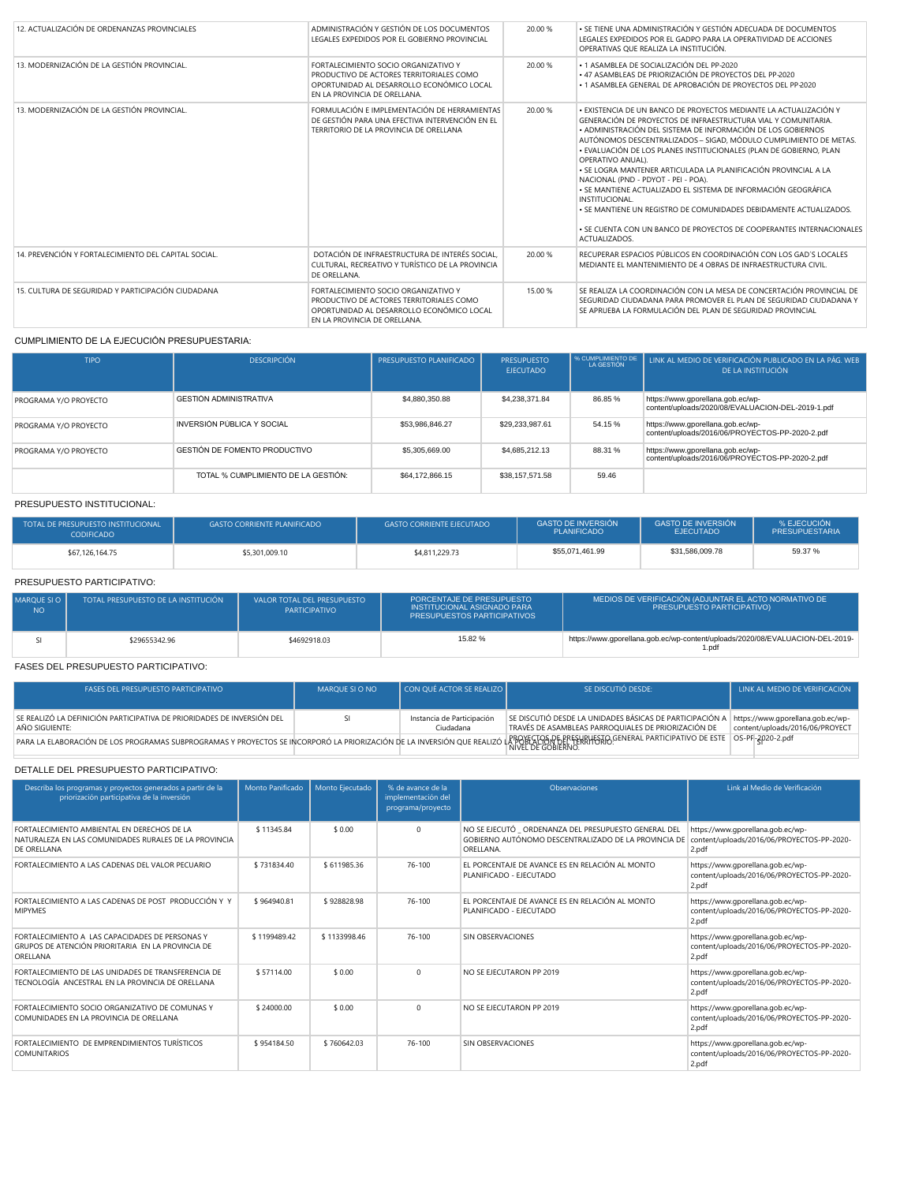| 12. ACTUALIZACIÓN DE ORDENANZAS PROVINCIALES         | ADMINISTRACIÓN Y GESTIÓN DE LOS DOCUMENTOS<br>LEGALES EXPEDIDOS POR EL GOBIERNO PROVINCIAL                                                                     | 20.00 % | · SE TIENE UNA ADMINISTRACIÓN Y GESTIÓN ADECUADA DE DOCUMENTOS<br>LEGALES EXPEDIDOS POR EL GADPO PARA LA OPERATIVIDAD DE ACCIONES<br>OPERATIVAS QUE REALIZA LA INSTITUCIÓN.                                                                                                                                                                                                                                                                                                                                                                                                                                                                                                                                                      |
|------------------------------------------------------|----------------------------------------------------------------------------------------------------------------------------------------------------------------|---------|----------------------------------------------------------------------------------------------------------------------------------------------------------------------------------------------------------------------------------------------------------------------------------------------------------------------------------------------------------------------------------------------------------------------------------------------------------------------------------------------------------------------------------------------------------------------------------------------------------------------------------------------------------------------------------------------------------------------------------|
| 13. MODERNIZACIÓN DE LA GESTIÓN PROVINCIAL.          | FORTAL FCIMIENTO SOCIO ORGANIZATIVO Y<br>PRODUCTIVO DE ACTORES TERRITORIALES COMO<br>OPORTUNIDAD AL DESARROLLO ECONÓMICO LOCAL<br>EN LA PROVINCIA DE ORELLANA. | 20.00 % | • 1 ASAMBI FA DE SOCIALIZACIÓN DEL PP-2020<br>• 47 ASAMBLEAS DE PRIORIZACIÓN DE PROYECTOS DEL PP-2020<br>• 1 ASAMBLEA GENERAL DE APROBACIÓN DE PROYECTOS DEL PP-2020                                                                                                                                                                                                                                                                                                                                                                                                                                                                                                                                                             |
| 13. MODERNIZACIÓN DE LA GESTIÓN PROVINCIAL.          | FORMULACIÓN E IMPLEMENTACIÓN DE HERRAMIENTAS<br>DE GESTIÓN PARA UNA EFECTIVA INTERVENCIÓN EN EL<br>TERRITORIO DE LA PROVINCIA DE ORELLANA                      | 20.00 % | • EXISTENCIA DE UN BANCO DE PROYECTOS MEDIANTE LA ACTUALIZACIÓN Y<br>GENERACIÓN DE PROYECTOS DE INFRAESTRUCTURA VIAL Y COMUNITARIA.<br>· ADMINISTRACIÓN DEL SISTEMA DE INFORMACIÓN DE LOS GOBIERNOS<br>AUTÓNOMOS DESCENTRALIZADOS - SIGAD, MÓDULO CUMPLIMIENTO DE METAS.<br>· EVALUACIÓN DE LOS PLANES INSTITUCIONALES (PLAN DE GOBIERNO, PLAN<br>OPERATIVO ANUAL).<br>· SE LOGRA MANTENER ARTICULADA LA PLANIFICACIÓN PROVINCIAL A LA<br>NACIONAL (PND - PDYOT - PEI - POA).<br>· SE MANTIENE ACTUALIZADO EL SISTEMA DE INFORMACIÓN GEOGRÁFICA<br>INSTITUCIONAL.<br>. SE MANTIENE UN REGISTRO DE COMUNIDADES DEBIDAMENTE ACTUALIZADOS.<br>. SE CUENTA CON UN BANCO DE PROYECTOS DE COOPERANTES INTERNACIONALES<br>ACTUALIZADOS. |
| 14. PREVENCIÓN Y FORTALECIMIENTO DEL CAPITAL SOCIAL. | DOTACIÓN DE INFRAESTRUCTURA DE INTERÉS SOCIAL.<br>CULTURAL, RECREATIVO Y TURÍSTICO DE LA PROVINCIA<br>DE ORFITANA.                                             | 20.00 % | RECUPERAR ESPACIOS PÚBLICOS EN COORDINACIÓN CON LOS GAD'S LOCALES<br>MEDIANTE EL MANTENIMIENTO DE 4 OBRAS DE INFRAESTRUCTURA CIVIL.                                                                                                                                                                                                                                                                                                                                                                                                                                                                                                                                                                                              |
| 15. CUI TURA DE SEGURIDAD Y PARTICIPACIÓN CIUDADANA  | FORTALECIMIENTO SOCIO ORGANIZATIVO Y<br>PRODUCTIVO DE ACTORES TERRITORIALES COMO<br>OPORTUNIDAD AL DESARROLLO ECONÓMICO LOCAL<br>EN LA PROVINCIA DE ORELLANA.  | 15.00 % | SE REALIZA LA COORDINACIÓN CON LA MESA DE CONCERTACIÓN PROVINCIAL DE<br>SEGURIDAD CIUDADANA PARA PROMOVER EL PLAN DE SEGURIDAD CIUDADANA Y<br>SE APRUEBA LA FORMULACIÓN DEL PLAN DE SEGURIDAD PROVINCIAL                                                                                                                                                                                                                                                                                                                                                                                                                                                                                                                         |

#### CUMPLIMIENTO DE LA EJECUCIÓN PRESUPUESTARIA:

| <b>TIPO</b>           | <b>DESCRIPCIÓN</b>                  | PRESUPUESTO PLANIFICADO | <b>PRESUPUESTO</b><br><b>EJECUTADO</b> | S CUMPLIMIENTO DE<br>LA GESTIÓN | LINK AL MEDIO DE VERIFICACIÓN PUBLICADO EN LA PÁG. WEB<br>DE LA INSTITUCIÓN            |
|-----------------------|-------------------------------------|-------------------------|----------------------------------------|---------------------------------|----------------------------------------------------------------------------------------|
| PROGRAMA Y/O PROYECTO | <b>GESTIÓN ADMINISTRATIVA</b>       | \$4,880,350,88          | \$4.238.371.84                         | 86.85 %                         | https://www.gporellana.gob.ec/wp-<br>content/uploads/2020/08/EVALUACION-DEL-2019-1.pdf |
| PROGRAMA Y/O PROYECTO | INVERSIÓN PÚBLICA Y SOCIAL          | \$53,986,846.27         | \$29,233,987.61                        | 54.15 %                         | https://www.gporellana.gob.ec/wp-<br>content/uploads/2016/06/PROYECTOS-PP-2020-2.pdf   |
| PROGRAMA Y/O PROYECTO | GESTIÓN DE FOMENTO PRODUCTIVO       | \$5,305,669.00          | \$4,685,212.13                         | 88.31 %                         | https://www.gporellana.gob.ec/wp-<br>content/uploads/2016/06/PROYECTOS-PP-2020-2.pdf   |
|                       | TOTAL % CUMPLIMIENTO DE LA GESTIÓN: | \$64,172,866.15         | \$38,157,571,58                        | 59.46                           |                                                                                        |

#### PRESUPUESTO INSTITUCIONAL:

| TOTAL DE PRESUPUESTO INSTITUCIONAL<br><b>CODIFICADO</b> | <b>GASTO CORRIENTE PLANIFICADO</b> | <b>GASTO CORRIENTE EJECUTADO</b> | <b>GASTO DE INVERSIÓN</b><br><b>PLANIFICADO</b> | <b>GASTO DE INVERSIÓN</b><br><b>EJECUTADO</b> | % EJECUCIÓN<br><b>PRESUPUESTARIA</b> |
|---------------------------------------------------------|------------------------------------|----------------------------------|-------------------------------------------------|-----------------------------------------------|--------------------------------------|
| \$67,126,164.75                                         | \$5,301,009.10                     | \$4,811,229.73                   | \$55,071,461,99                                 | \$31,586,009.78                               | 59.37 %                              |

### PRESUPUESTO PARTICIPATIVO:

| MAROUE SI O<br>NO. | <b>TOTAL PRESUPUESTO DE LA INSTITUCIÓN</b> | VALOR TOTAL DEL PRESUPUESTO<br>PARTICIPATIVO | PORCENTAJE DE PRESUPUESTO<br>INSTITUCIONAL ASIGNADO PARA<br><b>PRESUPUESTOS PARTICIPATIVOS</b> | MEDIOS DE VERIFICACIÓN (ADJUNTAR EL ACTO NORMATIVO DE<br><b>PRESUPUESTO PARTICIPATIVO)</b> |
|--------------------|--------------------------------------------|----------------------------------------------|------------------------------------------------------------------------------------------------|--------------------------------------------------------------------------------------------|
|                    | \$29655342.96                              | \$4692918.03                                 | 15.82%                                                                                         | https://www.gporellana.gob.ec/wp-content/uploads/2020/08/EVALUACION-DEL-2019-<br>1.pdi     |

### FASES DEL PRESUPUESTO PARTICIPATIVO:

| <b>FASES DEL PRESUPUESTO PARTICIPATIVO</b>                                                                                                                                                                         | MAROUE SI O NO | CON QUÉ ACTOR SE REALIZO                | SE DISCUTIÓ DESDE:                                                                                              | LINK AL MEDIO DE VERIFICACIÓN                                        |
|--------------------------------------------------------------------------------------------------------------------------------------------------------------------------------------------------------------------|----------------|-----------------------------------------|-----------------------------------------------------------------------------------------------------------------|----------------------------------------------------------------------|
| SE REALIZÓ LA DEFINICIÓN PARTICIPATIVA DE PRIORIDADES DE INVERSIÓN DEL<br>AÑO SIGUIFNTE:                                                                                                                           |                | Instancia de Participación<br>Ciudadana | SE DISCUTIÓ DESDE LA UNIDADES BÁSICAS DE PARTICIPACIÓN A<br>TRAVÉS DE ASAMBLEAS PARROQUIALES DE PRIORIZACIÓN DE | https://www.gporellana.gob.ec/wp-<br>content/uploads/2016/06/PROYECT |
| PARA LA ELABORACIÓN DE LOS PROGRAMAS SUBPROGRAMAS Y PROYECTOS SE INCORPORÓ LA PRIORIZACIÓN DE LA INVERSIÓN QUE REALIZÓ LA PROSECTOR DE EL PROSECTOR DE PERERRHESTO, GENERAL PARTICIPATIVO DE ESTE OS-PP-2020-2.pdf |                |                                         | NIVEL DE GOBIERNO.                                                                                              |                                                                      |

#### DETALLE DEL PRESUPUESTO PARTICIPATIVO:

| Describa los programas y proyectos generados a partir de la<br>priorización participativa de la inversión           | Monto Panificado | Monto Ejecutado | % de avance de la<br>implementación del<br>programa/proyecto | Observaciones                                                                                                              | Link al Medio de Verificación                                                            |
|---------------------------------------------------------------------------------------------------------------------|------------------|-----------------|--------------------------------------------------------------|----------------------------------------------------------------------------------------------------------------------------|------------------------------------------------------------------------------------------|
| FORTALECIMIENTO AMBIENTAL EN DERECHOS DE LA<br>NATURALEZA EN LAS COMUNIDADES RURALES DE LA PROVINCIA<br>DE ORELLANA | \$11345.84       | \$0.00          | $\Omega$                                                     | NO SE EJECUTÓ _ ORDENANZA DEL PRESUPUESTO GENERAL DEL<br>GOBIERNO AUTÓNOMO DESCENTRALIZADO DE LA PROVINCIA DE<br>ORELLANA. | https://www.gporellana.gob.ec/wp-<br>content/uploads/2016/06/PROYECTOS-PP-2020-<br>2.pdf |
| FORTAL ECIMIENTO A LAS CADENAS DEL VALOR PECUARIO                                                                   | \$731834.40      | \$611985.36     | 76-100                                                       | EL PORCENTAJE DE AVANCE ES EN RELACIÓN AL MONTO<br>PLANIFICADO - EJECUTADO                                                 | https://www.gporellana.gob.ec/wp-<br>content/uploads/2016/06/PROYECTOS-PP-2020-<br>2.pdf |
| FORTAL ECIMIENTO A LAS CADENAS DE POST PRODUCCIÓN Y Y<br><b>MIPYMES</b>                                             | \$964940.81      | \$928828.98     | 76-100                                                       | EL PORCENTAJE DE AVANCE ES EN RELACIÓN AL MONTO<br>PLANIFICADO - EJECUTADO                                                 | https://www.gporellana.gob.ec/wp-<br>content/uploads/2016/06/PROYECTOS-PP-2020-<br>2.pdf |
| FORTAL ECIMIENTO A LAS CAPACIDADES DE PERSONAS Y<br>GRUPOS DE ATENCIÓN PRIORITARIA EN LA PROVINCIA DE<br>ORELLANA   | \$1199489.42     | \$113399846     | 76-100                                                       | SIN OBSERVACIONES                                                                                                          | https://www.gporellana.gob.ec/wp-<br>content/uploads/2016/06/PROYECTOS-PP-2020-<br>2.pdf |
| FORTAL ECIMIENTO DE LAS UNIDADES DE TRANSFERENCIA DE<br>TECNOLOGÍA ANCESTRAL EN LA PROVINCIA DE ORELLANA            | \$57114.00       | \$0.00          | $\Omega$                                                     | NO SE EJECUTARON PP 2019                                                                                                   | https://www.gporellana.gob.ec/wp-<br>content/uploads/2016/06/PROYECTOS-PP-2020-<br>2.pdf |
| FORTAL ECIMIENTO SOCIO ORGANIZATIVO DE COMUNAS Y<br>COMUNIDADES EN LA PROVINCIA DE ORELLANA                         | \$24000.00       | \$ 0.00         | $\Omega$                                                     | NO SE EJECUTARON PP 2019                                                                                                   | https://www.gporellana.gob.ec/wp-<br>content/uploads/2016/06/PROYECTOS-PP-2020-<br>2.pdf |
| FORTALECIMIENTO DE EMPRENDIMIENTOS TURÍSTICOS<br><b>COMUNITARIOS</b>                                                | \$954184.50      | \$760642.03     | 76-100                                                       | SIN OBSERVACIONES                                                                                                          | https://www.gporellana.gob.ec/wp-<br>content/uploads/2016/06/PROYECTOS-PP-2020-<br>2.pdf |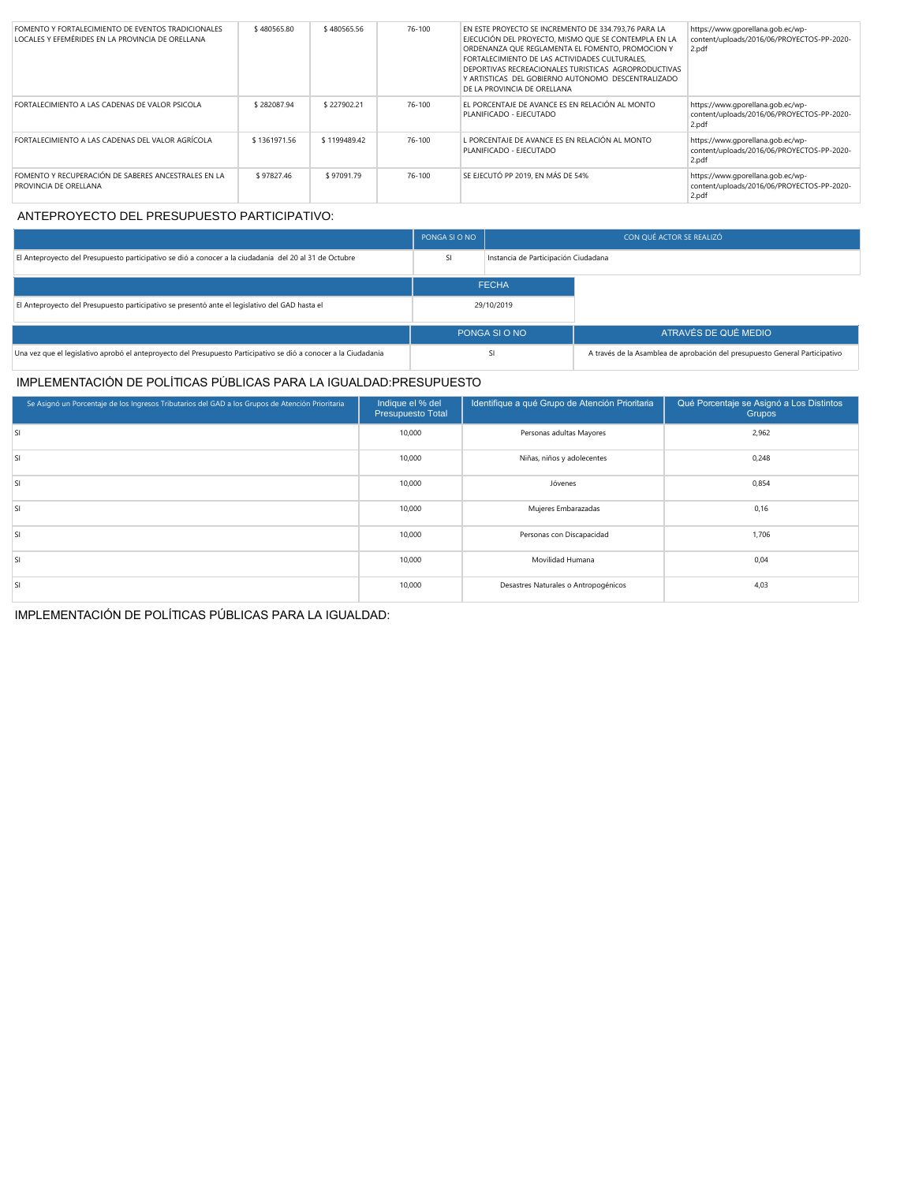| FOMENTO Y FORTALECIMIENTO DE EVENTOS TRADICIONALES<br>LOCALES Y EFEMÉRIDES EN LA PROVINCIA DE ORELLANA | \$480565.80  | \$480565.56  | 76-100 | EN ESTE PROYECTO SE INCREMENTO DE 334.793.76 PARA LA<br>EJECUCIÓN DEL PROYECTO. MISMO QUE SE CONTEMPLA EN LA<br>ORDENANZA QUE REGLAMENTA EL FOMENTO, PROMOCION Y<br>FORTALECIMIENTO DE LAS ACTIVIDADES CULTURALES.<br>DEPORTIVAS RECREACIONALES TURISTICAS AGROPRODUCTIVAS<br>Y ARTISTICAS DEL GOBIERNO AUTONOMO DESCENTRALIZADO<br>DE LA PROVINCIA DE ORELLANA | https://www.gporellana.gob.ec/wp-<br>content/uploads/2016/06/PROYECTOS-PP-2020-<br>2.pdf |
|--------------------------------------------------------------------------------------------------------|--------------|--------------|--------|-----------------------------------------------------------------------------------------------------------------------------------------------------------------------------------------------------------------------------------------------------------------------------------------------------------------------------------------------------------------|------------------------------------------------------------------------------------------|
| FORTALECIMIENTO A LAS CADENAS DE VALOR PSICOLA                                                         | \$282087.94  | \$227902.21  | 76-100 | EL PORCENTAJE DE AVANCE ES EN RELACIÓN AL MONTO<br>PLANIFICADO - EJECUTADO                                                                                                                                                                                                                                                                                      | https://www.gporellana.gob.ec/wp-<br>content/uploads/2016/06/PROYECTOS-PP-2020-<br>2.pdf |
| FORTALECIMIENTO A LAS CADENAS DEL VALOR AGRÍCOLA                                                       | \$1361971.56 | \$1199489.42 | 76-100 | L PORCENTAJE DE AVANCE ES EN RELACIÓN AL MONTO<br>PLANIFICADO - EJECUTADO                                                                                                                                                                                                                                                                                       | https://www.gporellana.gob.ec/wp-<br>content/uploads/2016/06/PROYECTOS-PP-2020-<br>2.pdf |
| FOMENTO Y RECUPERACIÓN DE SABERES ANCESTRALES EN LA<br>PROVINCIA DE ORELLANA                           | \$97827.46   | \$97091.79   | 76-100 | SE EJECUTÓ PP 2019. EN MÁS DE 54%                                                                                                                                                                                                                                                                                                                               | https://www.qporellana.qob.ec/wp-<br>content/uploads/2016/06/PROYECTOS-PP-2020-<br>2.pdf |

## ANTEPROYECTO DEL PRESUPUESTO PARTICIPATIVO:

|                                                                                                                  | PONGA SI O NO | CON QUÉ ACTOR SE REALIZÓ             |                                                                             |  |
|------------------------------------------------------------------------------------------------------------------|---------------|--------------------------------------|-----------------------------------------------------------------------------|--|
| El Anteproyecto del Presupuesto participativo se dió a conocer a la ciudadanía del 20 al 31 de Octubre           | <b>SI</b>     | Instancia de Participación Ciudadana |                                                                             |  |
|                                                                                                                  |               | <b>FECHA</b>                         |                                                                             |  |
| El Anteproyecto del Presupuesto participativo se presentó ante el legislativo del GAD hasta el                   | 29/10/2019    |                                      |                                                                             |  |
|                                                                                                                  |               | PONGA SI O NO                        | ATRAVÉS DE QUÉ MEDIO                                                        |  |
| Una vez que el legislativo aprobó el anteproyecto del Presupuesto Participativo se dió a conocer a la Ciudadanía |               | SI                                   | A través de la Asamblea de aprobación del presupuesto General Participativo |  |

# IMPLEMENTACIÓN DE POLÍTICAS PÚBLICAS PARA LA IGUALDAD:PRESUPUESTO

| Se Asignó un Porcentaje de los Ingresos Tributarios del GAD a los Grupos de Atención Prioritaria | Indique el % del<br>Presupuesto Total | Identifique a qué Grupo de Atención Prioritaria | Qué Porcentaje se Asignó a Los Distintos<br><b>Grupos</b> |
|--------------------------------------------------------------------------------------------------|---------------------------------------|-------------------------------------------------|-----------------------------------------------------------|
| SI                                                                                               | 10,000                                | Personas adultas Mayores                        | 2,962                                                     |
| <b>SI</b>                                                                                        | 10,000                                | Niñas, niños y adolecentes                      | 0,248                                                     |
| <b>SI</b>                                                                                        | 10,000                                | Jóvenes                                         | 0,854                                                     |
| <b>SI</b>                                                                                        | 10,000                                | Mujeres Embarazadas                             | 0, 16                                                     |
| <b>SI</b>                                                                                        | 10,000                                | Personas con Discapacidad                       | 1,706                                                     |
| <b>SI</b>                                                                                        | 10,000                                | Movilidad Humana                                | 0,04                                                      |
| <b>SI</b>                                                                                        | 10,000                                | Desastres Naturales o Antropogénicos            | 4,03                                                      |

IMPLEMENTACIÓN DE POLÍTICAS PÚBLICAS PARA LA IGUALDAD: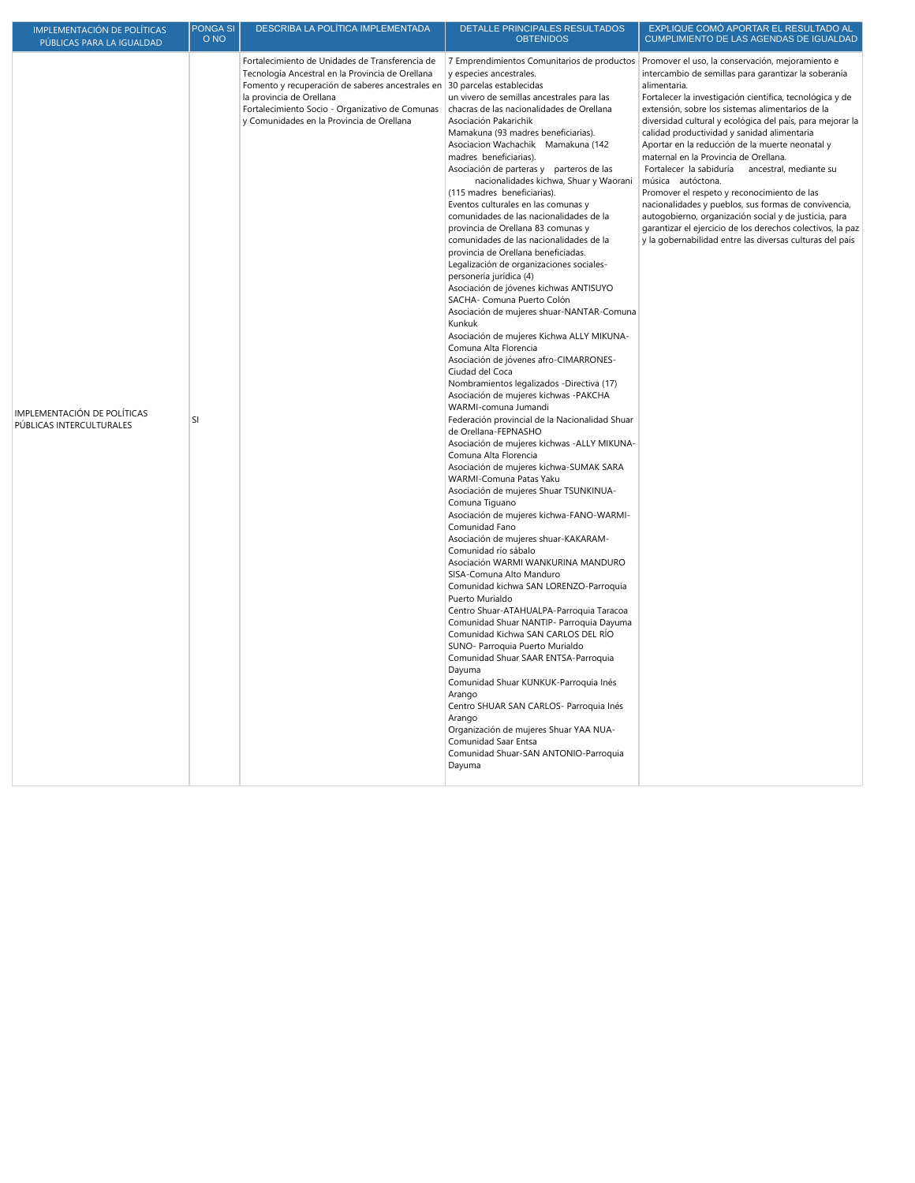| IMPLEMENTACIÓN DE POLÍTICAS                             | <b>PONGA SI</b> | DESCRIBA LA POLÍTICA IMPLEMENTADA                                                                                                                                                                                                                                                   | DETALLE PRINCIPALES RESULTADOS                                                                                                                                                                                                                                                                                                                                                                                                                                                                                                                                                                                                                                                                                                                                                                                                                                                                                                                                                                                                                                                                                                                                                                                                                                                                                                                                                                                                                                                                                                                                                                                                                                                                                                                                                                                                                                                                                                                                                                                                                                          | EXPLIQUE COMÓ APORTAR EL RESULTADO AL                                                                                                                                                                                                                                                                                                                                                                                                                                                                                                                                                                                                                                                                                                                                                                                                                         |
|---------------------------------------------------------|-----------------|-------------------------------------------------------------------------------------------------------------------------------------------------------------------------------------------------------------------------------------------------------------------------------------|-------------------------------------------------------------------------------------------------------------------------------------------------------------------------------------------------------------------------------------------------------------------------------------------------------------------------------------------------------------------------------------------------------------------------------------------------------------------------------------------------------------------------------------------------------------------------------------------------------------------------------------------------------------------------------------------------------------------------------------------------------------------------------------------------------------------------------------------------------------------------------------------------------------------------------------------------------------------------------------------------------------------------------------------------------------------------------------------------------------------------------------------------------------------------------------------------------------------------------------------------------------------------------------------------------------------------------------------------------------------------------------------------------------------------------------------------------------------------------------------------------------------------------------------------------------------------------------------------------------------------------------------------------------------------------------------------------------------------------------------------------------------------------------------------------------------------------------------------------------------------------------------------------------------------------------------------------------------------------------------------------------------------------------------------------------------------|---------------------------------------------------------------------------------------------------------------------------------------------------------------------------------------------------------------------------------------------------------------------------------------------------------------------------------------------------------------------------------------------------------------------------------------------------------------------------------------------------------------------------------------------------------------------------------------------------------------------------------------------------------------------------------------------------------------------------------------------------------------------------------------------------------------------------------------------------------------|
| PÚBLICAS PARA LA IGUALDAD                               | O <sub>NO</sub> |                                                                                                                                                                                                                                                                                     | <b>OBTENIDOS</b>                                                                                                                                                                                                                                                                                                                                                                                                                                                                                                                                                                                                                                                                                                                                                                                                                                                                                                                                                                                                                                                                                                                                                                                                                                                                                                                                                                                                                                                                                                                                                                                                                                                                                                                                                                                                                                                                                                                                                                                                                                                        | <b>CUMPLIMIENTO DE LAS AGENDAS DE IGUALDAD</b>                                                                                                                                                                                                                                                                                                                                                                                                                                                                                                                                                                                                                                                                                                                                                                                                                |
| IMPLEMENTACIÓN DE POLÍTICAS<br>PÚBLICAS INTERCULTURALES | SI              | Fortalecimiento de Unidades de Transferencia de<br>Tecnología Ancestral en la Provincia de Orellana<br>Fomento y recuperación de saberes ancestrales en<br>la provincia de Orellana<br>Fortalecimiento Socio - Organizativo de Comunas<br>y Comunidades en la Provincia de Orellana | y especies ancestrales.<br>30 parcelas establecidas<br>un vivero de semillas ancestrales para las<br>chacras de las nacionalidades de Orellana<br>Asociación Pakarichik<br>Mamakuna (93 madres beneficiarias).<br>Asociacion Wachachik Mamakuna (142<br>madres beneficiarias).<br>Asociación de parteras y parteros de las<br>nacionalidades kichwa, Shuar y Waorani<br>(115 madres beneficiarias).<br>Eventos culturales en las comunas y<br>comunidades de las nacionalidades de la<br>provincia de Orellana 83 comunas y<br>comunidades de las nacionalidades de la<br>provincia de Orellana beneficiadas.<br>Legalización de organizaciones sociales-<br>personería jurídica (4)<br>Asociación de jóvenes kichwas ANTISUYO<br>SACHA- Comuna Puerto Colón<br>Asociación de mujeres shuar-NANTAR-Comuna<br>Kunkuk<br>Asociación de mujeres Kichwa ALLY MIKUNA-<br>Comuna Alta Florencia<br>Asociación de jóvenes afro-CIMARRONES-<br>Ciudad del Coca<br>Nombramientos legalizados - Directiva (17)<br>Asociación de mujeres kichwas -PAKCHA<br>WARMI-comuna Jumandi<br>Federación provincial de la Nacionalidad Shuar<br>de Orellana-FEPNASHO<br>Asociación de mujeres kichwas -ALLY MIKUNA-<br>Comuna Alta Florencia<br>Asociación de mujeres kichwa-SUMAK SARA<br>WARMI-Comuna Patas Yaku<br>Asociación de mujeres Shuar TSUNKINUA-<br>Comuna Tiguano<br>Asociación de mujeres kichwa-FANO-WARMI-<br>Comunidad Fano<br>Asociación de mujeres shuar-KAKARAM-<br>Comunidad río sábalo<br>Asociación WARMI WANKURINA MANDURO<br>SISA-Comuna Alto Manduro<br>Comunidad kichwa SAN LORENZO-Parroquia<br>Puerto Murialdo<br>Centro Shuar-ATAHUALPA-Parroquia Taracoa<br>Comunidad Shuar NANTIP- Parroquia Dayuma<br>Comunidad Kichwa SAN CARLOS DEL RÍO<br>SUNO- Parroquia Puerto Murialdo<br>Comunidad Shuar SAAR ENTSA-Parroquia<br>Dayuma<br>Comunidad Shuar KUNKUK-Parroquia Inés<br>Arango<br>Centro SHUAR SAN CARLOS- Parroquia Inés<br>Arango<br>Organización de mujeres Shuar YAA NUA-<br>Comunidad Saar Entsa<br>Comunidad Shuar-SAN ANTONIO-Parroquia<br>Dayuma | 7 Emprendimientos Comunitarios de productos Promover el uso, la conservación, mejoramiento e<br>intercambio de semillas para garantizar la soberanía<br>alimentaria.<br>Fortalecer la investigación científica, tecnológica y de<br>extensión, sobre los sistemas alimentarios de la<br>diversidad cultural y ecológica del país, para mejorar la<br>calidad productividad y sanidad alimentaria<br>Aportar en la reducción de la muerte neonatal y<br>maternal en la Provincia de Orellana.<br>Fortalecer la sabiduría ancestral, mediante su<br>música autóctona.<br>Promover el respeto y reconocimiento de las<br>nacionalidades y pueblos, sus formas de convivencia,<br>autogobierno, organización social y de justicia, para<br>garantizar el ejercicio de los derechos colectivos, la paz<br>y la gobernabilidad entre las diversas culturas del país |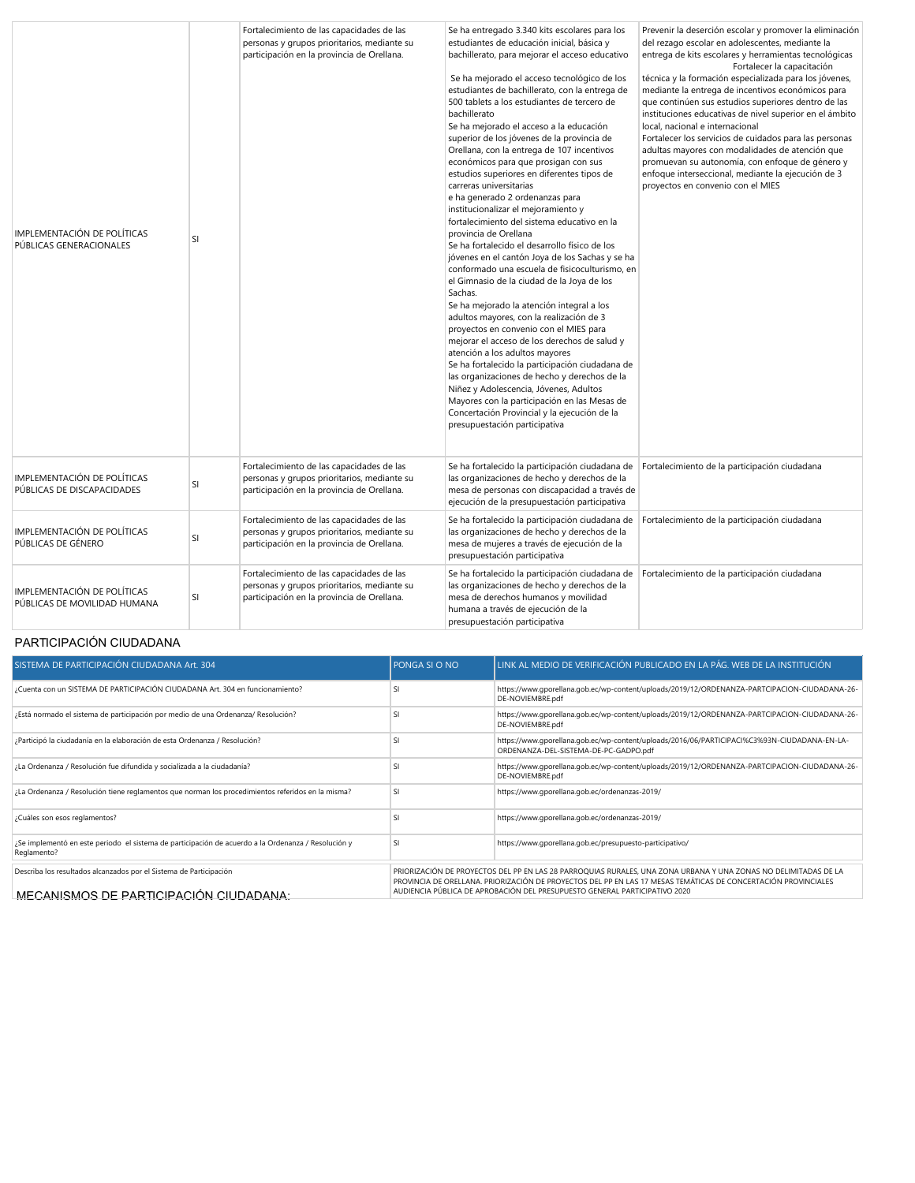| IMPLEMENTACIÓN DE POLÍTICAS<br>PÚBLICAS GENERACIONALES      | <b>SI</b> | Fortalecimiento de las capacidades de las<br>personas y grupos prioritarios, mediante su<br>participación en la provincia de Orellana. | Se ha entregado 3.340 kits escolares para los<br>estudiantes de educación inicial, básica y<br>bachillerato, para mejorar el acceso educativo<br>Se ha mejorado el acceso tecnológico de los<br>estudiantes de bachillerato, con la entrega de<br>500 tablets a los estudiantes de tercero de<br>bachillerato<br>Se ha mejorado el acceso a la educación<br>superior de los jóvenes de la provincia de<br>Orellana, con la entrega de 107 incentivos<br>económicos para que prosigan con sus<br>estudios superiores en diferentes tipos de<br>carreras universitarias<br>e ha generado 2 ordenanzas para<br>institucionalizar el mejoramiento y<br>fortalecimiento del sistema educativo en la<br>provincia de Orellana<br>Se ha fortalecido el desarrollo físico de los<br>jóvenes en el cantón Joya de los Sachas y se ha<br>conformado una escuela de fisicoculturismo, en<br>el Gimnasio de la ciudad de la Joya de los<br>Sachas.<br>Se ha mejorado la atención integral a los<br>adultos mayores, con la realización de 3<br>proyectos en convenio con el MIES para<br>mejorar el acceso de los derechos de salud y<br>atención a los adultos mayores<br>Se ha fortalecido la participación ciudadana de<br>las organizaciones de hecho y derechos de la<br>Niñez y Adolescencia, Jóvenes, Adultos<br>Mayores con la participación en las Mesas de<br>Concertación Provincial y la ejecución de la<br>presupuestación participativa | Prevenir la deserción escolar y promover la eliminación<br>del rezago escolar en adolescentes, mediante la<br>entrega de kits escolares y herramientas tecnológicas<br>Fortalecer la capacitación<br>técnica y la formación especializada para los jóvenes,<br>mediante la entrega de incentivos económicos para<br>que continúen sus estudios superiores dentro de las<br>instituciones educativas de nivel superior en el ámbito<br>local, nacional e internacional<br>Fortalecer los servicios de cuidados para las personas<br>adultas mayores con modalidades de atención que<br>promuevan su autonomía, con enfoque de género y<br>enfoque interseccional, mediante la ejecución de 3<br>proyectos en convenio con el MIES |
|-------------------------------------------------------------|-----------|----------------------------------------------------------------------------------------------------------------------------------------|-------------------------------------------------------------------------------------------------------------------------------------------------------------------------------------------------------------------------------------------------------------------------------------------------------------------------------------------------------------------------------------------------------------------------------------------------------------------------------------------------------------------------------------------------------------------------------------------------------------------------------------------------------------------------------------------------------------------------------------------------------------------------------------------------------------------------------------------------------------------------------------------------------------------------------------------------------------------------------------------------------------------------------------------------------------------------------------------------------------------------------------------------------------------------------------------------------------------------------------------------------------------------------------------------------------------------------------------------------------------------------------------------------------------------------------------|----------------------------------------------------------------------------------------------------------------------------------------------------------------------------------------------------------------------------------------------------------------------------------------------------------------------------------------------------------------------------------------------------------------------------------------------------------------------------------------------------------------------------------------------------------------------------------------------------------------------------------------------------------------------------------------------------------------------------------|
| IMPLEMENTACIÓN DE POLÍTICAS<br>PÚBLICAS DE DISCAPACIDADES   | SI        | Fortalecimiento de las capacidades de las<br>personas y grupos prioritarios, mediante su<br>participación en la provincia de Orellana. | Se ha fortalecido la participación ciudadana de<br>las organizaciones de hecho y derechos de la<br>mesa de personas con discapacidad a través de<br>ejecución de la presupuestación participativa                                                                                                                                                                                                                                                                                                                                                                                                                                                                                                                                                                                                                                                                                                                                                                                                                                                                                                                                                                                                                                                                                                                                                                                                                                         | Fortalecimiento de la participación ciudadana                                                                                                                                                                                                                                                                                                                                                                                                                                                                                                                                                                                                                                                                                    |
| IMPLEMENTACIÓN DE POLÍTICAS<br>PÚBLICAS DE GÉNERO           | <b>SI</b> | Fortalecimiento de las capacidades de las<br>personas y grupos prioritarios, mediante su<br>participación en la provincia de Orellana. | Se ha fortalecido la participación ciudadana de<br>las organizaciones de hecho y derechos de la<br>mesa de mujeres a través de ejecución de la<br>presupuestación participativa                                                                                                                                                                                                                                                                                                                                                                                                                                                                                                                                                                                                                                                                                                                                                                                                                                                                                                                                                                                                                                                                                                                                                                                                                                                           | Fortalecimiento de la participación ciudadana                                                                                                                                                                                                                                                                                                                                                                                                                                                                                                                                                                                                                                                                                    |
| IMPLEMENTACIÓN DE POLÍTICAS<br>PÚBLICAS DE MOVILIDAD HUMANA | <b>SI</b> | Fortalecimiento de las capacidades de las<br>personas y grupos prioritarios, mediante su<br>participación en la provincia de Orellana. | Se ha fortalecido la participación ciudadana de<br>las organizaciones de hecho y derechos de la<br>mesa de derechos humanos y movilidad<br>humana a través de ejecución de la<br>presupuestación participativa                                                                                                                                                                                                                                                                                                                                                                                                                                                                                                                                                                                                                                                                                                                                                                                                                                                                                                                                                                                                                                                                                                                                                                                                                            | Fortalecimiento de la participación ciudadana                                                                                                                                                                                                                                                                                                                                                                                                                                                                                                                                                                                                                                                                                    |

# PARTICIPACIÓN CIUDADANA

| SISTEMA DE PARTICIPACIÓN CIUDADANA Art. 304                                                                        | <b>PONGA SI O NO</b>                                                                                                                                                                                                              | LINK AL MEDIO DE VERIFICACIÓN PUBLICADO EN LA PÁG. WEB DE LA INSTITUCIÓN                                                              |  |  |  |
|--------------------------------------------------------------------------------------------------------------------|-----------------------------------------------------------------------------------------------------------------------------------------------------------------------------------------------------------------------------------|---------------------------------------------------------------------------------------------------------------------------------------|--|--|--|
| ¿Cuenta con un SISTEMA DE PARTICIPACIÓN CIUDADANA Art. 304 en funcionamiento?                                      | <b>SI</b>                                                                                                                                                                                                                         | https://www.qporellana.qob.ec/wp-content/uploads/2019/12/ORDENANZA-PARTCIPACION-CIUDADANA-26-<br>DE-NOVIEMBRE.pdf                     |  |  |  |
| ¿Está normado el sistema de participación por medio de una Ordenanza/ Resolución?                                  | SI                                                                                                                                                                                                                                | https://www.gporellana.gob.ec/wp-content/uploads/2019/12/ORDENANZA-PARTCIPACION-CIUDADANA-26-<br>DE-NOVIEMBRE.pdf                     |  |  |  |
| ¿Participó la ciudadanía en la elaboración de esta Ordenanza / Resolución?                                         | <b>SI</b>                                                                                                                                                                                                                         | https://www.gporellana.gob.ec/wp-content/uploads/2016/06/PARTICIPACI%C3%93N-CIUDADANA-EN-LA-<br>ORDENANZA-DEL-SISTEMA-DE-PC-GADPO.pdf |  |  |  |
| ¿La Ordenanza / Resolución fue difundida y socializada a la ciudadanía?                                            | <b>SI</b>                                                                                                                                                                                                                         | https://www.gporellana.gob.ec/wp-content/uploads/2019/12/ORDENANZA-PARTCIPACION-CIUDADANA-26-<br>DE-NOVIEMBRE.pdf                     |  |  |  |
| ¿La Ordenanza / Resolución tiene reglamentos que norman los procedimientos referidos en la misma?                  | <b>SI</b>                                                                                                                                                                                                                         | https://www.gporellana.gob.ec/ordenanzas-2019/                                                                                        |  |  |  |
| ¿Cuáles son esos reglamentos?                                                                                      | S                                                                                                                                                                                                                                 | https://www.qporellana.qob.ec/ordenanzas-2019/                                                                                        |  |  |  |
| ¿Se implementó en este periodo el sistema de participación de acuerdo a la Ordenanza / Resolución y<br>Reglamento? | <sup>SI</sup>                                                                                                                                                                                                                     | https://www.gporellana.gob.ec/presupuesto-participativo/                                                                              |  |  |  |
| Describa los resultados alcanzados por el Sistema de Participación                                                 | PRIORIZACIÓN DE PROYECTOS DEL PP EN LAS 28 PARROQUIAS RURALES, UNA ZONA URBANA Y UNA ZONAS NO DELIMITADAS DE LA<br>PROVINCIA DE ORELLANA. PRIORIZACIÓN DE PROYECTOS DEL PP EN LAS 17 MESAS TEMÁTICAS DE CONCERTACIÓN PROVINCIALES |                                                                                                                                       |  |  |  |
| <u>MECANISMOS DE PARTICIPACIÓN CIUDADANA:</u>                                                                      | AUDIENCIA PÚBLICA DE APROBACIÓN DEL PRESUPUESTO GENERAL PARTICIPATIVO 2020                                                                                                                                                        |                                                                                                                                       |  |  |  |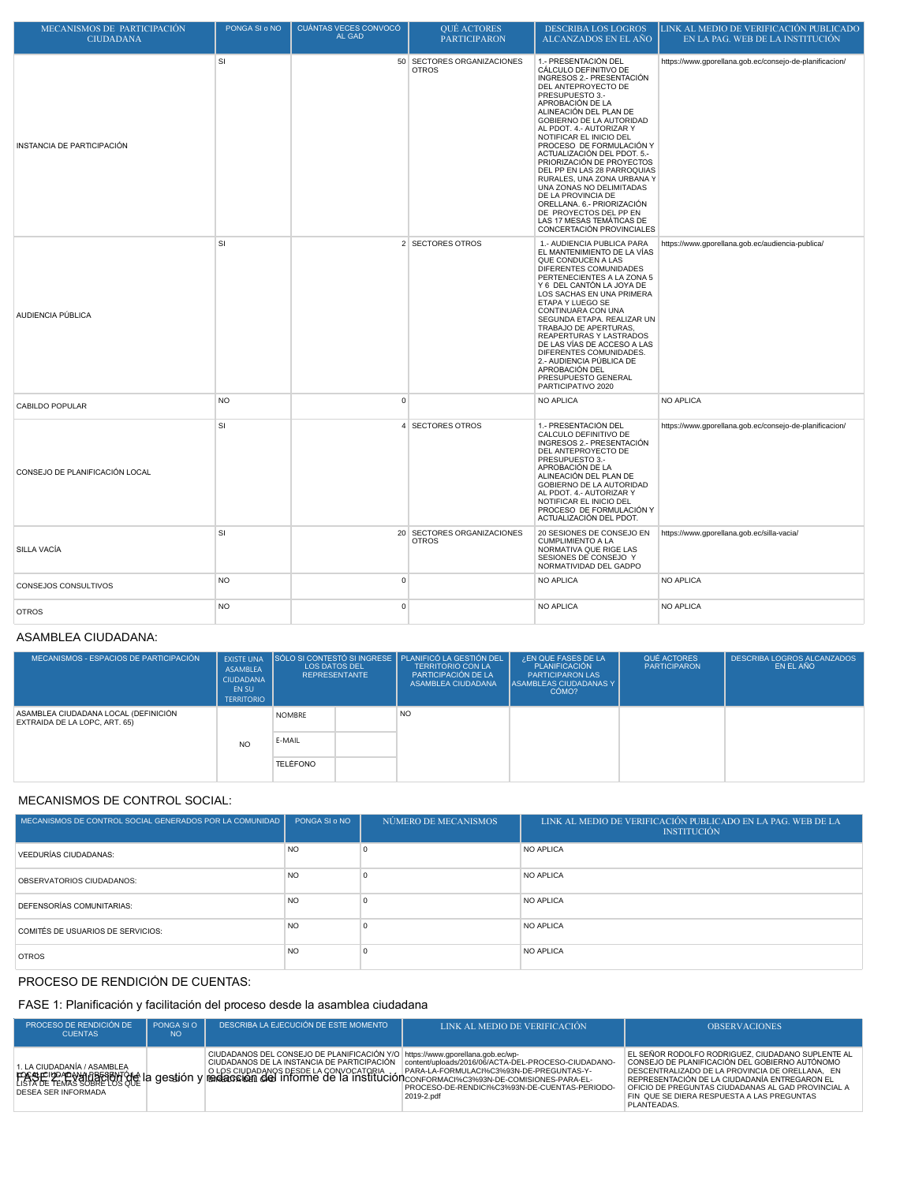| MECANISMOS DE PARTICIPACIÓN<br><b>CIUDADANA</b> | PONGA SI o NO | <b>CUANTAS VECES CONVOCO</b><br>AL GAD | <b>QUE ACTORES</b><br><b>PARTICIPARON</b>  | <b>DESCRIBA LOS LOGROS</b><br>ALCANZADOS EN EL AÑO                                                                                                                                                                                                                                                                                                                                                                                                                                                                                                                             | LINK AL MEDIO DE VERIFICACIÓN PUBLICADO<br>EN LA PAG. WEB DE LA INSTITUCIÓN |
|-------------------------------------------------|---------------|----------------------------------------|--------------------------------------------|--------------------------------------------------------------------------------------------------------------------------------------------------------------------------------------------------------------------------------------------------------------------------------------------------------------------------------------------------------------------------------------------------------------------------------------------------------------------------------------------------------------------------------------------------------------------------------|-----------------------------------------------------------------------------|
| INSTANCIA DE PARTICIPACIÓN                      | SI            |                                        | 50 SECTORES ORGANIZACIONES<br><b>OTROS</b> | 1.- PRESENTACIÓN DEL<br>CÁLCULO DEFINITIVO DE<br>INGRESOS 2.- PRESENTACIÓN<br>DEL ANTEPROYECTO DE<br>PRESUPUESTO 3.-<br>APROBACIÓN DE LA<br>ALINEACIÓN DEL PLAN DE<br>GOBIERNO DE LA AUTORIDAD<br>AL PDOT. 4.- AUTORIZAR Y<br>NOTIFICAR EL INICIO DEL<br>PROCESO DE FORMULACIÓN Y<br>ACTUALIZACIÓN DEL PDOT. 5.-<br>PRIORIZACIÓN DE PROYECTOS<br>DEL PP EN LAS 28 PARROQUIAS<br>RURALES, UNA ZONA URBANA Y<br>UNA ZONAS NO DELIMITADAS<br>DE LA PROVINCIA DE<br>ORELLANA. 6.- PRIORIZACIÓN<br>DE PROYECTOS DEL PP EN<br>LAS 17 MESAS TEMÁTICAS DE<br>CONCERTACIÓN PROVINCIALES | https://www.gporellana.gob.ec/consejo-de-planificacion/                     |
| AUDIENCIA PÚBLICA                               | SI            |                                        | 2 SECTORES OTROS                           | 1.- AUDIENCIA PUBLICA PARA<br>EL MANTENIMIENTO DE LA VÍAS<br>QUE CONDUCEN A LAS<br>DIFERENTES COMUNIDADES<br>PERTENECIENTES A LA ZONA 5<br>Y 6 DEL CANTÓN LA JOYA DE<br>LOS SACHAS EN UNA PRIMERA<br>ETAPA Y LUEGO SE<br>CONTINUARA CON UNA<br>SEGUNDA ETAPA. REALIZAR UN<br>TRABAJO DE APERTURAS,<br>REAPERTURAS Y LASTRADOS<br>DE LAS VÍAS DE ACCESO A LAS<br>DIFERENTES COMUNIDADES.<br>2.- AUDIENCIA PÚBLICA DE<br>APROBACIÓN DEL<br>PRESUPUESTO GENERAL<br>PARTICIPATIVO 2020                                                                                             | https://www.gporellana.gob.ec/audiencia-publica/                            |
| CABILDO POPULAR                                 | <b>NO</b>     | $\mathbf 0$                            |                                            | <b>NO APLICA</b>                                                                                                                                                                                                                                                                                                                                                                                                                                                                                                                                                               | NO APLICA                                                                   |
| CONSEJO DE PLANIFICACIÓN LOCAL                  | SI            |                                        | 4 SECTORES OTROS                           | 1.- PRESENTACIÓN DEL<br>CALCULO DEFINITIVO DE<br>INGRESOS 2.- PRESENTACIÓN<br>DEL ANTEPROYECTO DE<br>PRESUPUESTO 3.-<br>APROBACIÓN DE LA<br>ALINEACIÓN DEL PLAN DE<br>GOBIERNO DE LA AUTORIDAD<br>AL PDOT. 4.- AUTORIZAR Y<br>NOTIFICAR EL INICIO DEL<br>PROCESO DE FORMULACIÓN Y<br>ACTUALIZACIÓN DEL PDOT.                                                                                                                                                                                                                                                                   | https://www.gporellana.gob.ec/consejo-de-planificacion/                     |
| SILLA VACÍA                                     | <b>SI</b>     |                                        | 20 SECTORES ORGANIZACIONES<br><b>OTROS</b> | 20 SESIONES DE CONSEJO EN<br><b>CUMPLIMIENTO A LA</b><br>NORMATIVA QUE RIGE LAS<br>SESIONES DE CONSEJO Y<br>NORMATIVIDAD DEL GADPO                                                                                                                                                                                                                                                                                                                                                                                                                                             | https://www.gporellana.gob.ec/silla-vacia/                                  |
| CONSEJOS CONSULTIVOS                            | <b>NO</b>     | $\mathsf 0$                            |                                            | <b>NO APLICA</b>                                                                                                                                                                                                                                                                                                                                                                                                                                                                                                                                                               | NO APLICA                                                                   |
| <b>OTROS</b>                                    | <b>NO</b>     | $\mathbf{0}$                           |                                            | <b>NO APLICA</b>                                                                                                                                                                                                                                                                                                                                                                                                                                                                                                                                                               | <b>NO APLICA</b>                                                            |

### ASAMBLEA CIUDADANA:

| MECANISMOS - ESPACIOS DE PARTICIPACIÓN                                | <b>EXISTE UNA</b><br>ASAMBLEA<br><b>CIUDADANA</b><br>EN SU<br><b>TERRITORIO</b> | <b>LOS DATOS DEL</b><br><b>REPRESENTANTE</b> | SÓLO SI CONTESTÓ SI INGRESE E PLANIFICÓ LA GESTIÓN DEL<br><b>TERRITORIO CON LA</b><br>PARTICIPACIÓN DE LA<br>ASAMBLEA CIUDADANA | ¿EN QUE FASES DE LA<br>PLANIFICACIÓN<br><b>PARTICIPARON LAS</b><br><b>ASAMBLEAS CIUDADANAS Y</b><br>CÓMO? | QUÉ ACTORES<br><b>PARTICIPARON</b> | <b>DESCRIBA LOGROS ALCANZADOS</b><br>EN EL AÑO |
|-----------------------------------------------------------------------|---------------------------------------------------------------------------------|----------------------------------------------|---------------------------------------------------------------------------------------------------------------------------------|-----------------------------------------------------------------------------------------------------------|------------------------------------|------------------------------------------------|
| ASAMBLEA CIUDADANA LOCAL (DEFINICIÓN<br>EXTRAIDA DE LA LOPC, ART. 65) |                                                                                 | <b>NOMBRE</b>                                | <b>NO</b>                                                                                                                       |                                                                                                           |                                    |                                                |
|                                                                       | <b>NO</b>                                                                       | E-MAIL                                       |                                                                                                                                 |                                                                                                           |                                    |                                                |
|                                                                       |                                                                                 | TELÉFONO                                     |                                                                                                                                 |                                                                                                           |                                    |                                                |

## MECANISMOS DE CONTROL SOCIAL:

| MECANISMOS DE CONTROL SOCIAL GENERADOS POR LA COMUNIDAD | PONGA SI o NO | NÚMERO DE MECANISMOS | LINK AL MEDIO DE VERIFICACIÓN PUBLICADO EN LA PAG. WEB DE LA<br><b>INSTITUCIÓN</b> |
|---------------------------------------------------------|---------------|----------------------|------------------------------------------------------------------------------------|
| VEEDURÍAS CIUDADANAS:                                   | <b>NO</b>     |                      | NO APLICA                                                                          |
| OBSERVATORIOS CIUDADANOS:                               | <b>NO</b>     |                      | <b>NO APLICA</b>                                                                   |
| <b>DEFENSORÍAS COMUNITARIAS:</b>                        | <b>NO</b>     |                      | <b>NO APLICA</b>                                                                   |
| COMITÉS DE USUARIOS DE SERVICIOS:                       | <b>NO</b>     |                      | <b>NO APLICA</b>                                                                   |
| <b>OTROS</b>                                            | <b>NO</b>     |                      | <b>NO APLICA</b>                                                                   |

## PROCESO DE RENDICIÓN DE CUENTAS:

# FASE 1: Planificación y facilitación del proceso desde la asamblea ciudadana

| <b>PROCESO DE RENDICIÓN DE</b><br><b>CUENTAS</b>   | PONGA SLO<br>NO <sub>1</sub> | DESCRIBA LA EJECUCIÓN DE ESTE MOMENTO                                                                                                                                                                                                                                                                           | LINK AL MEDIO DE VERIFICACIÓN                                                                                                                                    | <b>OBSERVACIONES</b>                                                                                                                                                                                                                                                                                                       |
|----------------------------------------------------|------------------------------|-----------------------------------------------------------------------------------------------------------------------------------------------------------------------------------------------------------------------------------------------------------------------------------------------------------------|------------------------------------------------------------------------------------------------------------------------------------------------------------------|----------------------------------------------------------------------------------------------------------------------------------------------------------------------------------------------------------------------------------------------------------------------------------------------------------------------------|
| 1. LA CIUDADANÍA / ASAMBLEA<br>DESEA SER INFORMADA |                              | CIUDADANOS DEL CONSEJO DE PLANIFICACIÓN Y/O https://www.qporellana.qob.ec/wp-<br>EXPRESS DRESS DRESS DRESS DRESS DRESS DRESS DRESS DRESS DRESS DRESS DRESS DRESS DRESS DRESS DRESS DRESS DRESS DRESS DRESS DRESS DRESS DRESS DRESS DRESS DRESS DRESS DRESS DRESS DRESS DRESS DRESS DRESS DRESS DRESS DRESS DRES | CIUDADANOS DE LA INSTANCIA DE PARTICIPACIÓN   content/uploads/2016/06/ACTA-DEL-PROCESO-CIUDADANO-<br>PROCESO-DE-RENDICI%C3%93N-DE-CUENTAS-PERIODO-<br>2019-2.pdf | EL SEÑOR RODOLFO RODRIGUEZ. CIUDADANO SUPLENTE AL<br>CONSEJO DE PLANIFICACIÓN DEL GOBIERNO AUTÓNOMO<br>DESCENTRALIZADO DE LA PROVINCIA DE ORELLANA. EN<br>REPRESENTACIÓN DE LA CIUDADANÍA ENTREGARON EL<br>OFICIO DE PREGUNTAS CIUDADANAS AL GAD PROVINCIAL A<br>FIN QUE SE DIERA RESPUESTA A LAS PREGUNTAS<br>PLANTEADAS. |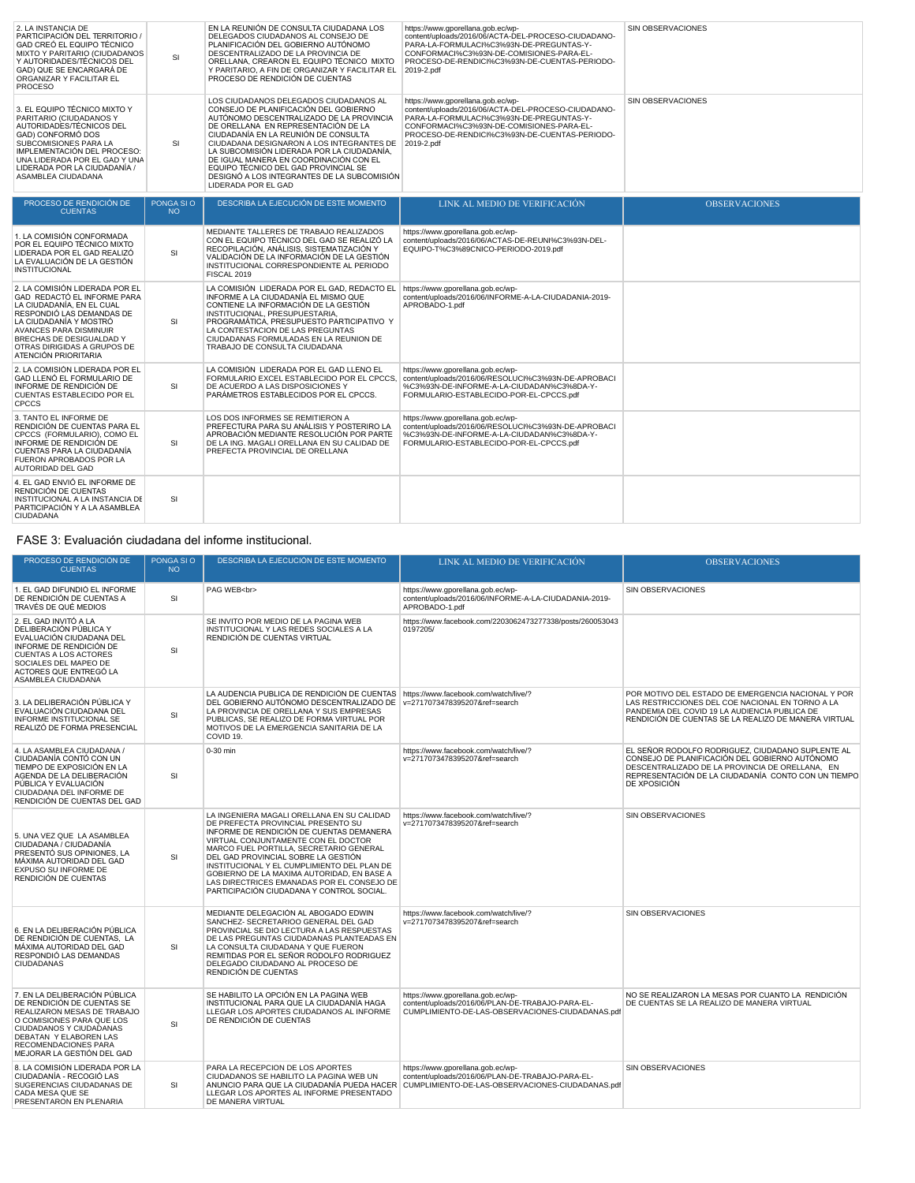| 2. LA INSTANCIA DE<br>PARTICIPACIÓN DEL TERRITORIO /<br>GAD CREÓ EL EQUIPO TÉCNICO<br>MIXTO Y PARITARIO (CIUDADANOS<br>Y AUTORIDADES/TÉCNICOS DEL<br>GAD) QUE SE ENCARGARÁ DE<br>ORGANIZAR Y FACILITAR EL<br><b>PROCESO</b>                                           | <b>SI</b>               | EN LA REUNIÓN DE CONSULTA CIUDADANA LOS<br>DELEGADOS CIUDADANOS AL CONSEJO DE<br>PLANIFICACIÓN DEL GOBIERNO AUTÓNOMO<br>DESCENTRALIZADO DE LA PROVINCIA DE<br>ORELLANA, CREARON EL EQUIPO TÉCNICO MIXTO<br>Y PARITARIO, A FIN DE ORGANIZAR Y FACILITAR EL<br>PROCESO DE RENDICIÓN DE CUENTAS                                                                                                                                                                  | https://www.gporellana.gob.ec/wp-<br>content/uploads/2016/06/ACTA-DEL-PROCESO-CIUDADANO-<br>PARA-LA-FORMULACI%C3%93N-DE-PREGUNTAS-Y-<br>CONFORMACI%C3%93N-DE-COMISIONES-PARA-EL-<br>PROCESO-DE-RENDICI%C3%93N-DE-CUENTAS-PERIODO-<br>2019-2.pdf | SIN OBSERVACIONES    |
|-----------------------------------------------------------------------------------------------------------------------------------------------------------------------------------------------------------------------------------------------------------------------|-------------------------|---------------------------------------------------------------------------------------------------------------------------------------------------------------------------------------------------------------------------------------------------------------------------------------------------------------------------------------------------------------------------------------------------------------------------------------------------------------|-------------------------------------------------------------------------------------------------------------------------------------------------------------------------------------------------------------------------------------------------|----------------------|
| 3. EL EQUIPO TÉCNICO MIXTO Y<br>PARITARIO (CIUDADANOS Y<br>AUTORIDADES/TÉCNICOS DEL<br>GAD) CONFORMÓ DOS<br>SUBCOMISIONES PARA LA<br>IMPLEMENTACIÓN DEL PROCESO:<br>UNA LIDERADA POR EL GAD Y UNA<br>LIDERADA POR LA CIUDADANÍA /<br>ASAMBLEA CIUDADANA               | <b>SI</b>               | LOS CIUDADANOS DELEGADOS CIUDADANOS AL<br>CONSEJO DE PLANIFICACIÓN DEL GOBIERNO<br>AUTÓNOMO DESCENTRALIZADO DE LA PROVINCIA<br>DE ORELLANA EN REPRESENTACIÓN DE LA<br>CIUDADANÍA EN LA REUNIÓN DE CONSULTA<br>CIUDADANA DESIGNARON A LOS INTEGRANTES DE<br>LA SUBCOMISIÓN LIDERADA POR LA CIUDADANÍA.<br>DE IGUAL MANERA EN COORDINACIÓN CON EL<br>EQUIPO TÉCNICO DEL GAD PROVINCIAL SE<br>DESIGNÓ A LOS INTEGRANTES DE LA SUBCOMISIÓN<br>LIDERADA POR EL GAD | https://www.gporellana.gob.ec/wp-<br>content/uploads/2016/06/ACTA-DEL-PROCESO-CIUDADANO-<br>PARA-LA-FORMULACI%C3%93N-DE-PREGUNTAS-Y-<br>CONFORMACI%C3%93N-DE-COMISIONES-PARA-EL-<br>PROCESO-DE-RENDICI%C3%93N-DE-CUENTAS-PERIODO-<br>2019-2.pdf | SIN OBSERVACIONES    |
| PROCESO DE RENDICIÓN DE<br><b>CUENTAS</b>                                                                                                                                                                                                                             | PONGA SI O<br><b>NO</b> | DESCRIBA LA EJECUCIÓN DE ESTE MOMENTO                                                                                                                                                                                                                                                                                                                                                                                                                         | LINK AL MEDIO DE VERIFICACIÓN                                                                                                                                                                                                                   | <b>OBSERVACIONES</b> |
| 1. LA COMISIÓN CONFORMADA<br>POR EL EQUIPO TÉCNICO MIXTO<br>LIDERADA POR EL GAD REALIZÓ<br>LA EVALUACIÓN DE LA GESTIÓN<br><b>INSTITUCIONAL</b>                                                                                                                        | <b>SI</b>               | MEDIANTE TALLERES DE TRABAJO REALIZADOS<br>CON EL EQUIPO TÉCNICO DEL GAD SE REALIZÓ LA<br>RECOPILACIÓN, ANÁLISIS, SISTEMATIZACIÓN Y<br>VALIDACIÓN DE LA INFORMACIÓN DE LA GESTIÓN<br>INSTITUCIONAL CORRESPONDIENTE AL PERIODO<br>FISCAL 2019                                                                                                                                                                                                                  | https://www.gporellana.gob.ec/wp-<br>content/uploads/2016/06/ACTAS-DE-REUNI%C3%93N-DEL-<br>EQUIPO-T%C3%89CNICO-PERIODO-2019.pdf                                                                                                                 |                      |
| 2. LA COMISIÓN LIDERADA POR EL<br>GAD REDACTÓ EL INFORME PARA<br>LA CIUDADANÍA, EN EL CUAL<br>RESPONDIÓ LAS DEMANDAS DE<br>LA CIUDADANÍA Y MOSTRÓ<br><b>AVANCES PARA DISMINUIR</b><br>BRECHAS DE DESIGUALDAD Y<br>OTRAS DIRIGIDAS A GRUPOS DE<br>ATENCIÓN PRIORITARIA | <b>SI</b>               | LA COMISIÓN LIDERADA POR EL GAD. REDACTO EL<br>INFORME A LA CIUDADANÍA EL MISMO QUE<br>CONTIENE LA INFORMACIÓN DE LA GESTIÓN<br>INSTITUCIONAL, PRESUPUESTARIA.<br>PROGRAMÁTICA, PRESUPUESTO PARTICIPATIVO Y<br>LA CONTESTACION DE LAS PREGUNTAS<br>CIUDADANAS FORMULADAS EN LA REUNION DE<br>TRABAJO DE CONSULTA CIUDADANA                                                                                                                                    | https://www.gporellana.gob.ec/wp-<br>content/uploads/2016/06/INFORME-A-LA-CIUDADANIA-2019-<br>APROBADO-1.pdf                                                                                                                                    |                      |
| 2. LA COMISIÓN LIDERADA POR EL<br>GAD LLENÓ EL FORMULARIO DE<br>INFORME DE RENDICIÓN DE<br>CUENTAS ESTABLECIDO POR EL<br><b>CPCCS</b>                                                                                                                                 | SI                      | LA COMISIÓN LIDERADA POR EL GAD LLENO EL<br>FORMULARIO EXCEL ESTABLECIDO POR EL CPCCS.<br>DE ACUERDO A LAS DISPOSICIONES Y<br>PARÁMETROS ESTABLECIDOS POR EL CPCCS.                                                                                                                                                                                                                                                                                           | https://www.gporellana.gob.ec/wp-<br>content/uploads/2016/06/RESOLUCI%C3%93N-DE-APROBACI<br>%C3%93N-DE-INFORME-A-LA-CIUDADAN%C3%8DA-Y-<br>FORMULARIO-ESTABLECIDO-POR-EL-CPCCS.pdf                                                               |                      |
| 3. TANTO EL INFORME DE<br>RENDICIÓN DE CUENTAS PARA EL<br>CPCCS (FORMULARIO), COMO EL<br>INFORME DE RENDICIÓN DE<br>CUENTAS PARA LA CIUDADANÍA<br>FUERON APROBADOS POR LA<br>AUTORIDAD DEL GAD                                                                        | SI                      | LOS DOS INFORMES SE REMITIERON A<br>PREFECTURA PARA SU ANÁLISIS Y POSTERIRO LA<br>APROBACIÓN MEDIANTE RESOLUCIÓN POR PARTE<br>DE LA ING. MAGALI ORELLANA EN SU CALIDAD DE<br>PREFECTA PROVINCIAL DE ORELLANA                                                                                                                                                                                                                                                  | https://www.gporellana.gob.ec/wp-<br>content/uploads/2016/06/RESOLUCI%C3%93N-DE-APROBACI<br>%C3%93N-DE-INFORME-A-LA-CIUDADAN%C3%8DA-Y-<br>FORMULARIO-ESTABLECIDO-POR-EL-CPCCS.pdf                                                               |                      |

#### FASE 3: Evaluación ciudadana del informe institucional.

SI

4. EL GAD ENVIO EL INFORME DE<br>RENDICIÓN DE CUENTAS<br>INSTITUCIONAL A LA INSTANCIA DE<br>PARTICIPACIÓN Y A LA ASAMBLEA<br>CIUDADANA

| PROCESO DE RENDICIÓN DE<br><b>CUENTAS</b>                                                                                                                                                                                          | PONGA SI O<br><b>NO</b> | DESCRIBA LA EJECUCIÓN DE ESTE MOMENTO                                                                                                                                                                                                                                                                                                                                                                                                         | LINK AL MEDIO DE VERIFICACIÓN                                                                                                             | <b>OBSERVACIONES</b>                                                                                                                                                                                                          |
|------------------------------------------------------------------------------------------------------------------------------------------------------------------------------------------------------------------------------------|-------------------------|-----------------------------------------------------------------------------------------------------------------------------------------------------------------------------------------------------------------------------------------------------------------------------------------------------------------------------------------------------------------------------------------------------------------------------------------------|-------------------------------------------------------------------------------------------------------------------------------------------|-------------------------------------------------------------------------------------------------------------------------------------------------------------------------------------------------------------------------------|
| 1. EL GAD DIFUNDIÓ EL INFORME<br>DE RENDICIÓN DE CUENTAS A<br>TRAVÉS DE QUÉ MEDIOS                                                                                                                                                 | <b>SI</b>               | PAG WEB<br>                                                                                                                                                                                                                                                                                                                                                                                                                                   | https://www.gporellana.gob.ec/wp-<br>content/uploads/2016/06/INFORME-A-LA-CIUDADANIA-2019-<br>APROBADO-1.pdf                              | <b>SIN OBSERVACIONES</b>                                                                                                                                                                                                      |
| 2. EL GAD INVITÓ A LA<br>DELIBERACIÓN PÚBLICA Y<br>EVALUACIÓN CIUDADANA DEL<br>INFORME DE RENDICIÓN DE<br><b>CUENTAS A LOS ACTORES</b><br>SOCIALES DEL MAPEO DE<br>ACTORES QUE ENTREGÓ LA<br>ASAMBLEA CIUDADANA                    | <b>SI</b>               | SE INVITO POR MEDIO DE LA PAGINA WEB<br>INSTITUCIONAL Y LAS REDES SOCIALES A LA<br>RENDICIÓN DE CUENTAS VIRTUAL                                                                                                                                                                                                                                                                                                                               | https://www.facebook.com/2203062473277338/posts/260053043<br>0197205/                                                                     |                                                                                                                                                                                                                               |
| 3. LA DELIBERACIÓN PÚBLICA Y<br>EVALUACIÓN CIUDADANA DEL<br>INFORME INSTITUCIONAL SE<br>REALIZÓ DE FORMA PRESENCIAL                                                                                                                | SI                      | LA AUDENCIA PUBLICA DE RENDICIÓN DE CUENTAS<br>DEL GOBIERNO AUTÓNOMO DESCENTRALIZADO DE V=2717073478395207&ref=search<br>LA PROVINCIA DE ORELLANA Y SUS EMPRESAS<br>PUBLICAS, SE REALIZO DE FORMA VIRTUAL POR<br>MOTIVOS DE LA EMERGENCIA SANITARIA DE LA<br>COVID 19.                                                                                                                                                                        | https://www.facebook.com/watch/live/?                                                                                                     | POR MOTIVO DEL ESTADO DE EMERGENCIA NACIONAL Y POR<br>LAS RESTRICCIONES DEL COE NACIONAL EN TORNO A LA<br>PANDEMIA DEL COVID 19 LA AUDIENCIA PUBLICA DE<br>RENDICIÓN DE CUENTAS SE LA REALIZO DE MANERA VIRTUAL               |
| 4. LA ASAMBLEA CIUDADANA /<br>CIUDADANÍA CONTÓ CON UN<br>TIEMPO DE EXPOSICIÓN EN LA<br>AGENDA DE LA DELIBERACIÓN<br>PÚBLICA Y EVALUACIÓN<br>CIUDADANA DEL INFORME DE<br>RENDICIÓN DE CUENTAS DEL GAD                               | <b>SI</b>               | 0-30 min                                                                                                                                                                                                                                                                                                                                                                                                                                      | https://www.facebook.com/watch/live/?<br>v=2717073478395207&ref=search                                                                    | EL SEÑOR RODOLFO RODRIGUEZ, CIUDADANO SUPLENTE AL<br>CONSEJO DE PLANIFICACIÓN DEL GOBIERNO AUTÓNOMO<br>DESCENTRALIZADO DE LA PROVINCIA DE ORELLANA, EN<br>REPRESENTACIÓN DE LA CIUDADANÍA CONTO CON UN TIEMPO<br>DE XPOSICIÓN |
| 5. UNA VEZ QUE LA ASAMBLEA<br>CIUDADANA / CIUDADANÍA<br>PRESENTÓ SUS OPINIONES, LA<br>MÁXIMA AUTORIDAD DEL GAD<br>EXPUSO SU INFORME DE<br>RENDICIÓN DE CUENTAS                                                                     | <b>SI</b>               | LA INGENIERA MAGALI ORELLANA EN SU CALIDAD<br>DE PREFECTA PROVINCIAL PRESENTO SU<br>INFORME DE RENDICIÓN DE CUENTAS DEMANERA<br>VIRTUAL CONJUNTAMENTE CON EL DOCTOR<br>MARCO FUEL PORTILLA, SECRETARIO GENERAL<br>DEL GAD PROVINCIAL SOBRE LA GESTIÓN<br>INSTITUCIONAL Y EL CUMPLIMIENTO DEL PLAN DE<br>GOBIERNO DE LA MAXIMA AUTORIDAD, EN BASE A<br>LAS DIRECTRICES EMANADAS POR EL CONSEJO DE<br>PARTICIPACIÓN CIUDADANA Y CONTROL SOCIAL. | https://www.facebook.com/watch/live/?<br>v=2717073478395207&ref=search                                                                    | SIN OBSERVACIONES                                                                                                                                                                                                             |
| 6. EN LA DELIBERACIÓN PÚBLICA<br>DE RENDICIÓN DE CUENTAS. LA<br>MÁXIMA AUTORIDAD DEL GAD<br>RESPONDIÓ LAS DEMANDAS<br>CIUDADANAS                                                                                                   | <b>SI</b>               | MEDIANTE DELEGACIÓN AL ABOGADO EDWIN<br>SANCHEZ- SECRETARIOO GENERAL DEL GAD<br>PROVINCIAL SE DIO LECTURA A LAS RESPUESTAS<br>DE LAS PREGUNTAS CIUDADANAS PLANTEADAS EN<br>LA CONSULTA CIUDADANA Y QUE FUERON<br>REMITIDAS POR EL SEÑOR RODOLFO RODRIGUEZ<br>DELEGADO CIUDADANO AL PROCESO DE<br>RENDICIÓN DE CUENTAS                                                                                                                         | https://www.facebook.com/watch/live/?<br>v=2717073478395207&ref=search                                                                    | SIN OBSERVACIONES                                                                                                                                                                                                             |
| 7. EN LA DELIBERACIÓN PÚBLICA<br>DE RENDICIÓN DE CUENTAS SE<br>REALIZARON MESAS DE TRABAJO<br>O COMISIONES PARA QUE LOS<br>CIUDADANOS Y CIUDADANAS<br>DEBATAN Y ELABOREN LAS<br>RECOMENDACIONES PARA<br>MEJORAR LA GESTIÓN DEL GAD | SI                      | SE HABILITO LA OPCIÓN EN LA PAGINA WEB<br>INSTITUCIONAL PARA QUE LA CIUDADANÍA HAGA<br>LLEGAR LOS APORTES CIUDADANOS AL INFORME<br>DE RENDICIÓN DE CUENTAS                                                                                                                                                                                                                                                                                    | https://www.gporellana.gob.ec/wp-<br>content/uploads/2016/06/PLAN-DE-TRABAJO-PARA-EL-<br>CUMPLIMIENTO-DE-LAS-OBSERVACIONES-CIUDADANAS.pdf | NO SE REALIZARON LA MESAS POR CUANTO LA RENDICIÓN<br>DE CUENTAS SE LA REALIZO DE MANERA VIRTUAL                                                                                                                               |
| 8. LA COMISIÓN LIDERADA POR LA<br>CIUDADANÍA - RECOGIÓ LAS<br>SUGERENCIAS CIUDADANAS DE<br>CADA MESA QUE SE<br>PRESENTARON EN PLENARIA                                                                                             | <b>SI</b>               | PARA LA RECEPCION DE LOS APORTES<br>CIUDADANOS SE HABILITO LA PAGINA WEB UN<br>ANUNCIO PARA QUE LA CIUDADANÍA PUEDA HACER<br>LLEGAR LOS APORTES AL INFORME PRESENTADO<br>DE MANERA VIRTUAL                                                                                                                                                                                                                                                    | https://www.gporellana.gob.ec/wp-<br>content/uploads/2016/06/PLAN-DE-TRABAJO-PARA-EL-<br>CUMPLIMIENTO-DE-LAS-OBSERVACIONES-CIUDADANAS.pdf | SIN OBSERVACIONES                                                                                                                                                                                                             |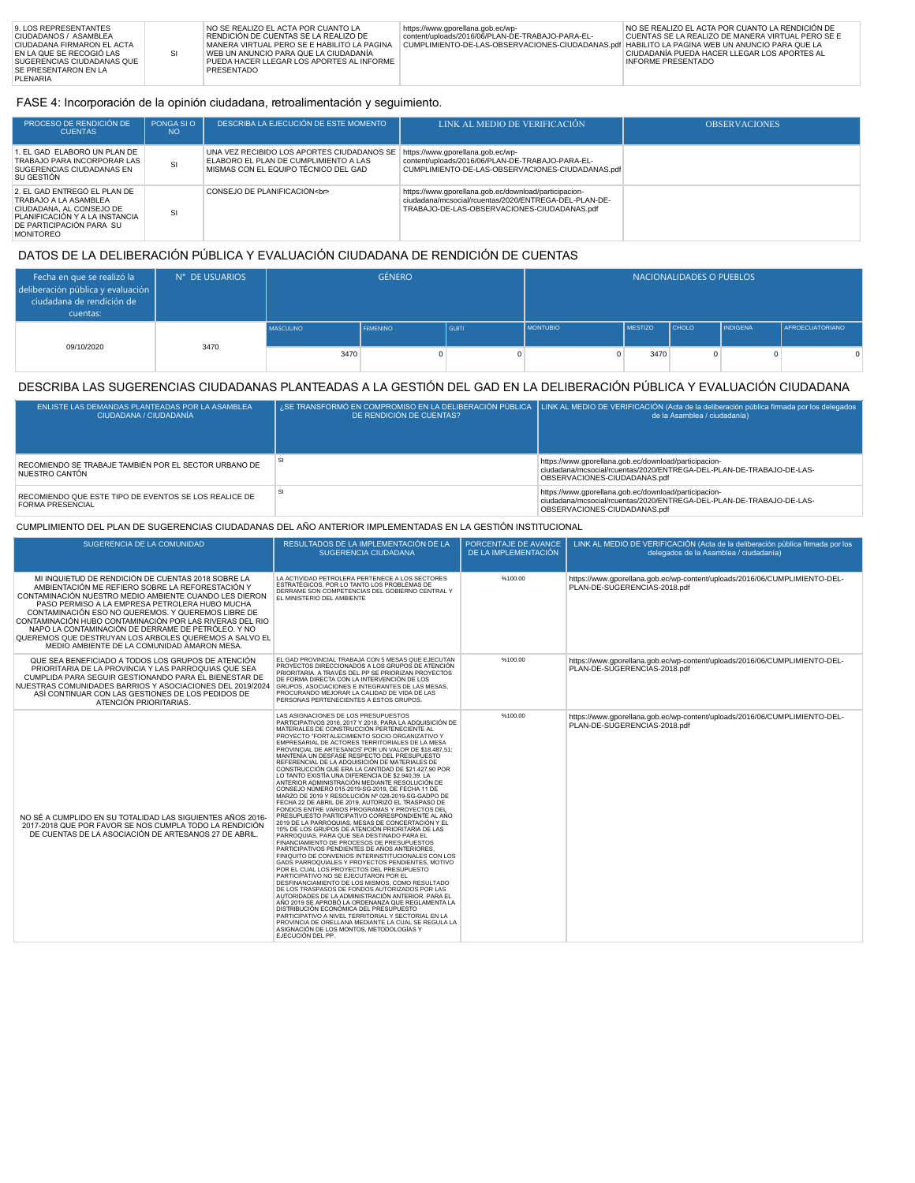### FASE 4: Incorporación de la opinión ciudadana, retroalimentación y seguimiento.

| PROCESO DE RENDICIÓN DE<br><b>CUENTAS</b>                                                                                                                           | PONGA SI O<br>NO. | DESCRIBA LA EJECUCIÓN DE ESTE MOMENTO                                                                                       | LINK AL MEDIO DE VERIFICACIÓN                                                                                                                                 | <b>OBSERVACIONES</b> |
|---------------------------------------------------------------------------------------------------------------------------------------------------------------------|-------------------|-----------------------------------------------------------------------------------------------------------------------------|---------------------------------------------------------------------------------------------------------------------------------------------------------------|----------------------|
| 1. EL GAD ELABORÓ UN PLAN DE<br>TRABAJO PARA INCORPORAR LAS<br>SUGERENCIAS CIUDADANAS EN<br>SU GESTIÓN                                                              | SI                | UNA VEZ RECIBIDO LOS APORTES CIUDADANOS SE<br>ELABORO EL PLAN DE CUMPLIMIENTO A LAS<br>MISMAS CON EL EQUIPO TÉCNICO DEL GAD | https://www.gporellana.gob.ec/wp-<br>content/uploads/2016/06/PLAN-DE-TRABAJO-PARA-EL-<br>CUMPLIMIENTO-DE-LAS-OBSERVACIONES-CIUDADANAS.pdf                     |                      |
| 2. EL GAD ENTREGÓ EL PLAN DE<br>TRABAJO A LA ASAMBLEA<br>CIUDADANA, AL CONSEJO DE<br>PLANIFICACIÓN Y A LA INSTANCIA<br>DE PARTICIPACIÓN PARA SU<br><b>MONITOREO</b> | SI                | CONSEJO DE PLANIFICACIÓN<br>                                                                                                | https://www.gporellana.gob.ec/download/participacion-<br>ciudadana/mcsocial/rcuentas/2020/ENTREGA-DEL-PLAN-DE-<br>TRABAJO-DE-LAS-OBSERVACIONES-CIUDADANAS.pdf |                      |

# DATOS DE LA DELIBERACIÓN PÚBLICA Y EVALUACIÓN CIUDADANA DE RENDICIÓN DE CUENTAS

| Fecha en que se realizó la<br>deliberación pública y evaluación<br>ciudadana de rendición de<br>cuentas: | N° DE USUARIOS | <b>GÉNERO</b>    |                 |              |                 | NACIONALIDADES O PUEBLOS |              |                 |                        |
|----------------------------------------------------------------------------------------------------------|----------------|------------------|-----------------|--------------|-----------------|--------------------------|--------------|-----------------|------------------------|
| 09/10/2020                                                                                               | 3470           | <b>MASCULINO</b> | <b>FEMENINO</b> | <b>GLBTI</b> | <b>MONTUBIO</b> | <b>MESTIZO</b>           | <b>CHOLO</b> | <b>INDIGENA</b> | <b>AFROECUATORIANO</b> |
|                                                                                                          |                | 3470             | $\Omega$        | 0            |                 | 3470                     |              |                 | $\Omega$               |

## DESCRIBA LAS SUGERENCIAS CIUDADANAS PLANTEADAS A LA GESTIÓN DEL GAD EN LA DELIBERACIÓN PÚBLICA Y EVALUACIÓN CIUDADANA

| ENLISTE LAS DEMANDAS PLANTEADAS POR LA ASAMBLEA<br>CIUDADANA / CIUDADANÍA        | DE RENDICIÓN DE CUENTAS? | ¿SE TRANSFORMÓ EN COMPROMISO EN LA DELIBERACIÓN PÚBLICA   LINK AL MEDIO DE VERIFICACIÓN (Acta de la deliberación pública firmada por los delegados<br>de la Asamblea / ciudadanía) |
|----------------------------------------------------------------------------------|--------------------------|------------------------------------------------------------------------------------------------------------------------------------------------------------------------------------|
| RECOMIENDO SE TRABAJE TAMBIÉN POR EL SECTOR URBANO DE<br>NUESTRO CANTÓN          |                          | https://www.gporellana.gob.ec/download/participacion-<br>ciudadana/mcsocial/rcuentas/2020/ENTREGA-DEL-PLAN-DE-TRABAJO-DE-LAS-<br>OBSERVACIONES-CIUDADANAS.pdf                      |
| RECOMIENDO QUE ESTE TIPO DE EVENTOS SE LOS REALICE DE<br><b>FORMA PRESENCIAL</b> |                          | https://www.gporellana.gob.ec/download/participacion-<br>ciudadana/mcsocial/rcuentas/2020/ENTREGA-DEL-PLAN-DE-TRABAJO-DE-LAS-<br>OBSERVACIONES-CIUDADANAS.pdf                      |

### CUMPLIMIENTO DEL PLAN DE SUGERENCIAS CIUDADANAS DEL AÑO ANTERIOR IMPLEMENTADAS EN LA GESTIÓN INSTITUCIONAL

| SUGERENCIA DE LA COMUNIDAD                                                                                                                                                                                                                                                                                                                                                                                                                                                                          | RESULTADOS DE LA IMPLEMENTACIÓN DE LA<br>SUGERENCIA CIUDADANA                                                                                                                                                                                                                                                                                                                                                                                                                                                                                                                                                                                                                                                                                                                                                                                                                                                                                                                                                                                                                                                                                                                                                                                                                                                                                                                                                                                                                                                                                                                                                                                                                                                                                    | PORCENTAJE DE AVANCE<br>DE LA IMPLEMENTACIÓN | LINK AL MEDIO DE VERIFICACIÓN (Acta de la deliberación pública firmada por los<br>delegados de la Asamblea / ciudadanía) |
|-----------------------------------------------------------------------------------------------------------------------------------------------------------------------------------------------------------------------------------------------------------------------------------------------------------------------------------------------------------------------------------------------------------------------------------------------------------------------------------------------------|--------------------------------------------------------------------------------------------------------------------------------------------------------------------------------------------------------------------------------------------------------------------------------------------------------------------------------------------------------------------------------------------------------------------------------------------------------------------------------------------------------------------------------------------------------------------------------------------------------------------------------------------------------------------------------------------------------------------------------------------------------------------------------------------------------------------------------------------------------------------------------------------------------------------------------------------------------------------------------------------------------------------------------------------------------------------------------------------------------------------------------------------------------------------------------------------------------------------------------------------------------------------------------------------------------------------------------------------------------------------------------------------------------------------------------------------------------------------------------------------------------------------------------------------------------------------------------------------------------------------------------------------------------------------------------------------------------------------------------------------------|----------------------------------------------|--------------------------------------------------------------------------------------------------------------------------|
| MI INQUIETUD DE RENDICIÓN DE CUENTAS 2018 SOBRE LA<br>AMBIENTACIÓN ME REFIERO SOBRE LA REFORESTACIÓN Y<br>CONTAMINACIÓN NUESTRO MEDIO AMBIENTE CUANDO LES DIERON<br>PASO PERMISO A LA EMPRESA PETROLERA HUBO MUCHA<br>CONTAMINACIÓN ESO NO QUEREMOS. Y QUEREMOS LIBRE DE<br>CONTAMINACIÓN HUBO CONTAMINACIÓN POR LAS RIVERAS DEL RIO<br>NAPO LA CONTAMINACIÓN DE DERRAME DE PETRÓLEO. Y NO<br>QUEREMOS QUE DESTRUYAN LOS ARBOLES QUEREMOS A SALVO EL<br>MEDIO AMBIENTE DE LA COMUNIDAD AMARON MESA. | LA ACTIVIDAD PETROLERA PERTENECE A LOS SECTORES<br>ESTRATÉGICOS, POR LO TANTO LOS PROBLEMAS DE<br>DERRAME SON COMPETENCIAS DEL GOBIERNO CENTRAL Y<br>EL MINISTERIO DEL AMBIENTE                                                                                                                                                                                                                                                                                                                                                                                                                                                                                                                                                                                                                                                                                                                                                                                                                                                                                                                                                                                                                                                                                                                                                                                                                                                                                                                                                                                                                                                                                                                                                                  | %100.00                                      | https://www.gporellana.gob.ec/wp-content/uploads/2016/06/CUMPLIMIENTO-DEL-<br>PLAN-DE-SUGERENCIAS-2018.pdf               |
| QUE SEA BENEFICIADO A TODOS LOS GRUPOS DE ATENCIÓN<br>PRIORITARIA DE LA PROVINCIA Y LAS PARROQUIAS QUE SEA<br>CUMPLIDA PARA SEGUIR GESTIONANDO PARA EL BIENESTAR DE<br>NUESTRAS COMUNIDADES BARRIOS Y ASOCIACIONES DEL 2019/2024<br>ASÍ CONTINUAR CON LAS GESTIONES DE LOS PEDIDOS DE<br>ATENCIÓN PRIORITARIAS.                                                                                                                                                                                     | EL GAD PROVINCIAL TRABAJA CON 5 MESAS QUE EJECUTAN<br>PROYECTOS DIRECCIONADOS A LOS GRUPOS DE ATENCIÓN<br>PRIORITARIA. A TRAVÉS DEL PP SE PRIORIZAN PROYECTOS<br>DE FORMA DIRECTA CON LA INTERVENCIÓN DE LOS<br>GRUPOS, ASOCIACIONES E INTEGRANTES DE LAS MESAS,<br>PROCURANDO MEJORAR LA CALIDAD DE VIDA DE LAS<br>PERSONAS PERTENECIENTES A ESTOS GRUPOS.                                                                                                                                                                                                                                                                                                                                                                                                                                                                                                                                                                                                                                                                                                                                                                                                                                                                                                                                                                                                                                                                                                                                                                                                                                                                                                                                                                                      | %100.00                                      | https://www.qporellana.qob.ec/wp-content/uploads/2016/06/CUMPLIMIENTO-DEL-<br>PLAN-DE-SUGERENCIAS-2018.pdf               |
| NO SÉ A CUMPLIDO EN SU TOTALIDAD LAS SIGUIENTES AÑOS 2016-<br>2017-2018 QUE POR FAVOR SE NOS CUMPLA TODO LA RENDICIÓN<br>DE CUENTAS DE LA ASOCIACIÓN DE ARTESANOS 27 DE ABRIL.                                                                                                                                                                                                                                                                                                                      | LAS ASIGNACIONES DE LOS PRESUPUESTOS<br>PARTICIPATIVOS 2016, 2017 Y 2018, PARA LA ADQUISICIÓN DE<br>MATERIALES DE CONSTRUCCIÓN PERTENECIENTE AL<br>PROYECTO "FORTALECIMIENTO SOCIO ORGANIZATIVO Y<br>EMPRESARIAL DE ACTORES TERRITORIALES DE LA MESA<br>PROVINCIAL DE ARTESANOS" POR UN VALOR DE \$18.487,51;<br>MANTENÍA UN DESFASE RESPECTO DEL PRESUPUESTO<br>REFERENCIAL DE LA ADQUISICIÓN DE MATERIALES DE<br>CONSTRUCCIÓN QUE ERA LA CANTIDAD DE \$21.427,90 POR<br>LO TANTO EXISTÍA UNA DIFERENCIA DE \$2.940,39. LA<br>ANTERIOR ADMINISTRACIÓN MEDIANTE RESOLUCIÓN DE<br>CONSEJO NÚMERO 015-2019-SG-2019, DE FECHA 11 DE<br>MARZO DE 2019 Y RESOLUCIÓN Nº 028-2019-SG-GADPO DE<br>FECHA 22 DE ABRIL DE 2019, AUTORIZÓ EL TRASPASO DE<br>FONDOS ENTRE VARIOS PROGRAMAS Y PROYECTOS DEI<br>PRESUPUESTO PARTICIPATIVO CORRESPONDIENTE AL AÑO<br>2019 DE LA PARROQUIAS, MESAS DE CONCERTACIÓN Y EL<br>10% DE LOS GRUPOS DE ATENCIÓN PRIORITARIA DE LAS<br>PARROQUIAS, PARA QUE SEA DESTINADO PARA EL<br>FINANCIAMIENTO DE PROCESOS DE PRESUPUESTOS<br>PARTICIPATIVOS PENDIENTES DE AÑOS ANTERIORES<br>FINIQUITO DE CONVENIOS INTERINSTITUCIONALES CON LOS<br>GADS PARROQUIALES Y PROYECTOS PENDIENTES, MOTIVO<br>POR EL CUAL LOS PROYECTOS DEL PRESUPUESTO<br>PARTICIPATIVO NO SE EJECUTARON POR EL<br>DESFINANCIAMIENTO DE LOS MISMOS, COMO RESULTADO<br>DE LOS TRASPASOS DE FONDOS AUTORIZADOS POR LAS<br>AUTORIDADES DE LA ADMINISTRACIÓN ANTERIOR. PARA EL<br>AÑO 2019 SE APROBÓ LA ORDENANZA QUE REGLAMENTA LA<br>DISTRIBUCIÓN ECONÓMICA DEL PRESUPUESTO<br>PARTICIPATIVO A NIVEL TERRITORIAL Y SECTORIAL EN LA<br>PROVINCIA DE ORELLANA MEDIANTE LA CUAL SE REGULA LA<br>ASIGNACIÓN DE LOS MONTOS, METODOLOGÍAS Y<br>EJECUCIÓN DEL PP. | %100.00                                      | https://www.qporellana.qob.ec/wp-content/uploads/2016/06/CUMPLIMIENTO-DEL-<br>PLAN-DE-SUGERENCIAS-2018.pdf               |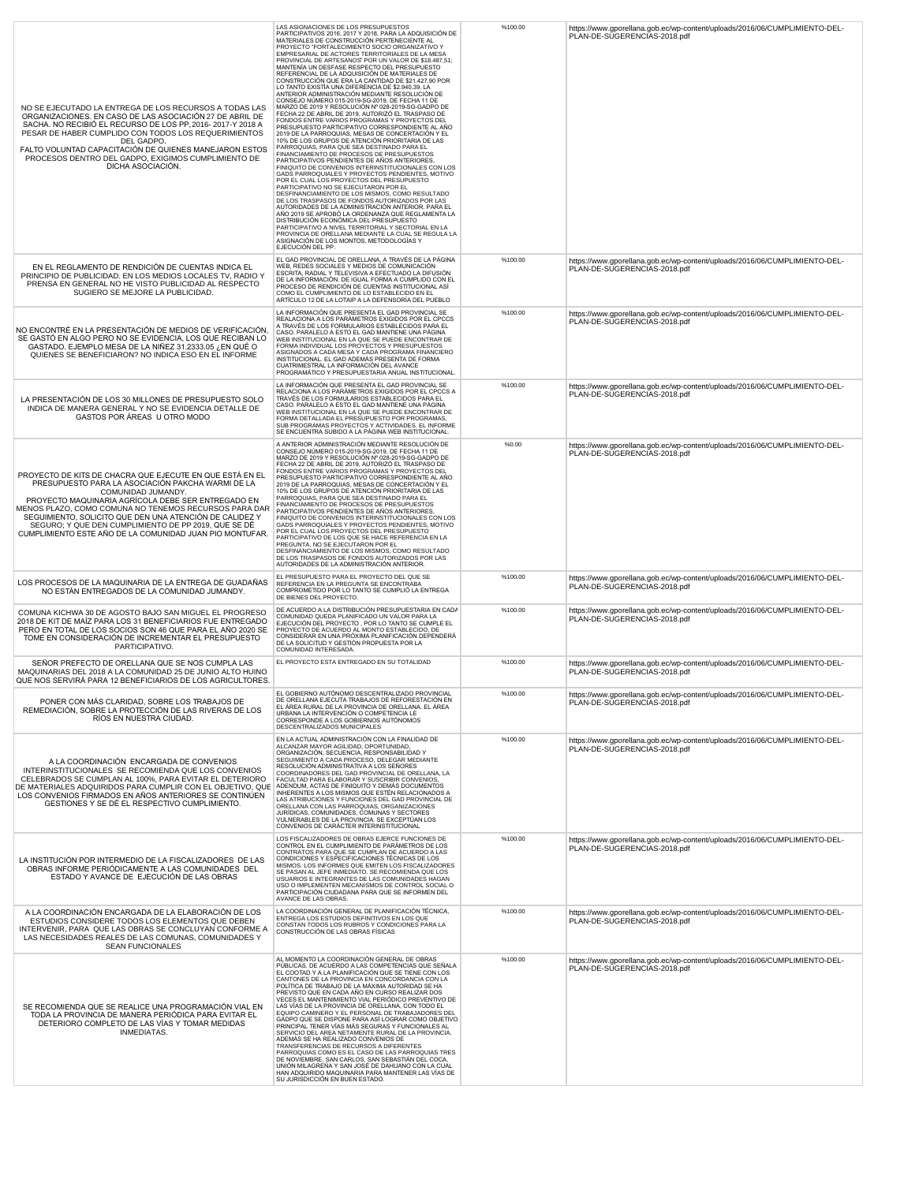| NO SE EJECUTADO LA ENTREGA DE LOS RECURSOS A TODAS LAS<br>ORGANIZACIONES. EN CASO DE LAS ASOCIACIÓN 27 DE ABRIL DE<br>SACHA. NO RECIBIÓ EL RECURSO DE LOS PP, 2016-2017-Y 2018 A<br>PESAR DE HABER CUMPLIDO CON TODOS LOS REQUERIMIENTOS<br>DEL GADPO.<br>FALTO VOLUNTAD CAPACITACIÓN DE QUIENES MANEJARON ESTOS<br>PROCESOS DENTRO DEL GADPO, EXIGIMOS CUMPLIMIENTO DE<br>DICHA ASOCIACIÓN.                                      | LAS ASIGNACIONES DE LOS PRESUPUESTOS<br>PARTICIPATIVOS 2016, 2017 Y 2018, PARA LA ADQUISICIÓN DE<br>MATERIALES DE CONSTRUCCIÓN PERTENECIENTE AL<br>PROYECTO "FORTALECIMIENTO SOCIO ORGANIZATIVO Y<br>EMPRESARIAL DE ACTORES TERRITORIALES DE LA MESA<br>PROVINCIAL DE ARTESANOS" POR UN VALOR DE \$18.487,51;<br>MANTENÍA UN DESFASE RESPECTO DEL PRESUPUESTO<br>REFERENCIAL DE LA ADQUISICIÓN DE MATERIALES DE<br>CONSTRUCCIÓN QUE ERA LA CANTIDAD DE \$21.427,90 POR<br>CONSTRUCCIÓN QUE ERA LA CANTIDAD DE \$21.427,90 POR<br>LO TANTO EXISTÍA UNA DIFERENCIA DE \$2.940,39. LA<br>LOTARIOR ADMINISTRACIÓN MEDIANTE RESOLUCIÓN DE<br>CONSELOR ADMINISTRACIÓN MEDIANTE RESOLUCIÓN DE<br>CONSELONUMERO 015-2019-SC-2019, DE FECHA 11 DE<br>MARZO DE 2019 Y RESOLUCIÓN Nº 028-2019-SG-GADPO DE<br>FONDOS ENTRE VARIOS PROGRAMAS<br>PRESUPUESTO PARTICIPATIVO CORRESPONDIENTE AL AÑO<br>2019 DE LA PARROQUIAS. MESAS DE CONCERTACIÓN Y EL<br>10% DE LOS GRUPOS DE ATENCIÓN PRIORITARIA DE LAS<br>PARROQUIAS, PARA QUE SEA DESTINADO PARA EL<br>FINANCIAMIENTO DE PROCESOS DE PRESUPUESTOS<br>PARTICIPATIVOS PENDIENTES DE AÑOS ANTERIORES,<br>FINIQUITO DE CONVENIOS INTERINSTITUCIONALES CON LOS<br>GADS PARROQUIALES Y PROYECTOS PENDIENTES, MOTIVO<br>POR EL CUAL LOS PROYECTOS DEL PRESUPUESTO<br>PARTICIPATIVO NO SE EJECUTARON POR EL<br>DESFINANCIAMIENTO DE LOS MISMOS, COMO RESULTADO<br>DE LOS TRASPASOS DE FONDOS AUTORIZADOS POR LAS<br>AUTORIDADES DE LA ADMINISTRACIÓN ANTERIOR. PARA EL<br>AÑO 2019 SE APROBÓ LA ORDENANZA QUE REGLAMENTA LA<br>DISTRIBUCIÓN ECONÓMICA DEL PRESUPUESTO<br>PARTICIPATIVO A NIVEL TERRITORIAL Y SECTORIAL EN LA<br>PROVINCIA DE ORELLANA MEDIANTE LA CUAL SE REGULA LA<br>ASIGNACIÓN DE LOS MONTOS, METODOLOGÍAS Y<br>EJECUCIÓN DEL PP. | %100.00 | https://www.gporellana.gob.ec/wp-content/uploads/2016/06/CUMPLIMIENTO-DEL-<br>PLAN-DE-SUGERENCIAS-2018.pdf |
|-----------------------------------------------------------------------------------------------------------------------------------------------------------------------------------------------------------------------------------------------------------------------------------------------------------------------------------------------------------------------------------------------------------------------------------|-------------------------------------------------------------------------------------------------------------------------------------------------------------------------------------------------------------------------------------------------------------------------------------------------------------------------------------------------------------------------------------------------------------------------------------------------------------------------------------------------------------------------------------------------------------------------------------------------------------------------------------------------------------------------------------------------------------------------------------------------------------------------------------------------------------------------------------------------------------------------------------------------------------------------------------------------------------------------------------------------------------------------------------------------------------------------------------------------------------------------------------------------------------------------------------------------------------------------------------------------------------------------------------------------------------------------------------------------------------------------------------------------------------------------------------------------------------------------------------------------------------------------------------------------------------------------------------------------------------------------------------------------------------------------------------------------------------------------------------------------------------------------------------|---------|------------------------------------------------------------------------------------------------------------|
| EN EL REGLAMENTO DE RENDICIÓN DE CUENTAS INDICA EL<br>PRINCIPIO DE PUBLICIDAD. EN LOS MEDIOS LOCALES TV, RADIO Y<br>PRENSA EN GENERAL NO HE VISTO PUBLICIDAD AL RESPECTO<br>SUGIERO SE MEJORE LA PUBLICIDAD.                                                                                                                                                                                                                      | EL GAD PROVINCIAL DE ORELLANA, A TRAVÉS DE LA PÁGINA<br>WEB, REDES SOCIALES Y MEDIOS DE COMUNICACIÓN<br>ESCRITA, RADIAL Y TELEVISIVA A EFECTUADO LA DIFUSIÓN<br>DE LA INFORMACIÓN. DE IGUAL FORMA A CUMPLIDO CON EL<br>PROCESO DE RENDICIÓN DE CUENTAS INSTITUCIONAL ASÍ<br>COMO EL CUMPLIMIENTO DE LO ESTABLECIDO EN EL ARTÍCULO 12 DE LA LOTAIP A LA DEFENSORÍA DEL PUEBLO                                                                                                                                                                                                                                                                                                                                                                                                                                                                                                                                                                                                                                                                                                                                                                                                                                                                                                                                                                                                                                                                                                                                                                                                                                                                                                                                                                                                        | %100.00 | https://www.gporellana.gob.ec/wp-content/uploads/2016/06/CUMPLIMIENTO-DEL-<br>PLAN-DE-SUGERENCIAS-2018.pdf |
| NO ENCONTRÉ EN LA PRESENTACIÓN DE MEDIOS DE VERIFICACIÓN,<br>SE GASTÓ EN ALGO PERO NO SE EVIDENCIA, LOS QUE RECIBAN LO<br>GASTADO. EJEMPLO MESA DE LA NIÑEZ 31.2333.05 ¿EN QUÉ O<br>QUIENES SE BENEFICIARON? NO INDICA ESO EN EL INFORME                                                                                                                                                                                          | LA INFORMACIÓN QUE PRESENTA EL GAD PROVINCIAL SE<br>REALACIONA A LOS PARÁMETROS EXIGIDOS POR EL CPCCS<br>A TRAVÉS DE LOS FORMULARIOS ESTABLECIDOS PARA EL<br>CASO. PARALELO A ESTO EL GAD MANTIENE UNA PÁGINA<br>WEB INSTITUCIONAL EN LA QUE SE PUEDE ENCONTRAR DE<br>FORMA INDIVIDUAL LOS PROYECTOS Y PRESUPUESTOS<br>ASIGNADOS A CADA MESA Y CADA PROGRAMA FINANCIERO<br>INSTITUCIONAL. EL GAD ADEMÁS PRESENTA DE FORMA<br>CUATRIMESTRAL LA INFORMACIÓN DEL AVANCE<br>PROGRAMÁTICO Y PRESUPUESTARIA ANUAL INSTITUCIONAL                                                                                                                                                                                                                                                                                                                                                                                                                                                                                                                                                                                                                                                                                                                                                                                                                                                                                                                                                                                                                                                                                                                                                                                                                                                           | %100.00 | https://www.gporellana.gob.ec/wp-content/uploads/2016/06/CUMPLIMIENTO-DEL-<br>PLAN-DE-SUGERENCIAS-2018.pdf |
| LA PRESENTACIÓN DE LOS 30 MILLONES DE PRESUPUESTO SOLO<br>INDICA DE MANERA GENERAL Y NO SE EVIDENCIA DETALLE DE<br>GASTOS POR ÁREAS U OTRO MODO                                                                                                                                                                                                                                                                                   | LA INFORMACIÓN QUE PRESENTA EL GAD PROVINCIAL SE<br>RELACIONA A LOS PARÁMETROS EXIGIDOS POR EL CPCCS A<br>TRAVÉS DE LOS FORMULARIOS ESTABLECIDOS PARA EL<br>CASO. PARALELO A ESTO EL GAD MANTIENE UNA PÁGINA<br>WEB INSTITUCIONAL EN LA QUE SE PUEDE ENCONTRAR DE<br>FORMA DETALLADA EL PRESUPUESTO POR PROGRAMAS,<br>SUB PROGRAMAS PROYECTOS Y ACTIVIDADES. EL INFORME<br>SE ENCUENTRA SUBIDO A LA PÁGINA WEB INSTITUCIONAL.                                                                                                                                                                                                                                                                                                                                                                                                                                                                                                                                                                                                                                                                                                                                                                                                                                                                                                                                                                                                                                                                                                                                                                                                                                                                                                                                                       | %100.00 | https://www.gporellana.gob.ec/wp-content/uploads/2016/06/CUMPLIMIENTO-DEL-<br>PLAN-DE-SUGERENCIAS-2018.pdf |
| PROYECTO DE KITS DE CHACRA QUE EJECUTE EN QUE ESTÁ EN EL<br>PRESUPUESTO PARA LA ASOCIACIÓN PAKCHA WARMI DE LA<br>COMUNIDAD JUMANDY.<br>PROYECTO MAQUINARIA AGRÍCOLA DEBE SER ENTREGADO EN<br>MENOS PLAZO, COMO COMUNA NO TENEMOS RECURSOS PARA DAR<br>SEGUIMIENTO, SOLICITO QUE DEN UNA ATENCIÓN DE CALIDEZ Y<br>SEGURO; Y QUE DEN CUMPLIMIENTO DE PP 2019, QUE SE DÉ<br>CUMPLIMIENTO ESTE AÑO DE LA COMUNIDAD JUAN PIO MONTUFAR. | A ANTERIOR ADMINISTRACIÓN MEDIANTE RESOLUCIÓN DE<br>CONSEJO NÚMERO 015-2019-SG-2019, DE FECHA 11 DE<br>MARZO DE 2019 Y RESOLUCIÓN Nº 028-2019-SG-GADPO DE<br>FECHA 22 DE ABRIL DE 2019, AUTORIZÓ EL TRASPASO DE<br>FONDOS ENTRE VARIOS PROGRAMAS Y PROYECTOS DEL<br>PRESUPUESTO PARTICIPATIVO CORRESPONDIENTE AL AÑO<br>2019 DE LA PARROQUIAS, MESAS DE CONCERTACIÓN Y EL<br>10% DE LOS GRUPOS DE ATENCIÓN PRIORITARIA DE LAS<br>PARROQUIAS, PARA QUE SEA DESTINADO PARA EL<br>FINANCIAMIENTO DE PROCESOS DE PRESUPUESTOS<br>PARTICIPATIVOS PENDIENTES DE AÑOS ANTERIORES,<br>FINIQUITO DE CONVENIOS INTERINSTITUCIONALES CON LOS<br>GADS PARROQUIALES Y PROYECTOS PENDIENTES, MOTIVO<br>POR EL CUAL LOS PROYECTOS DEL PRESUPUESTO<br>PARTICIPATIVO DE LOS QUE SE HACE REFERENCIA EN LA<br>PREGUNTA, NO SE EJECUTARON POR EL<br>DESFINANCIAMIENTO DE LOS MISMOS, COMO RESULTADO<br>DE LOS TRASPASOS DE FONDOS AUTORIZADOS POR LAS<br>AUTORIDADES DE LA ADMINISTRACIÓN ANTERIOR.                                                                                                                                                                                                                                                                                                                                                                                                                                                                                                                                                                                                                                                                                                                                                                                                     | %0.00   | https://www.gporellana.gob.ec/wp-content/uploads/2016/06/CUMPLIMIENTO-DEL-<br>PLAN-DE-SUGERENCIAS-2018.pdf |
| LOS PROCESOS DE LA MAQUINARIA DE LA ENTREGA DE GUADAÑAS<br>NO ESTÁN ENTREGADOS DE LA COMUNIDAD JUMANDY.                                                                                                                                                                                                                                                                                                                           | EL PRESUPUESTO PARA EL PROYECTO DEL QUE SE<br>REFERENCIA EN LA PREGUNTA SE ENCONTRABA<br>COMPROMETIDO POR LO TANTO SE CUMPLIÓ LA ENTREGA<br>DE BIENES DEL PROYECTO.                                                                                                                                                                                                                                                                                                                                                                                                                                                                                                                                                                                                                                                                                                                                                                                                                                                                                                                                                                                                                                                                                                                                                                                                                                                                                                                                                                                                                                                                                                                                                                                                                 | %100.00 | https://www.gporellana.gob.ec/wp-content/uploads/2016/06/CUMPLIMIENTO-DEL-<br>PLAN-DE-SUGERENCIAS-2018.pdf |
| COMUNA KICHWA 30 DE AGOSTO BAJO SAN MIGUEL EL PROGRESO<br>2018 DE KIT DE MAÍZ PARA LOS 31 BENEFICIARIOS FUE ENTREGADO<br>PERO EN TOTAL DE LOS SOCIOS SON 46 QUE PARA EL AÑO 2020 SE<br>TOME EN CONSIDERACIÓN DE INCREMENTAR EL PRESUPUESTO<br>PARTICIPATIVO.                                                                                                                                                                      | DE ACUERDO A LA DISTRIBUCIÓN PRESUPUESTARIA EN CADA<br>COMUNIDAD QUEDA PLANIFICADO UN VALOR PARA LA<br>EJECUCIÓN DEL PROYECTO, POR LO TANTO SE CUMPLE EL<br>PROYECTO DE ACUERDO AL MONTO ESTABLECIDO, DE<br>CONSIDERAR EN UNA PRÓXIMA PLANIFICACIÓN DEPENDERÁ<br>DE LA SOLICITUD Y GESTIÓN PROPUESTA POR LA<br>COMUNIDAD INTERESADA.                                                                                                                                                                                                                                                                                                                                                                                                                                                                                                                                                                                                                                                                                                                                                                                                                                                                                                                                                                                                                                                                                                                                                                                                                                                                                                                                                                                                                                                | %100.00 | https://www.qporellana.qob.ec/wp-content/uploads/2016/06/CUMPLIMIENTO-DEL-<br>PLAN-DE-SUGERENCIAS-2018.pdf |
| SEÑOR PREFECTO DE ORELLANA QUE SE NOS CUMPLA LAS<br>MAQUINARIAS DEL 2018 A LA COMUNIDAD 25 DE JUNIO ALTO HUINO<br>QUE NOS SERVIRÁ PARA 12 BENEFICIARIOS DE LOS AGRICULTORES.                                                                                                                                                                                                                                                      | EL PROYECTO ESTA ENTREGADO EN SU TOTALIDAD                                                                                                                                                                                                                                                                                                                                                                                                                                                                                                                                                                                                                                                                                                                                                                                                                                                                                                                                                                                                                                                                                                                                                                                                                                                                                                                                                                                                                                                                                                                                                                                                                                                                                                                                          | %100.00 | https://www.gporellana.gob.ec/wp-content/uploads/2016/06/CUMPLIMIENTO-DEL-<br>PLAN-DE-SUGERENCIAS-2018.pdf |
| PONER CON MÁS CLARIDAD, SOBRE LOS TRABAJOS DE<br>REMEDIACIÓN, SOBRE LA PROTECCIÓN DE LAS RIVERAS DE LOS<br>RÍOS EN NUESTRA CIUDAD.                                                                                                                                                                                                                                                                                                | EL GOBIERNO AUTÓNOMO DESCENTRALIZADO PROVINCIAL<br>DE ORELLANA EJECUTA TRABAJOS DE REFORESTACIÓN EN<br>EL ÁREA RURAL DE LA PROVINCIA DE ORELLANA. EL ÁREA<br>URBANA LA INTERVENCIÓN O COMPETENCIA LE<br>CORRESPONDE A LOS GOBIERNOS AUTÓNOMOS<br>DESCENTRALIZADOS MUNICIPALES                                                                                                                                                                                                                                                                                                                                                                                                                                                                                                                                                                                                                                                                                                                                                                                                                                                                                                                                                                                                                                                                                                                                                                                                                                                                                                                                                                                                                                                                                                       | %100.00 | https://www.gporellana.gob.ec/wp-content/uploads/2016/06/CUMPLIMIENTO-DEL<br>PLAN-DE-SUGERENCIAS-2018.pdf  |
| A LA COORDINACIÓN ENCARGADA DE CONVENIOS<br>INTERINSTITUCIONALES SE RECOMIENDA QUE LOS CONVENIOS<br>CELEBRADOS SE CUMPLAN AL 100%, PARA EVITAR EL DETERIORO<br>DE MATERIALES ADQUIRIDOS PARA CUMPLIR CON EL OBJETIVO, QUE<br>LOS CONVENIOS FIRMADOS EN AÑOS ANTERIORES SE CONTINÚEN<br>GESTIONES Y SE DÉ EL RESPECTIVO CUMPLIMIENTO.                                                                                              | EN LA ACTUAL ADMINISTRACIÓN CON LA FINALIDAD DE<br>ALCANZAR MAYOR AGILIDAD, OPORTUNIDAD,<br>ORGANIZACIÓN, SECUENCIA, RESPONSABILIDAD Y<br>SEGUIMIENTO A CADA PROCESO, DELEGAR MEDIANTE<br>RESOLUCIÓN ADMINISTRATIVA A LOS SEÑORES<br>COORDINADORES DEL GAD PROVINCIAL DE ORELLANA, LA<br>FACULTAD PARA ELABORAR Y SUSCRIBIR CONVENIOS,<br>ADENDUM, ACTAS DE FINIQUITO Y DEMÁS DOCUMENTOS<br>INHERENTES A LOS MISMOS QUE ESTÉN RELACIONADOS A<br>LAS ATRIBUCIONES Y FUNCIONES DEL GAD PROVINCIAL DE<br>DRELLANA CON LAS PARROQUIAS, ORGANIZACIONES<br>JURÍDICAS, COMUNIDADES, COMUNAS Y SECTORES<br>VULNERABLES DE LA PROVINCIA. SE EXCEPTÚAN LOS<br>CONVENIOS DE CARÁCTER INTERINSTITUCIONAL                                                                                                                                                                                                                                                                                                                                                                                                                                                                                                                                                                                                                                                                                                                                                                                                                                                                                                                                                                                                                                                                                        | %100.00 | https://www.gporellana.gob.ec/wp-content/uploads/2016/06/CUMPLIMIENTO-DEL-<br>PLAN-DE-SUGERENCIAS-2018.pdf |
| LA INSTITUCIÓN POR INTERMEDIO DE LA FISCALIZADORES DE LAS<br>OBRAS INFORME PERIÓDICAMENTE A LAS COMUNIDADES DEL<br>ESTADO Y AVANCE DE EJECUCIÓN DE LAS OBRAS                                                                                                                                                                                                                                                                      | LOS FISCALIZADORES DE OBRAS EJERCE FUNCIONES DE<br>CONTROL EN EL CUMPLIMIENTO DE PARÁMETROS DE LOS<br>CONTRATOS PARA QUE SE CUMPLAN DE ACUERDO A LAS<br>CONDICIONES Y ESPECIFICACIONES TÉCNICAS DE LOS<br>MISMOS. LOS INFORMES QUE EMITEN LOS FISCALIZADORES<br>SE PASAN AL JEFE INMEDIATO. SE RECOMIENDA QUE LOS<br>USUARIOS E INTEGRANTES DE LAS COMUNIDADES HAGAN<br>USO O IMPLEMENTEN MECANISMOS DE CONTROL SOCIAL O<br>PARTICIPACIÓN CIUDADANA PARA QUE SE INFORMEN DEL<br>AVANCE DE LAS OBRAS.                                                                                                                                                                                                                                                                                                                                                                                                                                                                                                                                                                                                                                                                                                                                                                                                                                                                                                                                                                                                                                                                                                                                                                                                                                                                                | %100.00 | https://www.gporellana.gob.ec/wp-content/uploads/2016/06/CUMPLIMIENTO-DEL-<br>PLAN-DE-SUGERENCIAS-2018.pdf |
| A LA COORDINACIÓN ENCARGADA DE LA ELABORACIÓN DE LOS<br>ESTUDIOS CONSIDERE TODOS LOS ELEMENTOS QUE DEBEN<br>INTERVENIR, PARA QUE LAS OBRAS SE CONCLUYAN CONFORME A<br>LAS NECESIDADES REALES DE LAS COMUNAS, COMUNIDADES Y<br><b>SEAN FUNCIONALES</b>                                                                                                                                                                             | LA COORDINACIÓN GENERAL DE PLANIFICACIÓN TÉCNICA,<br>ENTREGA LOS ESTUDIOS DEFINITIVOS EN LOS QUE<br>CONSTAN TODOS LOS RUBROS Y CONDICIONES PARA LA<br>CONSTRUCCIÓN DE LAS OBRAS FÍSICAS                                                                                                                                                                                                                                                                                                                                                                                                                                                                                                                                                                                                                                                                                                                                                                                                                                                                                                                                                                                                                                                                                                                                                                                                                                                                                                                                                                                                                                                                                                                                                                                             | %100.00 | https://www.gporellana.gob.ec/wp-content/uploads/2016/06/CUMPLIMIENTO-DEL-<br>PLAN-DE-SUGERENCIAS-2018.pdf |
| SE RECOMIENDA QUE SE REALICE UNA PROGRAMACIÓN VIAL EN<br>TODA LA PROVINCIA DE MANERA PERIÓDICA PARA EVITAR EL<br>DETERIORO COMPLETO DE LAS VÍAS Y TOMAR MEDIDAS<br>INMEDIATAS.                                                                                                                                                                                                                                                    | AL MOMENTO LA COORDINACIÓN GENERAL DE OBRAS<br>PÚBLICAS, DE ACUERDO A LAS COMPETENCIAS QUE SEÑALA<br>EL COOTAD Y A LA PLANIFICACIÓN QUE SE TIENE CON LOS<br>CANTONES DE LA PROVINCIA EN CONCORDANCIA CON LA<br>POLÍTICA DE TRABAJO DE LA MÁXIMA AUTORIDAD SE HA<br>PREVISTO QUE EN CADA AÑO EN CURSO REALIZAR DOS<br>VECES EL MANTENIMIENTO VIAL PERIÓDICO PREVENTIVO DE<br>LAS VÍAS DE LA PROVINCIA DE ORELLANA, CON TODO EL<br>EQUIPO CAMINERO Y EL PERSONAL DE TRABAJADORES DEL<br>GADPO QUE SE DISPONE PARA ASÍ LOGRAR COMO OBJETIVO<br>PRINCIPAL TENER VÍAS MÁS SEGURAS Y FUNCIONALES AL<br>SERVICIO DEL AREA NETAMENTE RURAL DE LA PROVINCIA.<br>ADEMÁS SE HA REALIZADO CONVENIOS DE<br>TRANSFERENCIAS DE RECURSOS A DIFERENTES<br>PARROQUIAS COMO ES EL CASO DE LAS PARROQUIAS TRES<br>DE NOVIEMBRE, SAN CARLOS, SAN SEBASTIÁN DEL COCA,<br>UNIÓN MILAGREÑA Y SAN JOSÉ DE DAHUANO CON LA CUAL<br>HAN ADQUIRIDO MAQUINARIA PARA MANTENER LAS VÍAS DE<br>SU JURISDICCIÓN EN BUEN ESTADO.                                                                                                                                                                                                                                                                                                                                                                                                                                                                                                                                                                                                                                                                                                                                                                                       | %100.00 | https://www.gporellana.gob.ec/wp-content/uploads/2016/06/CUMPLIMIENTO-DEL-<br>PLAN-DE-SUGERENCIAS-2018.pdf |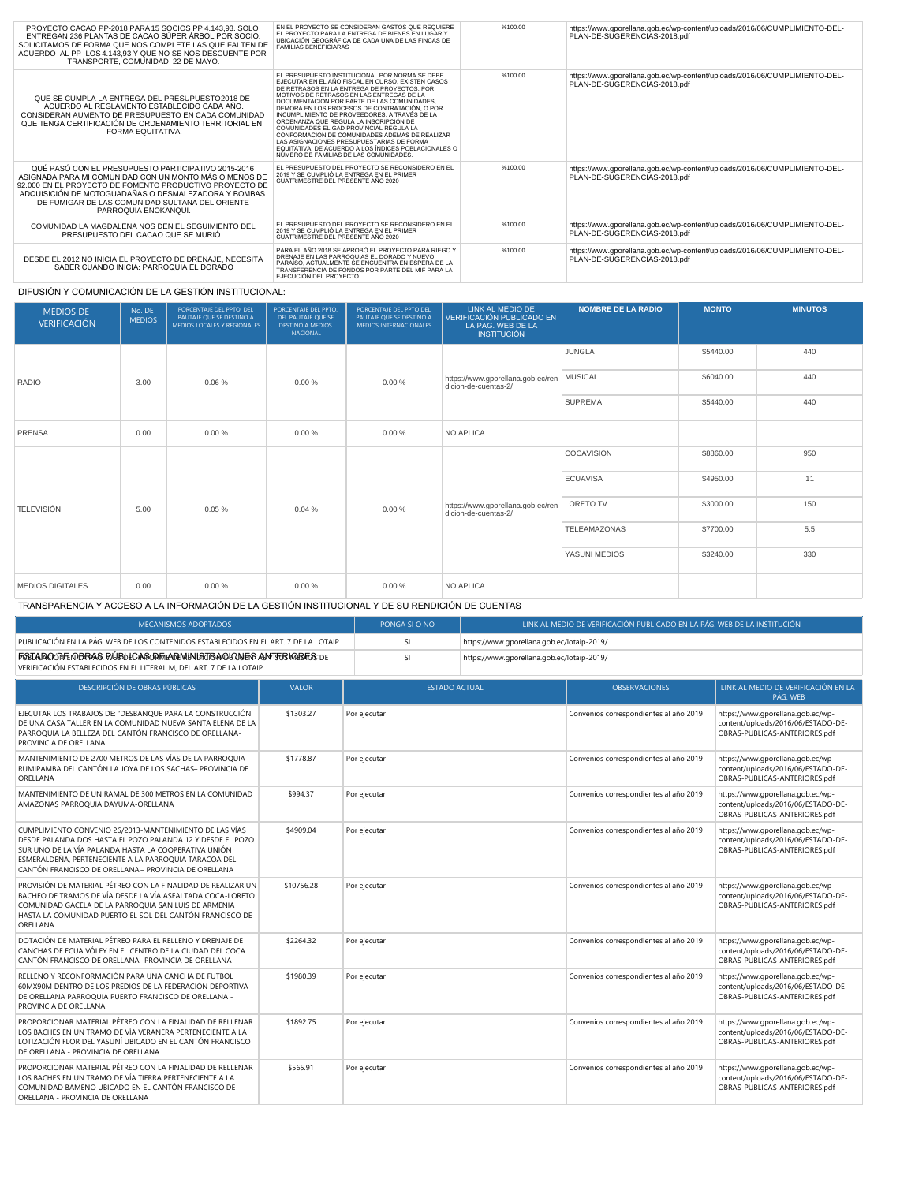| PROYECTO CACAO PP-2018 PARA 15 SOCIOS PP 4.143.93, SOLO<br>ENTREGAN 236 PLANTAS DE CACAO SÚPER ÁRBOL POR SOCIO.<br>SOLICITAMOS DE FORMA QUE NOS COMPLETE LAS QUE FALTEN DE<br>ACUERDO AL PP-LOS 4.143.93 Y QUE NO SE NOS DESCUENTE POR<br>TRANSPORTE, COMUNIDAD 22 DE MAYO.                                 | EN EL PROYECTO SE CONSIDERAN GASTOS QUE REQUIERE<br>EL PROYECTO PARA LA ENTREGA DE BIENES EN LUGAR Y<br>UBICACIÓN GEOGRÁFICA DE CADA UNA DE LAS FINCAS DE<br><b>FAMILIAS BENEFICIARAS</b>                                                                                                                                                                                                                                                                                                                                                                                                                                             | %100.00 | https://www.gporellana.gob.ec/wp-content/uploads/2016/06/CUMPLIMIENTO-DEL-<br>PLAN-DE-SUGERENCIAS-2018.pdf |
|-------------------------------------------------------------------------------------------------------------------------------------------------------------------------------------------------------------------------------------------------------------------------------------------------------------|---------------------------------------------------------------------------------------------------------------------------------------------------------------------------------------------------------------------------------------------------------------------------------------------------------------------------------------------------------------------------------------------------------------------------------------------------------------------------------------------------------------------------------------------------------------------------------------------------------------------------------------|---------|------------------------------------------------------------------------------------------------------------|
| QUE SE CUMPLA LA ENTREGA DEL PRESUPUESTO2018 DE<br>ACUERDO AL REGLAMENTO ESTABLECIDO CADA AÑO.<br>CONSIDERAN AUMENTO DE PRESUPUESTO EN CADA COMUNIDAD<br>QUE TENGA CERTIFICACIÓN DE ORDENAMIENTO TERRITORIAL EN<br>FORMA FOUITATIVA.                                                                        | EL PRESUPUESTO INSTITUCIONAL POR NORMA SE DEBE<br>EJECUTAR EN EL AÑO FISCAL EN CURSO. EXISTEN CASOS<br>DE RETRASOS EN LA ENTREGA DE PROYECTOS, POR<br>MOTIVOS DE RETRASOS EN LAS ENTREGAS DE LA<br>DOCUMENTACIÓN POR PARTE DE LAS COMUNIDADES.<br>DEMORA EN LOS PROCESOS DE CONTRATACIÓN, O POR<br>INCUMPLIMIENTO DE PROVEEDORES. A TRAVÉS DE LA<br>ORDENANZA QUE REGULA LA INSCRIPCIÓN DE<br>COMUNIDADES EL GAD PROVINCIAL REGULA LA<br>CONFORMACIÓN DE COMUNIDADES ADEMÁS DE REALIZAR<br>LAS ASIGNACIONES PRESUPUESTARIAS DE FORMA<br>EQUITATIVA, DE ACUERDO A LOS ÍNDICES POBLACIONALES O<br>NÚMERO DE FAMILIAS DE LAS COMUNIDADES | %100.00 | https://www.gporellana.gob.ec/wp-content/uploads/2016/06/CUMPLIMIENTO-DEL-<br>PLAN-DE-SUGERENCIAS-2018.pdf |
| QUÉ PASÓ CON EL PRESUPUESTO PARTICIPATIVO 2015-2016<br>ASIGNADA PARA MI COMUNIDAD CON UN MONTO MÁS O MENOS DE<br>92,000 EN EL PROYECTO DE FOMENTO PRODUCTIVO PROYECTO DE<br>ADQUISICIÓN DE MOTOGUADAÑAS O DESMALEZADORA Y BOMBAS<br>DE FUMIGAR DE LAS COMUNIDAD SULTANA DEL ORIENTE<br>PARROQUIA ENOKANQUI. | EL PRESUPUESTO DEL PROYECTO SE RECONSIDERO EN EL<br>2019 Y SE CUMPLIÓ LA ENTREGA EN EL PRIMER<br>CUATRIMESTRE DEL PRESENTE AÑO 2020                                                                                                                                                                                                                                                                                                                                                                                                                                                                                                   | %100.00 | https://www.gporellana.gob.ec/wp-content/uploads/2016/06/CUMPLIMIENTO-DEL-<br>PLAN-DE-SUGERENCIAS-2018.pdf |
| COMUNIDAD LA MAGDALENA NOS DEN EL SEGUIMIENTO DEL<br>PRESUPUESTO DEL CACAO QUE SE MURIÓ.                                                                                                                                                                                                                    | EL PRESUPUESTO DEL PROYECTO SE RECONSIDERO EN EL<br>2019 Y SE CUMPLIÓ LA ENTREGA EN EL PRIMER<br>CUATRIMESTRE DEL PRESENTE AÑO 2020                                                                                                                                                                                                                                                                                                                                                                                                                                                                                                   | %100.00 | https://www.gporellana.gob.ec/wp-content/uploads/2016/06/CUMPLIMIENTO-DEL-<br>PLAN-DE-SUGERENCIAS-2018.pdf |
| DESDE EL 2012 NO INICIA EL PROYECTO DE DRENAJE, NECESITA<br>SABER CUÁNDO INICIA: PARROQUIA EL DORADO                                                                                                                                                                                                        | PARA EL AÑO 2018 SE APROBÓ EL PROYECTO PARA RIEGO Y<br>DRENAJE EN LAS PARROQUIAS EL DORADO Y NUEVO<br>PARAÍSO. ACTUALMENTE SE ENCUENTRA EN ESPERA DE LA<br>TRANSFERENCIA DE FONDOS POR PARTE DEL MIF PARA LA<br>EJECUCIÓN DEL PROYECTO.                                                                                                                                                                                                                                                                                                                                                                                               | %100.00 | https://www.gporellana.gob.ec/wp-content/uploads/2016/06/CUMPLIMIENTO-DEL-<br>PLAN-DE-SUGERENCIAS-2018.pdf |

DIFUSIÓN Y COMUNICACIÓN DE LA GESTIÓN INSTITUCIONAL:

| <b>MEDIOS DE</b><br><b>VERIFICACIÓN</b> | No. DE<br><b>MEDIOS</b> | PORCENTAJE DEL PPTO. DEL<br>PAUTAJE QUE SE DESTINO A<br>MEDIOS LOCALES Y REGIONALES | PORCENTAJE DEL PPTO.<br>DEL PAUTAJE QUE SE<br><b>DESTINÓ A MEDIOS</b><br>NACIONAL | PORCENTAJE DEL PPTO DEL<br>PAUTAJE QUE SE DESTINO A<br><b>MEDIOS INTERNACIONALES</b> | LINK AL MEDIO DE<br>VERIFICACIÓN PUBLICADO EN<br>LA PAG. WEB DE LA<br><b>INSTITUCIÓN</b> | <b>NOMBRE DE LA RADIO</b> | <b>MONTO</b> | <b>MINUTOS</b> |
|-----------------------------------------|-------------------------|-------------------------------------------------------------------------------------|-----------------------------------------------------------------------------------|--------------------------------------------------------------------------------------|------------------------------------------------------------------------------------------|---------------------------|--------------|----------------|
|                                         |                         |                                                                                     |                                                                                   |                                                                                      |                                                                                          | <b>JUNGLA</b>             | \$5440.00    | 440            |
| RADIO                                   | 3.00                    | 0.06%                                                                               | 0.00%                                                                             | 0.00%                                                                                | https://www.gporellana.gob.ec/ren<br>dicion-de-cuentas-2/                                | <b>MUSICAL</b>            | \$6040.00    | 440            |
|                                         |                         |                                                                                     |                                                                                   | SUPREMA                                                                              | \$5440.00                                                                                | 440                       |              |                |
| <b>PRENSA</b>                           | 0.00                    | 0.00%                                                                               | 0.00%                                                                             | 0.00%                                                                                | <b>NO APLICA</b>                                                                         |                           |              |                |
|                                         |                         | 0.05%                                                                               | 0.04%                                                                             | 0.00%                                                                                | https://www.gporellana.gob.ec/ren<br>dicion-de-cuentas-2/                                | <b>COCAVISION</b>         | \$8860.00    | 950            |
|                                         |                         |                                                                                     |                                                                                   |                                                                                      |                                                                                          | <b>ECUAVISA</b>           | \$4950.00    | 11             |
| <b>TELEVISIÓN</b>                       | 5.00                    |                                                                                     |                                                                                   |                                                                                      |                                                                                          | <b>LORETO TV</b>          | \$3000.00    | 150            |
|                                         |                         |                                                                                     |                                                                                   |                                                                                      |                                                                                          | TELEAMAZONAS              | \$7700.00    | 5.5            |
|                                         |                         |                                                                                     |                                                                                   |                                                                                      |                                                                                          | YASUNI MEDIOS             | \$3240.00    | 330            |
| <b>MEDIOS DIGITALES</b>                 | 0.00                    | 0.00%                                                                               | 0.00%                                                                             | 0.00%                                                                                | NO APLICA                                                                                |                           |              |                |

TRANSPARENCIA Y ACCESO A LA INFORMACIÓN DE LA GESTIÓN INSTITUCIONAL Y DE SU RENDICIÓN DE CUENTAS:

| <b>MECANISMOS ADOPTADOS</b>                                                                                                                                                                                                                                                                    | PONGA SI O NO |              | LINK AL MEDIO DE VERIFICACIÓN PUBLICADO EN LA PÁG. WEB DE LA INSTITUCIÓN |                                            |                                                                                                          |  |
|------------------------------------------------------------------------------------------------------------------------------------------------------------------------------------------------------------------------------------------------------------------------------------------------|---------------|--------------|--------------------------------------------------------------------------|--------------------------------------------|----------------------------------------------------------------------------------------------------------|--|
| PUBLICACIÓN EN LA PÁG. WEB DE LOS CONTENIDOS ESTABLECIDOS EN EL ART. 7 DE LA LOTAIP                                                                                                                                                                                                            |               | <b>SI</b>    |                                                                          | https://www.qporellana.qob.ec/lotaip-2019/ |                                                                                                          |  |
| ESTAROODE PERAS RÉBLICAS CREADMINISTRA GIONES ANTERIARES: DE<br>VERIFICACIÓN ESTABLECIDOS EN EL LITERAL M. DEL ART. 7 DE LA LOTAIP                                                                                                                                                             |               | SI           | https://www.qporellana.qob.ec/lotaip-2019/                               |                                            |                                                                                                          |  |
| DESCRIPCIÓN DE OBRAS PÚBLICAS                                                                                                                                                                                                                                                                  | <b>VALOR</b>  |              | <b>ESTADO ACTUAL</b>                                                     | <b>OBSERVACIONES</b>                       | LINK AL MEDIO DE VERIFICACIÓN EN LA<br>PÁG. WEB                                                          |  |
| EJECUTAR LOS TRABAJOS DE: "DESBANOUE PARA LA CONSTRUCCIÓN<br>DE UNA CASA TALLER EN LA COMUNIDAD NUEVA SANTA ELENA DE LA<br>PARROQUIA LA BELLEZA DEL CANTÓN FRANCISCO DE ORELLANA-<br>PROVINCIA DE ORELLANA                                                                                     | \$1303.27     | Por ejecutar |                                                                          | Convenios correspondientes al año 2019     | https://www.gporellana.gob.ec/wp-<br>content/uploads/2016/06/ESTADO-DE-<br>OBRAS-PUBLICAS-ANTERIORES.pdf |  |
| MANTENIMIENTO DE 2700 METROS DE LAS VÍAS DE LA PARROQUIA<br>RUMIPAMBA DEL CANTÓN LA JOYA DE LOS SACHAS- PROVINCIA DE<br>ORELLANA                                                                                                                                                               | \$1778.87     | Por ejecutar |                                                                          | Convenios correspondientes al año 2019     | https://www.gporellana.gob.ec/wp-<br>content/uploads/2016/06/ESTADO-DE-<br>OBRAS-PUBLICAS-ANTERIORES.pdf |  |
| MANTENIMIENTO DE UN RAMAL DE 300 METROS EN LA COMUNIDAD<br>AMAZONAS PARROQUIA DAYUMA-ORELLANA                                                                                                                                                                                                  | \$994.37      | Por ejecutar |                                                                          | Convenios correspondientes al año 2019     | https://www.qporellana.qob.ec/wp-<br>content/uploads/2016/06/ESTADO-DE-<br>OBRAS-PUBLICAS-ANTERIORES.pdf |  |
| CUMPLIMIENTO CONVENIO 26/2013-MANTENIMIENTO DE LAS VÍAS<br>DESDE PALANDA DOS HASTA EL POZO PALANDA 12 Y DESDE EL POZO<br>SUR UNO DE LA VÍA PALANDA HASTA LA COOPERATIVA UNIÓN<br>ESMERALDEÑA, PERTENECIENTE A LA PARROQUIA TARACOA DEL<br>CANTÓN FRANCISCO DE ORELLANA - PROVINCIA DE ORELLANA | \$4909.04     | Por ejecutar |                                                                          | Convenios correspondientes al año 2019     | https://www.qporellana.qob.ec/wp-<br>content/uploads/2016/06/ESTADO-DE-<br>OBRAS-PUBLICAS-ANTERIORES.pdf |  |
| PROVISIÓN DE MATERIAL PÉTREO CON LA FINALIDAD DE REALIZAR UN<br>BACHEO DE TRAMOS DE VÍA DESDE LA VÍA ASFALTADA COCA-LORETO<br>COMUNIDAD GACELA DE LA PARROQUIA SAN LUIS DE ARMENIA<br>HASTA LA COMUNIDAD PUERTO EL SOL DEL CANTÓN FRANCISCO DE<br>ORELLANA                                     | \$10756.28    | Por ejecutar |                                                                          | Convenios correspondientes al año 2019     | https://www.qporellana.qob.ec/wp-<br>content/uploads/2016/06/ESTADO-DE-<br>OBRAS-PUBLICAS-ANTERIORES.pdf |  |
| DOTACIÓN DE MATERIAL PÉTREO PARA EL RELLENO Y DRENAJE DE<br>CANCHAS DE ECUA VÓLEY EN EL CENTRO DE LA CIUDAD DEL COCA<br>CANTÓN FRANCISCO DE ORELLANA -PROVINCIA DE ORELLANA                                                                                                                    | \$2264.32     | Por ejecutar |                                                                          | Convenios correspondientes al año 2019     | https://www.qporellana.qob.ec/wp-<br>content/uploads/2016/06/ESTADO-DE-<br>OBRAS-PUBLICAS-ANTERIORES.pdf |  |
| RELLENO Y RECONFORMACIÓN PARA UNA CANCHA DE FUTBOL<br>60MX90M DENTRO DE LOS PREDIOS DE LA FEDERACIÓN DEPORTIVA<br>DE ORELLANA PARROQUIA PUERTO FRANCISCO DE ORELLANA -<br>PROVINCIA DE ORELLANA                                                                                                | \$1980.39     | Por ejecutar |                                                                          | Convenios correspondientes al año 2019     | https://www.gporellana.gob.ec/wp-<br>content/uploads/2016/06/ESTADO-DE-<br>OBRAS-PUBLICAS-ANTERIORES.pdf |  |
| PROPORCIONAR MATERIAL PÉTREO CON LA FINALIDAD DE RELLENAR<br>LOS BACHES EN UN TRAMO DE VÍA VERANERA PERTENECIENTE A LA<br>LOTIZACIÓN FLOR DEL YASUNÍ UBICADO EN EL CANTÓN FRANCISCO<br>DE ORELLANA - PROVINCIA DE ORELLANA                                                                     | \$1892.75     | Por ejecutar |                                                                          | Convenios correspondientes al año 2019     | https://www.gporellana.gob.ec/wp-<br>content/uploads/2016/06/ESTADO-DE-<br>OBRAS-PUBLICAS-ANTERIORES.pdf |  |
| PROPORCIONAR MATERIAL PÉTREO CON LA FINALIDAD DE RELLENAR<br>LOS BACHES EN UN TRAMO DE VÍA TIERRA PERTENECIENTE A LA                                                                                                                                                                           | \$565.91      | Por ejecutar |                                                                          | Convenios correspondientes al año 2019     | https://www.gporellana.gob.ec/wp-<br>content/uploads/2016/06/ESTADO-DE-                                  |  |

LOS BACHES EN UN TRAMO DE VÍA TIERRA PERTENECIENTE A LA COMUNIDAD BAMENO UBICADO EN EL CANTÓN FRANCISCO DE ORELLANA - PROVINCIA DE ORELLANA content/uploads/2016/06/ESTADO-DE-OBRAS-PUBLICAS-ANTERIORES.pdf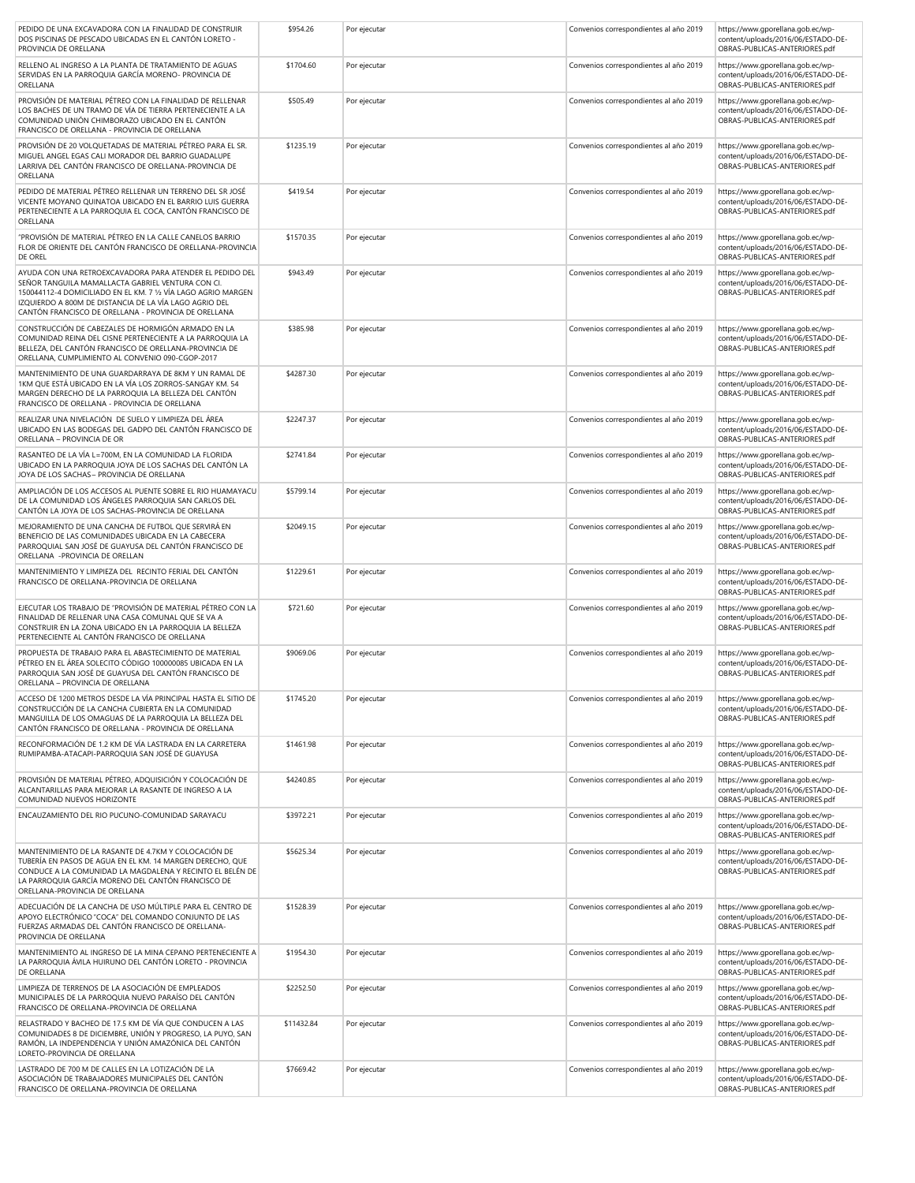| PEDIDO DE UNA EXCAVADORA CON LA FINALIDAD DE CONSTRUIR<br>DOS PISCINAS DE PESCADO UBICADAS EN EL CANTÓN LORETO -<br>PROVINCIA DE ORELLANA                                                                                                                                                        | \$954.26   | Por ejecutar | Convenios correspondientes al año 2019 | https://www.gporellana.gob.ec/wp-<br>content/uploads/2016/06/ESTADO-DE-<br>OBRAS-PUBLICAS-ANTERIORES.pdf |
|--------------------------------------------------------------------------------------------------------------------------------------------------------------------------------------------------------------------------------------------------------------------------------------------------|------------|--------------|----------------------------------------|----------------------------------------------------------------------------------------------------------|
| RELLENO AL INGRESO A LA PLANTA DE TRATAMIENTO DE AGUAS<br>SERVIDAS EN LA PARROQUIA GARCÍA MORENO- PROVINCIA DE<br>ORELLANA                                                                                                                                                                       | \$1704.60  | Por ejecutar | Convenios correspondientes al año 2019 | https://www.gporellana.gob.ec/wp-<br>content/uploads/2016/06/ESTADO-DE-<br>OBRAS-PUBLICAS-ANTERIORES.pdf |
| PROVISIÓN DE MATERIAL PÉTREO CON LA FINALIDAD DE RELLENAR<br>LOS BACHES DE UN TRAMO DE VÍA DE TIERRA PERTENECIENTE A LA<br>COMUNIDAD UNIÓN CHIMBORAZO UBICADO EN EL CANTÓN<br>FRANCISCO DE ORELLANA - PROVINCIA DE ORELLANA                                                                      | \$505.49   | Por ejecutar | Convenios correspondientes al año 2019 | https://www.gporellana.gob.ec/wp-<br>content/uploads/2016/06/ESTADO-DE-<br>OBRAS-PUBLICAS-ANTERIORES.pdf |
| PROVISIÓN DE 20 VOLQUETADAS DE MATERIAL PÉTREO PARA EL SR.<br>MIGUEL ANGEL EGAS CALI MORADOR DEL BARRIO GUADALUPE<br>LARRIVA DEL CANTÓN FRANCISCO DE ORELLANA-PROVINCIA DE<br>ORELLANA                                                                                                           | \$1235.19  | Por ejecutar | Convenios correspondientes al año 2019 | https://www.gporellana.gob.ec/wp-<br>content/uploads/2016/06/ESTADO-DE-<br>OBRAS-PUBLICAS-ANTERIORES.pdf |
| PEDIDO DE MATERIAL PÉTREO RELLENAR UN TERRENO DEL SR JOSÉ<br>VICENTE MOYANO QUINATOA UBICADO EN EL BARRIO LUIS GUERRA<br>PERTENECIENTE A LA PARROQUIA EL COCA, CANTÓN FRANCISCO DE<br>ORELLANA                                                                                                   | \$419.54   | Por ejecutar | Convenios correspondientes al año 2019 | https://www.gporellana.gob.ec/wp-<br>content/uploads/2016/06/ESTADO-DE-<br>OBRAS-PUBLICAS-ANTERIORES.pdf |
| "PROVISIÓN DE MATERIAL PÉTREO EN LA CALLE CANELOS BARRIO<br>FLOR DE ORIENTE DEL CANTÓN FRANCISCO DE ORELLANA-PROVINCIA<br>DE OREL                                                                                                                                                                | \$1570.35  | Por ejecutar | Convenios correspondientes al año 2019 | https://www.gporellana.gob.ec/wp-<br>content/uploads/2016/06/ESTADO-DE-<br>OBRAS-PUBLICAS-ANTERIORES.pdf |
| AYUDA CON UNA RETROEXCAVADORA PARA ATENDER EL PEDIDO DEL<br>SEÑOR TANGUILA MAMALLACTA GABRIEL VENTURA CON CI.<br>150044112-4 DOMICILIADO EN EL KM. 7 1/2 VÍA LAGO AGRIO MARGEN<br>IZQUIERDO A 800M DE DISTANCIA DE LA VÍA LAGO AGRIO DEL<br>CANTÓN FRANCISCO DE ORELLANA - PROVINCIA DE ORELLANA | \$943.49   | Por ejecutar | Convenios correspondientes al año 2019 | https://www.gporellana.gob.ec/wp-<br>content/uploads/2016/06/ESTADO-DE-<br>OBRAS-PUBLICAS-ANTERIORES.pdf |
| CONSTRUCCIÓN DE CABEZALES DE HORMIGÓN ARMADO EN LA<br>COMUNIDAD REINA DEL CISNE PERTENECIENTE A LA PARROQUIA LA<br>BELLEZA, DEL CANTÓN FRANCISCO DE ORELLANA-PROVINCIA DE<br>ORELLANA, CUMPLIMIENTO AL CONVENIO 090-CGOP-2017                                                                    | \$385.98   | Por ejecutar | Convenios correspondientes al año 2019 | https://www.gporellana.gob.ec/wp-<br>content/uploads/2016/06/ESTADO-DE-<br>OBRAS-PUBLICAS-ANTERIORES.pdf |
| MANTENIMIENTO DE UNA GUARDARRAYA DE 8KM Y UN RAMAL DE<br>1KM QUE ESTÁ UBICADO EN LA VÍA LOS ZORROS-SANGAY KM. 54<br>MARGEN DERECHO DE LA PARROQUIA LA BELLEZA DEL CANTÓN<br>FRANCISCO DE ORELLANA - PROVINCIA DE ORELLANA                                                                        | \$4287.30  | Por ejecutar | Convenios correspondientes al año 2019 | https://www.gporellana.gob.ec/wp-<br>content/uploads/2016/06/ESTADO-DE-<br>OBRAS-PUBLICAS-ANTERIORES.pdf |
| REALIZAR UNA NIVELACIÓN DE SUELO Y LIMPIEZA DEL ÁREA<br>UBICADO EN LAS BODEGAS DEL GADPO DEL CANTÓN FRANCISCO DE<br>ORELLANA - PROVINCIA DE OR                                                                                                                                                   | \$2247.37  | Por ejecutar | Convenios correspondientes al año 2019 | https://www.gporellana.gob.ec/wp-<br>content/uploads/2016/06/ESTADO-DE-<br>OBRAS-PUBLICAS-ANTERIORES.pdf |
| RASANTEO DE LA VÍA L=700M. EN LA COMUNIDAD LA FLORIDA<br>UBICADO EN LA PARROQUIA JOYA DE LOS SACHAS DEL CANTÓN LA<br>JOYA DE LOS SACHAS- PROVINCIA DE ORELLANA                                                                                                                                   | \$2741.84  | Por ejecutar | Convenios correspondientes al año 2019 | https://www.gporellana.gob.ec/wp-<br>content/uploads/2016/06/ESTADO-DE-<br>OBRAS-PUBLICAS-ANTERIORES.pdf |
| AMPLIACIÓN DE LOS ACCESOS AL PUENTE SOBRE EL RIO HUAMAYACU<br>DE LA COMUNIDAD LOS ÁNGELES PARROQUIA SAN CARLOS DEL<br>CANTÓN LA JOYA DE LOS SACHAS-PROVINCIA DE ORELLANA                                                                                                                         | \$5799.14  | Por ejecutar | Convenios correspondientes al año 2019 | https://www.gporellana.gob.ec/wp-<br>content/uploads/2016/06/ESTADO-DE-<br>OBRAS-PUBLICAS-ANTERIORES.pdf |
| MEJORAMIENTO DE UNA CANCHA DE FUTBOL QUE SERVIRÀ EN<br>BENEFICIO DE LAS COMUNIDADES UBICADA EN LA CABECERA<br>PARROQUIAL SAN JOSÉ DE GUAYUSA DEL CANTÓN FRANCISCO DE<br>ORELLANA -PROVINCIA DE ORELLAN                                                                                           | \$2049.15  | Por ejecutar | Convenios correspondientes al año 2019 | https://www.gporellana.gob.ec/wp-<br>content/uploads/2016/06/ESTADO-DE-<br>OBRAS-PUBLICAS-ANTERIORES.pdf |
| MANTENIMIENTO Y LIMPIEZA DEL RECINTO FERIAL DEL CANTÓN<br>FRANCISCO DE ORELLANA-PROVINCIA DE ORELLANA                                                                                                                                                                                            | \$1229.61  | Por ejecutar | Convenios correspondientes al año 2019 | https://www.gporellana.gob.ec/wp-<br>content/uploads/2016/06/ESTADO-DE-<br>OBRAS-PUBLICAS-ANTERIORES.pdf |
| EJECUTAR LOS TRABAJO DE "PROVISIÓN DE MATERIAL PÉTREO CON LA<br>FINALIDAD DE RELLENAR UNA CASA COMUNAL QUE SE VA A<br>CONSTRUIR EN LA ZONA UBICADO EN LA PARROQUIA LA BELLEZA<br>PERTENECIENTE AL CANTÓN FRANCISCO DE ORELLANA                                                                   | \$721.60   | Por ejecutar | Convenios correspondientes al año 2019 | https://www.gporellana.gob.ec/wp-<br>content/uploads/2016/06/ESTADO-DE-<br>OBRAS-PUBLICAS-ANTERIORES.pdf |
| PROPUESTA DE TRABAJO PARA EL ABASTECIMIENTO DE MATERIAL<br>PÉTREO EN EL ÁREA SOLECITO CÓDIGO 100000085 UBICADA EN LA<br>PARROQUIA SAN JOSÉ DE GUAYUSA DEL CANTÓN FRANCISCO DE<br>ORELLANA - PROVINCIA DE ORELLANA                                                                                | \$9069.06  | Por ejecutar | Convenios correspondientes al año 2019 | https://www.gporellana.gob.ec/wp-<br>content/uploads/2016/06/ESTADO-DE-<br>OBRAS-PUBLICAS-ANTERIORES.pdf |
| ACCESO DE 1200 METROS DESDE LA VÍA PRINCIPAL HASTA EL SITIO DE<br>CONSTRUCCIÓN DE LA CANCHA CUBIERTA EN LA COMUNIDAD<br>MANGUILLA DE LOS OMAGUAS DE LA PARROQUIA LA BELLEZA DEL<br>CANTÓN FRANCISCO DE ORELLANA - PROVINCIA DE ORELLANA                                                          | \$1745.20  | Por ejecutar | Convenios correspondientes al año 2019 | https://www.gporellana.gob.ec/wp-<br>content/uploads/2016/06/ESTADO-DE-<br>OBRAS-PUBLICAS-ANTERIORES.pdf |
| RECONFORMACIÓN DE 1.2 KM DE VÍA LASTRADA EN LA CARRETERA<br>RUMIPAMBA-ATACAPI-PARROQUIA SAN JOSÉ DE GUAYUSA                                                                                                                                                                                      | \$1461.98  | Por ejecutar | Convenios correspondientes al año 2019 | https://www.gporellana.gob.ec/wp-<br>content/uploads/2016/06/ESTADO-DE-<br>OBRAS-PUBLICAS-ANTERIORES.pdf |
| PROVISIÓN DE MATERIAL PÉTREO. ADOUISICIÓN Y COLOCACIÓN DE<br>ALCANTARILLAS PARA MEJORAR LA RASANTE DE INGRESO A LA<br>COMUNIDAD NUEVOS HORIZONTE                                                                                                                                                 | \$4240.85  | Por ejecutar | Convenios correspondientes al año 2019 | https://www.gporellana.gob.ec/wp-<br>content/uploads/2016/06/ESTADO-DE-<br>OBRAS-PUBLICAS-ANTERIORES.pdf |
| ENCAUZAMIENTO DEL RIO PUCUNO-COMUNIDAD SARAYACU                                                                                                                                                                                                                                                  | \$3972.21  | Por ejecutar | Convenios correspondientes al año 2019 | https://www.gporellana.gob.ec/wp-<br>content/uploads/2016/06/ESTADO-DE-<br>OBRAS-PUBLICAS-ANTERIORES.pdf |
| MANTENIMIENTO DE LA RASANTE DE 4.7KM Y COLOCACIÓN DE<br>TUBERÍA EN PASOS DE AGUA EN EL KM. 14 MARGEN DERECHO, QUE<br>CONDUCE A LA COMUNIDAD LA MAGDALENA Y RECINTO EL BELÉN DE<br>LA PARROQUIA GARCÍA MORENO DEL CANTÓN FRANCISCO DE<br>ORELLANA-PROVINCIA DE ORELLANA                           | \$5625.34  | Por ejecutar | Convenios correspondientes al año 2019 | https://www.gporellana.gob.ec/wp-<br>content/uploads/2016/06/ESTADO-DE-<br>OBRAS-PUBLICAS-ANTERIORES.pdf |
| ADECUACIÓN DE LA CANCHA DE USO MÚLTIPLE PARA EL CENTRO DE<br>APOYO ELECTRÓNICO "COCA" DEL COMANDO CONJUNTO DE LAS<br>FUERZAS ARMADAS DEL CANTÓN FRANCISCO DE ORELLANA-<br>PROVINCIA DE ORELLANA                                                                                                  | \$1528.39  | Por ejecutar | Convenios correspondientes al año 2019 | https://www.gporellana.gob.ec/wp-<br>content/uploads/2016/06/ESTADO-DE-<br>OBRAS-PUBLICAS-ANTERIORES.pdf |
| MANTENIMIENTO AL INGRESO DE LA MINA CEPANO PERTENECIENTE A<br>LA PARROQUIA ÁVILA HUIRUNO DEL CANTÓN LORETO - PROVINCIA<br>DE ORELLANA                                                                                                                                                            | \$1954.30  | Por ejecutar | Convenios correspondientes al año 2019 | https://www.gporellana.gob.ec/wp-<br>content/uploads/2016/06/ESTADO-DE-<br>OBRAS-PUBLICAS-ANTERIORES.pdf |
| LIMPIEZA DE TERRENOS DE LA ASOCIACIÓN DE EMPLEADOS<br>MUNICIPALES DE LA PARROQUIA NUEVO PARAÍSO DEL CANTÓN<br>FRANCISCO DE ORELLANA-PROVINCIA DE ORELLANA                                                                                                                                        | \$2252.50  | Por ejecutar | Convenios correspondientes al año 2019 | https://www.gporellana.gob.ec/wp-<br>content/uploads/2016/06/ESTADO-DE-<br>OBRAS-PUBLICAS-ANTERIORES.pdf |
| RELASTRADO Y BACHEO DE 17.5 KM DE VÍA QUE CONDUCEN A LAS<br>COMUNIDADES 8 DE DICIEMBRE, UNIÓN Y PROGRESO, LA PUYO, SAN<br>RAMÓN, LA INDEPENDENCIA Y UNIÓN AMAZÓNICA DEL CANTÓN<br>LORETO-PROVINCIA DE ORELLANA                                                                                   | \$11432.84 | Por ejecutar | Convenios correspondientes al año 2019 | https://www.gporellana.gob.ec/wp-<br>content/uploads/2016/06/ESTADO-DE-<br>OBRAS-PUBLICAS-ANTERIORES.pdf |
| LASTRADO DE 700 M DE CALLES EN LA LOTIZACIÓN DE LA<br>ASOCIACIÓN DE TRABAJADORES MUNICIPALES DEL CANTÓN<br>FRANCISCO DE ORELLANA-PROVINCIA DE ORELLANA                                                                                                                                           | \$7669.42  | Por ejecutar | Convenios correspondientes al año 2019 | https://www.gporellana.gob.ec/wp-<br>content/uploads/2016/06/ESTADO-DE-<br>OBRAS-PUBLICAS-ANTERIORES.pdf |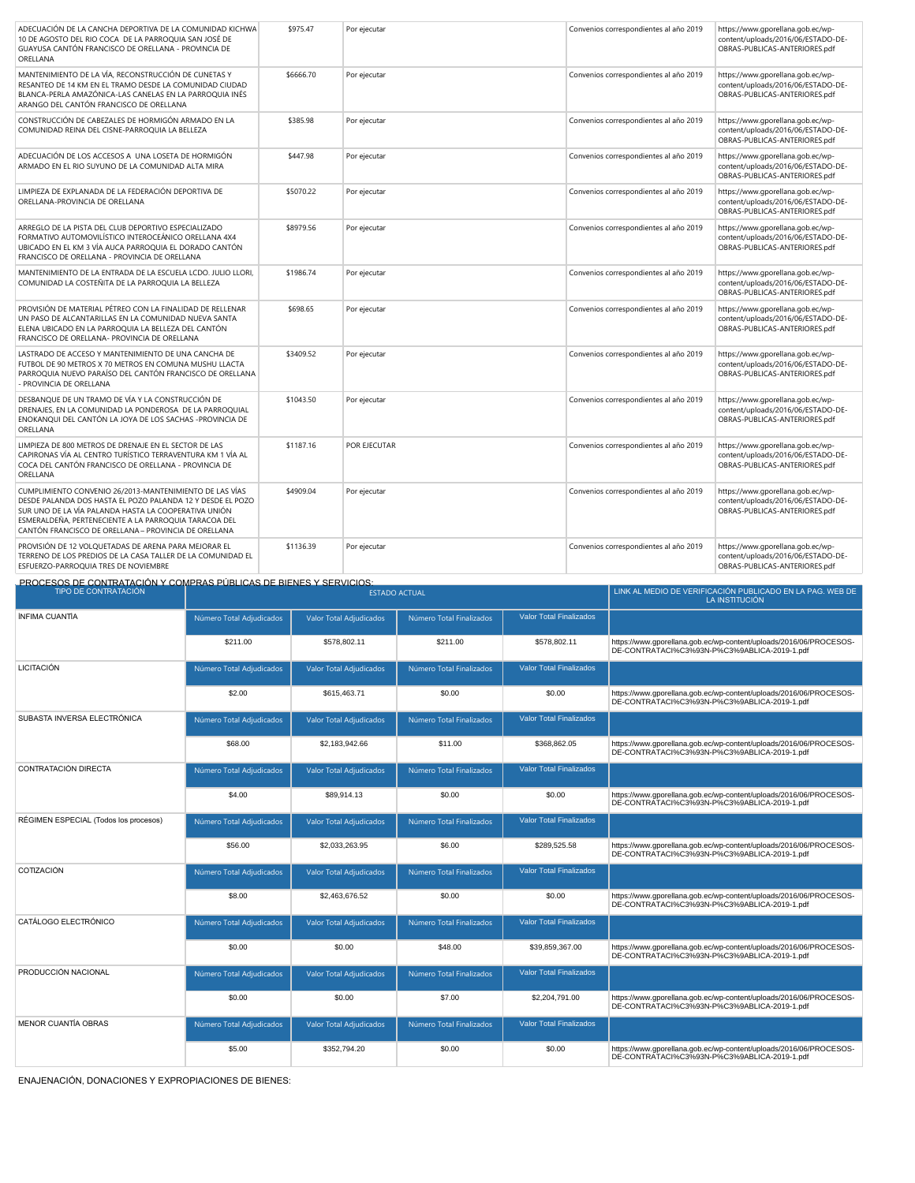| MANTENIMIENTO DE LA VÍA, RECONSTRUCCIÓN DE CUNETAS Y<br>\$6666.70<br>https://www.gporellana.gob.ec/wp-<br>Por ejecutar<br>Convenios correspondientes al año 2019<br>RESANTEO DE 14 KM EN EL TRAMO DESDE LA COMUNIDAD CIUDAD<br>content/uploads/2016/06/ESTADO-DE-<br>OBRAS-PUBLICAS-ANTERIORES.pdf<br>BLANCA-PERLA AMAZÓNICA-LAS CANELAS EN LA PARROQUIA INÉS<br>ARANGO DEL CANTÓN FRANCISCO DE ORELLANA<br>CONSTRUCCIÓN DE CABEZALES DE HORMIGÓN ARMADO EN LA<br>\$385.98<br>Por ejecutar<br>Convenios correspondientes al año 2019<br>https://www.gporellana.gob.ec/wp-<br>COMUNIDAD REINA DEL CISNE-PARROQUIA LA BELLEZA<br>content/uploads/2016/06/ESTADO-DE-<br>OBRAS-PUBLICAS-ANTERIORES.pdf<br>ADECUACIÓN DE LOS ACCESOS A UNA LOSETA DE HORMIGÓN<br>\$447.98<br>Por ejecutar<br>Convenios correspondientes al año 2019<br>https://www.gporellana.gob.ec/wp-<br>ARMADO EN EL RIO SUYUNO DE LA COMUNIDAD ALTA MIRA<br>content/uploads/2016/06/ESTADO-DE-<br>OBRAS-PUBLICAS-ANTERIORES.pdf<br>LIMPIEZA DE EXPLANADA DE LA FEDERACIÓN DEPORTIVA DE<br>\$5070.22<br>Convenios correspondientes al año 2019<br>https://www.gporellana.gob.ec/wp-<br>Por ejecutar<br>ORELLANA-PROVINCIA DE ORELLANA<br>content/uploads/2016/06/ESTADO-DE-<br>OBRAS-PUBLICAS-ANTERIORES.pdf<br>ARREGLO DE LA PISTA DEL CLUB DEPORTIVO ESPECIALIZADO<br>\$8979.56<br>https://www.gporellana.gob.ec/wp-<br>Por ejecutar<br>Convenios correspondientes al año 2019<br>FORMATIVO AUTOMOVILÍSTICO INTEROCEÁNICO ORELLANA 4X4<br>content/uploads/2016/06/ESTADO-DE-<br>UBICADO EN EL KM 3 VÍA AUCA PARROQUIA EL DORADO CANTÓN<br>OBRAS-PUBLICAS-ANTERIORES.pdf<br>FRANCISCO DE ORELLANA - PROVINCIA DE ORELLANA<br>MANTENIMIENTO DE LA ENTRADA DE LA ESCUELA LCDO. JULIO LLORI,<br>\$1986.74<br>Convenios correspondientes al año 2019<br>Por ejecutar<br>https://www.gporellana.gob.ec/wp-<br>COMUNIDAD LA COSTEÑITA DE LA PARROQUIA LA BELLEZA<br>content/uploads/2016/06/ESTADO-DE-<br>OBRAS-PUBLICAS-ANTERIORES.pdf<br>PROVISIÓN DE MATERIAL PÉTREO CON LA FINALIDAD DE RELLENAR<br>\$698.65<br>https://www.gporellana.gob.ec/wp-<br>Por ejecutar<br>Convenios correspondientes al año 2019<br>UN PASO DE ALCANTARILLAS EN LA COMUNIDAD NUEVA SANTA<br>content/uploads/2016/06/ESTADO-DE-<br>OBRAS-PUBLICAS-ANTERIORES.pdf<br>ELENA UBICADO EN LA PARROQUIA LA BELLEZA DEL CANTÓN<br>FRANCISCO DE ORELLANA- PROVINCIA DE ORELLANA<br>LASTRADO DE ACCESO Y MANTENIMIENTO DE UNA CANCHA DE<br>\$3409.52<br>https://www.gporellana.gob.ec/wp-<br>Por ejecutar<br>Convenios correspondientes al año 2019<br>FUTBOL DE 90 METROS X 70 METROS EN COMUNA MUSHU LLACTA<br>content/uploads/2016/06/ESTADO-DE-<br>PARROQUIA NUEVO PARAÍSO DEL CANTÓN FRANCISCO DE ORELLANA<br>OBRAS-PUBLICAS-ANTERIORES.pdf<br>- PROVINCIA DE ORELLANA<br>DESBANQUE DE UN TRAMO DE VÍA Y LA CONSTRUCCIÓN DE<br>\$1043.50<br>https://www.gporellana.gob.ec/wp-<br>Por ejecutar<br>Convenios correspondientes al año 2019<br>DRENAJES, EN LA COMUNIDAD LA PONDEROSA DE LA PARROQUIAL<br>content/uploads/2016/06/ESTADO-DE-<br>ENOKANOUI DEL CANTÓN LA JOYA DE LOS SACHAS -PROVINCIA DE<br>OBRAS-PUBLICAS-ANTERIORES.pdf<br>ORELLANA<br>LIMPIEZA DE 800 METROS DE DRENAJE EN EL SECTOR DE LAS<br>\$1187.16<br>https://www.gporellana.gob.ec/wp-<br>POR EJECUTAR<br>Convenios correspondientes al año 2019<br>CAPIRONAS VÍA AL CENTRO TURÍSTICO TERRAVENTURA KM 1 VÍA AL<br>content/uploads/2016/06/ESTADO-DE-<br>COCA DEL CANTÓN FRANCISCO DE ORELLANA - PROVINCIA DE<br>OBRAS-PUBLICAS-ANTERIORES.pdf<br>ORELLANA<br>CUMPLIMIENTO CONVENIO 26/2013-MANTENIMIENTO DE LAS VÍAS<br>\$4909.04<br>https://www.gporellana.gob.ec/wp-<br>Por ejecutar<br>Convenios correspondientes al año 2019<br>DESDE PALANDA DOS HASTA EL POZO PALANDA 12 Y DESDE EL POZO<br>content/uploads/2016/06/ESTADO-DE-<br>OBRAS-PUBLICAS-ANTERIORES.pdf<br>SUR UNO DE LA VÍA PALANDA HASTA LA COOPERATIVA UNIÓN<br>ESMERALDEÑA, PERTENECIENTE A LA PARROQUIA TARACOA DEL<br>CANTÓN FRANCISCO DE ORELLANA - PROVINCIA DE ORELLANA<br>PROVISIÓN DE 12 VOLQUETADAS DE ARENA PARA MEJORAR EL<br>https://www.gporellana.gob.ec/wp-<br>\$1136.39<br>Por ejecutar<br>Convenios correspondientes al año 2019 | ADECUACIÓN DE LA CANCHA DEPORTIVA DE LA COMUNIDAD KICHWA<br>10 DE AGOSTO DEL RIO COCA DE LA PARROQUIA SAN JOSÉ DE<br>GUAYUSA CANTÓN FRANCISCO DE ORELLANA - PROVINCIA DE<br>ORELLANA | \$975.47 | Por ejecutar | Convenios correspondientes al año 2019 | https://www.gporellana.gob.ec/wp-<br>content/uploads/2016/06/ESTADO-DE-<br>OBRAS-PUBLICAS-ANTERIORES.pdf |
|------------------------------------------------------------------------------------------------------------------------------------------------------------------------------------------------------------------------------------------------------------------------------------------------------------------------------------------------------------------------------------------------------------------------------------------------------------------------------------------------------------------------------------------------------------------------------------------------------------------------------------------------------------------------------------------------------------------------------------------------------------------------------------------------------------------------------------------------------------------------------------------------------------------------------------------------------------------------------------------------------------------------------------------------------------------------------------------------------------------------------------------------------------------------------------------------------------------------------------------------------------------------------------------------------------------------------------------------------------------------------------------------------------------------------------------------------------------------------------------------------------------------------------------------------------------------------------------------------------------------------------------------------------------------------------------------------------------------------------------------------------------------------------------------------------------------------------------------------------------------------------------------------------------------------------------------------------------------------------------------------------------------------------------------------------------------------------------------------------------------------------------------------------------------------------------------------------------------------------------------------------------------------------------------------------------------------------------------------------------------------------------------------------------------------------------------------------------------------------------------------------------------------------------------------------------------------------------------------------------------------------------------------------------------------------------------------------------------------------------------------------------------------------------------------------------------------------------------------------------------------------------------------------------------------------------------------------------------------------------------------------------------------------------------------------------------------------------------------------------------------------------------------------------------------------------------------------------------------------------------------------------------------------------------------------------------------------------------------------------------------------------------------------------------------------------------------------------------------------------------------------------------------------------------------------------------------------------------------------------------------------------------------------------------------------------------------------------------------------------------------------------------------------------------------------------------------------------------------------------------------------------------------------------------------------------------------------------------------------------------------------------------------------------------------------------------------------------------------------------------------------------------------------------------------------------------------------------------------|--------------------------------------------------------------------------------------------------------------------------------------------------------------------------------------|----------|--------------|----------------------------------------|----------------------------------------------------------------------------------------------------------|
|                                                                                                                                                                                                                                                                                                                                                                                                                                                                                                                                                                                                                                                                                                                                                                                                                                                                                                                                                                                                                                                                                                                                                                                                                                                                                                                                                                                                                                                                                                                                                                                                                                                                                                                                                                                                                                                                                                                                                                                                                                                                                                                                                                                                                                                                                                                                                                                                                                                                                                                                                                                                                                                                                                                                                                                                                                                                                                                                                                                                                                                                                                                                                                                                                                                                                                                                                                                                                                                                                                                                                                                                                                                                                                                                                                                                                                                                                                                                                                                                                                                                                                                                                                                                                              |                                                                                                                                                                                      |          |              |                                        |                                                                                                          |
|                                                                                                                                                                                                                                                                                                                                                                                                                                                                                                                                                                                                                                                                                                                                                                                                                                                                                                                                                                                                                                                                                                                                                                                                                                                                                                                                                                                                                                                                                                                                                                                                                                                                                                                                                                                                                                                                                                                                                                                                                                                                                                                                                                                                                                                                                                                                                                                                                                                                                                                                                                                                                                                                                                                                                                                                                                                                                                                                                                                                                                                                                                                                                                                                                                                                                                                                                                                                                                                                                                                                                                                                                                                                                                                                                                                                                                                                                                                                                                                                                                                                                                                                                                                                                              |                                                                                                                                                                                      |          |              |                                        |                                                                                                          |
|                                                                                                                                                                                                                                                                                                                                                                                                                                                                                                                                                                                                                                                                                                                                                                                                                                                                                                                                                                                                                                                                                                                                                                                                                                                                                                                                                                                                                                                                                                                                                                                                                                                                                                                                                                                                                                                                                                                                                                                                                                                                                                                                                                                                                                                                                                                                                                                                                                                                                                                                                                                                                                                                                                                                                                                                                                                                                                                                                                                                                                                                                                                                                                                                                                                                                                                                                                                                                                                                                                                                                                                                                                                                                                                                                                                                                                                                                                                                                                                                                                                                                                                                                                                                                              |                                                                                                                                                                                      |          |              |                                        |                                                                                                          |
|                                                                                                                                                                                                                                                                                                                                                                                                                                                                                                                                                                                                                                                                                                                                                                                                                                                                                                                                                                                                                                                                                                                                                                                                                                                                                                                                                                                                                                                                                                                                                                                                                                                                                                                                                                                                                                                                                                                                                                                                                                                                                                                                                                                                                                                                                                                                                                                                                                                                                                                                                                                                                                                                                                                                                                                                                                                                                                                                                                                                                                                                                                                                                                                                                                                                                                                                                                                                                                                                                                                                                                                                                                                                                                                                                                                                                                                                                                                                                                                                                                                                                                                                                                                                                              |                                                                                                                                                                                      |          |              |                                        |                                                                                                          |
|                                                                                                                                                                                                                                                                                                                                                                                                                                                                                                                                                                                                                                                                                                                                                                                                                                                                                                                                                                                                                                                                                                                                                                                                                                                                                                                                                                                                                                                                                                                                                                                                                                                                                                                                                                                                                                                                                                                                                                                                                                                                                                                                                                                                                                                                                                                                                                                                                                                                                                                                                                                                                                                                                                                                                                                                                                                                                                                                                                                                                                                                                                                                                                                                                                                                                                                                                                                                                                                                                                                                                                                                                                                                                                                                                                                                                                                                                                                                                                                                                                                                                                                                                                                                                              |                                                                                                                                                                                      |          |              |                                        |                                                                                                          |
|                                                                                                                                                                                                                                                                                                                                                                                                                                                                                                                                                                                                                                                                                                                                                                                                                                                                                                                                                                                                                                                                                                                                                                                                                                                                                                                                                                                                                                                                                                                                                                                                                                                                                                                                                                                                                                                                                                                                                                                                                                                                                                                                                                                                                                                                                                                                                                                                                                                                                                                                                                                                                                                                                                                                                                                                                                                                                                                                                                                                                                                                                                                                                                                                                                                                                                                                                                                                                                                                                                                                                                                                                                                                                                                                                                                                                                                                                                                                                                                                                                                                                                                                                                                                                              |                                                                                                                                                                                      |          |              |                                        |                                                                                                          |
|                                                                                                                                                                                                                                                                                                                                                                                                                                                                                                                                                                                                                                                                                                                                                                                                                                                                                                                                                                                                                                                                                                                                                                                                                                                                                                                                                                                                                                                                                                                                                                                                                                                                                                                                                                                                                                                                                                                                                                                                                                                                                                                                                                                                                                                                                                                                                                                                                                                                                                                                                                                                                                                                                                                                                                                                                                                                                                                                                                                                                                                                                                                                                                                                                                                                                                                                                                                                                                                                                                                                                                                                                                                                                                                                                                                                                                                                                                                                                                                                                                                                                                                                                                                                                              |                                                                                                                                                                                      |          |              |                                        |                                                                                                          |
|                                                                                                                                                                                                                                                                                                                                                                                                                                                                                                                                                                                                                                                                                                                                                                                                                                                                                                                                                                                                                                                                                                                                                                                                                                                                                                                                                                                                                                                                                                                                                                                                                                                                                                                                                                                                                                                                                                                                                                                                                                                                                                                                                                                                                                                                                                                                                                                                                                                                                                                                                                                                                                                                                                                                                                                                                                                                                                                                                                                                                                                                                                                                                                                                                                                                                                                                                                                                                                                                                                                                                                                                                                                                                                                                                                                                                                                                                                                                                                                                                                                                                                                                                                                                                              |                                                                                                                                                                                      |          |              |                                        |                                                                                                          |
|                                                                                                                                                                                                                                                                                                                                                                                                                                                                                                                                                                                                                                                                                                                                                                                                                                                                                                                                                                                                                                                                                                                                                                                                                                                                                                                                                                                                                                                                                                                                                                                                                                                                                                                                                                                                                                                                                                                                                                                                                                                                                                                                                                                                                                                                                                                                                                                                                                                                                                                                                                                                                                                                                                                                                                                                                                                                                                                                                                                                                                                                                                                                                                                                                                                                                                                                                                                                                                                                                                                                                                                                                                                                                                                                                                                                                                                                                                                                                                                                                                                                                                                                                                                                                              |                                                                                                                                                                                      |          |              |                                        |                                                                                                          |
|                                                                                                                                                                                                                                                                                                                                                                                                                                                                                                                                                                                                                                                                                                                                                                                                                                                                                                                                                                                                                                                                                                                                                                                                                                                                                                                                                                                                                                                                                                                                                                                                                                                                                                                                                                                                                                                                                                                                                                                                                                                                                                                                                                                                                                                                                                                                                                                                                                                                                                                                                                                                                                                                                                                                                                                                                                                                                                                                                                                                                                                                                                                                                                                                                                                                                                                                                                                                                                                                                                                                                                                                                                                                                                                                                                                                                                                                                                                                                                                                                                                                                                                                                                                                                              |                                                                                                                                                                                      |          |              |                                        |                                                                                                          |
|                                                                                                                                                                                                                                                                                                                                                                                                                                                                                                                                                                                                                                                                                                                                                                                                                                                                                                                                                                                                                                                                                                                                                                                                                                                                                                                                                                                                                                                                                                                                                                                                                                                                                                                                                                                                                                                                                                                                                                                                                                                                                                                                                                                                                                                                                                                                                                                                                                                                                                                                                                                                                                                                                                                                                                                                                                                                                                                                                                                                                                                                                                                                                                                                                                                                                                                                                                                                                                                                                                                                                                                                                                                                                                                                                                                                                                                                                                                                                                                                                                                                                                                                                                                                                              |                                                                                                                                                                                      |          |              |                                        |                                                                                                          |
| OBRAS-PUBLICAS-ANTERIORES.pdf<br>ESFUERZO-PARROQUIA TRES DE NOVIEMBRE<br>PROCESOS DE CONTRATACIÓN Y COMPRAS PÚBLICAS DE BIENES Y SERVICIOS:                                                                                                                                                                                                                                                                                                                                                                                                                                                                                                                                                                                                                                                                                                                                                                                                                                                                                                                                                                                                                                                                                                                                                                                                                                                                                                                                                                                                                                                                                                                                                                                                                                                                                                                                                                                                                                                                                                                                                                                                                                                                                                                                                                                                                                                                                                                                                                                                                                                                                                                                                                                                                                                                                                                                                                                                                                                                                                                                                                                                                                                                                                                                                                                                                                                                                                                                                                                                                                                                                                                                                                                                                                                                                                                                                                                                                                                                                                                                                                                                                                                                                  | TERRENO DE LOS PREDIOS DE LA CASA TALLER DE LA COMUNIDAD EL                                                                                                                          |          |              |                                        | content/uploads/2016/06/ESTADO-DE-                                                                       |

| <u>PROCESOS DE CONTRATACIÓN Y COMPRAS POBLICAS DE BIENES Y SERVIGIOS.</u><br><b>TIPO DE CONTRATACIÓN</b> |                          |                         | <b>ESTADO ACTUAL</b>     |                                | LINK AL MEDIO DE VERIFICACIÓN PUBLICADO EN LA PAG. WEB DE<br>LA INSTITUCIÓN                                        |
|----------------------------------------------------------------------------------------------------------|--------------------------|-------------------------|--------------------------|--------------------------------|--------------------------------------------------------------------------------------------------------------------|
| <b>ÍNFIMA CUANTÍA</b>                                                                                    | Número Total Adjudicados | Valor Total Adjudicados | Número Total Finalizados | <b>Valor Total Finalizados</b> |                                                                                                                    |
|                                                                                                          | \$211.00                 | \$578,802.11            | \$211.00                 | \$578,802.11                   | https://www.gporellana.gob.ec/wp-content/uploads/2016/06/PROCESOS-<br>DE-CONTRATACI%C3%93N-P%C3%9ABLICA-2019-1.pdf |
| <b>LICITACIÓN</b>                                                                                        | Número Total Adjudicados | Valor Total Adjudicados | Número Total Finalizados | <b>Valor Total Finalizados</b> |                                                                                                                    |
|                                                                                                          | \$2.00                   | \$615.463.71            | \$0.00                   | \$0.00                         | https://www.gporellana.gob.ec/wp-content/uploads/2016/06/PROCESOS-<br>DE-CONTRATACI%C3%93N-P%C3%9ABLICA-2019-1.pdf |
| SUBASTA INVERSA ELECTRÓNICA                                                                              | Número Total Adjudicados | Valor Total Adjudicados | Número Total Finalizados | <b>Valor Total Finalizados</b> |                                                                                                                    |
|                                                                                                          | \$68.00                  | \$2,183,942.66          | \$11.00                  | \$368,862.05                   | https://www.gporellana.gob.ec/wp-content/uploads/2016/06/PROCESOS-<br>DE-CONTRATACI%C3%93N-P%C3%9ABLICA-2019-1.pdf |
| CONTRATACIÓN DIRECTA                                                                                     | Número Total Adjudicados | Valor Total Adjudicados | Número Total Finalizados | <b>Valor Total Finalizados</b> |                                                                                                                    |
|                                                                                                          | \$4.00                   | \$89,914.13             | \$0.00                   | \$0.00                         | https://www.gporellana.gob.ec/wp-content/uploads/2016/06/PROCESOS-<br>DE-CONTRATACI%C3%93N-P%C3%9ABLICA-2019-1.pdf |
| RÉGIMEN ESPECIAL (Todos los procesos)                                                                    | Número Total Adjudicados | Valor Total Adjudicados | Número Total Finalizados | <b>Valor Total Finalizados</b> |                                                                                                                    |
|                                                                                                          | \$56.00                  | \$2,033,263.95          | \$6.00                   | \$289,525.58                   | https://www.gporellana.gob.ec/wp-content/uploads/2016/06/PROCESOS-<br>DE-CONTRATACI%C3%93N-P%C3%9ABLICA-2019-1.pdf |
| COTIZACIÓN                                                                                               | Número Total Adjudicados | Valor Total Adjudicados | Número Total Finalizados | <b>Valor Total Finalizados</b> |                                                                                                                    |
|                                                                                                          | \$8.00                   | \$2,463,676.52          | \$0.00                   | \$0.00                         | https://www.gporellana.gob.ec/wp-content/uploads/2016/06/PROCESOS-<br>DE-CONTRATACI%C3%93N-P%C3%9ABLICA-2019-1.pdf |
| CATÁLOGO ELECTRÓNICO                                                                                     | Número Total Adjudicados | Valor Total Adjudicados | Número Total Finalizados | <b>Valor Total Finalizados</b> |                                                                                                                    |
|                                                                                                          | \$0.00                   | \$0.00                  | \$48.00                  | \$39,859,367.00                | https://www.gporellana.gob.ec/wp-content/uploads/2016/06/PROCESOS-<br>DE-CONTRATACI%C3%93N-P%C3%9ABLICA-2019-1.pdf |
| PRODUCCIÓN NACIONAL                                                                                      | Número Total Adjudicados | Valor Total Adjudicados | Número Total Finalizados | <b>Valor Total Finalizados</b> |                                                                                                                    |
|                                                                                                          | \$0.00                   | \$0.00                  | \$7.00                   | \$2,204,791.00                 | https://www.gporellana.gob.ec/wp-content/uploads/2016/06/PROCESOS-<br>DE-CONTRATACI%C3%93N-P%C3%9ABLICA-2019-1.pdf |
| <b>MENOR CUANTÍA OBRAS</b>                                                                               | Número Total Adjudicados | Valor Total Adjudicados | Número Total Finalizados | <b>Valor Total Finalizados</b> |                                                                                                                    |
|                                                                                                          | \$5.00                   | \$352,794.20            | \$0.00                   | \$0.00                         | https://www.gporellana.gob.ec/wp-content/uploads/2016/06/PROCESOS-<br>DE-CONTRATACI%C3%93N-P%C3%9ABLICA-2019-1.pdf |

ENAJENACIÓN, DONACIONES Y EXPROPIACIONES DE BIENES: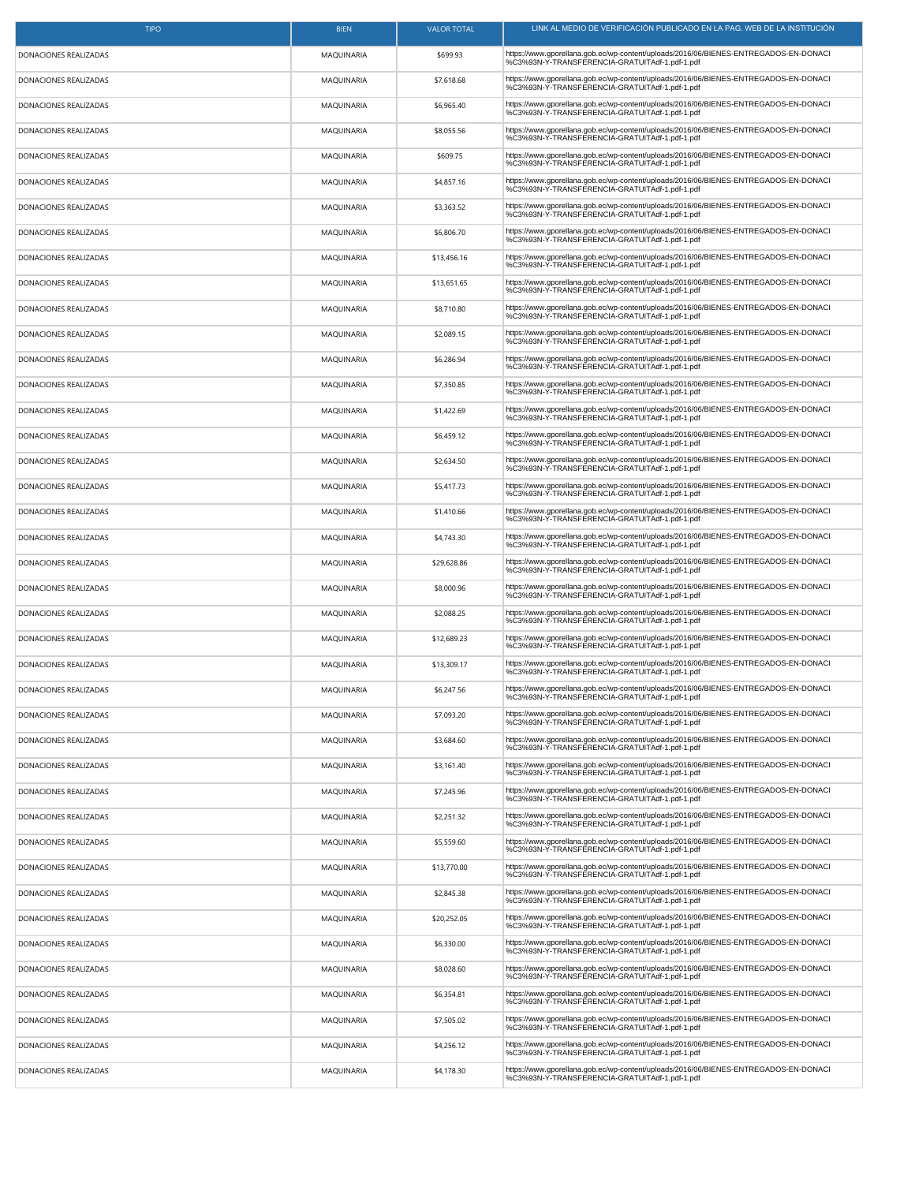| <b>TIPO</b>           | <b>BIEN</b>       | <b>VALOR TOTAL</b> | LINK AL MEDIO DE VERIFICACION PUBLICADO EN LA PAG. WEB DE LA INSTITUCION                                                               |
|-----------------------|-------------------|--------------------|----------------------------------------------------------------------------------------------------------------------------------------|
| DONACIONES REALIZADAS | MAQUINARIA        | \$699.93           | https://www.gporellana.gob.ec/wp-content/uploads/2016/06/BIENES-ENTREGADOS-EN-DONACI<br>%C3%93N-Y-TRANSFERENCIA-GRATUITAdf-1.pdf-1.pdf |
| DONACIONES REALIZADAS | MAQUINARIA        | \$7,618.68         | https://www.gporellana.gob.ec/wp-content/uploads/2016/06/BIENES-ENTREGADOS-EN-DONACI<br>%C3%93N-Y-TRANSFERENCIA-GRATUITAdf-1.pdf-1.pdf |
| DONACIONES REALIZADAS | MAQUINARIA        | \$6,965.40         | https://www.gporellana.gob.ec/wp-content/uploads/2016/06/BIENES-ENTREGADOS-EN-DONACI<br>%C3%93N-Y-TRANSFERENCIA-GRATUITAdf-1.pdf-1.pdf |
| DONACIONES REALIZADAS | MAQUINARIA        | \$8,055.56         | https://www.gporellana.gob.ec/wp-content/uploads/2016/06/BIENES-ENTREGADOS-EN-DONACI<br>%C3%93N-Y-TRANSFERENCIA-GRATUITAdf-1.pdf-1.pdf |
| DONACIONES REALIZADAS | MAQUINARIA        | \$609.75           | https://www.gporellana.gob.ec/wp-content/uploads/2016/06/BIENES-ENTREGADOS-EN-DONACI<br>%C3%93N-Y-TRANSFERENCIA-GRATUITAdf-1.pdf-1.pdf |
| DONACIONES REALIZADAS | <b>MAQUINARIA</b> | \$4,857.16         | https://www.gporellana.gob.ec/wp-content/uploads/2016/06/BIENES-ENTREGADOS-EN-DONACI<br>%C3%93N-Y-TRANSFERENCIA-GRATUITAdf-1.pdf-1.pdf |
| DONACIONES REALIZADAS | MAQUINARIA        | \$3,363.52         | https://www.gporellana.gob.ec/wp-content/uploads/2016/06/BIENES-ENTREGADOS-EN-DONACI<br>%C3%93N-Y-TRANSFERENCIA-GRATUITAdf-1.pdf-1.pdf |
| DONACIONES REALIZADAS | MAQUINARIA        | \$6,806.70         | https://www.gporellana.gob.ec/wp-content/uploads/2016/06/BIENES-ENTREGADOS-EN-DONACI<br>%C3%93N-Y-TRANSFERENCIA-GRATUITAdf-1.pdf-1.pdf |
| DONACIONES REALIZADAS | MAQUINARIA        | \$13,456.16        | https://www.gporellana.gob.ec/wp-content/uploads/2016/06/BIENES-ENTREGADOS-EN-DONACI<br>%C3%93N-Y-TRANSFERENCIA-GRATUITAdf-1.pdf-1.pdf |
| DONACIONES REALIZADAS | MAQUINARIA        | \$13,651.65        | https://www.gporellana.gob.ec/wp-content/uploads/2016/06/BIENES-ENTREGADOS-EN-DONACI<br>%C3%93N-Y-TRANSFERENCIA-GRATUITAdf-1.pdf-1.pdf |
| DONACIONES REALIZADAS | MAQUINARIA        | \$8,710.80         | https://www.gporellana.gob.ec/wp-content/uploads/2016/06/BIENES-ENTREGADOS-EN-DONACI<br>%C3%93N-Y-TRANSFERENCIA-GRATUITAdf-1.pdf-1.pdf |
| DONACIONES REALIZADAS | MAQUINARIA        | \$2,089.15         | https://www.gporellana.gob.ec/wp-content/uploads/2016/06/BIENES-ENTREGADOS-EN-DONACI<br>%C3%93N-Y-TRANSFERENCIA-GRATUITAdf-1.pdf-1.pdf |
| DONACIONES REALIZADAS | MAQUINARIA        | \$6,286.94         | https://www.gporellana.gob.ec/wp-content/uploads/2016/06/BIENES-ENTREGADOS-EN-DONACI<br>%C3%93N-Y-TRANSFERENCIA-GRATUITAdf-1.pdf-1.pdf |
| DONACIONES REALIZADAS | MAQUINARIA        | \$7,350.85         | https://www.gporellana.gob.ec/wp-content/uploads/2016/06/BIENES-ENTREGADOS-EN-DONACI<br>%C3%93N-Y-TRANSFERENCIA-GRATUITAdf-1.pdf-1.pdf |
| DONACIONES REALIZADAS | MAQUINARIA        | \$1,422.69         | https://www.gporellana.gob.ec/wp-content/uploads/2016/06/BIENES-ENTREGADOS-EN-DONACI<br>%C3%93N-Y-TRANSFERENCIA-GRATUITAdf-1.pdf-1.pdf |
| DONACIONES REALIZADAS | MAQUINARIA        | \$6,459.12         | https://www.gporellana.gob.ec/wp-content/uploads/2016/06/BIENES-ENTREGADOS-EN-DONACI<br>%C3%93N-Y-TRANSFERENCIA-GRATUITAdf-1.pdf-1.pdf |
| DONACIONES REALIZADAS | MAQUINARIA        | \$2,634.50         | https://www.gporellana.gob.ec/wp-content/uploads/2016/06/BIENES-ENTREGADOS-EN-DONACI<br>%C3%93N-Y-TRANSFERENCIA-GRATUITAdf-1.pdf       |
| DONACIONES REALIZADAS | MAQUINARIA        | \$5,417.73         | https://www.gporellana.gob.ec/wp-content/uploads/2016/06/BIENES-ENTREGADOS-EN-DONACI<br>%C3%93N-Y-TRANSFERENCIA-GRATUITAdf-1.pdf-1.pdf |
| DONACIONES REALIZADAS | MAQUINARIA        | \$1,410.66         | https://www.gporellana.gob.ec/wp-content/uploads/2016/06/BIENES-ENTREGADOS-EN-DONACI<br>%C3%93N-Y-TRANSFERENCIA-GRATUITAdf-1.pdf-1.pdf |
| DONACIONES REALIZADAS | MAQUINARIA        | \$4,743.30         | https://www.gporellana.gob.ec/wp-content/uploads/2016/06/BIENES-ENTREGADOS-EN-DONACI<br>%C3%93N-Y-TRANSFERENCIA-GRATUITAdf-1.pdf-1.pdf |
| DONACIONES REALIZADAS | MAQUINARIA        | \$29,628.86        | https://www.gporellana.gob.ec/wp-content/uploads/2016/06/BIENES-ENTREGADOS-EN-DONACI<br>%C3%93N-Y-TRANSFERENCIA-GRATUITAdf-1.pdf-1.pdf |
| DONACIONES REALIZADAS | MAQUINARIA        | \$8,000.96         | https://www.gporellana.gob.ec/wp-content/uploads/2016/06/BIENES-ENTREGADOS-EN-DONACI<br>%C3%93N-Y-TRANSFERENCIA-GRATUITAdf-1.pdf-1.pdf |
| DONACIONES REALIZADAS | MAQUINARIA        | \$2,088.25         | https://www.gporellana.gob.ec/wp-content/uploads/2016/06/BIENES-ENTREGADOS-EN-DONACI<br>%C3%93N-Y-TRANSFERENCIA-GRATUITAdf-1.pdf       |
| DONACIONES REALIZADAS | MAQUINARIA        | \$12,689.23        | https://www.gporellana.gob.ec/wp-content/uploads/2016/06/BIENES-ENTREGADOS-EN-DONACI<br>%C3%93N-Y-TRANSFERENCIA-GRATUITAdf-1.pdf-1.pdf |
| DONACIONES REALIZADAS | MAQUINARIA        | \$13,309.17        | https://www.gporellana.gob.ec/wp-content/uploads/2016/06/BIENES-ENTREGADOS-EN-DONACI<br>%C3%93N-Y-TRANSFERENCIA-GRATUITAdf-1.pdf-1.pdf |
| DONACIONES REALIZADAS | MAQUINARIA        | \$6,247.56         | https://www.gporellana.gob.ec/wp-content/uploads/2016/06/BIENES-ENTREGADOS-EN-DONACI<br>%C3%93N-Y-TRANSFERENCIA-GRATUITAdf-1.pdf-1.pdf |
| DONACIONES REALIZADAS | <b>MAQUINARIA</b> | \$7,093.20         | https://www.gporellana.gob.ec/wp-content/uploads/2016/06/BIENES-ENTREGADOS-EN-DONACI<br>%C3%93N-Y-TRANSFERENCIA-GRATUITAdf-1.pdf-1.pdf |
| DONACIONES REALIZADAS | MAQUINARIA        | \$3,684.60         | https://www.gporellana.gob.ec/wp-content/uploads/2016/06/BIENES-ENTREGADOS-EN-DONACI<br>%C3%93N-Y-TRANSFERENCIA-GRATUITAdf-1.pdf-1.pdf |
| DONACIONES REALIZADAS | MAQUINARIA        | \$3,161.40         | https://www.qporellana.qob.ec/wp-content/uploads/2016/06/BIENES-ENTREGADOS-EN-DONACI<br>%C3%93N-Y-TRANSFERENCIA-GRATUITAdf-1.pdf-1.pdf |
| DONACIONES REALIZADAS | MAQUINARIA        | \$7,245.96         | https://www.gporellana.gob.ec/wp-content/uploads/2016/06/BIENES-ENTREGADOS-EN-DONACI<br>%C3%93N-Y-TRANSFERENCIA-GRATUITAdf-1.pdf-1.pdf |
| DONACIONES REALIZADAS | MAQUINARIA        | \$2,251.32         | https://www.gporellana.gob.ec/wp-content/uploads/2016/06/BIENES-ENTREGADOS-EN-DONACI<br>%C3%93N-Y-TRANSFERENCIA-GRATUITAdf-1.pdf-1.pdf |
| DONACIONES REALIZADAS | MAQUINARIA        | \$5,559.60         | https://www.gporellana.gob.ec/wp-content/uploads/2016/06/BIENES-ENTREGADOS-EN-DONACI<br>%C3%93N-Y-TRANSFERENCIA-GRATUITAdf-1.pdf-1.pdf |
| DONACIONES REALIZADAS | MAQUINARIA        | \$13,770.00        | https://www.gporellana.gob.ec/wp-content/uploads/2016/06/BIENES-ENTREGADOS-EN-DONACI<br>%C3%93N-Y-TRANSFERENCIA-GRATUITAdf-1.pdf-1.pdf |
| DONACIONES REALIZADAS | MAQUINARIA        | \$2,845.38         | https://www.gporellana.gob.ec/wp-content/uploads/2016/06/BIENES-ENTREGADOS-EN-DONACI<br>%C3%93N-Y-TRANSFERENCIA-GRATUITAdf-1.pdf-1.pdf |
| DONACIONES REALIZADAS | MAQUINARIA        | \$20,252.05        | https://www.gporellana.gob.ec/wp-content/uploads/2016/06/BIENES-ENTREGADOS-EN-DONACI<br>%C3%93N-Y-TRANSFERENCIA-GRATUITAdf-1.pdf-1.pdf |
| DONACIONES REALIZADAS | MAQUINARIA        | \$6,330.00         | https://www.gporellana.gob.ec/wp-content/uploads/2016/06/BIENES-ENTREGADOS-EN-DONACI<br>%C3%93N-Y-TRANSFERENCIA-GRATUITAdf-1.pdf-1.pdf |
| DONACIONES REALIZADAS | MAQUINARIA        | \$8,028.60         | https://www.gporellana.gob.ec/wp-content/uploads/2016/06/BIENES-ENTREGADOS-EN-DONACI<br>%C3%93N-Y-TRANSFERENCIA-GRATUITAdf-1.pdf-1.pdf |
| DONACIONES REALIZADAS | MAQUINARIA        | \$6,354.81         | https://www.gporellana.gob.ec/wp-content/uploads/2016/06/BIENES-ENTREGADOS-EN-DONACI<br>%C3%93N-Y-TRANSFERENCIA-GRATUITAdf-1.pdf-1.pdf |
| DONACIONES REALIZADAS | MAQUINARIA        | \$7,505.02         | https://www.gporellana.gob.ec/wp-content/uploads/2016/06/BIENES-ENTREGADOS-EN-DONACI<br>%C3%93N-Y-TRANSFERENCIA-GRATUITAdf-1.pdf-1.pdf |
| DONACIONES REALIZADAS | MAQUINARIA        | \$4,256.12         | https://www.gporellana.gob.ec/wp-content/uploads/2016/06/BIENES-ENTREGADOS-EN-DONACI<br>%C3%93N-Y-TRANSFERENCIA-GRATUITAdf-1.pdf-1.pdf |
| DONACIONES REALIZADAS | MAQUINARIA        | \$4,178.30         | https://www.gporellana.gob.ec/wp-content/uploads/2016/06/BIENES-ENTREGADOS-EN-DONACI<br>%C3%93N-Y-TRANSFERENCIA-GRATUITAdf-1.pdf-1.pdf |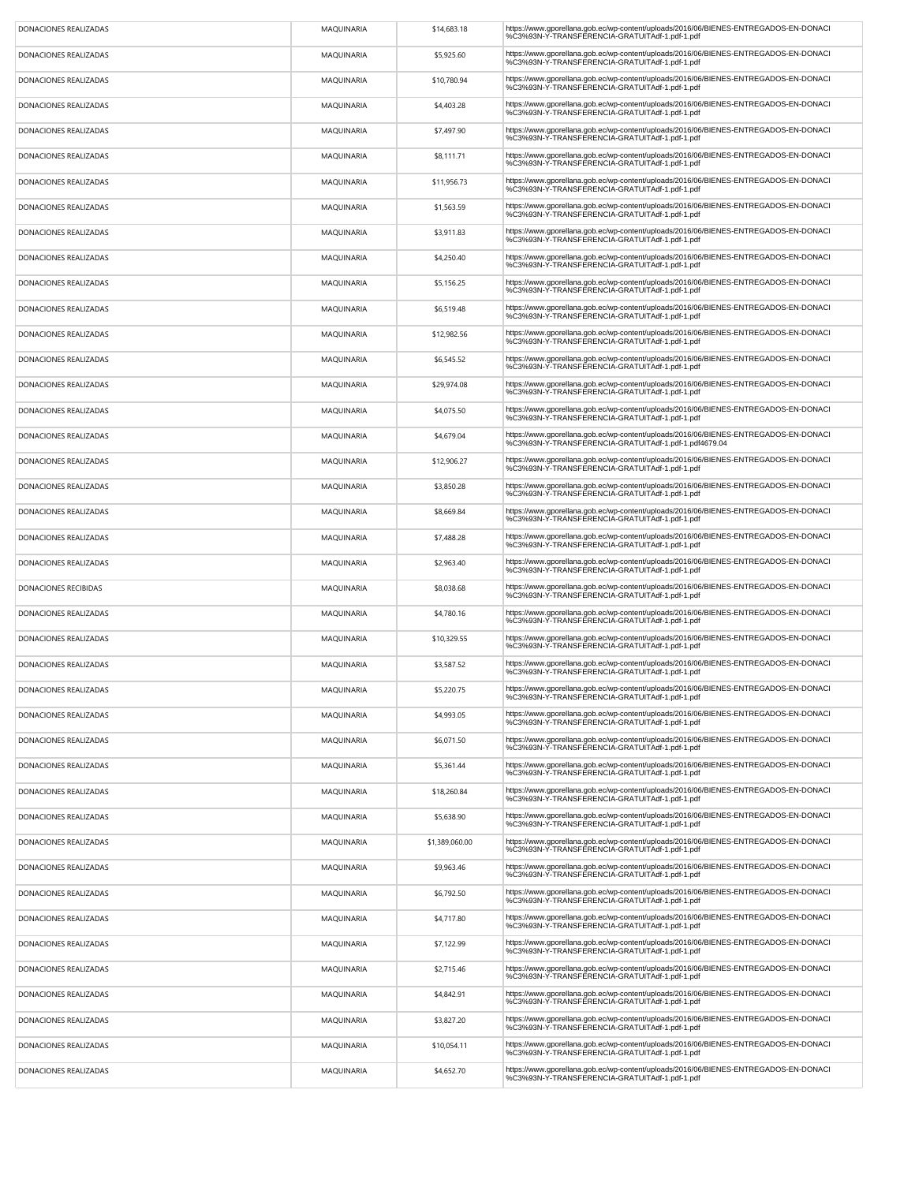| DONACIONES REALIZADAS | MAQUINARIA | \$14,683.18    | https://www.gporellana.gob.ec/wp-content/uploads/2016/06/BIENES-ENTREGADOS-EN-DONACI<br>%C3%93N-Y-TRANSFERENCIA-GRATUITAdf-1.pdf-1.pdf        |
|-----------------------|------------|----------------|-----------------------------------------------------------------------------------------------------------------------------------------------|
| DONACIONES REALIZADAS | MAQUINARIA | \$5,925.60     | https://www.gporellana.gob.ec/wp-content/uploads/2016/06/BIENES-ENTREGADOS-EN-DONACI<br>%C3%93N-Y-TRANSFERENCIA-GRATUITAdf-1.pdf-1.pdf        |
| DONACIONES REALIZADAS | MAQUINARIA | \$10,780.94    | https://www.gporellana.gob.ec/wp-content/uploads/2016/06/BIENES-ENTREGADOS-EN-DONACI<br>%C3%93N-Y-TRANSFERENCIA-GRATUITAdf-1.pdf-1.pdf        |
| DONACIONES REALIZADAS | MAQUINARIA | \$4,403.28     | https://www.gporellana.gob.ec/wp-content/uploads/2016/06/BIENES-ENTREGADOS-EN-DONACI<br>%C3%93N-Y-TRANSFERENCIA-GRATUITAdf-1.pdf-1.pdf        |
| DONACIONES REALIZADAS | MAQUINARIA | \$7,497.90     | https://www.gporellana.gob.ec/wp-content/uploads/2016/06/BIENES-ENTREGADOS-EN-DONACI<br>%C3%93N-Y-TRANSFERENCIA-GRATUITAdf-1.pdf-1.pdf        |
| DONACIONES REALIZADAS | MAQUINARIA | \$8,111.71     | https://www.gporellana.gob.ec/wp-content/uploads/2016/06/BIENES-ENTREGADOS-EN-DONACI<br>%C3%93N-Y-TRANSFERENCIA-GRATUITAdf-1.pdf-1.pdf        |
| DONACIONES REALIZADAS | MAQUINARIA | \$11,956.73    | https://www.gporellana.gob.ec/wp-content/uploads/2016/06/BIENES-ENTREGADOS-EN-DONACI<br>%C3%93N-Y-TRANSFERENCIA-GRATUITAdf-1.pdf-1.pdf        |
| DONACIONES REALIZADAS | MAQUINARIA | \$1,563.59     | https://www.qporellana.qob.ec/wp-content/uploads/2016/06/BIENES-ENTREGADOS-EN-DONACI<br>%C3%93N-Y-TRANSFERENCIA-GRATUITAdf-1.pdf-1.pdf        |
| DONACIONES REALIZADAS | MAQUINARIA | \$3,911.83     | https://www.gporellana.gob.ec/wp-content/uploads/2016/06/BIENES-ENTREGADOS-EN-DONACI<br>%C3%93N-Y-TRANSFERENCIA-GRATUITAdf-1.pdf-1.pdf        |
| DONACIONES REALIZADAS | MAQUINARIA | \$4,250.40     | https://www.gporellana.gob.ec/wp-content/uploads/2016/06/BIENES-ENTREGADOS-EN-DONACI<br>%C3%93N-Y-TRANSFERENCIA-GRATUITAdf-1.pdf-1.pdf        |
| DONACIONES REALIZADAS | MAQUINARIA | \$5,156.25     | https://www.gporellana.gob.ec/wp-content/uploads/2016/06/BIENES-ENTREGADOS-EN-DONACI<br>%C3%93N-Y-TRANSFERENCIA-GRATUITAdf-1.pdf-1.pdf        |
| DONACIONES REALIZADAS | MAQUINARIA | \$6,519.48     | https://www.gporellana.gob.ec/wp-content/uploads/2016/06/BIENES-ENTREGADOS-EN-DONACI<br>%C3%93N-Y-TRANSFERENCIA-GRATUITAdf-1.pdf-1.pdf        |
| DONACIONES REALIZADAS | MAQUINARIA | \$12,982.56    | https://www.gporellana.gob.ec/wp-content/uploads/2016/06/BIENES-ENTREGADOS-EN-DONACI<br>%C3%93N-Y-TRANSFERENCIA-GRATUITAdf-1.pdf-1.pdf        |
| DONACIONES REALIZADAS | MAQUINARIA | \$6,545.52     | https://www.gporellana.gob.ec/wp-content/uploads/2016/06/BIENES-ENTREGADOS-EN-DONACI<br>%C3%93N-Y-TRANSFERENCIA-GRATUITAdf-1.pdf-1.pdf        |
| DONACIONES REALIZADAS | MAQUINARIA | \$29,974.08    | https://www.gporellana.gob.ec/wp-content/uploads/2016/06/BIENES-ENTREGADOS-EN-DONACI<br>%C3%93N-Y-TRANSFERENCIA-GRATUITAdf-1.pdf-1.pdf        |
| DONACIONES REALIZADAS | MAQUINARIA | \$4,075.50     | https://www.gporellana.gob.ec/wp-content/uploads/2016/06/BIENES-ENTREGADOS-EN-DONACI<br>%C3%93N-Y-TRANSFERENCIA-GRATUITAdf-1.pdf-1.pdf        |
| DONACIONES REALIZADAS | MAQUINARIA | \$4,679.04     | https://www.gporellana.gob.ec/wp-content/uploads/2016/06/BIENES-ENTREGADOS-EN-DONACI<br>%C3%93N-Y-TRANSFERENCIA-GRATUITAdf-1.pdf-1.pdf4679.04 |
| DONACIONES REALIZADAS | MAQUINARIA | \$12,906.27    | https://www.gporellana.gob.ec/wp-content/uploads/2016/06/BIENES-ENTREGADOS-EN-DONACI<br>%C3%93N-Y-TRANSFERENCIA-GRATUITAdf-1.pdf-1.pdf        |
| DONACIONES REALIZADAS | MAQUINARIA | \$3,850.28     | https://www.gporellana.gob.ec/wp-content/uploads/2016/06/BIENES-ENTREGADOS-EN-DONACI<br>%C3%93N-Y-TRANSFERENCIA-GRATUITAdf-1.pdf-1.pdf        |
| DONACIONES REALIZADAS | MAQUINARIA | \$8,669.84     | https://www.gporellana.gob.ec/wp-content/uploads/2016/06/BIENES-ENTREGADOS-EN-DONACI<br>%C3%93N-Y-TRANSFERENCIA-GRATUITAdf-1.pdf-1.pdf        |
| DONACIONES REALIZADAS | MAQUINARIA | \$7,488.28     | https://www.gporellana.gob.ec/wp-content/uploads/2016/06/BIENES-ENTREGADOS-EN-DONACI<br>%C3%93N-Y-TRANSFERENCIA-GRATUITAdf-1.pdf-1.pdf        |
| DONACIONES REALIZADAS | MAQUINARIA | \$2,963.40     | https://www.gporellana.gob.ec/wp-content/uploads/2016/06/BIENES-ENTREGADOS-EN-DONACI<br>%C3%93N-Y-TRANSFERENCIA-GRATUITAdf-1.pdf-1.pdf        |
| DONACIONES RECIBIDAS  | MAQUINARIA | \$8,038.68     | https://www.gporellana.gob.ec/wp-content/uploads/2016/06/BIENES-ENTREGADOS-EN-DONACI<br>%C3%93N-Y-TRANSFERENCIA-GRATUITAdf-1.pdf-1.pdf        |
| DONACIONES REALIZADAS | MAQUINARIA | \$4,780.16     | https://www.gporellana.gob.ec/wp-content/uploads/2016/06/BIENES-ENTREGADOS-EN-DONACI<br>%C3%93N-Y-TRANSFERENCIA-GRATUITAdf-1.pdf-1.pdf        |
| DONACIONES REALIZADAS | MAQUINARIA | \$10,329.55    | https://www.gporellana.gob.ec/wp-content/uploads/2016/06/BIENES-ENTREGADOS-EN-DONACI<br>%C3%93N-Y-TRANSFERENCIA-GRATUITAdf-1.pdf-1.pdf        |
| DONACIONES REALIZADAS | MAQUINARIA | \$3,587.52     | https://www.gporellana.gob.ec/wp-content/uploads/2016/06/BIENES-ENTREGADOS-EN-DONACI<br>%C3%93N-Y-TRANSFERENCIA-GRATUITAdf-1.pdf-1.pdf        |
| DONACIONES REALIZADAS | MAQUINARIA | \$5,220.75     | https://www.gporellana.gob.ec/wp-content/uploads/2016/06/BIENES-ENTREGADOS-EN-DONACI<br>%C3%93N-Y-TRANSFERENCIA-GRATUITAdf-1.pdf-1.pdf        |
| DONACIONES REALIZADAS | MAQUINARIA | \$4,993.05     | https://www.gporellana.gob.ec/wp-content/uploads/2016/06/BIENES-ENTREGADOS-EN-DONACI<br>%C3%93N-Y-TRANSFERENCIA-GRATUITAdf-1.pdf-1.pdf        |
| DONACIONES REALIZADAS | MAQUINARIA | \$6,071.50     | https://www.gporellana.gob.ec/wp-content/uploads/2016/06/BIENES-ENTREGADOS-EN-DONACI<br>%C3%93N-Y-TRANSFERENCIA-GRATUITAdf-1.pdf-1.pdf        |
| DONACIONES REALIZADAS | MAQUINARIA | \$5,361.44     | https://www.gporellana.gob.ec/wp-content/uploads/2016/06/BIENES-ENTREGADOS-EN-DONACI<br>%C3%93N-Y-TRANSFERENCIA-GRATUITAdf-1.pdf-1.pdf        |
| DONACIONES REALIZADAS | MAQUINARIA | \$18,260.84    | https://www.gporellana.gob.ec/wp-content/uploads/2016/06/BIENES-ENTREGADOS-EN-DONACI<br>%C3%93N-Y-TRANSFERENCIA-GRATUITAdf-1.pdf-1.pdf        |
| DONACIONES REALIZADAS | MAQUINARIA | \$5,638.90     | https://www.gporellana.gob.ec/wp-content/uploads/2016/06/BIENES-ENTREGADOS-EN-DONACI<br>%C3%93N-Y-TRANSFERENCIA-GRATUITAdf-1.pdf-1.pdf        |
| DONACIONES REALIZADAS | MAQUINARIA | \$1,389,060.00 | https://www.gporellana.gob.ec/wp-content/uploads/2016/06/BIENES-ENTREGADOS-EN-DONACI<br>%C3%93N-Y-TRANSFERENCIA-GRATUITAdf-1.pdf-1.pdf        |
| DONACIONES REALIZADAS | MAQUINARIA | \$9,963.46     | https://www.gporellana.gob.ec/wp-content/uploads/2016/06/BIENES-ENTREGADOS-EN-DONACI<br>%C3%93N-Y-TRANSFERENCIA-GRATUITAdf-1.pdf-1.pdf        |
| DONACIONES REALIZADAS | MAQUINARIA | \$6,792.50     | https://www.gporellana.gob.ec/wp-content/uploads/2016/06/BIENES-ENTREGADOS-EN-DONACI<br>%C3%93N-Y-TRANSFERENCIA-GRATUITAdf-1.pdf-1.pdf        |
| DONACIONES REALIZADAS | MAQUINARIA | \$4,717.80     | https://www.qporellana.qob.ec/wp-content/uploads/2016/06/BIENES-ENTREGADOS-EN-DONACI<br>%C3%93N-Y-TRANSFERENCIA-GRATUITAdf-1.pdf-1.pdf        |
| DONACIONES REALIZADAS | MAQUINARIA | \$7,122.99     | https://www.gporellana.gob.ec/wp-content/uploads/2016/06/BIENES-ENTREGADOS-EN-DONACI<br>%C3%93N-Y-TRANSFERENCIA-GRATUITAdf-1.pdf-1.pdf        |
| DONACIONES REALIZADAS | MAQUINARIA | \$2,715.46     | https://www.gporellana.gob.ec/wp-content/uploads/2016/06/BIENES-ENTREGADOS-EN-DONACI<br>%C3%93N-Y-TRANSFERENCIA-GRATUITAdf-1.pdf-1.pdf        |
| DONACIONES REALIZADAS | MAQUINARIA | \$4,842.91     | https://www.qporellana.qob.ec/wp-content/uploads/2016/06/BIENES-ENTREGADOS-EN-DONACI<br>%C3%93N-Y-TRANSFERENCIA-GRATUITAdf-1.pdf-1.pdf        |
| DONACIONES REALIZADAS | MAQUINARIA | \$3,827.20     | https://www.gporellana.gob.ec/wp-content/uploads/2016/06/BIENES-ENTREGADOS-EN-DONACI<br>%C3%93N-Y-TRANSFERENCIA-GRATUITAdf-1.pdf-1.pdf        |
| DONACIONES REALIZADAS | MAQUINARIA | \$10,054.11    | https://www.gporellana.gob.ec/wp-content/uploads/2016/06/BIENES-ENTREGADOS-EN-DONACI<br>%C3%93N-Y-TRANSFERENCIA-GRATUITAdf-1.pdf-1.pdf        |
| DONACIONES REALIZADAS | MAQUINARIA | \$4,652.70     | https://www.gporellana.gob.ec/wp-content/uploads/2016/06/BIENES-ENTREGADOS-EN-DONACI<br>%C3%93N-Y-TRANSFERENCIA-GRATUITAdf-1.pdf-1.pdf        |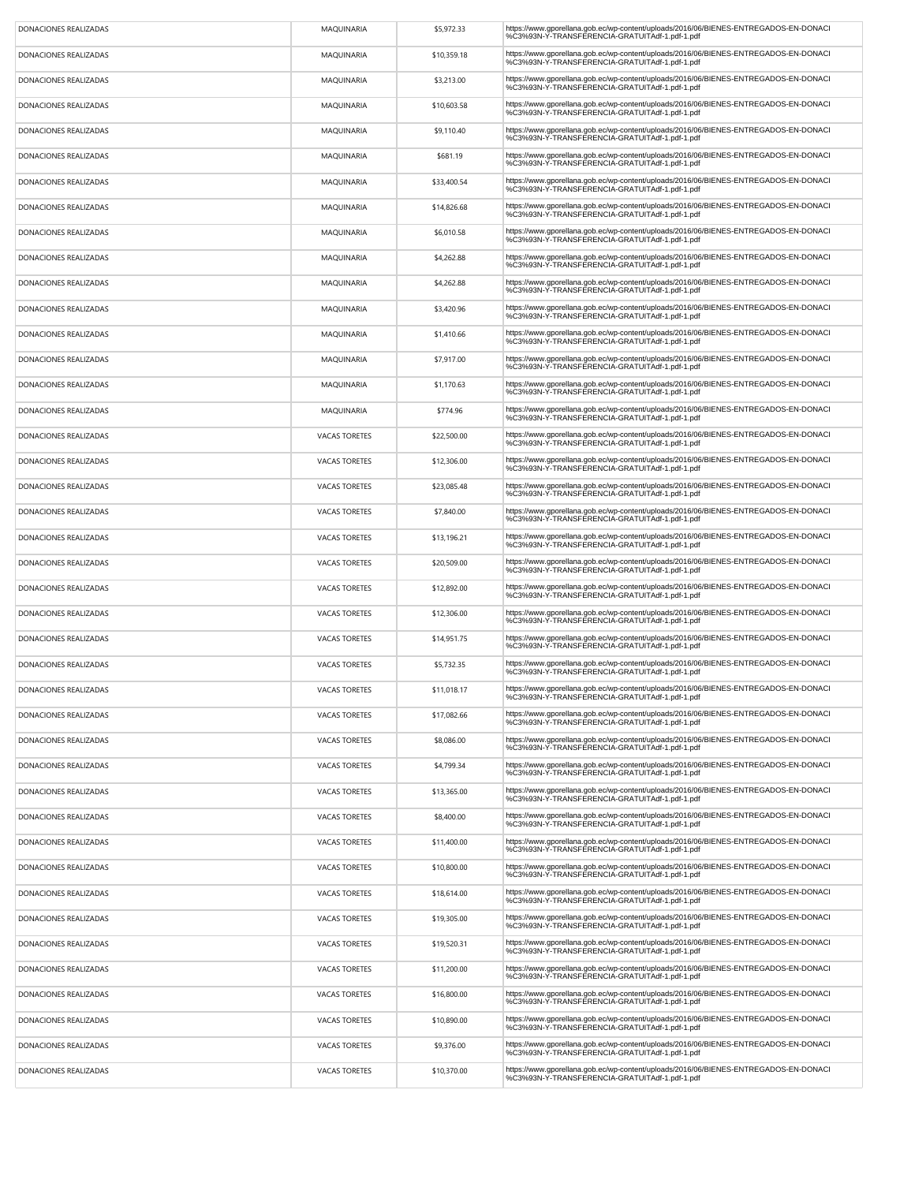| DONACIONES REALIZADAS | MAQUINARIA           | \$5,972.33  | https://www.gporellana.gob.ec/wp-content/uploads/2016/06/BIENES-ENTREGADOS-EN-DONACI<br>%C3%93N-Y-TRANSFERENCIA-GRATUITAdf-1.pdf-1.pdf |  |
|-----------------------|----------------------|-------------|----------------------------------------------------------------------------------------------------------------------------------------|--|
| DONACIONES REALIZADAS | MAQUINARIA           | \$10,359.18 | https://www.gporellana.gob.ec/wp-content/uploads/2016/06/BIENES-ENTREGADOS-EN-DONACI<br>%C3%93N-Y-TRANSFERENCIA-GRATUITAdf-1.pdf-1.pdf |  |
| DONACIONES REALIZADAS | MAQUINARIA           | \$3,213.00  | https://www.gporellana.gob.ec/wp-content/uploads/2016/06/BIENES-ENTREGADOS-EN-DONACI<br>%C3%93N-Y-TRANSFERENCIA-GRATUITAdf-1.pdf-1.pdf |  |
| DONACIONES REALIZADAS | MAQUINARIA           | \$10,603.58 | https://www.gporellana.gob.ec/wp-content/uploads/2016/06/BIENES-ENTREGADOS-EN-DONACI<br>%C3%93N-Y-TRANSFERENCIA-GRATUITAdf-1.pdf-1.pdf |  |
| DONACIONES REALIZADAS | MAQUINARIA           | \$9,110.40  | https://www.gporellana.gob.ec/wp-content/uploads/2016/06/BIENES-ENTREGADOS-EN-DONACI<br>%C3%93N-Y-TRANSFERENCIA-GRATUITAdf-1.pdf-1.pdf |  |
| DONACIONES REALIZADAS | MAQUINARIA           | \$681.19    | https://www.gporellana.gob.ec/wp-content/uploads/2016/06/BIENES-ENTREGADOS-EN-DONACI<br>%C3%93N-Y-TRANSFERENCIA-GRATUITAdf-1.pdf-1.pdf |  |
| DONACIONES REALIZADAS | MAQUINARIA           | \$33,400.54 | https://www.gporellana.gob.ec/wp-content/uploads/2016/06/BIENES-ENTREGADOS-EN-DONACI<br>%C3%93N-Y-TRANSFERENCIA-GRATUITAdf-1.pdf-1.pdf |  |
| DONACIONES REALIZADAS | MAQUINARIA           | \$14,826.68 | https://www.qporellana.qob.ec/wp-content/uploads/2016/06/BIENES-ENTREGADOS-EN-DONACI<br>%C3%93N-Y-TRANSFERENCIA-GRATUITAdf-1.pdf-1.pdf |  |
| DONACIONES REALIZADAS | MAQUINARIA           | \$6,010.58  | https://www.gporellana.gob.ec/wp-content/uploads/2016/06/BIENES-ENTREGADOS-EN-DONACI<br>%C3%93N-Y-TRANSFERENCIA-GRATUITAdf-1.pdf-1.pdf |  |
| DONACIONES REALIZADAS | MAQUINARIA           | \$4,262.88  | https://www.gporellana.gob.ec/wp-content/uploads/2016/06/BIENES-ENTREGADOS-EN-DONACI<br>%C3%93N-Y-TRANSFERENCIA-GRATUITAdf-1.pdf-1.pdf |  |
| DONACIONES REALIZADAS | MAQUINARIA           | \$4,262.88  | https://www.gporellana.gob.ec/wp-content/uploads/2016/06/BIENES-ENTREGADOS-EN-DONACI<br>%C3%93N-Y-TRANSFERENCIA-GRATUITAdf-1.pdf-1.pdf |  |
| DONACIONES REALIZADAS | MAQUINARIA           | \$3,420.96  | https://www.gporellana.gob.ec/wp-content/uploads/2016/06/BIENES-ENTREGADOS-EN-DONACI<br>%C3%93N-Y-TRANSFERENCIA-GRATUITAdf-1.pdf-1.pdf |  |
| DONACIONES REALIZADAS | MAQUINARIA           | \$1,410.66  | https://www.gporellana.gob.ec/wp-content/uploads/2016/06/BIENES-ENTREGADOS-EN-DONACI<br>%C3%93N-Y-TRANSFERENCIA-GRATUITAdf-1.pdf-1.pdf |  |
| DONACIONES REALIZADAS | MAQUINARIA           | \$7,917.00  | https://www.gporellana.gob.ec/wp-content/uploads/2016/06/BIENES-ENTREGADOS-EN-DONACI<br>%C3%93N-Y-TRANSFERENCIA-GRATUITAdf-1.pdf-1.pdf |  |
| DONACIONES REALIZADAS | MAQUINARIA           | \$1,170.63  | https://www.gporellana.gob.ec/wp-content/uploads/2016/06/BIENES-ENTREGADOS-EN-DONACI<br>%C3%93N-Y-TRANSFERENCIA-GRATUITAdf-1.pdf-1.pdf |  |
| DONACIONES REALIZADAS | <b>MAQUINARIA</b>    | \$774.96    | https://www.gporellana.gob.ec/wp-content/uploads/2016/06/BIENES-ENTREGADOS-EN-DONACI<br>%C3%93N-Y-TRANSFERENCIA-GRATUITAdf-1.pdf-1.pdf |  |
| DONACIONES REALIZADAS | <b>VACAS TORETES</b> | \$22,500.00 | https://www.gporellana.gob.ec/wp-content/uploads/2016/06/BIENES-ENTREGADOS-EN-DONACI<br>%C3%93N-Y-TRANSFERENCIA-GRATUITAdf-1.pdf-1.pdf |  |
| DONACIONES REALIZADAS | <b>VACAS TORETES</b> | \$12,306.00 | https://www.gporellana.gob.ec/wp-content/uploads/2016/06/BIENES-ENTREGADOS-EN-DONACI<br>%C3%93N-Y-TRANSFERENCIA-GRATUITAdf-1.pdf-1.pdf |  |
| DONACIONES REALIZADAS | <b>VACAS TORETES</b> | \$23,085.48 | https://www.gporellana.gob.ec/wp-content/uploads/2016/06/BIENES-ENTREGADOS-EN-DONACI<br>%C3%93N-Y-TRANSFERENCIA-GRATUITAdf-1.pdf-1.pdf |  |
| DONACIONES REALIZADAS | <b>VACAS TORETES</b> | \$7,840.00  | https://www.gporellana.gob.ec/wp-content/uploads/2016/06/BIENES-ENTREGADOS-EN-DONACI<br>%C3%93N-Y-TRANSFERENCIA-GRATUITAdf-1.pdf-1.pdf |  |
| DONACIONES REALIZADAS | <b>VACAS TORETES</b> | \$13,196.21 | https://www.gporellana.gob.ec/wp-content/uploads/2016/06/BIENES-ENTREGADOS-EN-DONACI<br>%C3%93N-Y-TRANSFERENCIA-GRATUITAdf-1.pdf-1.pdf |  |
| DONACIONES REALIZADAS | <b>VACAS TORETES</b> | \$20,509.00 | https://www.gporellana.gob.ec/wp-content/uploads/2016/06/BIENES-ENTREGADOS-EN-DONACI<br>%C3%93N-Y-TRANSFERENCIA-GRATUITAdf-1.pdf-1.pdf |  |
| DONACIONES REALIZADAS | <b>VACAS TORETES</b> | \$12,892.00 | https://www.gporellana.gob.ec/wp-content/uploads/2016/06/BIENES-ENTREGADOS-EN-DONACI<br>%C3%93N-Y-TRANSFERENCIA-GRATUITAdf-1.pdf-1.pdf |  |
| DONACIONES REALIZADAS | <b>VACAS TORETES</b> | \$12,306.00 | https://www.gporellana.gob.ec/wp-content/uploads/2016/06/BIENES-ENTREGADOS-EN-DONACI<br>%C3%93N-Y-TRANSFERENCIA-GRATUITAdf-1.pdf-1.pdf |  |
| DONACIONES REALIZADAS | <b>VACAS TORETES</b> | \$14,951.75 | https://www.gporellana.gob.ec/wp-content/uploads/2016/06/BIENES-ENTREGADOS-EN-DONACI<br>%C3%93N-Y-TRANSFERENCIA-GRATUITAdf-1.pdf-1.pdf |  |
| DONACIONES REALIZADAS | <b>VACAS TORETES</b> | \$5,732.35  | https://www.gporellana.gob.ec/wp-content/uploads/2016/06/BIENES-ENTREGADOS-EN-DONACI<br>%C3%93N-Y-TRANSFERENCIA-GRATUITAdf-1.pdf-1.pdf |  |
| DONACIONES REALIZADAS | <b>VACAS TORETES</b> | \$11.018.17 | https://www.gporellana.gob.ec/wp-content/uploads/2016/06/BIENES-ENTREGADOS-EN-DONACI<br>%C3%93N-Y-TRANSFERENCIA-GRATUITAdf-1.pdf-1.pdf |  |
| DONACIONES REALIZADAS | <b>VACAS TORETES</b> | \$17,082.66 | https://www.gporellana.gob.ec/wp-content/uploads/2016/06/BIENES-ENTREGADOS-EN-DONACI<br>%C3%93N-Y-TRANSFERENCIA-GRATUITAdf-1.pdf-1.pdf |  |
| DONACIONES REALIZADAS | <b>VACAS TORETES</b> | \$8,086.00  | https://www.gporellana.gob.ec/wp-content/uploads/2016/06/BIENES-ENTREGADOS-EN-DONACI<br>%C3%93N-Y-TRANSFERENCIA-GRATUITAdf-1.pdf-1.pdf |  |
| DONACIONES REALIZADAS | <b>VACAS TORETES</b> | \$4,799.34  | https://www.qporellana.qob.ec/wp-content/uploads/2016/06/BIENES-ENTREGADOS-EN-DONACI<br>%C3%93N-Y-TRANSFERENCIA-GRATUITAdf-1.pdf-1.pdf |  |
| DONACIONES REALIZADAS | <b>VACAS TORETES</b> | \$13,365.00 | https://www.gporellana.gob.ec/wp-content/uploads/2016/06/BIENES-ENTREGADOS-EN-DONACI<br>%C3%93N-Y-TRANSFERENCIA-GRATUITAdf-1.pdf-1.pdf |  |
| DONACIONES REALIZADAS | <b>VACAS TORETES</b> | \$8,400.00  | https://www.gporellana.gob.ec/wp-content/uploads/2016/06/BIENES-ENTREGADOS-EN-DONACI<br>%C3%93N-Y-TRANSFERENCIA-GRATUITAdf-1.pdf-1.pdf |  |
| DONACIONES REALIZADAS | <b>VACAS TORETES</b> | \$11,400.00 | https://www.gporellana.gob.ec/wp-content/uploads/2016/06/BIENES-ENTREGADOS-EN-DONACI<br>%C3%93N-Y-TRANSFERENCIA-GRATUITAdf-1.pdf-1.pdf |  |
| DONACIONES REALIZADAS | <b>VACAS TORETES</b> | \$10,800.00 | https://www.gporellana.gob.ec/wp-content/uploads/2016/06/BIENES-ENTREGADOS-EN-DONACI<br>%C3%93N-Y-TRANSFERENCIA-GRATUITAdf-1.pdf-1.pdf |  |
| DONACIONES REALIZADAS | <b>VACAS TORETES</b> | \$18,614.00 | https://www.gporellana.gob.ec/wp-content/uploads/2016/06/BIENES-ENTREGADOS-EN-DONACI<br>%C3%93N-Y-TRANSFERENCIA-GRATUITAdf-1.pdf-1.pdf |  |
| DONACIONES REALIZADAS | <b>VACAS TORETES</b> | \$19,305.00 | https://www.qporellana.qob.ec/wp-content/uploads/2016/06/BIENES-ENTREGADOS-EN-DONACI<br>%C3%93N-Y-TRANSFERENCIA-GRATUITAdf-1.pdf-1.pdf |  |
| DONACIONES REALIZADAS | <b>VACAS TORETES</b> | \$19,520.31 | https://www.gporellana.gob.ec/wp-content/uploads/2016/06/BIENES-ENTREGADOS-EN-DONACI<br>%C3%93N-Y-TRANSFERENCIA-GRATUITAdf-1.pdf-1.pdf |  |
| DONACIONES REALIZADAS | <b>VACAS TORETES</b> | \$11,200.00 | https://www.gporellana.gob.ec/wp-content/uploads/2016/06/BIENES-ENTREGADOS-EN-DONACI<br>%C3%93N-Y-TRANSFERENCIA-GRATUITAdf-1.pdf-1.pdf |  |
| DONACIONES REALIZADAS | VACAS TORETES        | \$16,800.00 | https://www.qporellana.qob.ec/wp-content/uploads/2016/06/BIENES-ENTREGADOS-EN-DONACI<br>%C3%93N-Y-TRANSFERENCIA-GRATUITAdf-1.pdf-1.pdf |  |
| DONACIONES REALIZADAS | <b>VACAS TORETES</b> | \$10,890.00 | https://www.gporellana.gob.ec/wp-content/uploads/2016/06/BIENES-ENTREGADOS-EN-DONACI<br>%C3%93N-Y-TRANSFERENCIA-GRATUITAdf-1.pdf-1.pdf |  |
| DONACIONES REALIZADAS | <b>VACAS TORETES</b> | \$9,376.00  | https://www.gporellana.gob.ec/wp-content/uploads/2016/06/BIENES-ENTREGADOS-EN-DONACI<br>%C3%93N-Y-TRANSFERENCIA-GRATUITAdf-1.pdf-1.pdf |  |
| DONACIONES REALIZADAS | <b>VACAS TORETES</b> | \$10,370.00 | https://www.gporellana.gob.ec/wp-content/uploads/2016/06/BIENES-ENTREGADOS-EN-DONACI<br>%C3%93N-Y-TRANSFERENCIA-GRATUITAdf-1.pdf-1.pdf |  |